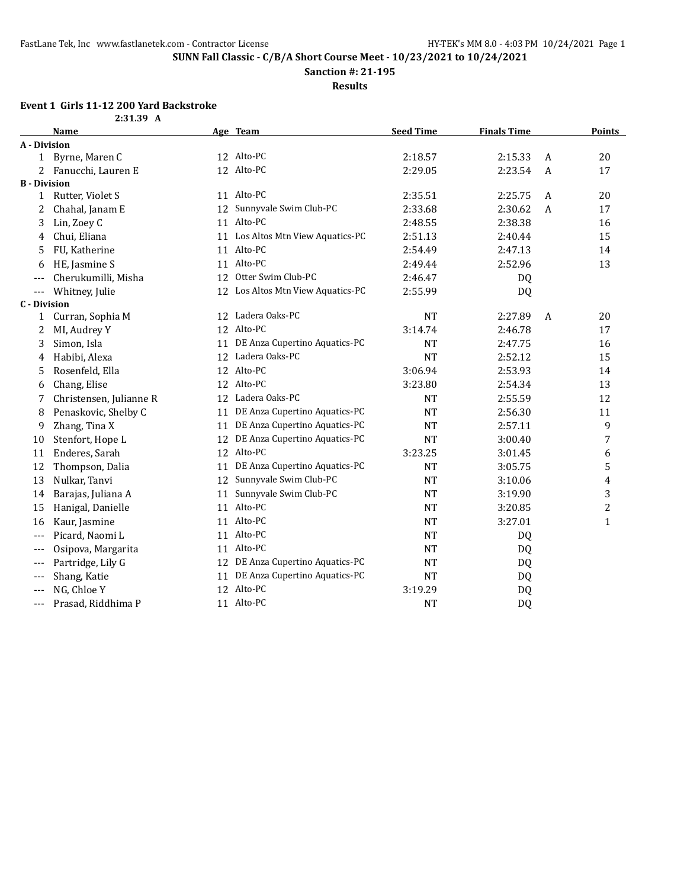**Sanction #: 21-195**

**Results**

# **Event 1 Girls 11-12 200 Yard Backstroke**

|                     | 2:31.39 A               |    |                                   |                  |                    |                |                |
|---------------------|-------------------------|----|-----------------------------------|------------------|--------------------|----------------|----------------|
|                     | Name                    |    | Age Team                          | <b>Seed Time</b> | <b>Finals Time</b> |                | <b>Points</b>  |
| A - Division        |                         |    |                                   |                  |                    |                |                |
|                     | 1 Byrne, Maren C        |    | 12 Alto-PC                        | 2:18.57          | 2:15.33            | A              | 20             |
| 2                   | Fanucchi, Lauren E      |    | 12 Alto-PC                        | 2:29.05          | 2:23.54            | $\overline{A}$ | 17             |
| <b>B</b> - Division |                         |    |                                   |                  |                    |                |                |
|                     | 1 Rutter, Violet S      |    | 11 Alto-PC                        | 2:35.51          | 2:25.75            | A              | 20             |
| 2                   | Chahal, Janam E         | 12 | Sunnyvale Swim Club-PC            | 2:33.68          | 2:30.62            | A              | 17             |
| 3                   | Lin, Zoey C             |    | 11 Alto-PC                        | 2:48.55          | 2:38.38            |                | 16             |
| 4                   | Chui, Eliana            |    | 11 Los Altos Mtn View Aquatics-PC | 2:51.13          | 2:40.44            |                | 15             |
| 5                   | FU, Katherine           |    | 11 Alto-PC                        | 2:54.49          | 2:47.13            |                | 14             |
| 6                   | HE, Jasmine S           |    | 11 Alto-PC                        | 2:49.44          | 2:52.96            |                | 13             |
| $---$               | Cherukumilli, Misha     |    | 12 Otter Swim Club-PC             | 2:46.47          | <b>DQ</b>          |                |                |
| $---$               | Whitney, Julie          |    | 12 Los Altos Mtn View Aquatics-PC | 2:55.99          | <b>DQ</b>          |                |                |
| <b>C</b> - Division |                         |    |                                   |                  |                    |                |                |
| 1                   | Curran, Sophia M        | 12 | Ladera Oaks-PC                    | <b>NT</b>        | 2:27.89            | $\overline{A}$ | 20             |
| 2                   | MI, Audrey Y            |    | 12 Alto-PC                        | 3:14.74          | 2:46.78            |                | 17             |
| 3                   | Simon, Isla             | 11 | DE Anza Cupertino Aquatics-PC     | <b>NT</b>        | 2:47.75            |                | 16             |
| 4                   | Habibi, Alexa           |    | 12 Ladera Oaks-PC                 | <b>NT</b>        | 2:52.12            |                | 15             |
| 5                   | Rosenfeld, Ella         |    | 12 Alto-PC                        | 3:06.94          | 2:53.93            |                | 14             |
| 6                   | Chang, Elise            |    | 12 Alto-PC                        | 3:23.80          | 2:54.34            |                | 13             |
| 7                   | Christensen, Julianne R |    | 12 Ladera Oaks-PC                 | <b>NT</b>        | 2:55.59            |                | 12             |
| 8                   | Penaskovic, Shelby C    | 11 | DE Anza Cupertino Aquatics-PC     | <b>NT</b>        | 2:56.30            |                | 11             |
| 9                   | Zhang, Tina X           | 11 | DE Anza Cupertino Aquatics-PC     | <b>NT</b>        | 2:57.11            |                | 9              |
| 10                  | Stenfort, Hope L        | 12 | DE Anza Cupertino Aquatics-PC     | <b>NT</b>        | 3:00.40            |                | 7              |
| 11                  | Enderes, Sarah          |    | 12 Alto-PC                        | 3:23.25          | 3:01.45            |                | 6              |
| 12                  | Thompson, Dalia         | 11 | DE Anza Cupertino Aquatics-PC     | <b>NT</b>        | 3:05.75            |                | 5              |
| 13                  | Nulkar, Tanvi           |    | 12 Sunnyvale Swim Club-PC         | <b>NT</b>        | 3:10.06            |                | 4              |
| 14                  | Barajas, Juliana A      | 11 | Sunnyvale Swim Club-PC            | <b>NT</b>        | 3:19.90            |                | 3              |
| 15                  | Hanigal, Danielle       |    | 11 Alto-PC                        | <b>NT</b>        | 3:20.85            |                | $\overline{2}$ |
| 16                  | Kaur, Jasmine           |    | 11 Alto-PC                        | <b>NT</b>        | 3:27.01            |                | $\mathbf{1}$   |
| ---                 | Picard, Naomi L         |    | 11 Alto-PC                        | <b>NT</b>        | DQ                 |                |                |
| $---$               | Osipova, Margarita      |    | 11 Alto-PC                        | <b>NT</b>        | DQ                 |                |                |
| $---$               | Partridge, Lily G       |    | 12 DE Anza Cupertino Aquatics-PC  | <b>NT</b>        | DQ                 |                |                |
| $---$               | Shang, Katie            |    | 11 DE Anza Cupertino Aquatics-PC  | <b>NT</b>        | DQ                 |                |                |
| $---$               | NG, Chloe Y             |    | 12 Alto-PC                        | 3:19.29          | DQ                 |                |                |
| ---                 | Prasad, Riddhima P      |    | 11 Alto-PC                        | <b>NT</b>        | DQ                 |                |                |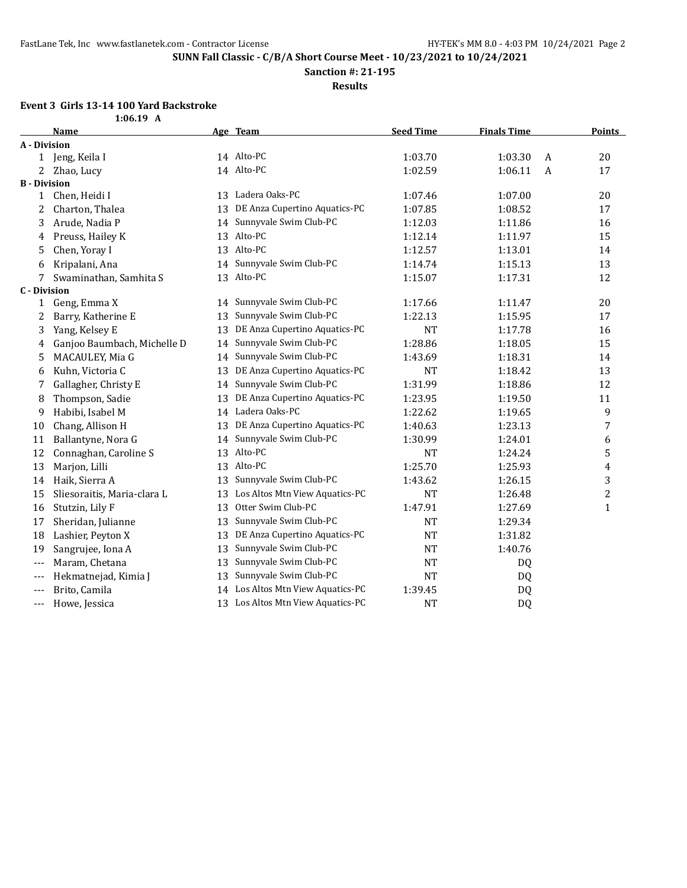**Sanction #: 21-195**

**Results**

## **Event 3 Girls 13-14 100 Yard Backstroke**

|                     | $1:06.19$ A                 |    |                                   |                  |                           |                |
|---------------------|-----------------------------|----|-----------------------------------|------------------|---------------------------|----------------|
|                     | <b>Name</b>                 |    | Age Team                          | <b>Seed Time</b> | <b>Finals Time</b>        | <b>Points</b>  |
| A - Division        |                             |    |                                   |                  |                           |                |
|                     | 1 Jeng, Keila I             |    | 14 Alto-PC                        | 1:03.70          | 1:03.30<br>A              | 20             |
| 2                   | Zhao, Lucy                  |    | 14 Alto-PC                        | 1:02.59          | 1:06.11<br>$\overline{A}$ | 17             |
| <b>B</b> - Division |                             |    |                                   |                  |                           |                |
| 1                   | Chen, Heidi I               |    | 13 Ladera Oaks-PC                 | 1:07.46          | 1:07.00                   | 20             |
| 2                   | Charton, Thalea             |    | 13 DE Anza Cupertino Aquatics-PC  | 1:07.85          | 1:08.52                   | 17             |
| 3                   | Arude, Nadia P              | 14 | Sunnyvale Swim Club-PC            | 1:12.03          | 1:11.86                   | 16             |
| 4                   | Preuss, Hailey K            | 13 | Alto-PC                           | 1:12.14          | 1:11.97                   | 15             |
| 5                   | Chen, Yoray I               |    | 13 Alto-PC                        | 1:12.57          | 1:13.01                   | 14             |
| 6                   | Kripalani, Ana              | 14 | Sunnyvale Swim Club-PC            | 1:14.74          | 1:15.13                   | 13             |
| 7                   | Swaminathan, Samhita S      |    | 13 Alto-PC                        | 1:15.07          | 1:17.31                   | 12             |
| <b>C</b> - Division |                             |    |                                   |                  |                           |                |
| 1                   | Geng, Emma X                |    | 14 Sunnyvale Swim Club-PC         | 1:17.66          | 1:11.47                   | 20             |
| 2                   | Barry, Katherine E          | 13 | Sunnyvale Swim Club-PC            | 1:22.13          | 1:15.95                   | 17             |
| 3                   | Yang, Kelsey E              | 13 | DE Anza Cupertino Aquatics-PC     | <b>NT</b>        | 1:17.78                   | 16             |
| 4                   | Ganjoo Baumbach, Michelle D | 14 | Sunnyvale Swim Club-PC            | 1:28.86          | 1:18.05                   | 15             |
| 5                   | MACAULEY, Mia G             | 14 | Sunnyvale Swim Club-PC            | 1:43.69          | 1:18.31                   | 14             |
| 6                   | Kuhn, Victoria C            | 13 | DE Anza Cupertino Aquatics-PC     | <b>NT</b>        | 1:18.42                   | 13             |
| 7                   | Gallagher, Christy E        | 14 | Sunnyvale Swim Club-PC            | 1:31.99          | 1:18.86                   | 12             |
| 8                   | Thompson, Sadie             | 13 | DE Anza Cupertino Aquatics-PC     | 1:23.95          | 1:19.50                   | 11             |
| 9                   | Habibi, Isabel M            | 14 | Ladera Oaks-PC                    | 1:22.62          | 1:19.65                   | 9              |
| 10                  | Chang, Allison H            | 13 | DE Anza Cupertino Aquatics-PC     | 1:40.63          | 1:23.13                   | 7              |
| 11                  | Ballantyne, Nora G          | 14 | Sunnyvale Swim Club-PC            | 1:30.99          | 1:24.01                   | 6              |
| 12                  | Connaghan, Caroline S       |    | 13 Alto-PC                        | NT               | 1:24.24                   | 5              |
| 13                  | Marjon, Lilli               |    | 13 Alto-PC                        | 1:25.70          | 1:25.93                   | 4              |
| 14                  | Haik, Sierra A              | 13 | Sunnyvale Swim Club-PC            | 1:43.62          | 1:26.15                   | 3              |
| 15                  | Sliesoraitis, Maria-clara L | 13 | Los Altos Mtn View Aquatics-PC    | <b>NT</b>        | 1:26.48                   | $\overline{c}$ |
| 16                  | Stutzin, Lily F             | 13 | Otter Swim Club-PC                | 1:47.91          | 1:27.69                   | $\mathbf{1}$   |
| 17                  | Sheridan, Julianne          | 13 | Sunnyvale Swim Club-PC            | <b>NT</b>        | 1:29.34                   |                |
| 18                  | Lashier, Peyton X           | 13 | DE Anza Cupertino Aquatics-PC     | <b>NT</b>        | 1:31.82                   |                |
| 19                  | Sangrujee, Iona A           | 13 | Sunnyvale Swim Club-PC            | <b>NT</b>        | 1:40.76                   |                |
| ---                 | Maram, Chetana              | 13 | Sunnyvale Swim Club-PC            | <b>NT</b>        | DQ                        |                |
| ---                 | Hekmatnejad, Kimia J        | 13 | Sunnyvale Swim Club-PC            | <b>NT</b>        | DQ                        |                |
| ---                 | Brito, Camila               |    | 14 Los Altos Mtn View Aquatics-PC | 1:39.45          | DQ                        |                |
| ---                 | Howe, Jessica               |    | 13 Los Altos Mtn View Aquatics-PC | <b>NT</b>        | DQ                        |                |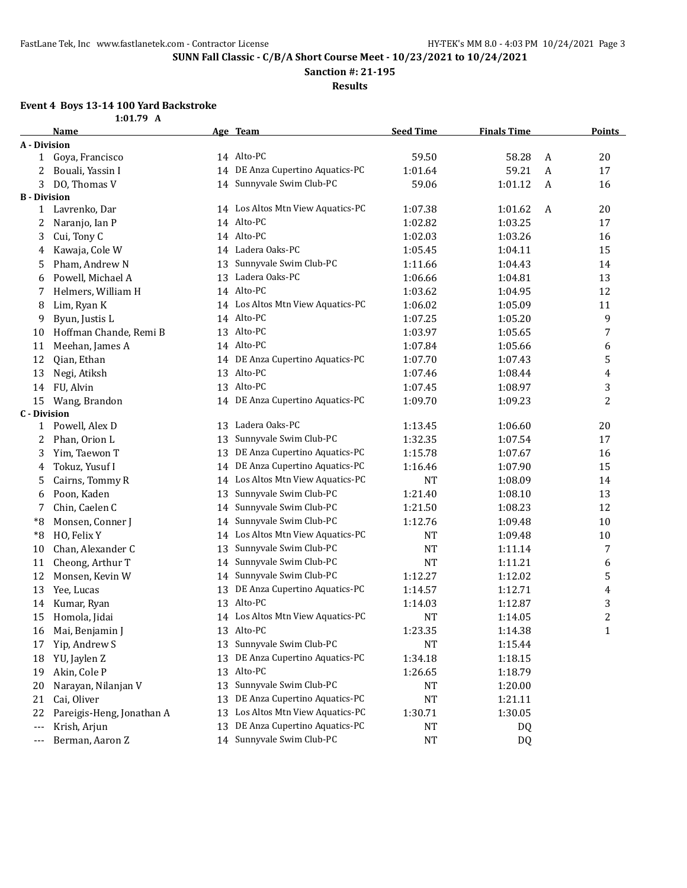**Sanction #: 21-195**

**Results**

#### **Event 4 Boys 13-14 100 Yard Backstroke**

| Age Team<br><b>Seed Time</b><br><b>Finals Time</b><br><b>Name</b><br>A - Division<br>14 Alto-PC<br>59.50<br>58.28<br>Goya, Francisco<br>A<br>1<br>14 DE Anza Cupertino Aquatics-PC<br>2<br>1:01.64<br>59.21<br>$\mathbf{A}$<br>Bouali, Yassin I<br>14 Sunnyvale Swim Club-PC<br>3<br>59.06<br>1:01.12<br>$\mathbf{A}$<br>DO, Thomas V<br><b>B</b> - Division<br>Lavrenko, Dar<br>14 Los Altos Mtn View Aquatics-PC<br>1:07.38<br>1:01.62<br>A<br>$\mathbf{1}$<br>14 Alto-PC<br>Naranjo, Ian P<br>1:02.82<br>1:03.25<br>2<br>14 Alto-PC<br>3<br>Cui, Tony C<br>1:02.03<br>1:03.26<br>14 Ladera Oaks-PC<br>Kawaja, Cole W<br>1:05.45<br>1:04.11<br>4<br>Sunnyvale Swim Club-PC<br>Pham, Andrew N<br>1:04.43<br>5<br>13<br>1:11.66<br>Ladera Oaks-PC<br>Powell, Michael A<br>1:06.66<br>1:04.81<br>6<br>13<br>14 Alto-PC<br>7<br>Helmers, William H<br>1:03.62<br>1:04.95<br>8<br>14 Los Altos Mtn View Aquatics-PC<br>Lim, Ryan K<br>1:06.02<br>1:05.09<br>Alto-PC<br>9<br>Byun, Justis L<br>1:07.25<br>1:05.20<br>14<br>Alto-PC<br>Hoffman Chande, Remi B<br>10<br>1:03.97<br>1:05.65<br>13<br>14 Alto-PC<br>Meehan, James A<br>1:05.66<br>11<br>1:07.84<br>12<br>Qian, Ethan<br>14 DE Anza Cupertino Aquatics-PC<br>1:07.70<br>1:07.43<br>Alto-PC<br>13<br>Negi, Atiksh<br>13<br>1:07.46<br>1:08.44<br>13 Alto-PC<br>FU, Alvin<br>14<br>1:07.45<br>1:08.97<br>14 DE Anza Cupertino Aquatics-PC<br>15<br>Wang, Brandon<br>1:09.70<br>1:09.23<br><b>C</b> - Division<br>Ladera Oaks-PC<br>Powell, Alex D<br>1:06.60<br>13<br>1:13.45<br>1<br>Sunnyvale Swim Club-PC<br>2<br>Phan, Orion L<br>1:32.35<br>1:07.54<br>13<br>DE Anza Cupertino Aquatics-PC<br>3<br>Yim, Taewon T<br>1:15.78<br>13<br>1:07.67<br>DE Anza Cupertino Aquatics-PC<br>Tokuz, Yusuf I<br>1:16.46<br>1:07.90<br>4<br>14<br>Los Altos Mtn View Aquatics-PC<br>Cairns, Tommy R<br><b>NT</b><br>5<br>1:08.09<br>14<br>Sunnyvale Swim Club-PC<br>Poon, Kaden<br>1:21.40<br>6<br>13<br>1:08.10<br>Sunnyvale Swim Club-PC<br>7<br>Chin, Caelen C<br>1:21.50<br>1:08.23<br>14<br>Sunnyvale Swim Club-PC<br>$^*8$<br>Monsen, Conner J<br>1:12.76 | <b>Points</b><br>20<br>17<br>16<br>20<br>17<br>16<br>15<br>14 |
|-------------------------------------------------------------------------------------------------------------------------------------------------------------------------------------------------------------------------------------------------------------------------------------------------------------------------------------------------------------------------------------------------------------------------------------------------------------------------------------------------------------------------------------------------------------------------------------------------------------------------------------------------------------------------------------------------------------------------------------------------------------------------------------------------------------------------------------------------------------------------------------------------------------------------------------------------------------------------------------------------------------------------------------------------------------------------------------------------------------------------------------------------------------------------------------------------------------------------------------------------------------------------------------------------------------------------------------------------------------------------------------------------------------------------------------------------------------------------------------------------------------------------------------------------------------------------------------------------------------------------------------------------------------------------------------------------------------------------------------------------------------------------------------------------------------------------------------------------------------------------------------------------------------------------------------------------------------------------------------------------------------------------------------------------------------------------------------------------------------|---------------------------------------------------------------|
|                                                                                                                                                                                                                                                                                                                                                                                                                                                                                                                                                                                                                                                                                                                                                                                                                                                                                                                                                                                                                                                                                                                                                                                                                                                                                                                                                                                                                                                                                                                                                                                                                                                                                                                                                                                                                                                                                                                                                                                                                                                                                                             |                                                               |
|                                                                                                                                                                                                                                                                                                                                                                                                                                                                                                                                                                                                                                                                                                                                                                                                                                                                                                                                                                                                                                                                                                                                                                                                                                                                                                                                                                                                                                                                                                                                                                                                                                                                                                                                                                                                                                                                                                                                                                                                                                                                                                             |                                                               |
|                                                                                                                                                                                                                                                                                                                                                                                                                                                                                                                                                                                                                                                                                                                                                                                                                                                                                                                                                                                                                                                                                                                                                                                                                                                                                                                                                                                                                                                                                                                                                                                                                                                                                                                                                                                                                                                                                                                                                                                                                                                                                                             |                                                               |
|                                                                                                                                                                                                                                                                                                                                                                                                                                                                                                                                                                                                                                                                                                                                                                                                                                                                                                                                                                                                                                                                                                                                                                                                                                                                                                                                                                                                                                                                                                                                                                                                                                                                                                                                                                                                                                                                                                                                                                                                                                                                                                             |                                                               |
|                                                                                                                                                                                                                                                                                                                                                                                                                                                                                                                                                                                                                                                                                                                                                                                                                                                                                                                                                                                                                                                                                                                                                                                                                                                                                                                                                                                                                                                                                                                                                                                                                                                                                                                                                                                                                                                                                                                                                                                                                                                                                                             |                                                               |
|                                                                                                                                                                                                                                                                                                                                                                                                                                                                                                                                                                                                                                                                                                                                                                                                                                                                                                                                                                                                                                                                                                                                                                                                                                                                                                                                                                                                                                                                                                                                                                                                                                                                                                                                                                                                                                                                                                                                                                                                                                                                                                             |                                                               |
|                                                                                                                                                                                                                                                                                                                                                                                                                                                                                                                                                                                                                                                                                                                                                                                                                                                                                                                                                                                                                                                                                                                                                                                                                                                                                                                                                                                                                                                                                                                                                                                                                                                                                                                                                                                                                                                                                                                                                                                                                                                                                                             |                                                               |
|                                                                                                                                                                                                                                                                                                                                                                                                                                                                                                                                                                                                                                                                                                                                                                                                                                                                                                                                                                                                                                                                                                                                                                                                                                                                                                                                                                                                                                                                                                                                                                                                                                                                                                                                                                                                                                                                                                                                                                                                                                                                                                             |                                                               |
|                                                                                                                                                                                                                                                                                                                                                                                                                                                                                                                                                                                                                                                                                                                                                                                                                                                                                                                                                                                                                                                                                                                                                                                                                                                                                                                                                                                                                                                                                                                                                                                                                                                                                                                                                                                                                                                                                                                                                                                                                                                                                                             |                                                               |
|                                                                                                                                                                                                                                                                                                                                                                                                                                                                                                                                                                                                                                                                                                                                                                                                                                                                                                                                                                                                                                                                                                                                                                                                                                                                                                                                                                                                                                                                                                                                                                                                                                                                                                                                                                                                                                                                                                                                                                                                                                                                                                             |                                                               |
|                                                                                                                                                                                                                                                                                                                                                                                                                                                                                                                                                                                                                                                                                                                                                                                                                                                                                                                                                                                                                                                                                                                                                                                                                                                                                                                                                                                                                                                                                                                                                                                                                                                                                                                                                                                                                                                                                                                                                                                                                                                                                                             |                                                               |
|                                                                                                                                                                                                                                                                                                                                                                                                                                                                                                                                                                                                                                                                                                                                                                                                                                                                                                                                                                                                                                                                                                                                                                                                                                                                                                                                                                                                                                                                                                                                                                                                                                                                                                                                                                                                                                                                                                                                                                                                                                                                                                             | 13                                                            |
|                                                                                                                                                                                                                                                                                                                                                                                                                                                                                                                                                                                                                                                                                                                                                                                                                                                                                                                                                                                                                                                                                                                                                                                                                                                                                                                                                                                                                                                                                                                                                                                                                                                                                                                                                                                                                                                                                                                                                                                                                                                                                                             | 12                                                            |
|                                                                                                                                                                                                                                                                                                                                                                                                                                                                                                                                                                                                                                                                                                                                                                                                                                                                                                                                                                                                                                                                                                                                                                                                                                                                                                                                                                                                                                                                                                                                                                                                                                                                                                                                                                                                                                                                                                                                                                                                                                                                                                             | 11                                                            |
|                                                                                                                                                                                                                                                                                                                                                                                                                                                                                                                                                                                                                                                                                                                                                                                                                                                                                                                                                                                                                                                                                                                                                                                                                                                                                                                                                                                                                                                                                                                                                                                                                                                                                                                                                                                                                                                                                                                                                                                                                                                                                                             | 9                                                             |
|                                                                                                                                                                                                                                                                                                                                                                                                                                                                                                                                                                                                                                                                                                                                                                                                                                                                                                                                                                                                                                                                                                                                                                                                                                                                                                                                                                                                                                                                                                                                                                                                                                                                                                                                                                                                                                                                                                                                                                                                                                                                                                             | 7                                                             |
|                                                                                                                                                                                                                                                                                                                                                                                                                                                                                                                                                                                                                                                                                                                                                                                                                                                                                                                                                                                                                                                                                                                                                                                                                                                                                                                                                                                                                                                                                                                                                                                                                                                                                                                                                                                                                                                                                                                                                                                                                                                                                                             | 6                                                             |
|                                                                                                                                                                                                                                                                                                                                                                                                                                                                                                                                                                                                                                                                                                                                                                                                                                                                                                                                                                                                                                                                                                                                                                                                                                                                                                                                                                                                                                                                                                                                                                                                                                                                                                                                                                                                                                                                                                                                                                                                                                                                                                             | 5                                                             |
|                                                                                                                                                                                                                                                                                                                                                                                                                                                                                                                                                                                                                                                                                                                                                                                                                                                                                                                                                                                                                                                                                                                                                                                                                                                                                                                                                                                                                                                                                                                                                                                                                                                                                                                                                                                                                                                                                                                                                                                                                                                                                                             | 4                                                             |
|                                                                                                                                                                                                                                                                                                                                                                                                                                                                                                                                                                                                                                                                                                                                                                                                                                                                                                                                                                                                                                                                                                                                                                                                                                                                                                                                                                                                                                                                                                                                                                                                                                                                                                                                                                                                                                                                                                                                                                                                                                                                                                             | 3                                                             |
|                                                                                                                                                                                                                                                                                                                                                                                                                                                                                                                                                                                                                                                                                                                                                                                                                                                                                                                                                                                                                                                                                                                                                                                                                                                                                                                                                                                                                                                                                                                                                                                                                                                                                                                                                                                                                                                                                                                                                                                                                                                                                                             | 2                                                             |
|                                                                                                                                                                                                                                                                                                                                                                                                                                                                                                                                                                                                                                                                                                                                                                                                                                                                                                                                                                                                                                                                                                                                                                                                                                                                                                                                                                                                                                                                                                                                                                                                                                                                                                                                                                                                                                                                                                                                                                                                                                                                                                             |                                                               |
|                                                                                                                                                                                                                                                                                                                                                                                                                                                                                                                                                                                                                                                                                                                                                                                                                                                                                                                                                                                                                                                                                                                                                                                                                                                                                                                                                                                                                                                                                                                                                                                                                                                                                                                                                                                                                                                                                                                                                                                                                                                                                                             | 20                                                            |
|                                                                                                                                                                                                                                                                                                                                                                                                                                                                                                                                                                                                                                                                                                                                                                                                                                                                                                                                                                                                                                                                                                                                                                                                                                                                                                                                                                                                                                                                                                                                                                                                                                                                                                                                                                                                                                                                                                                                                                                                                                                                                                             | 17                                                            |
|                                                                                                                                                                                                                                                                                                                                                                                                                                                                                                                                                                                                                                                                                                                                                                                                                                                                                                                                                                                                                                                                                                                                                                                                                                                                                                                                                                                                                                                                                                                                                                                                                                                                                                                                                                                                                                                                                                                                                                                                                                                                                                             | 16                                                            |
|                                                                                                                                                                                                                                                                                                                                                                                                                                                                                                                                                                                                                                                                                                                                                                                                                                                                                                                                                                                                                                                                                                                                                                                                                                                                                                                                                                                                                                                                                                                                                                                                                                                                                                                                                                                                                                                                                                                                                                                                                                                                                                             | 15                                                            |
|                                                                                                                                                                                                                                                                                                                                                                                                                                                                                                                                                                                                                                                                                                                                                                                                                                                                                                                                                                                                                                                                                                                                                                                                                                                                                                                                                                                                                                                                                                                                                                                                                                                                                                                                                                                                                                                                                                                                                                                                                                                                                                             | 14                                                            |
|                                                                                                                                                                                                                                                                                                                                                                                                                                                                                                                                                                                                                                                                                                                                                                                                                                                                                                                                                                                                                                                                                                                                                                                                                                                                                                                                                                                                                                                                                                                                                                                                                                                                                                                                                                                                                                                                                                                                                                                                                                                                                                             | 13                                                            |
|                                                                                                                                                                                                                                                                                                                                                                                                                                                                                                                                                                                                                                                                                                                                                                                                                                                                                                                                                                                                                                                                                                                                                                                                                                                                                                                                                                                                                                                                                                                                                                                                                                                                                                                                                                                                                                                                                                                                                                                                                                                                                                             | 12                                                            |
| 1:09.48<br>14                                                                                                                                                                                                                                                                                                                                                                                                                                                                                                                                                                                                                                                                                                                                                                                                                                                                                                                                                                                                                                                                                                                                                                                                                                                                                                                                                                                                                                                                                                                                                                                                                                                                                                                                                                                                                                                                                                                                                                                                                                                                                               | 10                                                            |
| Los Altos Mtn View Aquatics-PC<br>$^*8$<br>HO, Felix Y<br><b>NT</b><br>1:09.48<br>14                                                                                                                                                                                                                                                                                                                                                                                                                                                                                                                                                                                                                                                                                                                                                                                                                                                                                                                                                                                                                                                                                                                                                                                                                                                                                                                                                                                                                                                                                                                                                                                                                                                                                                                                                                                                                                                                                                                                                                                                                        | 10                                                            |
| Sunnyvale Swim Club-PC<br>10<br>Chan, Alexander C<br>13<br>NT<br>1:11.14                                                                                                                                                                                                                                                                                                                                                                                                                                                                                                                                                                                                                                                                                                                                                                                                                                                                                                                                                                                                                                                                                                                                                                                                                                                                                                                                                                                                                                                                                                                                                                                                                                                                                                                                                                                                                                                                                                                                                                                                                                    | 7                                                             |
| Sunnyvale Swim Club-PC<br>Cheong, Arthur T<br>11<br>NT<br>1:11.21<br>14                                                                                                                                                                                                                                                                                                                                                                                                                                                                                                                                                                                                                                                                                                                                                                                                                                                                                                                                                                                                                                                                                                                                                                                                                                                                                                                                                                                                                                                                                                                                                                                                                                                                                                                                                                                                                                                                                                                                                                                                                                     | 6                                                             |
| Sunnyvale Swim Club-PC<br>12<br>Monsen, Kevin W<br>1:12.27<br>1:12.02<br>14                                                                                                                                                                                                                                                                                                                                                                                                                                                                                                                                                                                                                                                                                                                                                                                                                                                                                                                                                                                                                                                                                                                                                                                                                                                                                                                                                                                                                                                                                                                                                                                                                                                                                                                                                                                                                                                                                                                                                                                                                                 | 5                                                             |
| DE Anza Cupertino Aquatics-PC<br>13<br>Yee, Lucas<br>13<br>1:14.57<br>1:12.71                                                                                                                                                                                                                                                                                                                                                                                                                                                                                                                                                                                                                                                                                                                                                                                                                                                                                                                                                                                                                                                                                                                                                                                                                                                                                                                                                                                                                                                                                                                                                                                                                                                                                                                                                                                                                                                                                                                                                                                                                               | 4                                                             |
| 13 Alto-PC<br>1:14.03<br>1:12.87<br>14<br>Kumar, Ryan                                                                                                                                                                                                                                                                                                                                                                                                                                                                                                                                                                                                                                                                                                                                                                                                                                                                                                                                                                                                                                                                                                                                                                                                                                                                                                                                                                                                                                                                                                                                                                                                                                                                                                                                                                                                                                                                                                                                                                                                                                                       | 3                                                             |
| 14 Los Altos Mtn View Aquatics-PC<br>Homola, Jidai<br>1:14.05<br><b>NT</b><br>15                                                                                                                                                                                                                                                                                                                                                                                                                                                                                                                                                                                                                                                                                                                                                                                                                                                                                                                                                                                                                                                                                                                                                                                                                                                                                                                                                                                                                                                                                                                                                                                                                                                                                                                                                                                                                                                                                                                                                                                                                            | $\overline{\mathbf{c}}$                                       |
| Alto-PC<br>1:23.35<br>Mai, Benjamin J<br>13<br>1:14.38<br>16                                                                                                                                                                                                                                                                                                                                                                                                                                                                                                                                                                                                                                                                                                                                                                                                                                                                                                                                                                                                                                                                                                                                                                                                                                                                                                                                                                                                                                                                                                                                                                                                                                                                                                                                                                                                                                                                                                                                                                                                                                                | $\mathbf{1}$                                                  |
| Sunnyvale Swim Club-PC<br>Yip, Andrew S<br>13<br>17<br>NT<br>1:15.44                                                                                                                                                                                                                                                                                                                                                                                                                                                                                                                                                                                                                                                                                                                                                                                                                                                                                                                                                                                                                                                                                                                                                                                                                                                                                                                                                                                                                                                                                                                                                                                                                                                                                                                                                                                                                                                                                                                                                                                                                                        |                                                               |
| DE Anza Cupertino Aquatics-PC<br>YU, Jaylen Z<br>1:34.18<br>18<br>13<br>1:18.15                                                                                                                                                                                                                                                                                                                                                                                                                                                                                                                                                                                                                                                                                                                                                                                                                                                                                                                                                                                                                                                                                                                                                                                                                                                                                                                                                                                                                                                                                                                                                                                                                                                                                                                                                                                                                                                                                                                                                                                                                             |                                                               |
| Alto-PC<br>Akin, Cole P<br>13<br>1:26.65<br>19<br>1:18.79                                                                                                                                                                                                                                                                                                                                                                                                                                                                                                                                                                                                                                                                                                                                                                                                                                                                                                                                                                                                                                                                                                                                                                                                                                                                                                                                                                                                                                                                                                                                                                                                                                                                                                                                                                                                                                                                                                                                                                                                                                                   |                                                               |
| Sunnyvale Swim Club-PC<br>20<br>Narayan, Nilanjan V<br>13<br>NT<br>1:20.00                                                                                                                                                                                                                                                                                                                                                                                                                                                                                                                                                                                                                                                                                                                                                                                                                                                                                                                                                                                                                                                                                                                                                                                                                                                                                                                                                                                                                                                                                                                                                                                                                                                                                                                                                                                                                                                                                                                                                                                                                                  |                                                               |
| DE Anza Cupertino Aquatics-PC<br>Cai, Oliver<br>13<br>1:21.11<br>21<br>NT                                                                                                                                                                                                                                                                                                                                                                                                                                                                                                                                                                                                                                                                                                                                                                                                                                                                                                                                                                                                                                                                                                                                                                                                                                                                                                                                                                                                                                                                                                                                                                                                                                                                                                                                                                                                                                                                                                                                                                                                                                   |                                                               |
| Los Altos Mtn View Aquatics-PC<br>Pareigis-Heng, Jonathan A<br>1:30.71<br>1:30.05<br>22<br>13                                                                                                                                                                                                                                                                                                                                                                                                                                                                                                                                                                                                                                                                                                                                                                                                                                                                                                                                                                                                                                                                                                                                                                                                                                                                                                                                                                                                                                                                                                                                                                                                                                                                                                                                                                                                                                                                                                                                                                                                               |                                                               |
| DE Anza Cupertino Aquatics-PC<br>Krish, Arjun<br>13<br>NT<br>DQ<br>$\scriptstyle\cdots$                                                                                                                                                                                                                                                                                                                                                                                                                                                                                                                                                                                                                                                                                                                                                                                                                                                                                                                                                                                                                                                                                                                                                                                                                                                                                                                                                                                                                                                                                                                                                                                                                                                                                                                                                                                                                                                                                                                                                                                                                     |                                                               |
| 14 Sunnyvale Swim Club-PC<br>Berman, Aaron Z<br>NT<br>DQ<br>$---$                                                                                                                                                                                                                                                                                                                                                                                                                                                                                                                                                                                                                                                                                                                                                                                                                                                                                                                                                                                                                                                                                                                                                                                                                                                                                                                                                                                                                                                                                                                                                                                                                                                                                                                                                                                                                                                                                                                                                                                                                                           |                                                               |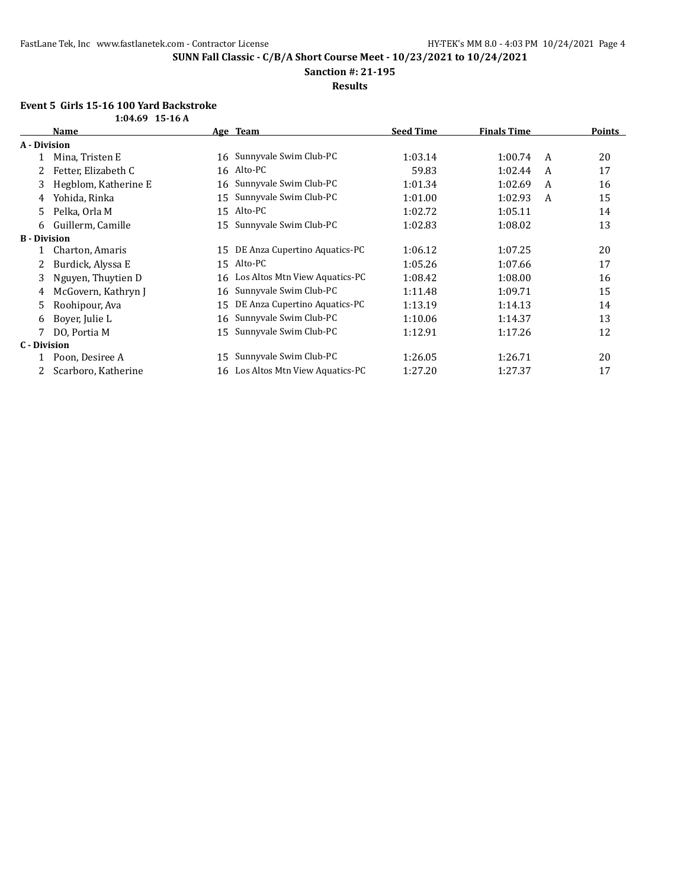**Sanction #: 21-195**

**Results**

# **Event 5 Girls 15-16 100 Yard Backstroke**

|                     | $1:04.69$ 15-16 A    |    |                                |                  |                    |   |               |
|---------------------|----------------------|----|--------------------------------|------------------|--------------------|---|---------------|
|                     | Name                 |    | Age Team                       | <b>Seed Time</b> | <b>Finals Time</b> |   | <b>Points</b> |
| A - Division        |                      |    |                                |                  |                    |   |               |
|                     | Mina, Tristen E      | 16 | Sunnyvale Swim Club-PC         | 1:03.14          | 1:00.74            | A | 20            |
| 2                   | Fetter, Elizabeth C  | 16 | Alto-PC                        | 59.83            | 1:02.44            | A | 17            |
| 3                   | Hegblom, Katherine E | 16 | Sunnyvale Swim Club-PC         | 1:01.34          | 1:02.69            | A | 16            |
| 4                   | Yohida, Rinka        | 15 | Sunnyvale Swim Club-PC         | 1:01.00          | 1:02.93            | A | 15            |
| 5.                  | Pelka, Orla M        | 15 | Alto-PC                        | 1:02.72          | 1:05.11            |   | 14            |
| 6                   | Guillerm, Camille    | 15 | Sunnyvale Swim Club-PC         | 1:02.83          | 1:08.02            |   | 13            |
| <b>B</b> - Division |                      |    |                                |                  |                    |   |               |
|                     | Charton, Amaris      | 15 | DE Anza Cupertino Aquatics-PC  | 1:06.12          | 1:07.25            |   | 20            |
| 2                   | Burdick, Alyssa E    | 15 | Alto-PC                        | 1:05.26          | 1:07.66            |   | 17            |
| 3                   | Nguyen, Thuytien D   | 16 | Los Altos Mtn View Aquatics-PC | 1:08.42          | 1:08.00            |   | 16            |
| 4                   | McGovern, Kathryn J  | 16 | Sunnyvale Swim Club-PC         | 1:11.48          | 1:09.71            |   | 15            |
| 5.                  | Roohipour, Ava       | 15 | DE Anza Cupertino Aquatics-PC  | 1:13.19          | 1:14.13            |   | 14            |
| 6                   | Boyer, Julie L       | 16 | Sunnyvale Swim Club-PC         | 1:10.06          | 1:14.37            |   | 13            |
| 7                   | DO, Portia M         | 15 | Sunnyvale Swim Club-PC         | 1:12.91          | 1:17.26            |   | 12            |
| C - Division        |                      |    |                                |                  |                    |   |               |
|                     | Poon, Desiree A      | 15 | Sunnyvale Swim Club-PC         | 1:26.05          | 1:26.71            |   | 20            |
| 2                   | Scarboro, Katherine  | 16 | Los Altos Mtn View Aquatics-PC | 1:27.20          | 1:27.37            |   | 17            |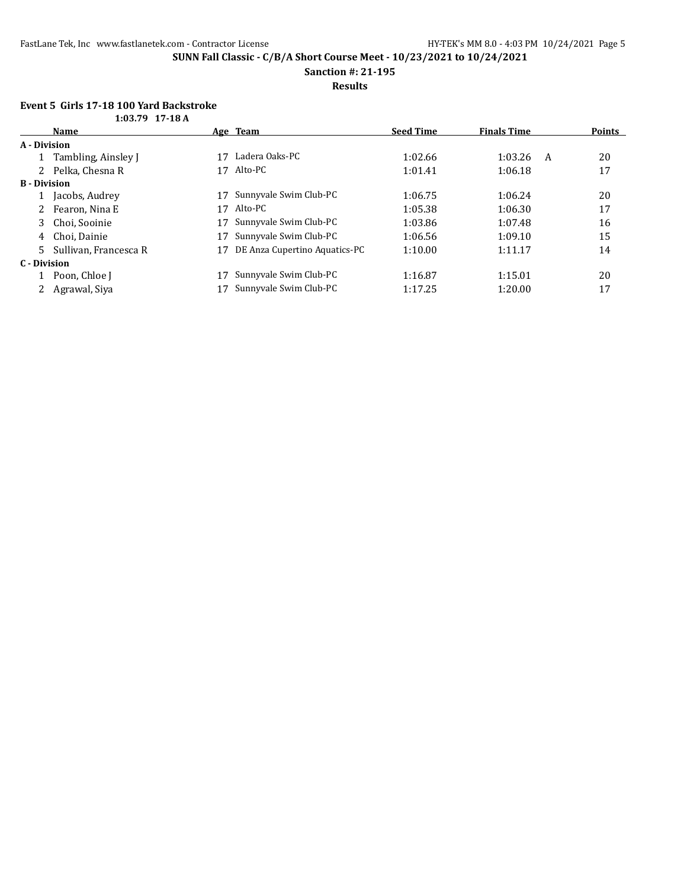**Sanction #: 21-195**

**Results**

# **Event 5 Girls 17-18 100 Yard Backstroke**

|                     | $1:03.79$ 17-18 A     |    |                               |                  |                    |   |        |
|---------------------|-----------------------|----|-------------------------------|------------------|--------------------|---|--------|
|                     | <b>Name</b>           |    | Age Team                      | <b>Seed Time</b> | <b>Finals Time</b> |   | Points |
| A - Division        |                       |    |                               |                  |                    |   |        |
|                     | Tambling, Ainsley J   | 17 | Ladera Oaks-PC                | 1:02.66          | 1:03.26            | A | 20     |
|                     | Pelka, Chesna R       | 17 | Alto-PC                       | 1:01.41          | 1:06.18            |   | 17     |
| <b>B</b> - Division |                       |    |                               |                  |                    |   |        |
|                     | Jacobs, Audrey        | 17 | Sunnyvale Swim Club-PC        | 1:06.75          | 1:06.24            |   | 20     |
|                     | Fearon, Nina E        | 17 | Alto-PC                       | 1:05.38          | 1:06.30            |   | 17     |
| 3                   | Choi, Sooinie         | 17 | Sunnyvale Swim Club-PC        | 1:03.86          | 1:07.48            |   | 16     |
| 4                   | Choi. Dainie          | 17 | Sunnyvale Swim Club-PC        | 1:06.56          | 1:09.10            |   | 15     |
| 5                   | Sullivan, Francesca R | 17 | DE Anza Cupertino Aquatics-PC | 1:10.00          | 1:11.17            |   | 14     |
| C - Division        |                       |    |                               |                  |                    |   |        |
|                     | Poon, Chloe J         | 17 | Sunnyvale Swim Club-PC        | 1:16.87          | 1:15.01            |   | 20     |
|                     | Agrawal, Siya         |    | Sunnyvale Swim Club-PC        | 1:17.25          | 1:20.00            |   | 17     |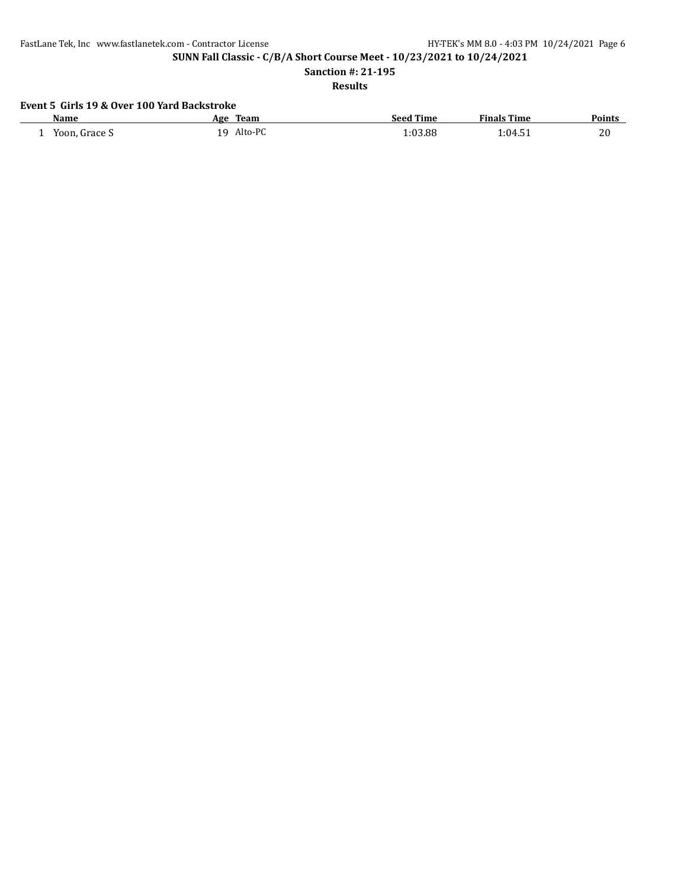FastLane Tek, Inc www.fastlanetek.com - Contractor License HY-TEK's MM 8.0 - 4:03 PM 10/24/2021 Page 6

**SUNN Fall Classic - C/B/A Short Course Meet - 10/23/2021 to 10/24/2021**

**Sanction #: 21-195**

**Results**

# **Event 5 Girls 19 & Over 100 Yard Backstroke**

| Name          | <b>Team</b><br>Age | <b>Seed Time</b> | <b>Finals Time</b> | <b>Points</b> |
|---------------|--------------------|------------------|--------------------|---------------|
| Yoon, Grace S | Alto-PC<br>1 Q     | 1:03.88          | 1:04.51            | 20            |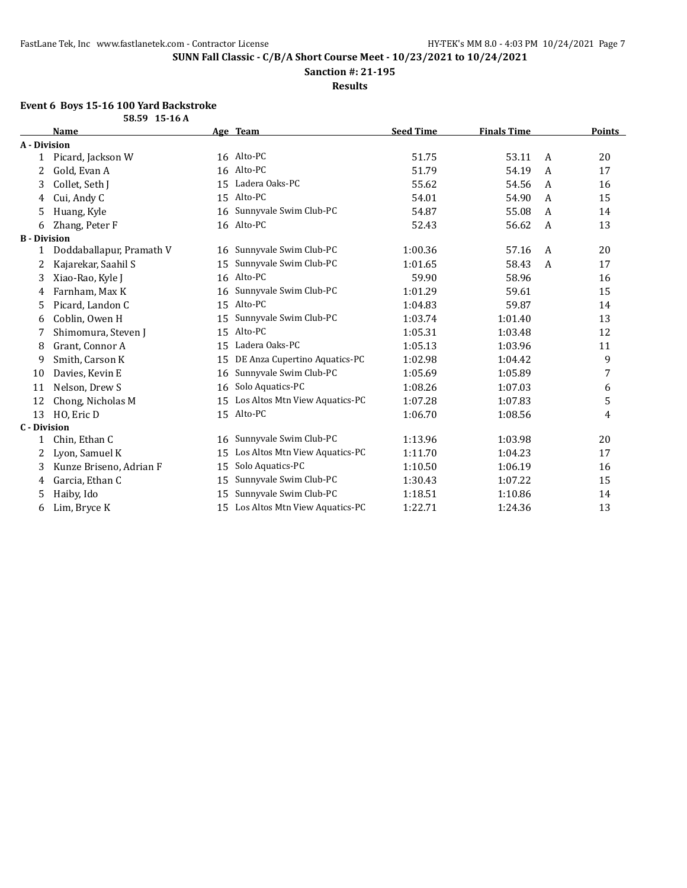**Sanction #: 21-195**

**Results**

#### **Event 6 Boys 15-16 100 Yard Backstroke**

|                     | 58.59 15-16 A            |    |                                |                  |                    |   |               |
|---------------------|--------------------------|----|--------------------------------|------------------|--------------------|---|---------------|
|                     | <b>Name</b>              |    | Age Team                       | <b>Seed Time</b> | <b>Finals Time</b> |   | <b>Points</b> |
| A - Division        |                          |    |                                |                  |                    |   |               |
| 1                   | Picard, Jackson W        |    | 16 Alto-PC                     | 51.75            | 53.11              | A | 20            |
| 2                   | Gold, Evan A             |    | 16 Alto-PC                     | 51.79            | 54.19              | A | 17            |
| 3                   | Collet, Seth J           | 15 | Ladera Oaks-PC                 | 55.62            | 54.56              | A | 16            |
| 4                   | Cui, Andy C              |    | 15 Alto-PC                     | 54.01            | 54.90              | A | 15            |
| 5                   | Huang, Kyle              | 16 | Sunnyvale Swim Club-PC         | 54.87            | 55.08              | A | 14            |
| 6                   | Zhang, Peter F           |    | 16 Alto-PC                     | 52.43            | 56.62              | A | 13            |
| <b>B</b> - Division |                          |    |                                |                  |                    |   |               |
| 1                   | Doddaballapur, Pramath V | 16 | Sunnyvale Swim Club-PC         | 1:00.36          | 57.16              | A | 20            |
| 2                   | Kajarekar, Saahil S      | 15 | Sunnyvale Swim Club-PC         | 1:01.65          | 58.43              | A | 17            |
| 3                   | Xiao-Rao, Kyle J         | 16 | Alto-PC                        | 59.90            | 58.96              |   | 16            |
| 4                   | Farnham, Max K           | 16 | Sunnyvale Swim Club-PC         | 1:01.29          | 59.61              |   | 15            |
| 5                   | Picard, Landon C         | 15 | Alto-PC                        | 1:04.83          | 59.87              |   | 14            |
| 6                   | Coblin, Owen H           | 15 | Sunnyvale Swim Club-PC         | 1:03.74          | 1:01.40            |   | 13            |
|                     | Shimomura, Steven J      | 15 | Alto-PC                        | 1:05.31          | 1:03.48            |   | 12            |
| 8                   | Grant, Connor A          | 15 | Ladera Oaks-PC                 | 1:05.13          | 1:03.96            |   | 11            |
| 9                   | Smith, Carson K          | 15 | DE Anza Cupertino Aquatics-PC  | 1:02.98          | 1:04.42            |   | 9             |
| 10                  | Davies, Kevin E          | 16 | Sunnyvale Swim Club-PC         | 1:05.69          | 1:05.89            |   | 7             |
| 11                  | Nelson, Drew S           | 16 | Solo Aquatics-PC               | 1:08.26          | 1:07.03            |   | 6             |
| 12                  | Chong, Nicholas M        | 15 | Los Altos Mtn View Aquatics-PC | 1:07.28          | 1:07.83            |   | 5             |
| 13                  | HO, Eric D               |    | 15 Alto-PC                     | 1:06.70          | 1:08.56            |   | 4             |
| <b>C</b> - Division |                          |    |                                |                  |                    |   |               |
| 1                   | Chin, Ethan C            | 16 | Sunnyvale Swim Club-PC         | 1:13.96          | 1:03.98            |   | 20            |
| 2                   | Lyon, Samuel K           | 15 | Los Altos Mtn View Aquatics-PC | 1:11.70          | 1:04.23            |   | 17            |
| 3                   | Kunze Briseno, Adrian F  | 15 | Solo Aquatics-PC               | 1:10.50          | 1:06.19            |   | 16            |
| 4                   | Garcia, Ethan C          | 15 | Sunnyvale Swim Club-PC         | 1:30.43          | 1:07.22            |   | 15            |
| 5                   | Haiby, Ido               | 15 | Sunnyvale Swim Club-PC         | 1:18.51          | 1:10.86            |   | 14            |
| 6                   | Lim, Bryce K             | 15 | Los Altos Mtn View Aquatics-PC | 1:22.71          | 1:24.36            |   | 13            |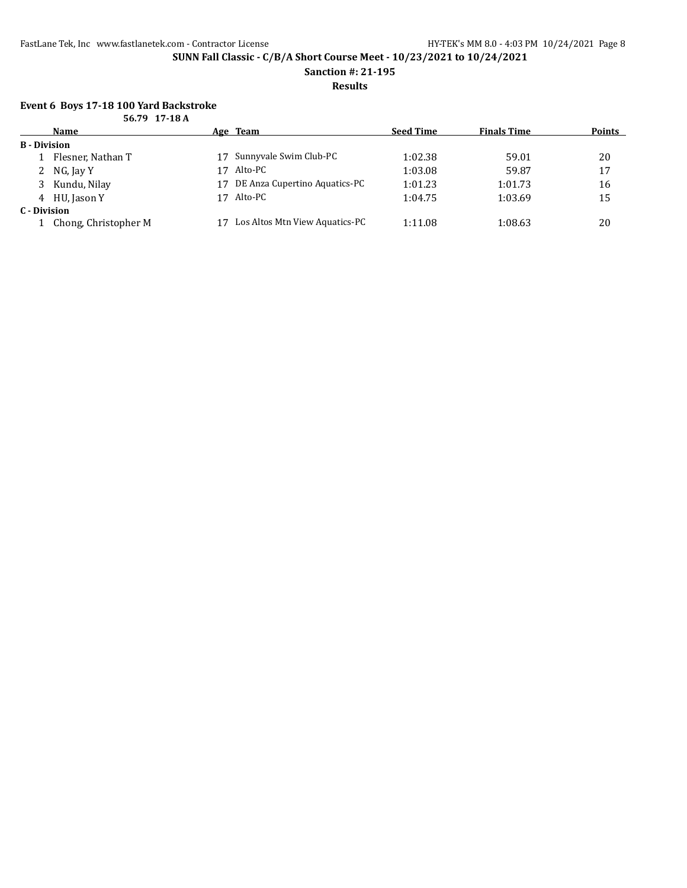**Sanction #: 21-195**

**Results**

#### **Event 6 Boys 17-18 100 Yard Backstroke 56.79 17-18 A**

|                     | JU. 17 11-10 A       |    |                                |                  |                    |               |
|---------------------|----------------------|----|--------------------------------|------------------|--------------------|---------------|
|                     | <b>Name</b>          |    | Age Team                       | <b>Seed Time</b> | <b>Finals Time</b> | <b>Points</b> |
| <b>B</b> - Division |                      |    |                                |                  |                    |               |
|                     | Flesner, Nathan T    | 17 | Sunnyvale Swim Club-PC         | 1:02.38          | 59.01              | 20            |
|                     | 2 NG, Jay Y          | 17 | Alto-PC                        | 1:03.08          | 59.87              | 17            |
| 3.                  | Kundu, Nilay         | 17 | DE Anza Cupertino Aquatics-PC  | 1:01.23          | 1:01.73            | 16            |
|                     | 4 HU, Jason Y        | 17 | Alto-PC                        | 1:04.75          | 1:03.69            | 15            |
| C - Division        |                      |    |                                |                  |                    |               |
|                     | Chong, Christopher M |    | Los Altos Mtn View Aquatics-PC | 1:11.08          | 1:08.63            | 20            |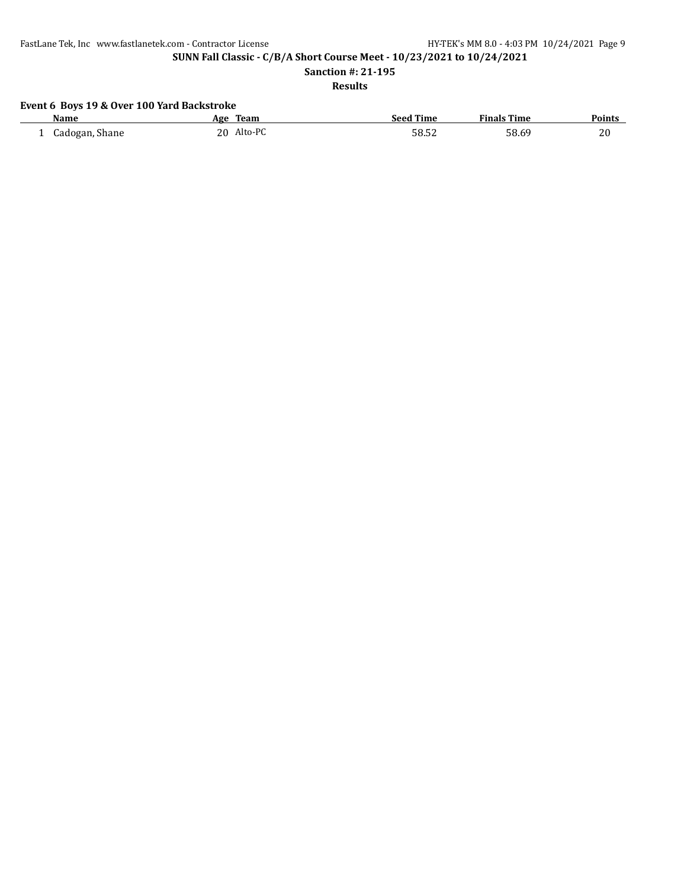FastLane Tek, Inc www.fastlanetek.com - Contractor License HY-TEK's MM 8.0 - 4:03 PM 10/24/2021 Page 9

**SUNN Fall Classic - C/B/A Short Course Meet - 10/23/2021 to 10/24/2021**

**Sanction #: 21-195**

**Results**

# **Event 6 Boys 19 & Over 100 Yard Backstroke**

| <b>Name</b>    | Age | Team    | <b>Seed Time</b> | <b>Finals Time</b> | <b>Points</b> |
|----------------|-----|---------|------------------|--------------------|---------------|
| Cadogan, Shane | 20  | Alto-PC | 58.52            | 58.69              | 20            |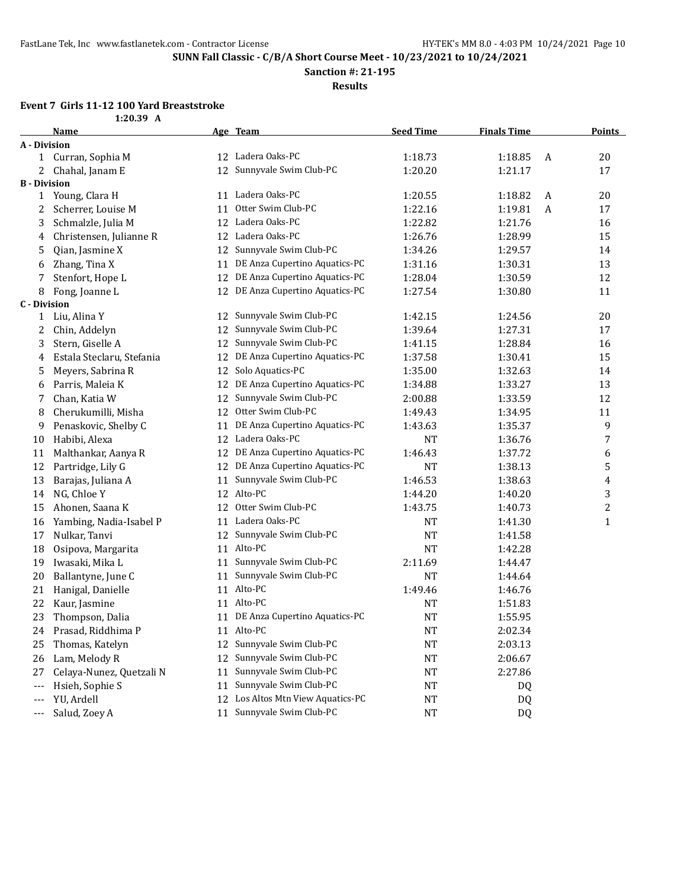**Sanction #: 21-195**

**Results**

## **Event 7 Girls 11-12 100 Yard Breaststroke**

|             | : 11-12 100 Yard Breastst |
|-------------|---------------------------|
| $1:20.39$ A |                           |

|                     | <b>Name</b>               |    | Age Team                         | <b>Seed Time</b> | <b>Finals Time</b> |   | <b>Points</b>    |
|---------------------|---------------------------|----|----------------------------------|------------------|--------------------|---|------------------|
| <b>A</b> - Division |                           |    |                                  |                  |                    |   |                  |
|                     | 1 Curran, Sophia M        |    | 12 Ladera Oaks-PC                | 1:18.73          | 1:18.85            | A | 20               |
| 2                   | Chahal, Janam E           |    | 12 Sunnyvale Swim Club-PC        | 1:20.20          | 1:21.17            |   | 17               |
| <b>B</b> - Division |                           |    |                                  |                  |                    |   |                  |
| 1                   | Young, Clara H            |    | 11 Ladera Oaks-PC                | 1:20.55          | 1:18.82            | A | 20               |
| 2                   | Scherrer, Louise M        | 11 | Otter Swim Club-PC               | 1:22.16          | 1:19.81            | A | 17               |
| 3                   | Schmalzle, Julia M        | 12 | Ladera Oaks-PC                   | 1:22.82          | 1:21.76            |   | 16               |
| 4                   | Christensen, Julianne R   |    | 12 Ladera Oaks-PC                | 1:26.76          | 1:28.99            |   | 15               |
| 5                   | Qian, Jasmine X           | 12 | Sunnyvale Swim Club-PC           | 1:34.26          | 1:29.57            |   | 14               |
| 6                   | Zhang, Tina X             | 11 | DE Anza Cupertino Aquatics-PC    | 1:31.16          | 1:30.31            |   | 13               |
| 7                   | Stenfort, Hope L          | 12 | DE Anza Cupertino Aquatics-PC    | 1:28.04          | 1:30.59            |   | 12               |
| 8                   | Fong, Joanne L            | 12 | DE Anza Cupertino Aquatics-PC    | 1:27.54          | 1:30.80            |   | 11               |
| <b>C</b> - Division |                           |    |                                  |                  |                    |   |                  |
| $\mathbf{1}$        | Liu, Alina Y              | 12 | Sunnyvale Swim Club-PC           | 1:42.15          | 1:24.56            |   | 20               |
| 2                   | Chin, Addelyn             | 12 | Sunnyvale Swim Club-PC           | 1:39.64          | 1:27.31            |   | 17               |
| 3                   | Stern, Giselle A          | 12 | Sunnyvale Swim Club-PC           | 1:41.15          | 1:28.84            |   | 16               |
| 4                   | Estala Steclaru, Stefania | 12 | DE Anza Cupertino Aquatics-PC    | 1:37.58          | 1:30.41            |   | 15               |
| 5                   | Meyers, Sabrina R         | 12 | Solo Aquatics-PC                 | 1:35.00          | 1:32.63            |   | 14               |
| 6                   | Parris, Maleia K          | 12 | DE Anza Cupertino Aquatics-PC    | 1:34.88          | 1:33.27            |   | 13               |
| 7                   | Chan, Katia W             | 12 | Sunnyvale Swim Club-PC           | 2:00.88          | 1:33.59            |   | 12               |
| 8                   | Cherukumilli, Misha       | 12 | Otter Swim Club-PC               | 1:49.43          | 1:34.95            |   | 11               |
| 9                   | Penaskovic, Shelby C      | 11 | DE Anza Cupertino Aquatics-PC    | 1:43.63          | 1:35.37            |   | 9                |
| 10                  | Habibi, Alexa             | 12 | Ladera Oaks-PC                   | <b>NT</b>        | 1:36.76            |   | $\overline{7}$   |
| 11                  | Malthankar, Aanya R       | 12 | DE Anza Cupertino Aquatics-PC    | 1:46.43          | 1:37.72            |   | 6                |
| 12                  | Partridge, Lily G         | 12 | DE Anza Cupertino Aquatics-PC    | <b>NT</b>        | 1:38.13            |   | 5                |
| 13                  | Barajas, Juliana A        | 11 | Sunnyvale Swim Club-PC           | 1:46.53          | 1:38.63            |   | $\overline{4}$   |
| 14                  | NG, Chloe Y               |    | 12 Alto-PC                       | 1:44.20          | 1:40.20            |   | 3                |
| 15                  | Ahonen, Saana K           | 12 | Otter Swim Club-PC               | 1:43.75          | 1:40.73            |   | $\boldsymbol{2}$ |
| 16                  | Yambing, Nadia-Isabel P   | 11 | Ladera Oaks-PC                   | <b>NT</b>        | 1:41.30            |   | $\mathbf 1$      |
| 17                  | Nulkar, Tanvi             | 12 | Sunnyvale Swim Club-PC           | <b>NT</b>        | 1:41.58            |   |                  |
| 18                  | Osipova, Margarita        | 11 | Alto-PC                          | NT               | 1:42.28            |   |                  |
| 19                  | Iwasaki, Mika L           | 11 | Sunnyvale Swim Club-PC           | 2:11.69          | 1:44.47            |   |                  |
| 20                  | Ballantyne, June C        | 11 | Sunnyvale Swim Club-PC           | <b>NT</b>        | 1:44.64            |   |                  |
| 21                  | Hanigal, Danielle         | 11 | Alto-PC                          | 1:49.46          | 1:46.76            |   |                  |
| 22                  | Kaur, Jasmine             | 11 | Alto-PC                          | <b>NT</b>        | 1:51.83            |   |                  |
| 23                  | Thompson, Dalia           |    | 11 DE Anza Cupertino Aquatics-PC | <b>NT</b>        | 1:55.95            |   |                  |
| 24                  | Prasad, Riddhima P        |    | 11 Alto-PC                       | <sub>NT</sub>    | 2:02.34            |   |                  |
| 25                  | Thomas, Katelyn           | 12 | Sunnyvale Swim Club-PC           | NT               | 2:03.13            |   |                  |
| 26                  | Lam, Melody R             | 12 | Sunnyvale Swim Club-PC           | NT               | 2:06.67            |   |                  |
| 27                  | Celaya-Nunez, Quetzali N  | 11 | Sunnyvale Swim Club-PC           | NT               | 2:27.86            |   |                  |
| ---                 | Hsieh, Sophie S           | 11 | Sunnyvale Swim Club-PC           | NT               | DQ                 |   |                  |
| ---                 | YU, Ardell                | 12 | Los Altos Mtn View Aquatics-PC   | NT               | DQ                 |   |                  |
| ---                 | Salud, Zoey A             | 11 | Sunnyvale Swim Club-PC           | $\bf NT$         | <b>DQ</b>          |   |                  |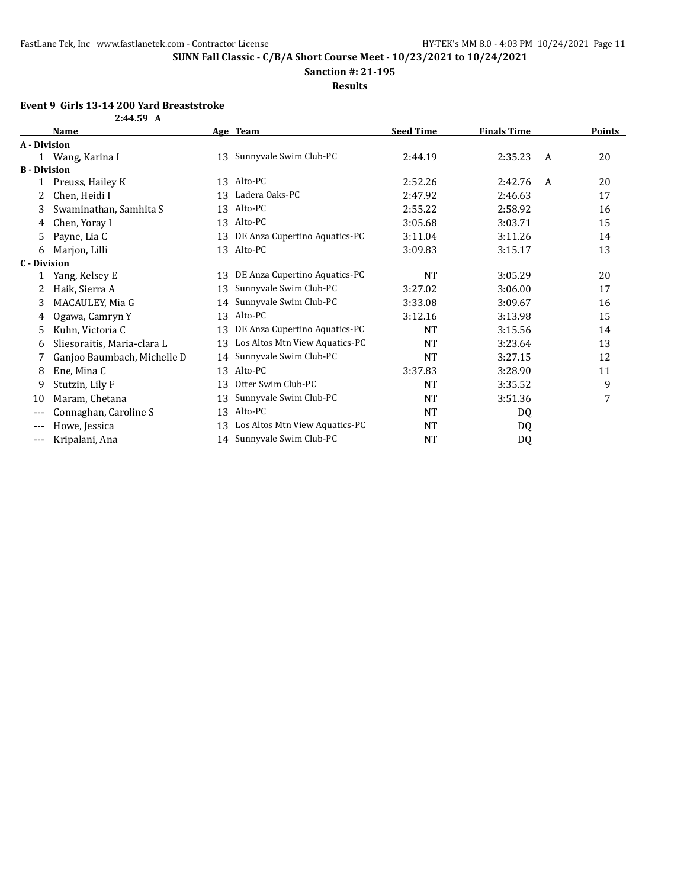**Sanction #: 21-195**

**Results**

### **Event 9 Girls 13-14 200 Yard Breaststroke**

| s 13-14 200 Yard Breasts |  |
|--------------------------|--|
| 2:44.59 A                |  |

|                     | <b>Name</b>                 |    | Age Team                       | <b>Seed Time</b> | <b>Finals Time</b> |   | <b>Points</b> |
|---------------------|-----------------------------|----|--------------------------------|------------------|--------------------|---|---------------|
| A - Division        |                             |    |                                |                  |                    |   |               |
|                     | 1 Wang, Karina I            | 13 | Sunnyvale Swim Club-PC         | 2:44.19          | 2:35.23            | A | 20            |
| <b>B</b> - Division |                             |    |                                |                  |                    |   |               |
| 1                   | Preuss, Hailey K            | 13 | Alto-PC                        | 2:52.26          | 2:42.76            | A | 20            |
| 2                   | Chen, Heidi I               | 13 | Ladera Oaks-PC                 | 2:47.92          | 2:46.63            |   | 17            |
| 3                   | Swaminathan, Samhita S      | 13 | Alto-PC                        | 2:55.22          | 2:58.92            |   | 16            |
| 4                   | Chen, Yoray I               | 13 | Alto-PC                        | 3:05.68          | 3:03.71            |   | 15            |
| 5                   | Payne, Lia C                | 13 | DE Anza Cupertino Aquatics-PC  | 3:11.04          | 3:11.26            |   | 14            |
| 6                   | Marjon, Lilli               | 13 | Alto-PC                        | 3:09.83          | 3:15.17            |   | 13            |
| <b>C</b> - Division |                             |    |                                |                  |                    |   |               |
|                     | Yang, Kelsey E              | 13 | DE Anza Cupertino Aquatics-PC  | <b>NT</b>        | 3:05.29            |   | 20            |
| 2                   | Haik, Sierra A              | 13 | Sunnyvale Swim Club-PC         | 3:27.02          | 3:06.00            |   | 17            |
| 3                   | MACAULEY, Mia G             | 14 | Sunnyvale Swim Club-PC         | 3:33.08          | 3:09.67            |   | 16            |
| 4                   | Ogawa, Camryn Y             | 13 | Alto-PC                        | 3:12.16          | 3:13.98            |   | 15            |
| 5                   | Kuhn, Victoria C            | 13 | DE Anza Cupertino Aquatics-PC  | NT               | 3:15.56            |   | 14            |
| 6                   | Sliesoraitis, Maria-clara L | 13 | Los Altos Mtn View Aquatics-PC | <b>NT</b>        | 3:23.64            |   | 13            |
|                     | Ganjoo Baumbach, Michelle D | 14 | Sunnyvale Swim Club-PC         | <b>NT</b>        | 3:27.15            |   | 12            |
| 8                   | Ene, Mina C                 | 13 | Alto-PC                        | 3:37.83          | 3:28.90            |   | 11            |
| 9                   | Stutzin, Lily F             | 13 | Otter Swim Club-PC             | NT               | 3:35.52            |   | 9             |
| 10                  | Maram, Chetana              | 13 | Sunnyvale Swim Club-PC         | <b>NT</b>        | 3:51.36            |   | 7             |
| $---$               | Connaghan, Caroline S       | 13 | Alto-PC                        | <b>NT</b>        | DQ                 |   |               |
| $---$               | Howe, Jessica               | 13 | Los Altos Mtn View Aquatics-PC | NT               | DQ                 |   |               |
| ---                 | Kripalani, Ana              |    | 14 Sunnyvale Swim Club-PC      | <b>NT</b>        | DQ                 |   |               |
|                     |                             |    |                                |                  |                    |   |               |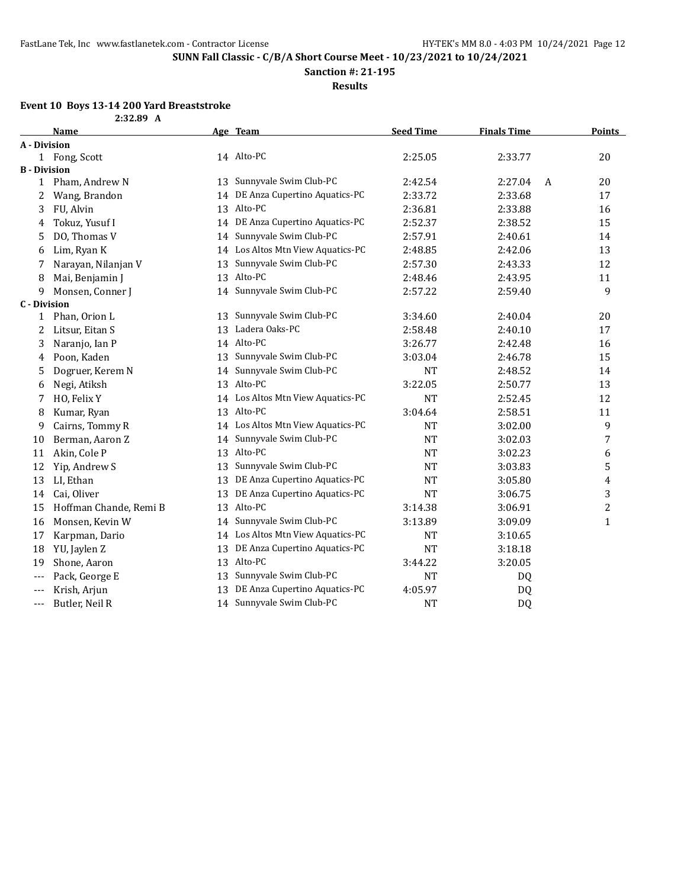**Sanction #: 21-195**

**Results**

### **Event 10 Boys 13-14 200 Yard Breaststroke**

| 2:32.89 |  |
|---------|--|
|---------|--|

|                     | <b>Name</b>            |    | Age Team                          | <b>Seed Time</b> | <b>Finals Time</b> |   | <b>Points</b> |
|---------------------|------------------------|----|-----------------------------------|------------------|--------------------|---|---------------|
| A - Division        |                        |    |                                   |                  |                    |   |               |
|                     | 1 Fong, Scott          |    | 14 Alto-PC                        | 2:25.05          | 2:33.77            |   | 20            |
| <b>B</b> - Division |                        |    |                                   |                  |                    |   |               |
| $\mathbf{1}$        | Pham, Andrew N         | 13 | Sunnyvale Swim Club-PC            | 2:42.54          | 2:27.04            | A | 20            |
| 2                   | Wang, Brandon          | 14 | DE Anza Cupertino Aquatics-PC     | 2:33.72          | 2:33.68            |   | 17            |
| 3                   | FU, Alvin              | 13 | Alto-PC                           | 2:36.81          | 2:33.88            |   | 16            |
| 4                   | Tokuz, Yusuf I         | 14 | DE Anza Cupertino Aquatics-PC     | 2:52.37          | 2:38.52            |   | 15            |
| 5                   | DO, Thomas V           | 14 | Sunnyvale Swim Club-PC            | 2:57.91          | 2:40.61            |   | 14            |
| 6                   | Lim, Ryan K            | 14 | Los Altos Mtn View Aquatics-PC    | 2:48.85          | 2:42.06            |   | 13            |
| 7                   | Narayan, Nilanjan V    | 13 | Sunnyvale Swim Club-PC            | 2:57.30          | 2:43.33            |   | 12            |
| 8                   | Mai, Benjamin J        | 13 | Alto-PC                           | 2:48.46          | 2:43.95            |   | 11            |
| 9                   | Monsen, Conner J       | 14 | Sunnyvale Swim Club-PC            | 2:57.22          | 2:59.40            |   | 9             |
| <b>C</b> - Division |                        |    |                                   |                  |                    |   |               |
| 1                   | Phan, Orion L          | 13 | Sunnyvale Swim Club-PC            | 3:34.60          | 2:40.04            |   | 20            |
| 2                   | Litsur, Eitan S        | 13 | Ladera Oaks-PC                    | 2:58.48          | 2:40.10            |   | 17            |
| 3                   | Naranjo, Ian P         |    | 14 Alto-PC                        | 3:26.77          | 2:42.48            |   | 16            |
| 4                   | Poon, Kaden            | 13 | Sunnyvale Swim Club-PC            | 3:03.04          | 2:46.78            |   | 15            |
| 5                   | Dogruer, Kerem N       | 14 | Sunnyvale Swim Club-PC            | <b>NT</b>        | 2:48.52            |   | 14            |
| 6                   | Negi, Atiksh           | 13 | Alto-PC                           | 3:22.05          | 2:50.77            |   | 13            |
| 7                   | HO, Felix Y            |    | 14 Los Altos Mtn View Aquatics-PC | <b>NT</b>        | 2:52.45            |   | 12            |
| 8                   | Kumar, Ryan            |    | 13 Alto-PC                        | 3:04.64          | 2:58.51            |   | 11            |
| 9                   | Cairns, Tommy R        |    | 14 Los Altos Mtn View Aquatics-PC | <b>NT</b>        | 3:02.00            |   | 9             |
| 10                  | Berman, Aaron Z        |    | 14 Sunnyvale Swim Club-PC         | <b>NT</b>        | 3:02.03            |   | 7             |
| 11                  | Akin, Cole P           | 13 | Alto-PC                           | <b>NT</b>        | 3:02.23            |   | 6             |
| 12                  | Yip, Andrew S          | 13 | Sunnyvale Swim Club-PC            | <b>NT</b>        | 3:03.83            |   | 5             |
| 13                  | LI, Ethan              | 13 | DE Anza Cupertino Aquatics-PC     | <b>NT</b>        | 3:05.80            |   | 4             |
| 14                  | Cai, Oliver            | 13 | DE Anza Cupertino Aquatics-PC     | <b>NT</b>        | 3:06.75            |   | 3             |
| 15                  | Hoffman Chande, Remi B | 13 | Alto-PC                           | 3:14.38          | 3:06.91            |   | 2             |
| 16                  | Monsen, Kevin W        | 14 | Sunnyvale Swim Club-PC            | 3:13.89          | 3:09.09            |   | $\mathbf{1}$  |
| 17                  | Karpman, Dario         | 14 | Los Altos Mtn View Aquatics-PC    | <b>NT</b>        | 3:10.65            |   |               |
| 18                  | YU, Jaylen Z           | 13 | DE Anza Cupertino Aquatics-PC     | <b>NT</b>        | 3:18.18            |   |               |
| 19                  | Shone, Aaron           | 13 | Alto-PC                           | 3:44.22          | 3:20.05            |   |               |
| $- - -$             | Pack, George E         | 13 | Sunnyvale Swim Club-PC            | <b>NT</b>        | DQ                 |   |               |
| $---$               | Krish, Arjun           | 13 | DE Anza Cupertino Aquatics-PC     | 4:05.97          | DQ                 |   |               |
| ---                 | Butler, Neil R         |    | 14 Sunnyvale Swim Club-PC         | <b>NT</b>        | DQ                 |   |               |
|                     |                        |    |                                   |                  |                    |   |               |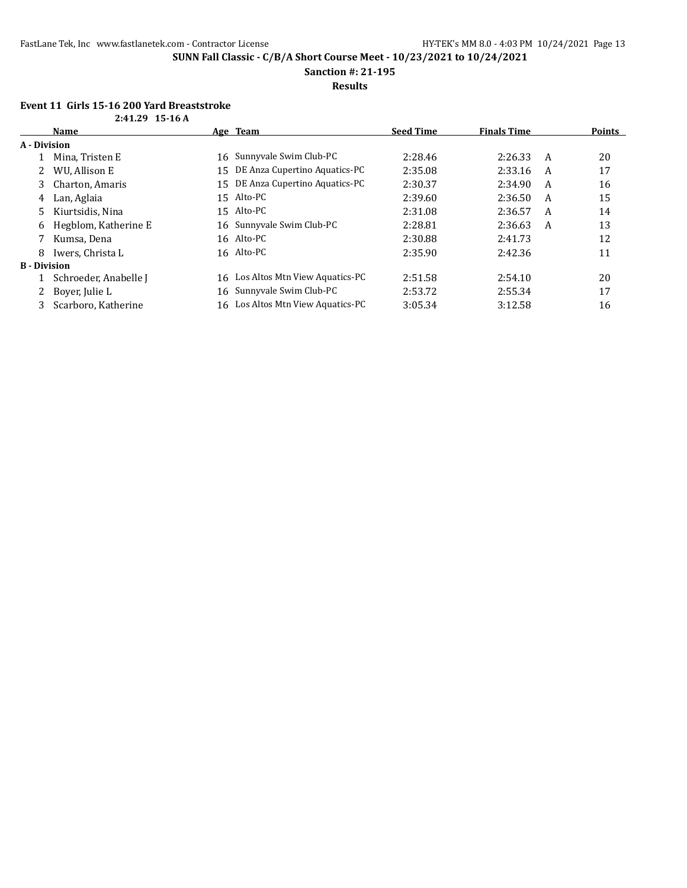**Sanction #: 21-195**

### **Results**

## **Event 11 Girls 15-16 200 Yard Breaststroke**

| 10 10 200 101 0 <i>D</i> 1 0 0 0 0 |  |  |
|------------------------------------|--|--|
| $2:41.29$ 15-16 A                  |  |  |

|                     | Name                  |    | Age Team                          | <b>Seed Time</b> | <b>Finals Time</b> |   | Points |
|---------------------|-----------------------|----|-----------------------------------|------------------|--------------------|---|--------|
| A - Division        |                       |    |                                   |                  |                    |   |        |
|                     | Mina, Tristen E       | 16 | Sunnyvale Swim Club-PC            | 2:28.46          | 2:26.33            | A | 20     |
|                     | WU. Allison E         | 15 | DE Anza Cupertino Aquatics-PC     | 2:35.08          | 2:33.16            | A | 17     |
| 3                   | Charton, Amaris       | 15 | DE Anza Cupertino Aquatics-PC     | 2:30.37          | 2:34.90            | A | 16     |
| 4                   | Lan, Aglaia           |    | 15 Alto-PC                        | 2:39.60          | 2:36.50            | A | 15     |
| 5.                  | Kiurtsidis, Nina      |    | 15 Alto-PC                        | 2:31.08          | 2:36.57            | A | 14     |
| 6                   | Hegblom, Katherine E  |    | 16 Sunnyvale Swim Club-PC         | 2:28.81          | 2:36.63            | A | 13     |
|                     | Kumsa, Dena           |    | 16 Alto-PC                        | 2:30.88          | 2:41.73            |   | 12     |
| 8                   | Iwers, Christa L      |    | 16 Alto-PC                        | 2:35.90          | 2:42.36            |   | 11     |
| <b>B</b> - Division |                       |    |                                   |                  |                    |   |        |
|                     | Schroeder, Anabelle J |    | 16 Los Altos Mtn View Aquatics-PC | 2:51.58          | 2:54.10            |   | 20     |
|                     | Bover, Julie L        |    | 16 Sunnyvale Swim Club-PC         | 2:53.72          | 2:55.34            |   | 17     |
| 3                   | Scarboro, Katherine   |    | 16 Los Altos Mtn View Aquatics-PC | 3:05.34          | 3:12.58            |   | 16     |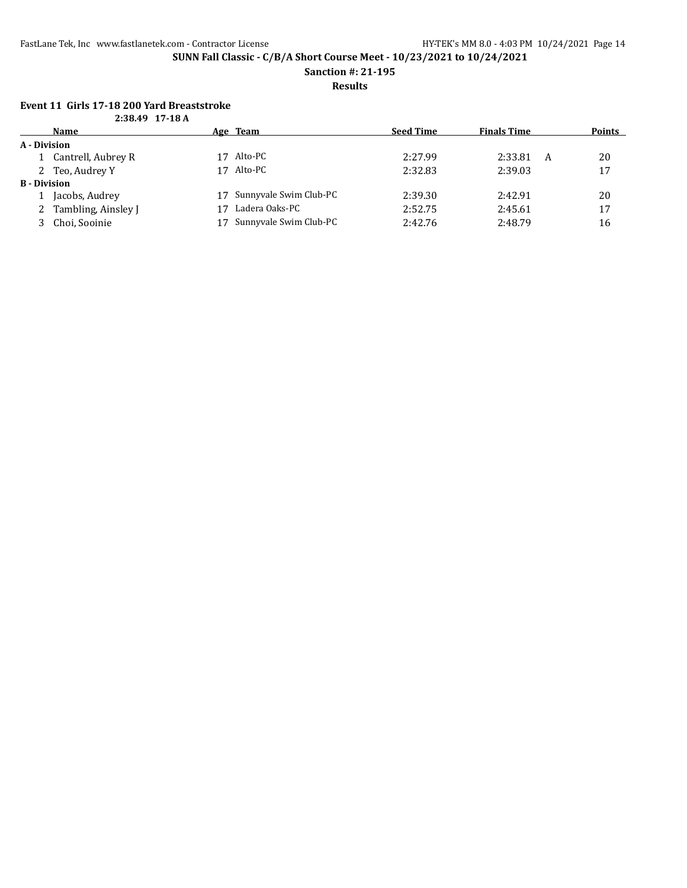**Sanction #: 21-195**

**Results**

#### **Event 11 Girls 17-18 200 Yard Breaststroke 2:38.49 17-18 A**

| 2.00.47 IIIOA       |                       |    |                        |                  |                    |        |
|---------------------|-----------------------|----|------------------------|------------------|--------------------|--------|
|                     | <b>Name</b>           |    | Age Team               | <b>Seed Time</b> | <b>Finals Time</b> | Points |
| A - Division        |                       |    |                        |                  |                    |        |
|                     | 1 Cantrell, Aubrey R  | 17 | Alto-PC                | 2:27.99          | 2:33.81<br>A       | 20     |
|                     | 2 Teo, Audrey Y       | 17 | Alto-PC                | 2:32.83          | 2:39.03            | 17     |
| <b>B</b> - Division |                       |    |                        |                  |                    |        |
|                     | Jacobs, Audrey        | 17 | Sunnyvale Swim Club-PC | 2:39.30          | 2:42.91            | 20     |
|                     | 2 Tambling, Ainsley J |    | Ladera Oaks-PC         | 2:52.75          | 2:45.61            | 17     |
|                     | Choi, Sooinie         |    | Sunnyvale Swim Club-PC | 2:42.76          | 2:48.79            | 16     |
|                     |                       |    |                        |                  |                    |        |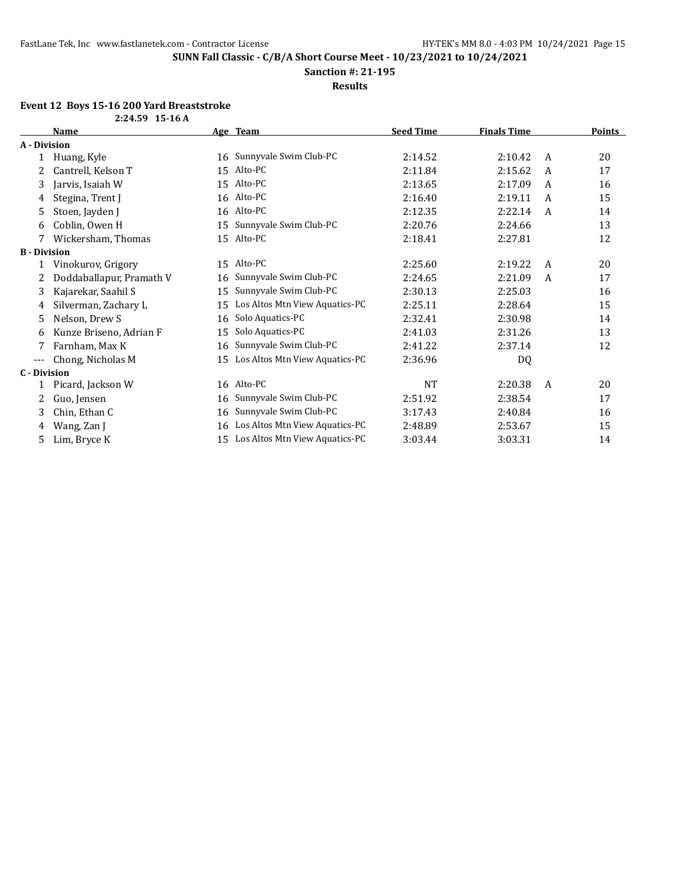**Sanction #: 21-195**

**Results**

### **Event 12 Boys 15-16 200 Yard Breaststroke**

|                     | <b>Name</b>              |    | Age Team                       | <b>Seed Time</b> | <b>Finals Time</b> |              | <b>Points</b> |
|---------------------|--------------------------|----|--------------------------------|------------------|--------------------|--------------|---------------|
| A - Division        |                          |    |                                |                  |                    |              |               |
| 1                   | Huang, Kyle              | 16 | Sunnyvale Swim Club-PC         | 2:14.52          | 2:10.42            | A            | 20            |
| 2                   | Cantrell, Kelson T       | 15 | Alto-PC                        | 2:11.84          | 2:15.62            | A            | 17            |
| 3                   | Jarvis, Isaiah W         | 15 | Alto-PC                        | 2:13.65          | 2:17.09            | A            | 16            |
| 4                   | Stegina, Trent J         | 16 | Alto-PC                        | 2:16.40          | 2:19.11            | A            | 15            |
| 5                   | Stoen, Jayden J          | 16 | Alto-PC                        | 2:12.35          | 2:22.14            | A            | 14            |
| 6                   | Coblin, Owen H           | 15 | Sunnyvale Swim Club-PC         | 2:20.76          | 2:24.66            |              | 13            |
| 7                   | Wickersham, Thomas       | 15 | Alto-PC                        | 2:18.41          | 2:27.81            |              | 12            |
| <b>B</b> - Division |                          |    |                                |                  |                    |              |               |
| 1                   | Vinokurov, Grigory       | 15 | Alto-PC                        | 2:25.60          | 2:19.22            | A            | 20            |
| 2                   | Doddaballapur, Pramath V | 16 | Sunnyvale Swim Club-PC         | 2:24.65          | 2:21.09            | A            | 17            |
| 3                   | Kajarekar, Saahil S      | 15 | Sunnyvale Swim Club-PC         | 2:30.13          | 2:25.03            |              | 16            |
| 4                   | Silverman, Zachary L     | 15 | Los Altos Mtn View Aquatics-PC | 2:25.11          | 2:28.64            |              | 15            |
| 5                   | Nelson, Drew S           | 16 | Solo Aquatics-PC               | 2:32.41          | 2:30.98            |              | 14            |
| 6                   | Kunze Briseno, Adrian F  | 15 | Solo Aquatics-PC               | 2:41.03          | 2:31.26            |              | 13            |
| 7                   | Farnham, Max K           | 16 | Sunnyvale Swim Club-PC         | 2:41.22          | 2:37.14            |              | 12            |
| $\qquad \qquad - -$ | Chong, Nicholas M        | 15 | Los Altos Mtn View Aquatics-PC | 2:36.96          | DQ                 |              |               |
| <b>C</b> - Division |                          |    |                                |                  |                    |              |               |
| 1                   | Picard, Jackson W        |    | 16 Alto-PC                     | <b>NT</b>        | 2:20.38            | $\mathsf{A}$ | 20            |
| 2                   | Guo, Jensen              | 16 | Sunnyvale Swim Club-PC         | 2:51.92          | 2:38.54            |              | 17            |
| 3                   | Chin, Ethan C            | 16 | Sunnyvale Swim Club-PC         | 3:17.43          | 2:40.84            |              | 16            |
| 4                   | Wang, Zan J              | 16 | Los Altos Mtn View Aquatics-PC | 2:48.89          | 2:53.67            |              | 15            |
| 5                   | Lim, Bryce K             | 15 | Los Altos Mtn View Aquatics-PC | 3:03.44          | 3:03.31            |              | 14            |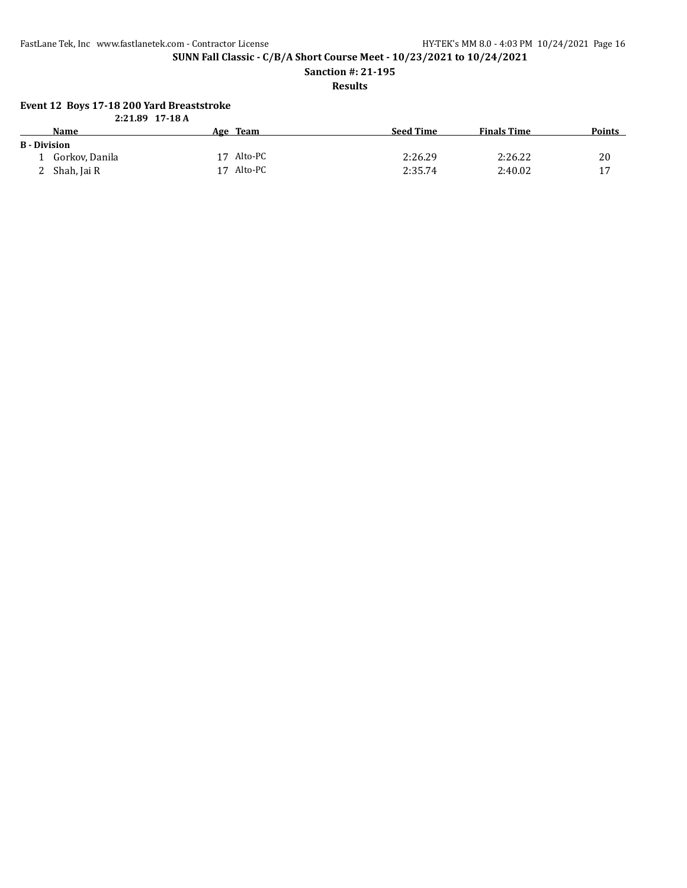FastLane Tek, Inc www.fastlanetek.com - Contractor License HY-TEK's MM 8.0 - 4:03 PM 10/24/2021 Page 16

**SUNN Fall Classic - C/B/A Short Course Meet - 10/23/2021 to 10/24/2021**

**Sanction #: 21-195**

**Results**

#### **Event 12 Boys 17-18 200 Yard Breaststroke**

|                     | $2:21.89$ 17-18 A |               |                  |                    |               |
|---------------------|-------------------|---------------|------------------|--------------------|---------------|
|                     | Name              | Age Team      | <b>Seed Time</b> | <b>Finals Time</b> | <b>Points</b> |
| <b>B</b> - Division |                   |               |                  |                    |               |
|                     | Gorkov, Danila    | 17 Alto-PC    | 2:26.29          | 2:26.22            | 20            |
|                     | Shah, Jai R       | Alto-PC<br>17 | 2:35.74          | 2:40.02            | 17            |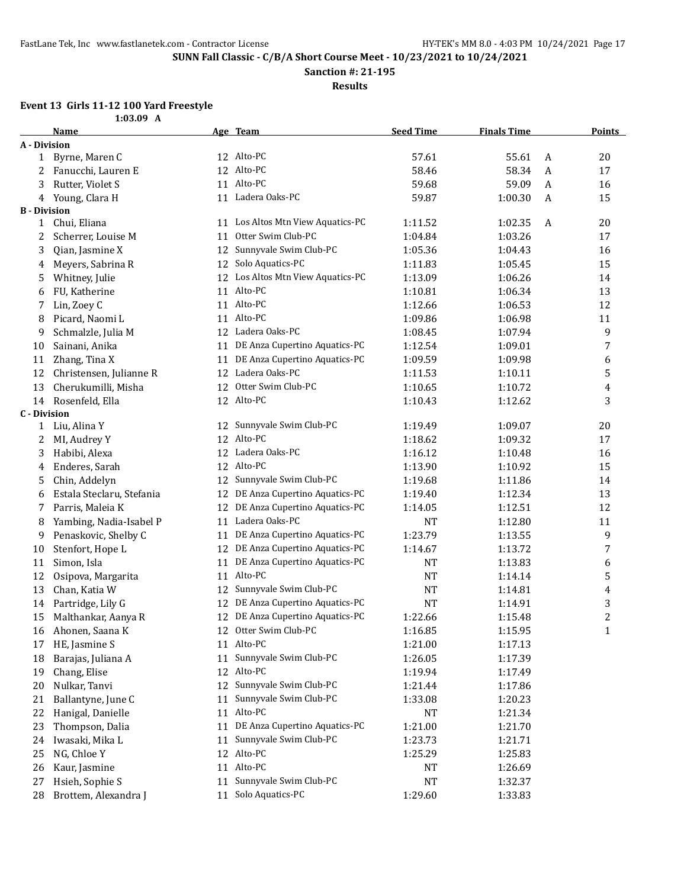**Sanction #: 21-195**

**Results**

#### **Event 13 Girls 11-12 100 Yard Freestyle 1:03.09 A**

|                     | 1.VJ.V <i>J</i><br>Name   |    | Age Team                          | <b>Seed Time</b> | <b>Finals Time</b> |   | <b>Points</b>  |
|---------------------|---------------------------|----|-----------------------------------|------------------|--------------------|---|----------------|
| A - Division        |                           |    |                                   |                  |                    |   |                |
| $\mathbf{1}$        | Byrne, Maren C            |    | 12 Alto-PC                        | 57.61            | 55.61              | A | 20             |
| 2                   | Fanucchi, Lauren E        |    | 12 Alto-PC                        | 58.46            | 58.34              | A | 17             |
| 3                   | Rutter, Violet S          |    | 11 Alto-PC                        | 59.68            | 59.09              | A | 16             |
| 4                   | Young, Clara H            |    | 11 Ladera Oaks-PC                 | 59.87            | 1:00.30            | A | 15             |
| <b>B</b> - Division |                           |    |                                   |                  |                    |   |                |
| 1                   | Chui, Eliana              |    | 11 Los Altos Mtn View Aquatics-PC | 1:11.52          | 1:02.35            | A | 20             |
| 2                   | Scherrer, Louise M        | 11 | Otter Swim Club-PC                | 1:04.84          | 1:03.26            |   | 17             |
| 3                   | Qian, Jasmine X           | 12 | Sunnyvale Swim Club-PC            | 1:05.36          | 1:04.43            |   | 16             |
| 4                   | Meyers, Sabrina R         | 12 | Solo Aquatics-PC                  | 1:11.83          | 1:05.45            |   | 15             |
| 5                   | Whitney, Julie            |    | 12 Los Altos Mtn View Aquatics-PC | 1:13.09          | 1:06.26            |   | 14             |
| 6                   | FU, Katherine             |    | 11 Alto-PC                        | 1:10.81          | 1:06.34            |   | 13             |
| 7                   | Lin, Zoey C               |    | 11 Alto-PC                        | 1:12.66          | 1:06.53            |   | 12             |
| 8                   | Picard, Naomi L           |    | 11 Alto-PC                        | 1:09.86          | 1:06.98            |   | 11             |
| 9                   | Schmalzle, Julia M        |    | 12 Ladera Oaks-PC                 | 1:08.45          | 1:07.94            |   | 9              |
| 10                  | Sainani, Anika            | 11 | DE Anza Cupertino Aquatics-PC     | 1:12.54          | 1:09.01            |   | 7              |
| 11                  | Zhang, Tina X             | 11 | DE Anza Cupertino Aquatics-PC     | 1:09.59          | 1:09.98            |   | 6              |
| 12                  | Christensen, Julianne R   |    | 12 Ladera Oaks-PC                 | 1:11.53          | 1:10.11            |   | 5              |
| 13                  | Cherukumilli, Misha       |    | 12 Otter Swim Club-PC             | 1:10.65          | 1:10.72            |   | 4              |
| 14                  | Rosenfeld, Ella           |    | 12 Alto-PC                        | 1:10.43          | 1:12.62            |   | 3              |
| <b>C</b> - Division |                           |    |                                   |                  |                    |   |                |
| 1                   | Liu, Alina Y              |    | 12 Sunnyvale Swim Club-PC         | 1:19.49          | 1:09.07            |   | 20             |
| 2                   | MI, Audrey Y              |    | 12 Alto-PC                        | 1:18.62          | 1:09.32            |   | 17             |
| 3                   | Habibi, Alexa             |    | 12 Ladera Oaks-PC                 | 1:16.12          | 1:10.48            |   | 16             |
| 4                   | Enderes, Sarah            |    | 12 Alto-PC                        | 1:13.90          | 1:10.92            |   | 15             |
| 5                   | Chin, Addelyn             |    | 12 Sunnyvale Swim Club-PC         | 1:19.68          | 1:11.86            |   | 14             |
| 6                   | Estala Steclaru, Stefania |    | 12 DE Anza Cupertino Aquatics-PC  | 1:19.40          | 1:12.34            |   | 13             |
| 7                   | Parris, Maleia K          |    | 12 DE Anza Cupertino Aquatics-PC  | 1:14.05          | 1:12.51            |   | 12             |
| 8                   | Yambing, Nadia-Isabel P   |    | 11 Ladera Oaks-PC                 | <b>NT</b>        | 1:12.80            |   | 11             |
| 9                   | Penaskovic, Shelby C      | 11 | DE Anza Cupertino Aquatics-PC     | 1:23.79          | 1:13.55            |   | 9              |
| 10                  | Stenfort, Hope L          |    | 12 DE Anza Cupertino Aquatics-PC  | 1:14.67          | 1:13.72            |   | 7              |
| 11                  | Simon, Isla               | 11 | DE Anza Cupertino Aquatics-PC     | <b>NT</b>        | 1:13.83            |   | 6              |
| 12                  | Osipova, Margarita        |    | 11 Alto-PC                        | <b>NT</b>        | 1:14.14            |   | 5              |
| 13                  | Chan, Katia W             | 12 | Sunnyvale Swim Club-PC            | NT               | 1:14.81            |   | 4              |
| 14                  | Partridge, Lily G         |    | 12 DE Anza Cupertino Aquatics-PC  | <b>NT</b>        | 1:14.91            |   | 3              |
| 15                  | Malthankar, Aanya R       |    | 12 DE Anza Cupertino Aquatics-PC  | 1:22.66          | 1:15.48            |   | $\overline{c}$ |
| 16                  | Ahonen, Saana K           |    | 12 Otter Swim Club-PC             | 1:16.85          | 1:15.95            |   | $\mathbf{1}$   |
| 17                  | HE, Jasmine S             |    | 11 Alto-PC                        | 1:21.00          | 1:17.13            |   |                |
| 18                  | Barajas, Juliana A        | 11 | Sunnyvale Swim Club-PC            | 1:26.05          | 1:17.39            |   |                |
| 19                  | Chang, Elise              |    | 12 Alto-PC                        | 1:19.94          | 1:17.49            |   |                |
| 20                  | Nulkar, Tanvi             | 12 | Sunnyvale Swim Club-PC            | 1:21.44          | 1:17.86            |   |                |
| 21                  | Ballantyne, June C        | 11 | Sunnyvale Swim Club-PC            | 1:33.08          | 1:20.23            |   |                |
| 22                  | Hanigal, Danielle         |    | 11 Alto-PC                        | <b>NT</b>        | 1:21.34            |   |                |
| 23                  | Thompson, Dalia           | 11 | DE Anza Cupertino Aquatics-PC     | 1:21.00          | 1:21.70            |   |                |
| 24                  | Iwasaki, Mika L           | 11 | Sunnyvale Swim Club-PC            | 1:23.73          | 1:21.71            |   |                |
| 25                  | NG, Chloe Y               | 12 | Alto-PC                           | 1:25.29          | 1:25.83            |   |                |
| 26                  | Kaur, Jasmine             | 11 | Alto-PC                           | NT               | 1:26.69            |   |                |
| 27                  | Hsieh, Sophie S           | 11 | Sunnyvale Swim Club-PC            | NT               | 1:32.37            |   |                |
| 28                  | Brottem, Alexandra J      | 11 | Solo Aquatics-PC                  | 1:29.60          | 1:33.83            |   |                |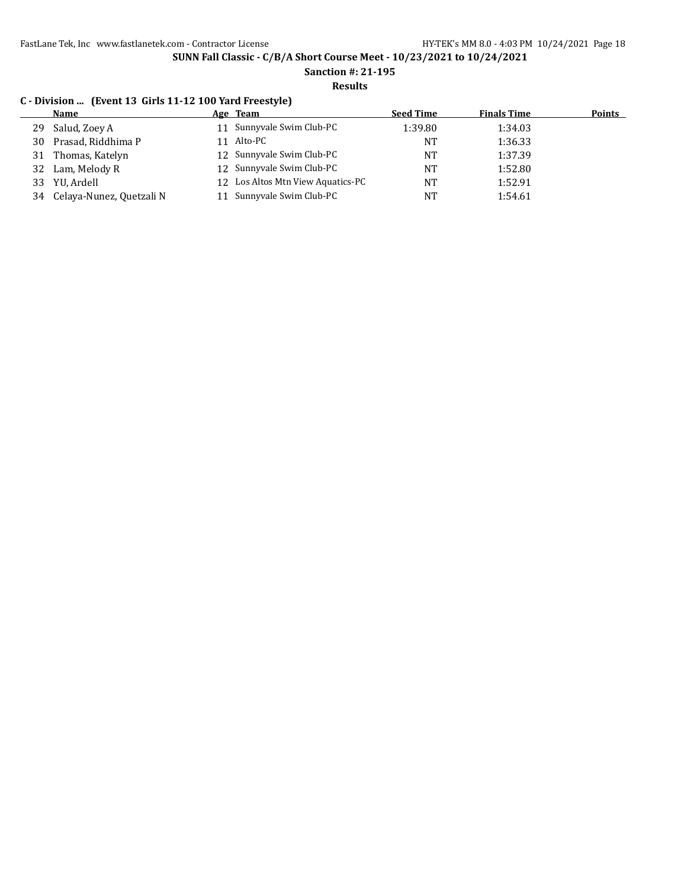**Sanction #: 21-195**

**Results**

### **C - Division ... (Event 13 Girls 11-12 100 Yard Freestyle)**

|    | <b>Name</b>              | Age Team                          | <b>Seed Time</b> | <b>Finals Time</b> | <b>Points</b> |
|----|--------------------------|-----------------------------------|------------------|--------------------|---------------|
| 29 | Salud, Zoey A            | 11 Sunnyvale Swim Club-PC         | 1:39.80          | 1:34.03            |               |
| 30 | Prasad, Riddhima P       | 11 Alto-PC                        | NT               | 1:36.33            |               |
| 31 | Thomas, Katelyn          | 12 Sunnyvale Swim Club-PC         | NT               | 1:37.39            |               |
| 32 | Lam, Melody R            | 12 Sunnyvale Swim Club-PC         | <b>NT</b>        | 1:52.80            |               |
| 33 | YU, Ardell               | 12 Los Altos Mtn View Aquatics-PC | <b>NT</b>        | 1:52.91            |               |
| 34 | Celaya-Nunez, Quetzali N | Sunnyvale Swim Club-PC            | <b>NT</b>        | 1:54.61            |               |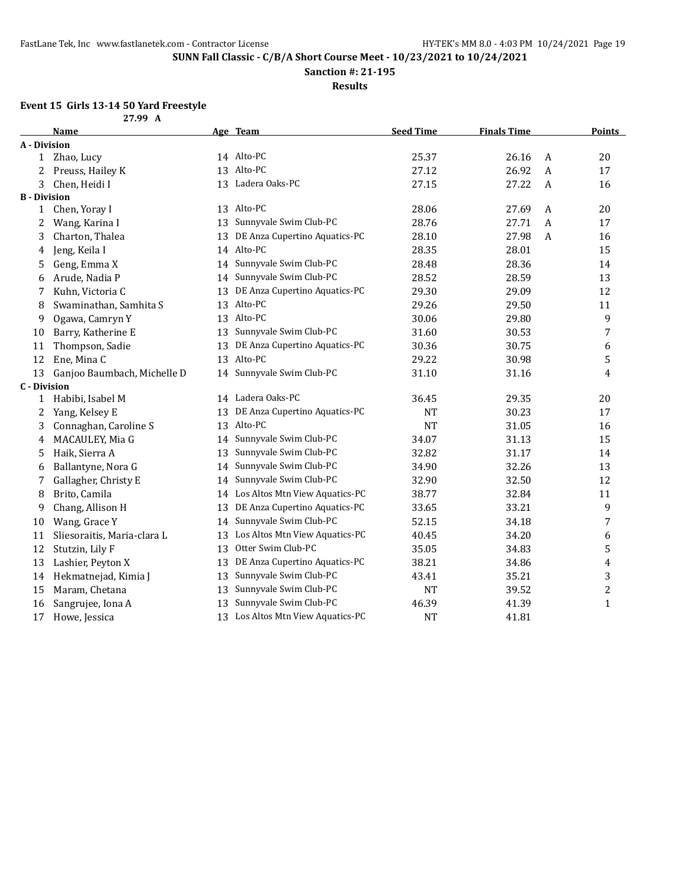**Sanction #: 21-195**

**Results**

# **Event 15 Girls 13-14 50 Yard Freestyle**

|                     | 27.99 A                     |    |                                   |                  |                    |                  |                |
|---------------------|-----------------------------|----|-----------------------------------|------------------|--------------------|------------------|----------------|
|                     | Name                        |    | Age Team                          | <b>Seed Time</b> | <b>Finals Time</b> |                  | <b>Points</b>  |
| A - Division        |                             |    |                                   |                  |                    |                  |                |
| 1                   | Zhao, Lucy                  |    | 14 Alto-PC                        | 25.37            | 26.16              | A                | 20             |
| 2                   | Preuss, Hailey K            |    | 13 Alto-PC                        | 27.12            | 26.92              | $\boldsymbol{A}$ | 17             |
| 3                   | Chen, Heidi I               |    | 13 Ladera Oaks-PC                 | 27.15            | 27.22              | $\mathbf{A}$     | 16             |
| <b>B</b> - Division |                             |    |                                   |                  |                    |                  |                |
| 1                   | Chen, Yoray I               |    | 13 Alto-PC                        | 28.06            | 27.69              | A                | 20             |
| 2                   | Wang, Karina I              | 13 | Sunnyvale Swim Club-PC            | 28.76            | 27.71              | A                | 17             |
| 3                   | Charton, Thalea             | 13 | DE Anza Cupertino Aquatics-PC     | 28.10            | 27.98              | $\boldsymbol{A}$ | 16             |
| 4                   | Jeng, Keila I               |    | 14 Alto-PC                        | 28.35            | 28.01              |                  | 15             |
| 5                   | Geng, Emma X                |    | 14 Sunnyvale Swim Club-PC         | 28.48            | 28.36              |                  | 14             |
| 6                   | Arude, Nadia P              |    | 14 Sunnyvale Swim Club-PC         | 28.52            | 28.59              |                  | 13             |
| 7                   | Kuhn, Victoria C            | 13 | DE Anza Cupertino Aquatics-PC     | 29.30            | 29.09              |                  | 12             |
| 8                   | Swaminathan, Samhita S      | 13 | Alto-PC                           | 29.26            | 29.50              |                  | 11             |
| 9                   | Ogawa, Camryn Y             | 13 | Alto-PC                           | 30.06            | 29.80              |                  | 9              |
| 10                  | Barry, Katherine E          | 13 | Sunnyvale Swim Club-PC            | 31.60            | 30.53              |                  | 7              |
| 11                  | Thompson, Sadie             | 13 | DE Anza Cupertino Aquatics-PC     | 30.36            | 30.75              |                  | 6              |
| 12                  | Ene, Mina C                 | 13 | Alto-PC                           | 29.22            | 30.98              |                  | 5              |
| 13                  | Ganjoo Baumbach, Michelle D |    | 14 Sunnyvale Swim Club-PC         | 31.10            | 31.16              |                  | $\overline{4}$ |
| <b>C</b> - Division |                             |    |                                   |                  |                    |                  |                |
| 1                   | Habibi, Isabel M            |    | 14 Ladera Oaks-PC                 | 36.45            | 29.35              |                  | 20             |
| 2                   | Yang, Kelsey E              | 13 | DE Anza Cupertino Aquatics-PC     | <b>NT</b>        | 30.23              |                  | 17             |
| 3                   | Connaghan, Caroline S       |    | 13 Alto-PC                        | <b>NT</b>        | 31.05              |                  | 16             |
| 4                   | MACAULEY, Mia G             |    | 14 Sunnyvale Swim Club-PC         | 34.07            | 31.13              |                  | 15             |
| 5                   | Haik, Sierra A              | 13 | Sunnyvale Swim Club-PC            | 32.82            | 31.17              |                  | 14             |
| 6                   | Ballantyne, Nora G          | 14 | Sunnyvale Swim Club-PC            | 34.90            | 32.26              |                  | 13             |
| 7                   | Gallagher, Christy E        | 14 | Sunnyvale Swim Club-PC            | 32.90            | 32.50              |                  | 12             |
| 8                   | Brito, Camila               |    | 14 Los Altos Mtn View Aquatics-PC | 38.77            | 32.84              |                  | 11             |
| 9                   | Chang, Allison H            | 13 | DE Anza Cupertino Aquatics-PC     | 33.65            | 33.21              |                  | 9              |
| 10                  | Wang, Grace Y               |    | 14 Sunnyvale Swim Club-PC         | 52.15            | 34.18              |                  | 7              |
| 11                  | Sliesoraitis, Maria-clara L | 13 | Los Altos Mtn View Aquatics-PC    | 40.45            | 34.20              |                  | 6              |
| 12                  | Stutzin, Lily F             | 13 | Otter Swim Club-PC                | 35.05            | 34.83              |                  | 5              |
| 13                  | Lashier, Peyton X           | 13 | DE Anza Cupertino Aquatics-PC     | 38.21            | 34.86              |                  | $\pmb{4}$      |
| 14                  | Hekmatnejad, Kimia J        | 13 | Sunnyvale Swim Club-PC            | 43.41            | 35.21              |                  | 3              |
| 15                  | Maram, Chetana              | 13 | Sunnyvale Swim Club-PC            | <b>NT</b>        | 39.52              |                  | $\overline{c}$ |
| 16                  | Sangrujee, Iona A           | 13 | Sunnyvale Swim Club-PC            | 46.39            | 41.39              |                  | $\mathbf 1$    |
| 17                  | Howe, Jessica               |    | 13 Los Altos Mtn View Aquatics-PC | <b>NT</b>        | 41.81              |                  |                |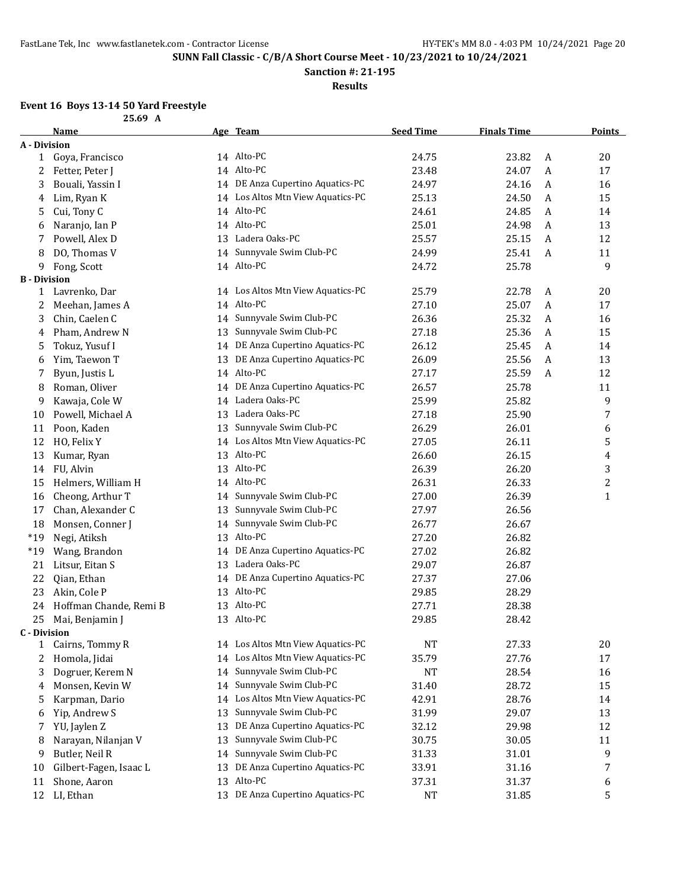**Sanction #: 21-195**

**Results**

#### **Event 16 Boys 13-14 50 Yard Freestyle**

|                     | 25.69 A                |    |                                   |                  |                    |              |                |
|---------------------|------------------------|----|-----------------------------------|------------------|--------------------|--------------|----------------|
|                     | Name                   |    | Age Team                          | <b>Seed Time</b> | <b>Finals Time</b> |              | <b>Points</b>  |
| A - Division        |                        |    |                                   |                  |                    |              |                |
| $\mathbf{1}$        | Goya, Francisco        |    | 14 Alto-PC                        | 24.75            | 23.82              | A            | 20             |
| 2                   | Fetter, Peter J        |    | 14 Alto-PC                        | 23.48            | 24.07              | $\mathbf{A}$ | 17             |
| 3                   | Bouali, Yassin I       |    | 14 DE Anza Cupertino Aquatics-PC  | 24.97            | 24.16              | $\mathbf{A}$ | 16             |
| 4                   | Lim, Ryan K            |    | 14 Los Altos Mtn View Aquatics-PC | 25.13            | 24.50              | $\mathbf{A}$ | 15             |
| 5                   | Cui, Tony C            |    | 14 Alto-PC                        | 24.61            | 24.85              | $\mathbf{A}$ | 14             |
| 6                   | Naranjo, Ian P         |    | 14 Alto-PC                        | 25.01            | 24.98              | $\mathbf{A}$ | 13             |
| 7                   | Powell, Alex D         |    | 13 Ladera Oaks-PC                 | 25.57            | 25.15              | $\mathbf{A}$ | 12             |
| 8                   | DO, Thomas V           |    | 14 Sunnyvale Swim Club-PC         | 24.99            | 25.41              | A            | 11             |
| 9                   | Fong, Scott            |    | 14 Alto-PC                        | 24.72            | 25.78              |              | 9              |
| <b>B</b> - Division |                        |    |                                   |                  |                    |              |                |
| 1                   | Lavrenko, Dar          |    | 14 Los Altos Mtn View Aquatics-PC | 25.79            | 22.78              | A            | 20             |
| 2                   | Meehan, James A        |    | 14 Alto-PC                        | 27.10            | 25.07              | A            | 17             |
| 3                   | Chin, Caelen C         |    | 14 Sunnyvale Swim Club-PC         | 26.36            | 25.32              | $\mathbf{A}$ | 16             |
| 4                   | Pham, Andrew N         | 13 | Sunnyvale Swim Club-PC            | 27.18            | 25.36              | A            | 15             |
| 5                   | Tokuz, Yusuf I         |    | 14 DE Anza Cupertino Aquatics-PC  | 26.12            | 25.45              | $\mathbf{A}$ | 14             |
| 6                   | Yim, Taewon T          | 13 | DE Anza Cupertino Aquatics-PC     | 26.09            | 25.56              | $\mathbf{A}$ | 13             |
| 7                   | Byun, Justis L         |    | 14 Alto-PC                        | 27.17            | 25.59              | $\mathbf{A}$ | 12             |
| 8                   | Roman, Oliver          |    | 14 DE Anza Cupertino Aquatics-PC  | 26.57            | 25.78              |              | 11             |
| 9                   | Kawaja, Cole W         |    | 14 Ladera Oaks-PC                 | 25.99            | 25.82              |              | 9              |
| 10                  | Powell, Michael A      |    | 13 Ladera Oaks-PC                 | 27.18            | 25.90              |              | 7              |
| 11                  | Poon, Kaden            | 13 | Sunnyvale Swim Club-PC            | 26.29            | 26.01              |              | 6              |
| 12                  | HO, Felix Y            |    | 14 Los Altos Mtn View Aquatics-PC | 27.05            | 26.11              |              | 5              |
| 13                  | Kumar, Ryan            |    | 13 Alto-PC                        | 26.60            | 26.15              |              | 4              |
| 14                  | FU, Alvin              |    | 13 Alto-PC                        | 26.39            | 26.20              |              | 3              |
| 15                  | Helmers, William H     |    | 14 Alto-PC                        | 26.31            | 26.33              |              | $\overline{c}$ |
| 16                  | Cheong, Arthur T       | 14 | Sunnyvale Swim Club-PC            | 27.00            | 26.39              |              | $\mathbf{1}$   |
| 17                  | Chan, Alexander C      | 13 | Sunnyvale Swim Club-PC            | 27.97            | 26.56              |              |                |
| 18                  | Monsen, Conner J       | 14 | Sunnyvale Swim Club-PC            | 26.77            | 26.67              |              |                |
| $*19$               | Negi, Atiksh           |    | 13 Alto-PC                        | 27.20            | 26.82              |              |                |
| $*19$               | Wang, Brandon          |    | 14 DE Anza Cupertino Aquatics-PC  | 27.02            | 26.82              |              |                |
| 21                  | Litsur, Eitan S        |    | 13 Ladera Oaks-PC                 | 29.07            | 26.87              |              |                |
| 22                  | Qian, Ethan            |    | 14 DE Anza Cupertino Aquatics-PC  | 27.37            | 27.06              |              |                |
| 23                  | Akin, Cole P           |    | 13 Alto-PC                        | 29.85            | 28.29              |              |                |
| 24                  | Hoffman Chande, Remi B |    | 13 Alto-PC                        | 27.71            | 28.38              |              |                |
| 25                  | Mai, Benjamin J        |    | 13 Alto-PC                        | 29.85            | 28.42              |              |                |
| <b>C</b> - Division |                        |    |                                   |                  |                    |              |                |
| $\mathbf{1}$        | Cairns, Tommy R        |    | 14 Los Altos Mtn View Aquatics-PC | NT               | 27.33              |              | 20             |
| 2                   | Homola, Jidai          | 14 | Los Altos Mtn View Aquatics-PC    | 35.79            | 27.76              |              | 17             |
| 3                   | Dogruer, Kerem N       | 14 | Sunnyvale Swim Club-PC            | NT               | 28.54              |              | 16             |
| 4                   | Monsen, Kevin W        | 14 | Sunnyvale Swim Club-PC            | 31.40            | 28.72              |              | 15             |
| 5                   | Karpman, Dario         | 14 | Los Altos Mtn View Aquatics-PC    | 42.91            | 28.76              |              | 14             |
| 6                   | Yip, Andrew S          | 13 | Sunnyvale Swim Club-PC            | 31.99            | 29.07              |              | 13             |
| 7                   | YU, Jaylen Z           | 13 | DE Anza Cupertino Aquatics-PC     | 32.12            | 29.98              |              | 12             |
| 8                   | Narayan, Nilanjan V    | 13 | Sunnyvale Swim Club-PC            | 30.75            | 30.05              |              | 11             |
| 9                   | Butler, Neil R         | 14 | Sunnyvale Swim Club-PC            | 31.33            | 31.01              |              | 9              |
| 10                  | Gilbert-Fagen, Isaac L | 13 | DE Anza Cupertino Aquatics-PC     | 33.91            | 31.16              |              | 7              |
| 11                  | Shone, Aaron           |    | 13 Alto-PC                        | 37.31            | 31.37              |              | 6              |
| 12                  | LI, Ethan              |    | 13 DE Anza Cupertino Aquatics-PC  | NT               | 31.85              |              | 5              |
|                     |                        |    |                                   |                  |                    |              |                |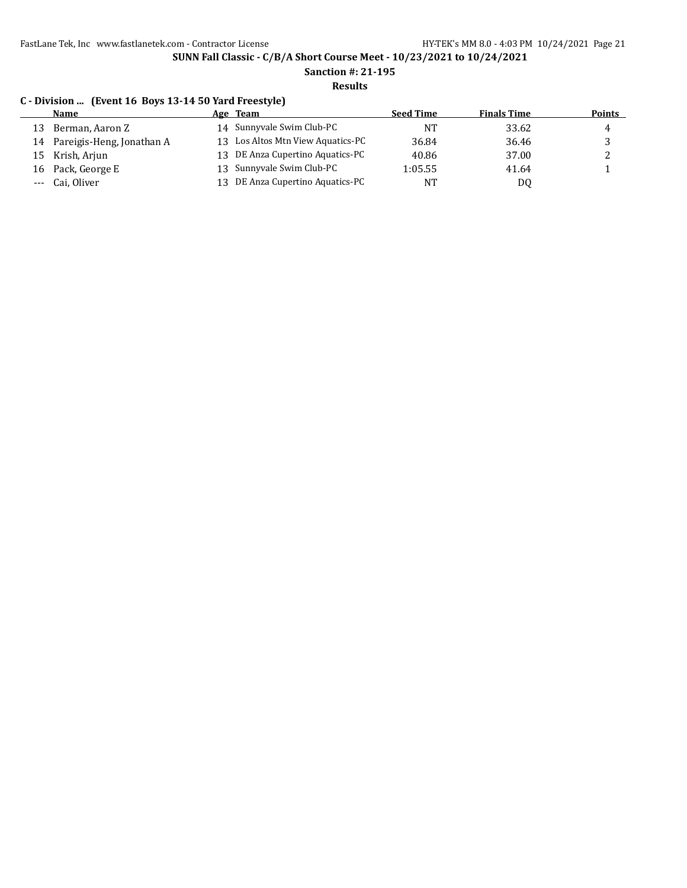#### **Sanction #: 21-195 Results**

# **C - Division ... (Event 16 Boys 13-14 50 Yard Freestyle)**

|    | Name                         |    | Age Team                          | <b>Seed Time</b> | <b>Finals Time</b> | <b>Points</b> |
|----|------------------------------|----|-----------------------------------|------------------|--------------------|---------------|
| 13 | Berman, Aaron Z              |    | 14 Sunnyvale Swim Club-PC         | NT               | 33.62              | 4             |
|    | 14 Pareigis-Heng, Jonathan A |    | 13 Los Altos Mtn View Aquatics-PC | 36.84            | 36.46              |               |
|    | 15 Krish, Arjun              |    | 13 DE Anza Cupertino Aquatics-PC  | 40.86            | 37.00              |               |
|    | 16 Pack, George E            |    | 13 Sunnyvale Swim Club-PC         | 1:05.55          | 41.64              |               |
|    | --- Cai, Oliver              | 13 | DE Anza Cupertino Aquatics-PC     | <b>NT</b>        | DQ                 |               |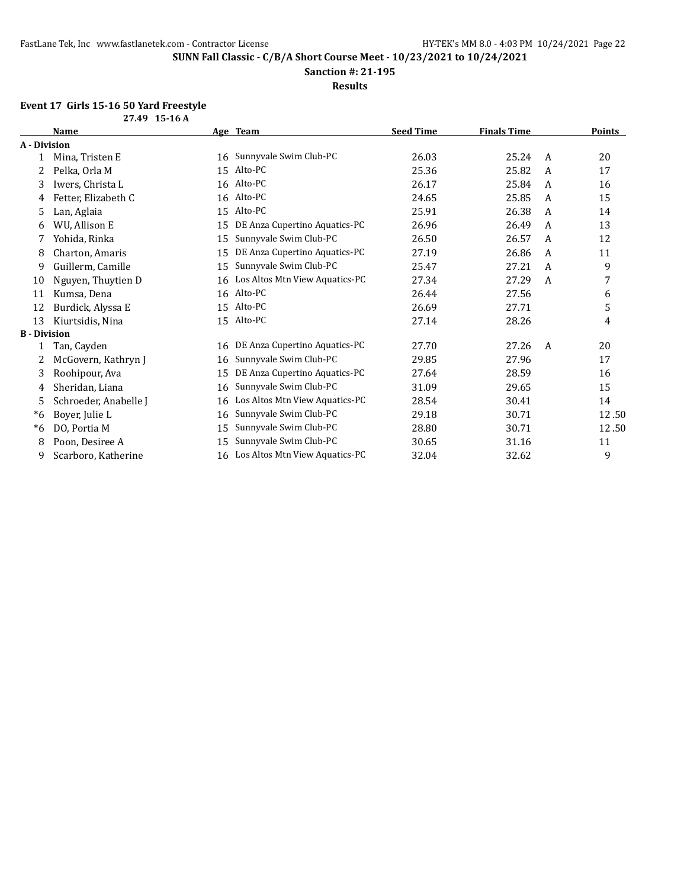**Sanction #: 21-195**

**Results**

# **Event 17 Girls 15-16 50 Yard Freestyle**

|                     | 27.49 15-16 A         |    |                                |                  |                    |   |        |
|---------------------|-----------------------|----|--------------------------------|------------------|--------------------|---|--------|
|                     | Name                  |    | Age Team                       | <b>Seed Time</b> | <b>Finals Time</b> |   | Points |
| A - Division        |                       |    |                                |                  |                    |   |        |
| 1                   | Mina, Tristen E       | 16 | Sunnyvale Swim Club-PC         | 26.03            | 25.24              | A | 20     |
| 2                   | Pelka, Orla M         | 15 | Alto-PC                        | 25.36            | 25.82              | A | 17     |
| 3                   | Iwers, Christa L      | 16 | Alto-PC                        | 26.17            | 25.84              | A | 16     |
| 4                   | Fetter, Elizabeth C   | 16 | Alto-PC                        | 24.65            | 25.85              | A | 15     |
| 5                   | Lan, Aglaia           | 15 | Alto-PC                        | 25.91            | 26.38              | A | 14     |
| 6                   | WU, Allison E         | 15 | DE Anza Cupertino Aquatics-PC  | 26.96            | 26.49              | A | 13     |
| 7                   | Yohida, Rinka         | 15 | Sunnyvale Swim Club-PC         | 26.50            | 26.57              | A | 12     |
| 8                   | Charton, Amaris       | 15 | DE Anza Cupertino Aquatics-PC  | 27.19            | 26.86              | A | 11     |
| 9                   | Guillerm, Camille     | 15 | Sunnyvale Swim Club-PC         | 25.47            | 27.21              | A | 9      |
| 10                  | Nguyen, Thuytien D    | 16 | Los Altos Mtn View Aquatics-PC | 27.34            | 27.29              | A | 7      |
| 11                  | Kumsa, Dena           | 16 | Alto-PC                        | 26.44            | 27.56              |   | 6      |
| 12                  | Burdick, Alyssa E     | 15 | Alto-PC                        | 26.69            | 27.71              |   | 5      |
| 13                  | Kiurtsidis, Nina      | 15 | Alto-PC                        | 27.14            | 28.26              |   | 4      |
| <b>B</b> - Division |                       |    |                                |                  |                    |   |        |
|                     | Tan, Cayden           | 16 | DE Anza Cupertino Aquatics-PC  | 27.70            | 27.26              | A | 20     |
| 2                   | McGovern, Kathryn J   | 16 | Sunnyvale Swim Club-PC         | 29.85            | 27.96              |   | 17     |
| 3                   | Roohipour, Ava        | 15 | DE Anza Cupertino Aquatics-PC  | 27.64            | 28.59              |   | 16     |
| 4                   | Sheridan, Liana       | 16 | Sunnyvale Swim Club-PC         | 31.09            | 29.65              |   | 15     |
| 5                   | Schroeder, Anabelle J | 16 | Los Altos Mtn View Aquatics-PC | 28.54            | 30.41              |   | 14     |
| $*6$                | Boyer, Julie L        | 16 | Sunnyvale Swim Club-PC         | 29.18            | 30.71              |   | 12.50  |
| *6                  | DO, Portia M          | 15 | Sunnyvale Swim Club-PC         | 28.80            | 30.71              |   | 12.50  |
| 8                   | Poon, Desiree A       | 15 | Sunnyvale Swim Club-PC         | 30.65            | 31.16              |   | 11     |
| 9                   | Scarboro, Katherine   | 16 | Los Altos Mtn View Aquatics-PC | 32.04            | 32.62              |   | 9      |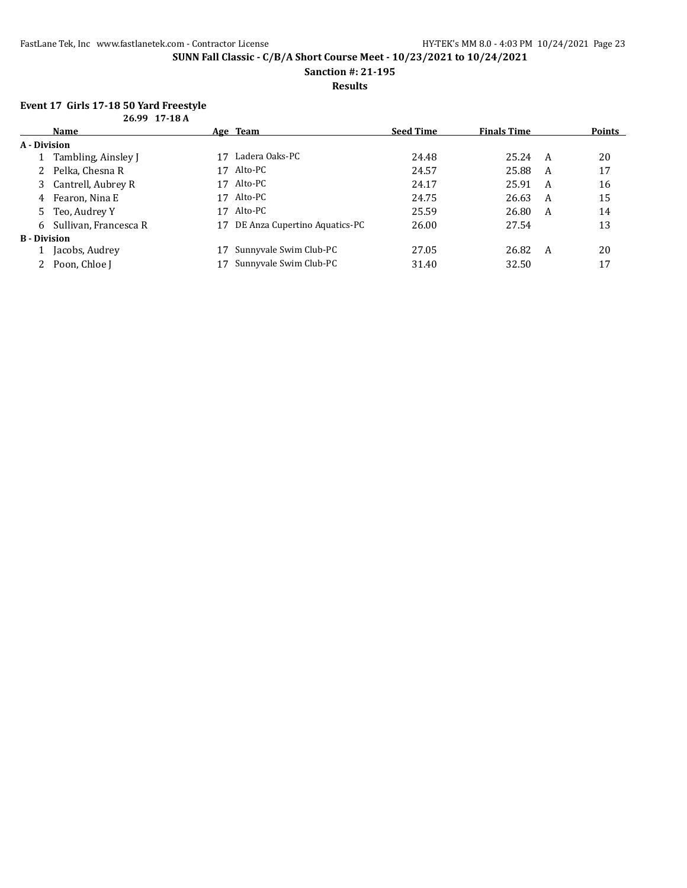**Sanction #: 21-195**

#### **Results**

# **Event 17 Girls 17-18 50 Yard Freestyle**

| 26.99 17-18 A       |                         |    |                               |                  |                    |   |        |
|---------------------|-------------------------|----|-------------------------------|------------------|--------------------|---|--------|
|                     | Name                    |    | Age Team                      | <b>Seed Time</b> | <b>Finals Time</b> |   | Points |
| A - Division        |                         |    |                               |                  |                    |   |        |
|                     | Tambling, Ainsley J     | 17 | Ladera Oaks-PC                | 24.48            | 25.24 A            |   | 20     |
|                     | 2 Pelka, Chesna R       | 17 | Alto-PC                       | 24.57            | 25.88              | A | 17     |
|                     | 3 Cantrell, Aubrey R    | 17 | Alto-PC                       | 24.17            | 25.91              | A | 16     |
|                     | 4 Fearon, Nina E        | 17 | Alto-PC                       | 24.75            | 26.63              | A | 15     |
|                     | 5 Teo, Audrey Y         | 17 | Alto-PC                       | 25.59            | 26.80              | A | 14     |
|                     | 6 Sullivan, Francesca R | 17 | DE Anza Cupertino Aquatics-PC | 26.00            | 27.54              |   | 13     |
| <b>B</b> - Division |                         |    |                               |                  |                    |   |        |
|                     | Jacobs, Audrey          |    | Sunnyvale Swim Club-PC        | 27.05            | 26.82              | A | 20     |
|                     | 2 Poon, Chloe J         |    | Sunnyvale Swim Club-PC        | 31.40            | 32.50              |   | 17     |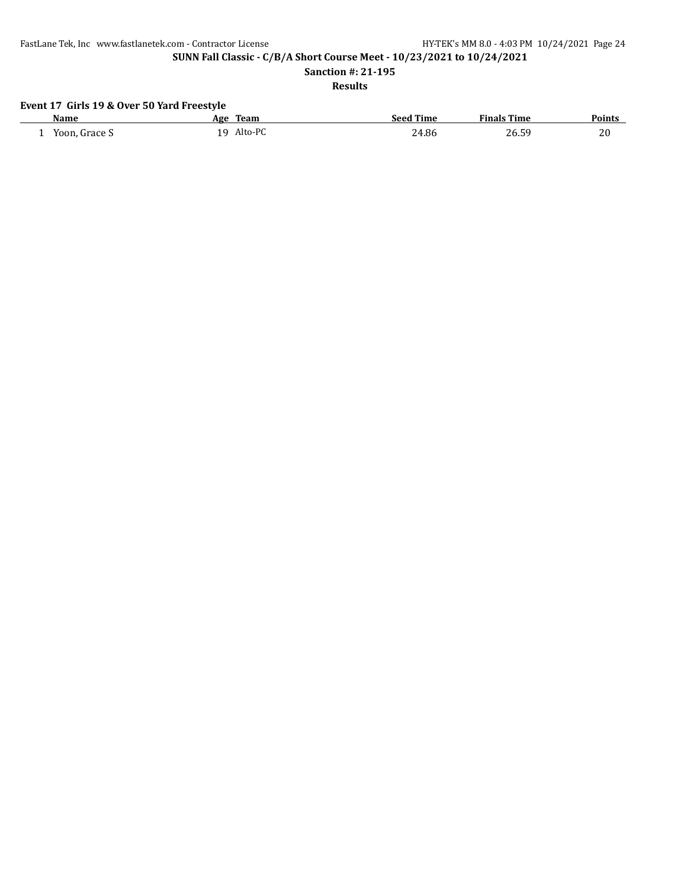FastLane Tek, Inc www.fastlanetek.com - Contractor License HY-TEK's MM 8.0 - 4:03 PM 10/24/2021 Page 24

**SUNN Fall Classic - C/B/A Short Course Meet - 10/23/2021 to 10/24/2021**

**Sanction #: 21-195**

**Results**

# **Event 17 Girls 19 & Over 50 Yard Freestyle**

| <b>Name</b>   | Team<br>Age           | <b>Seed Time</b> | <b>Finals Time</b> | <b>Points</b> |
|---------------|-----------------------|------------------|--------------------|---------------|
| Yoon, Grace S | Alto-PC<br>1 Q<br>. . | 24.86            | 26.59              | 20            |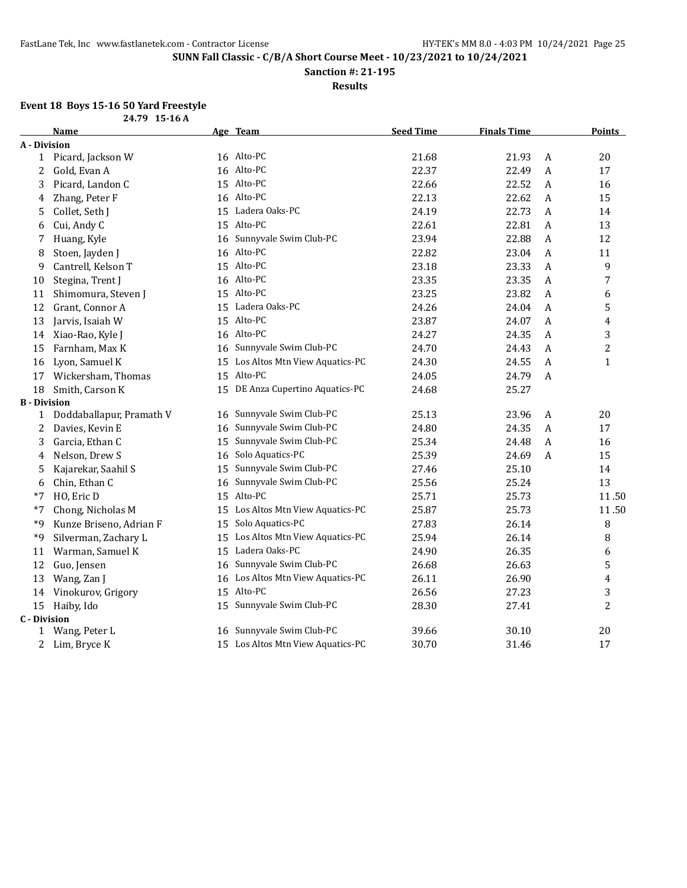**Sanction #: 21-195**

**Results**

#### **Event 18 Boys 15-16 50 Yard Freestyle**

|                     | 24.79 15-16 A            |    |                                   |                  |                    |   |               |
|---------------------|--------------------------|----|-----------------------------------|------------------|--------------------|---|---------------|
|                     | <b>Name</b>              |    | Age Team                          | <b>Seed Time</b> | <b>Finals Time</b> |   | <b>Points</b> |
| A - Division        |                          |    |                                   |                  |                    |   |               |
| 1                   | Picard, Jackson W        |    | 16 Alto-PC                        | 21.68            | 21.93              | A | 20            |
| 2                   | Gold, Evan A             |    | 16 Alto-PC                        | 22.37            | 22.49              | A | 17            |
| 3                   | Picard, Landon C         |    | 15 Alto-PC                        | 22.66            | 22.52              | A | 16            |
| 4                   | Zhang, Peter F           |    | 16 Alto-PC                        | 22.13            | 22.62              | A | 15            |
| 5                   | Collet, Seth J           |    | 15 Ladera Oaks-PC                 | 24.19            | 22.73              | A | 14            |
| 6                   | Cui, Andy C              |    | 15 Alto-PC                        | 22.61            | 22.81              | A | 13            |
| 7                   | Huang, Kyle              |    | 16 Sunnyvale Swim Club-PC         | 23.94            | 22.88              | A | 12            |
| 8                   | Stoen, Jayden J          |    | 16 Alto-PC                        | 22.82            | 23.04              | A | 11            |
| 9                   | Cantrell, Kelson T       |    | 15 Alto-PC                        | 23.18            | 23.33              | A | 9             |
| 10                  | Stegina, Trent J         |    | 16 Alto-PC                        | 23.35            | 23.35              | A | 7             |
| 11                  | Shimomura, Steven J      |    | 15 Alto-PC                        | 23.25            | 23.82              | A | 6             |
| 12                  | Grant, Connor A          | 15 | Ladera Oaks-PC                    | 24.26            | 24.04              | A | 5             |
| 13                  | Jarvis, Isaiah W         | 15 | Alto-PC                           | 23.87            | 24.07              | A | 4             |
| 14                  | Xiao-Rao, Kyle J         |    | 16 Alto-PC                        | 24.27            | 24.35              | A | 3             |
| 15                  | Farnham, Max K           |    | 16 Sunnyvale Swim Club-PC         | 24.70            | 24.43              | A | 2             |
| 16                  | Lyon, Samuel K           | 15 | Los Altos Mtn View Aquatics-PC    | 24.30            | 24.55              | A | $\mathbf{1}$  |
| 17                  | Wickersham, Thomas       |    | 15 Alto-PC                        | 24.05            | 24.79              | A |               |
| 18                  | Smith, Carson K          |    | 15 DE Anza Cupertino Aquatics-PC  | 24.68            | 25.27              |   |               |
| <b>B</b> - Division |                          |    |                                   |                  |                    |   |               |
| 1                   | Doddaballapur, Pramath V |    | 16 Sunnyvale Swim Club-PC         | 25.13            | 23.96              | A | 20            |
| 2                   | Davies, Kevin E          | 16 | Sunnyvale Swim Club-PC            | 24.80            | 24.35              | A | 17            |
| 3                   | Garcia, Ethan C          | 15 | Sunnyvale Swim Club-PC            | 25.34            | 24.48              | A | 16            |
| 4                   | Nelson, Drew S           |    | 16 Solo Aquatics-PC               | 25.39            | 24.69              | A | 15            |
| 5                   | Kajarekar, Saahil S      |    | 15 Sunnyvale Swim Club-PC         | 27.46            | 25.10              |   | 14            |
| 6                   | Chin, Ethan C            |    | 16 Sunnyvale Swim Club-PC         | 25.56            | 25.24              |   | 13            |
| *7                  | HO, Eric D               |    | 15 Alto-PC                        | 25.71            | 25.73              |   | 11.50         |
| $*7$                | Chong, Nicholas M        | 15 | Los Altos Mtn View Aquatics-PC    | 25.87            | 25.73              |   | 11.50         |
| *9                  | Kunze Briseno, Adrian F  | 15 | Solo Aquatics-PC                  | 27.83            | 26.14              |   | 8             |
| *9                  | Silverman, Zachary L     | 15 | Los Altos Mtn View Aquatics-PC    | 25.94            | 26.14              |   | 8             |
| 11                  | Warman, Samuel K         | 15 | Ladera Oaks-PC                    | 24.90            | 26.35              |   | 6             |
| 12                  | Guo, Jensen              |    | 16 Sunnyvale Swim Club-PC         | 26.68            | 26.63              |   | 5             |
| 13                  | Wang, Zan J              |    | 16 Los Altos Mtn View Aquatics-PC | 26.11            | 26.90              |   | 4             |
| 14                  | Vinokurov, Grigory       |    | 15 Alto-PC                        | 26.56            | 27.23              |   | 3             |
| 15                  | Haiby, Ido               | 15 | Sunnyvale Swim Club-PC            | 28.30            | 27.41              |   | 2             |
| <b>C</b> - Division |                          |    |                                   |                  |                    |   |               |
| 1                   | Wang, Peter L            | 16 | Sunnyvale Swim Club-PC            | 39.66            | 30.10              |   | 20            |
|                     | 2 Lim, Bryce K           |    | 15 Los Altos Mtn View Aquatics-PC | 30.70            | 31.46              |   | 17            |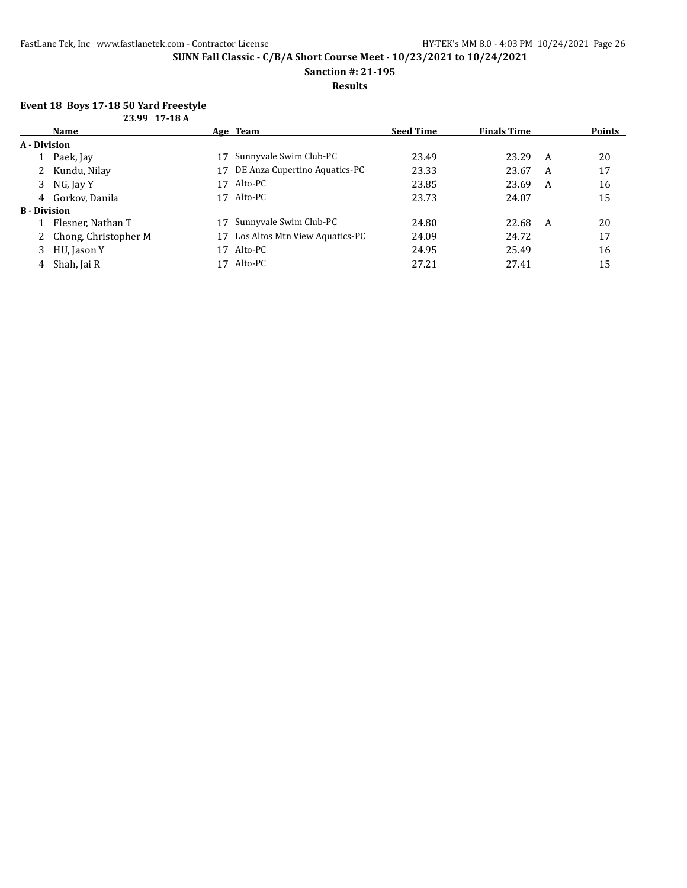**Sanction #: 21-195**

#### **Results**

#### **Event 18 Boys 17-18 50 Yard Freestyle 23.99 17-18 A**

| 2007 II-IVA |                        |    |                                |                  |                    |   |               |
|-------------|------------------------|----|--------------------------------|------------------|--------------------|---|---------------|
|             | Name                   |    | Age Team                       | <b>Seed Time</b> | <b>Finals Time</b> |   | <b>Points</b> |
|             | A - Division           |    |                                |                  |                    |   |               |
|             | Paek, Jay              | 17 | Sunnyvale Swim Club-PC         | 23.49            | 23.29              | A | 20            |
| 2           | Kundu, Nilay           | 17 | DE Anza Cupertino Aquatics-PC  | 23.33            | 23.67              | A | 17            |
| 3           | NG, Jay Y              | 17 | Alto-PC                        | 23.85            | 23.69              | A | 16            |
| 4           | Gorkov, Danila         | 17 | Alto-PC                        | 23.73            | 24.07              |   | 15            |
|             | <b>B</b> - Division    |    |                                |                  |                    |   |               |
|             | Flesner, Nathan T      |    | Sunnyvale Swim Club-PC         | 24.80            | 22.68              | A | 20            |
|             | 2 Chong, Christopher M |    | Los Altos Mtn View Aquatics-PC | 24.09            | 24.72              |   | 17            |
| 3           | HU, Jason Y            | 17 | Alto-PC                        | 24.95            | 25.49              |   | 16            |
| 4           | Shah, Jai R            |    | Alto-PC                        | 27.21            | 27.41              |   | 15            |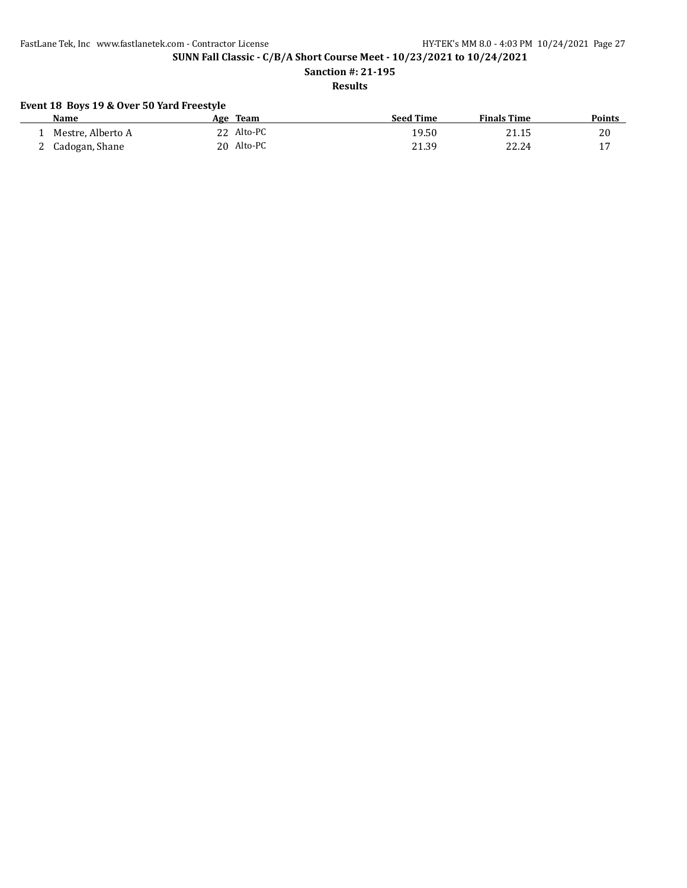FastLane Tek, Inc www.fastlanetek.com - Contractor License HY-TEK's MM 8.0 - 4:03 PM 10/24/2021 Page 27

**SUNN Fall Classic - C/B/A Short Course Meet - 10/23/2021 to 10/24/2021**

**Sanction #: 21-195**

# **Results**

## **Event 18 Boys 19 & Over 50 Yard Freestyle**

| Name              | Age | Team       | <b>Seed Time</b> | <b>Finals Time</b> | <b>Points</b> |
|-------------------|-----|------------|------------------|--------------------|---------------|
| Mestre, Alberto A |     | Alto-PC    | 19.50            | 21.15              | 20            |
| Cadogan, Shane    |     | 20 Alto-PC | 21.39            | 22.24              | -17           |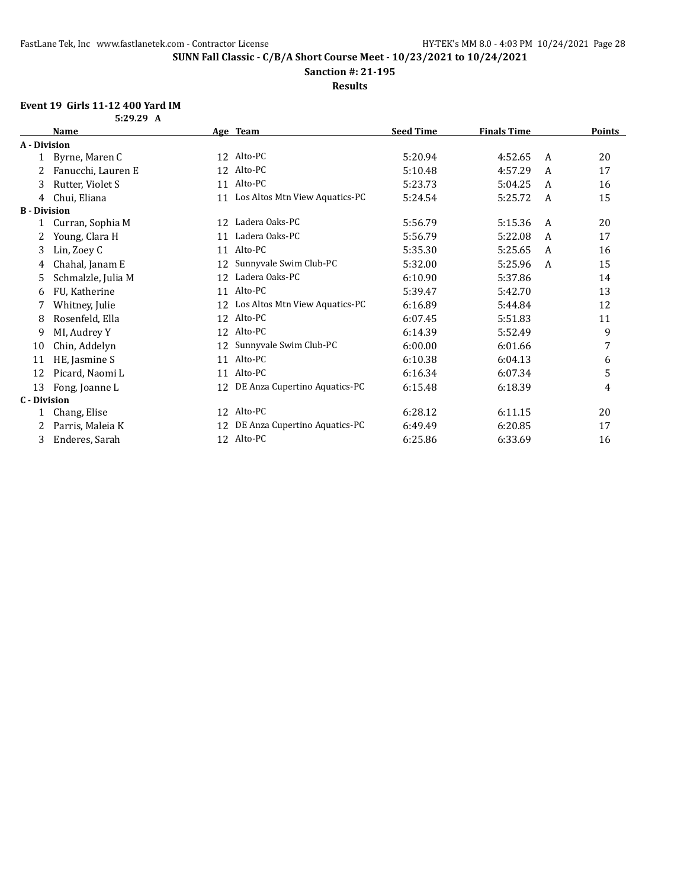**Sanction #: 21-195**

**Results**

# **Event 19 Girls 11-12 400 Yard IM**

| 5:29.29 A<br>۰. |  |
|-----------------|--|
|                 |  |

|                     | <b>Name</b>        |    | Age Team                       | <b>Seed Time</b> | Finals Time |              | <b>Points</b> |
|---------------------|--------------------|----|--------------------------------|------------------|-------------|--------------|---------------|
| A - Division        |                    |    |                                |                  |             |              |               |
| 1                   | Byrne, Maren C     | 12 | Alto-PC                        | 5:20.94          | 4:52.65     | A            | 20            |
| 2                   | Fanucchi, Lauren E | 12 | Alto-PC                        | 5:10.48          | 4:57.29     | A            | 17            |
| 3                   | Rutter, Violet S   | 11 | Alto-PC                        | 5:23.73          | 5:04.25     | A            | 16            |
| 4                   | Chui, Eliana       | 11 | Los Altos Mtn View Aquatics-PC | 5:24.54          | 5:25.72     | $\mathsf{A}$ | 15            |
| <b>B</b> - Division |                    |    |                                |                  |             |              |               |
| 1                   | Curran, Sophia M   | 12 | Ladera Oaks-PC                 | 5:56.79          | 5:15.36     | A            | 20            |
| 2                   | Young, Clara H     | 11 | Ladera Oaks-PC                 | 5:56.79          | 5:22.08     | A            | 17            |
| 3                   | Lin, Zoey C        | 11 | Alto-PC                        | 5:35.30          | 5:25.65     | A            | 16            |
| 4                   | Chahal, Janam E    | 12 | Sunnyvale Swim Club-PC         | 5:32.00          | 5:25.96     | A            | 15            |
| 5                   | Schmalzle, Julia M | 12 | Ladera Oaks-PC                 | 6:10.90          | 5:37.86     |              | 14            |
| 6                   | FU, Katherine      | 11 | Alto-PC                        | 5:39.47          | 5:42.70     |              | 13            |
| 7                   | Whitney, Julie     | 12 | Los Altos Mtn View Aquatics-PC | 6:16.89          | 5:44.84     |              | 12            |
| 8                   | Rosenfeld, Ella    | 12 | Alto-PC                        | 6:07.45          | 5:51.83     |              | 11            |
| 9                   | MI, Audrey Y       | 12 | Alto-PC                        | 6:14.39          | 5:52.49     |              | 9             |
| 10                  | Chin, Addelyn      | 12 | Sunnyvale Swim Club-PC         | 6:00.00          | 6:01.66     |              | 7             |
| 11                  | HE, Jasmine S      | 11 | Alto-PC                        | 6:10.38          | 6:04.13     |              | 6             |
| 12                  | Picard, Naomi L    | 11 | Alto-PC                        | 6:16.34          | 6:07.34     |              | 5             |
| 13                  | Fong, Joanne L     | 12 | DE Anza Cupertino Aquatics-PC  | 6:15.48          | 6:18.39     |              | 4             |
| C - Division        |                    |    |                                |                  |             |              |               |
| 1                   | Chang, Elise       | 12 | Alto-PC                        | 6:28.12          | 6:11.15     |              | 20            |
| 2                   | Parris, Maleia K   | 12 | DE Anza Cupertino Aquatics-PC  | 6:49.49          | 6:20.85     |              | 17            |
| 3                   | Enderes, Sarah     |    | 12 Alto-PC                     | 6:25.86          | 6:33.69     |              | 16            |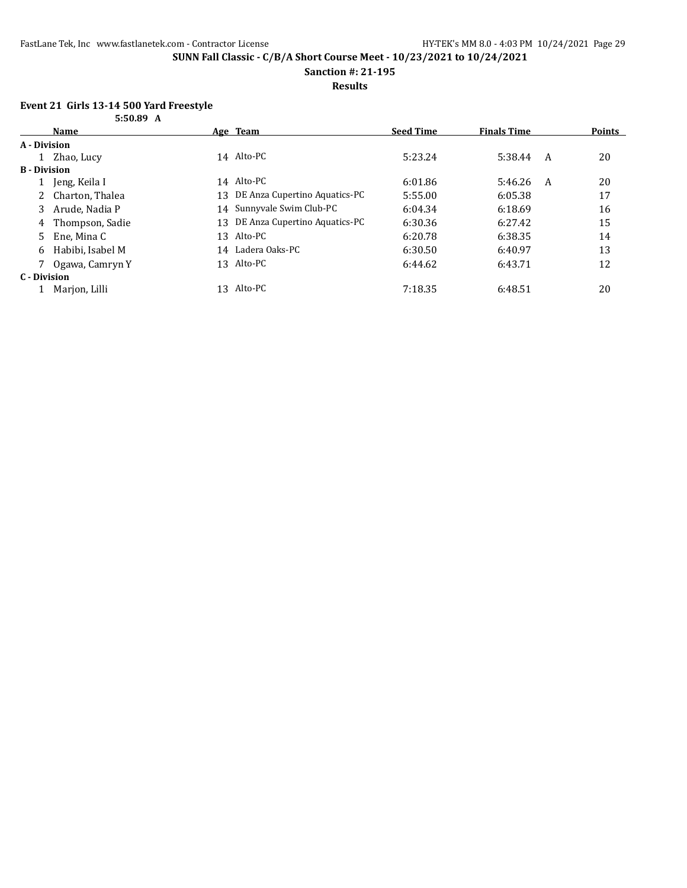**Sanction #: 21-195**

**Results**

### **Event 21 Girls 13-14 500 Yard Freestyle**

|                     | 5:50.89 A        |     |                                  |                  |                    |   |        |
|---------------------|------------------|-----|----------------------------------|------------------|--------------------|---|--------|
|                     | Name             |     | Age Team                         | <b>Seed Time</b> | <b>Finals Time</b> |   | Points |
| A - Division        |                  |     |                                  |                  |                    |   |        |
|                     | Zhao, Lucy       |     | 14 Alto-PC                       | 5:23.24          | 5:38.44            | A | 20     |
| <b>B</b> - Division |                  |     |                                  |                  |                    |   |        |
|                     | Jeng, Keila I    |     | 14 Alto-PC                       | 6:01.86          | 5:46.26            | A | 20     |
| 2                   | Charton, Thalea  | 13. | DE Anza Cupertino Aquatics-PC    | 5:55.00          | 6:05.38            |   | 17     |
| 3                   | Arude, Nadia P   |     | 14 Sunnyvale Swim Club-PC        | 6:04.34          | 6:18.69            |   | 16     |
| 4                   | Thompson, Sadie  |     | 13 DE Anza Cupertino Aquatics-PC | 6:30.36          | 6:27.42            |   | 15     |
| 5.                  | Ene, Mina C      |     | 13 Alto-PC                       | 6:20.78          | 6:38.35            |   | 14     |
| 6                   | Habibi. Isabel M |     | 14 Ladera Oaks-PC                | 6:30.50          | 6:40.97            |   | 13     |
|                     | Ogawa, Camryn Y  |     | 13 Alto-PC                       | 6:44.62          | 6:43.71            |   | 12     |
| C - Division        |                  |     |                                  |                  |                    |   |        |
|                     | Marjon, Lilli    |     | 13 Alto-PC                       | 7:18.35          | 6:48.51            |   | 20     |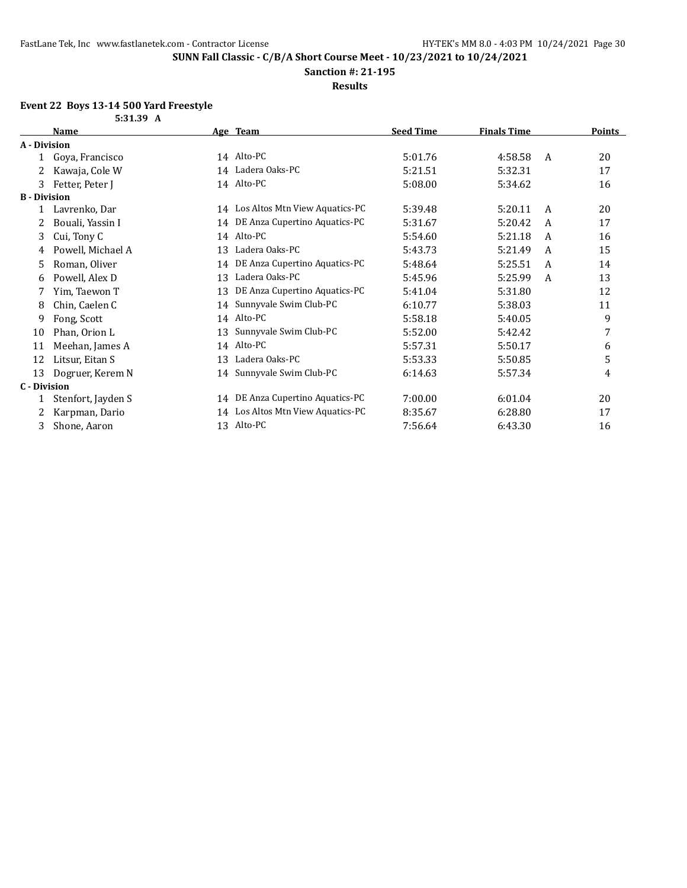**Sanction #: 21-195**

**Results**

#### **Event 22 Boys 13-14 500 Yard Freestyle**

|                     | 5:31.39 A          |    |                                   |                  |                    |   |        |
|---------------------|--------------------|----|-----------------------------------|------------------|--------------------|---|--------|
|                     | <b>Name</b>        |    | Age Team                          | <b>Seed Time</b> | <b>Finals Time</b> |   | Points |
| A - Division        |                    |    |                                   |                  |                    |   |        |
|                     | Goya, Francisco    |    | 14 Alto-PC                        | 5:01.76          | 4:58.58            | A | 20     |
|                     | Kawaja, Cole W     |    | 14 Ladera Oaks-PC                 | 5:21.51          | 5:32.31            |   | 17     |
| 3                   | Fetter, Peter J    |    | 14 Alto-PC                        | 5:08.00          | 5:34.62            |   | 16     |
| <b>B</b> - Division |                    |    |                                   |                  |                    |   |        |
|                     | Lavrenko, Dar      |    | 14 Los Altos Mtn View Aquatics-PC | 5:39.48          | 5:20.11            | A | 20     |
|                     | Bouali, Yassin I   |    | 14 DE Anza Cupertino Aquatics-PC  | 5:31.67          | 5:20.42            | A | 17     |
| 3                   | Cui, Tony C        |    | 14 Alto-PC                        | 5:54.60          | 5:21.18            | A | 16     |
| 4                   | Powell, Michael A  | 13 | Ladera Oaks-PC                    | 5:43.73          | 5:21.49            | A | 15     |
| 5                   | Roman, Oliver      | 14 | DE Anza Cupertino Aquatics-PC     | 5:48.64          | 5:25.51            | A | 14     |
| 6                   | Powell, Alex D     | 13 | Ladera Oaks-PC                    | 5:45.96          | 5:25.99            | A | 13     |
|                     | Yim, Taewon T      | 13 | DE Anza Cupertino Aquatics-PC     | 5:41.04          | 5:31.80            |   | 12     |
| 8                   | Chin, Caelen C     | 14 | Sunnyvale Swim Club-PC            | 6:10.77          | 5:38.03            |   | 11     |
| 9                   | Fong, Scott        |    | 14 Alto-PC                        | 5:58.18          | 5:40.05            |   | 9      |
| 10                  | Phan, Orion L      | 13 | Sunnyvale Swim Club-PC            | 5:52.00          | 5:42.42            |   | 7      |
| 11                  | Meehan, James A    |    | 14 Alto-PC                        | 5:57.31          | 5:50.17            |   | 6      |
| 12                  | Litsur, Eitan S    | 13 | Ladera Oaks-PC                    | 5:53.33          | 5:50.85            |   | 5      |
| 13                  | Dogruer, Kerem N   |    | 14 Sunnyvale Swim Club-PC         | 6:14.63          | 5:57.34            |   | 4      |
| <b>C</b> - Division |                    |    |                                   |                  |                    |   |        |
|                     | Stenfort, Jayden S |    | 14 DE Anza Cupertino Aquatics-PC  | 7:00.00          | 6:01.04            |   | 20     |
|                     | Karpman, Dario     | 14 | Los Altos Mtn View Aquatics-PC    | 8:35.67          | 6:28.80            |   | 17     |
| 3                   | Shone, Aaron       |    | 13 Alto-PC                        | 7:56.64          | 6:43.30            |   | 16     |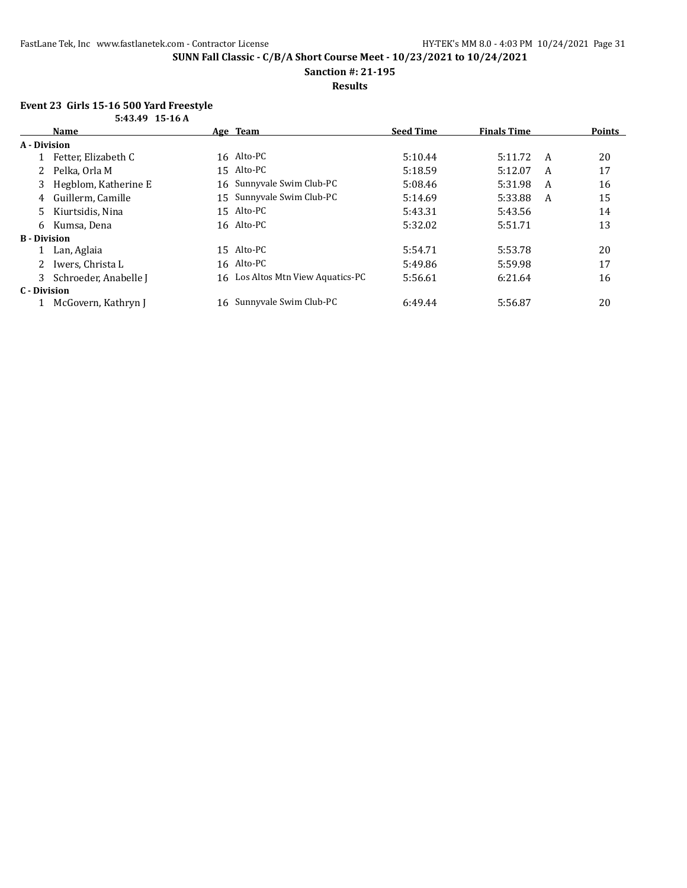**Sanction #: 21-195**

**Results**

### **Event 23 Girls 15-16 500 Yard Freestyle**

|                     | 5:43.49 15-16 A       |     |                                   |                  |                    |   |        |
|---------------------|-----------------------|-----|-----------------------------------|------------------|--------------------|---|--------|
|                     | <b>Name</b>           |     | Age Team                          | <b>Seed Time</b> | <b>Finals Time</b> |   | Points |
| A - Division        |                       |     |                                   |                  |                    |   |        |
|                     | Fetter, Elizabeth C   |     | 16 Alto-PC                        | 5:10.44          | 5:11.72            | A | 20     |
|                     | Pelka, Orla M         |     | 15 Alto-PC                        | 5:18.59          | 5:12.07            | A | 17     |
| 3                   | Hegblom, Katherine E  |     | 16 Sunnyvale Swim Club-PC         | 5:08.46          | 5:31.98            | A | 16     |
| 4                   | Guillerm. Camille     |     | 15 Sunnyvale Swim Club-PC         | 5:14.69          | 5:33.88            | A | 15     |
| 5.                  | Kiurtsidis, Nina      |     | 15 Alto-PC                        | 5:43.31          | 5:43.56            |   | 14     |
| 6                   | Kumsa, Dena           |     | 16 Alto-PC                        | 5:32.02          | 5:51.71            |   | 13     |
| <b>B</b> - Division |                       |     |                                   |                  |                    |   |        |
|                     | Lan, Aglaia           |     | 15 Alto-PC                        | 5:54.71          | 5:53.78            |   | 20     |
|                     | 2 Iwers, Christa L    |     | 16 Alto-PC                        | 5:49.86          | 5:59.98            |   | 17     |
| 3                   | Schroeder, Anabelle J |     | 16 Los Altos Mtn View Aquatics-PC | 5:56.61          | 6:21.64            |   | 16     |
| C - Division        |                       |     |                                   |                  |                    |   |        |
|                     | McGovern, Kathryn J   | 16. | Sunnyvale Swim Club-PC            | 6:49.44          | 5:56.87            |   | 20     |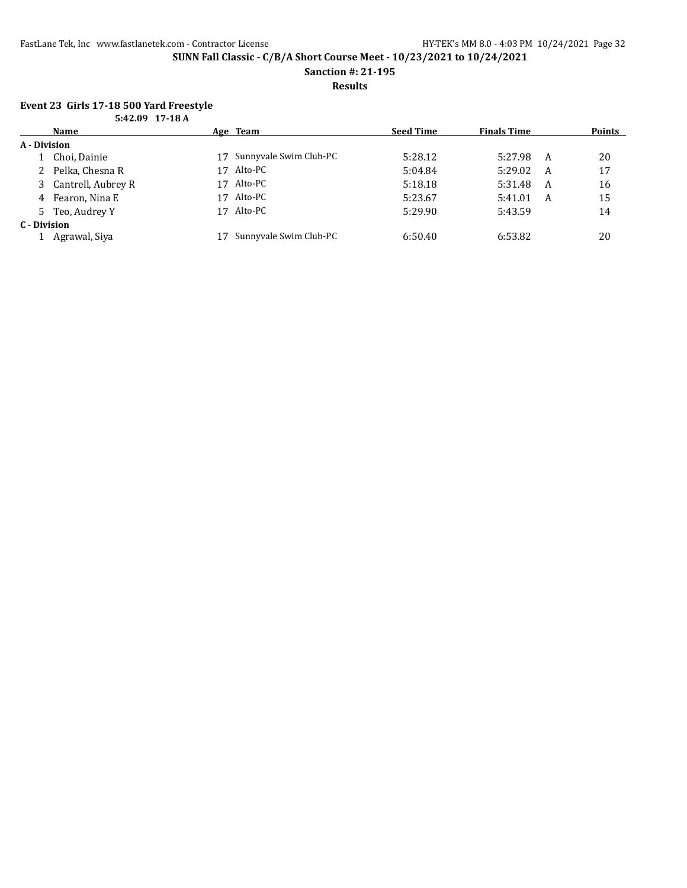**Sanction #: 21-195**

**Results**

# **Event 23 Girls 17-18 500 Yard Freestyle**

|              | 5:42.09 17-18 A      |    |                        |                  |                    |   |               |
|--------------|----------------------|----|------------------------|------------------|--------------------|---|---------------|
|              | Name                 |    | Age Team               | <b>Seed Time</b> | <b>Finals Time</b> |   | <b>Points</b> |
| A - Division |                      |    |                        |                  |                    |   |               |
|              | 1 Choi, Dainie       | 17 | Sunnyvale Swim Club-PC | 5:28.12          | 5:27.98            | A | 20            |
|              | 2 Pelka, Chesna R    | 17 | Alto-PC                | 5:04.84          | 5:29.02            | A | 17            |
|              | 3 Cantrell, Aubrey R | 17 | Alto-PC                | 5:18.18          | 5:31.48            | A | 16            |
|              | 4 Fearon, Nina E     | 17 | Alto-PC                | 5:23.67          | 5:41.01            | A | 15            |
|              | 5 Teo, Audrey Y      | 17 | Alto-PC                | 5:29.90          | 5:43.59            |   | 14            |
| C - Division |                      |    |                        |                  |                    |   |               |
|              | Agrawal, Siya        |    | Sunnyvale Swim Club-PC | 6:50.40          | 6:53.82            |   | 20            |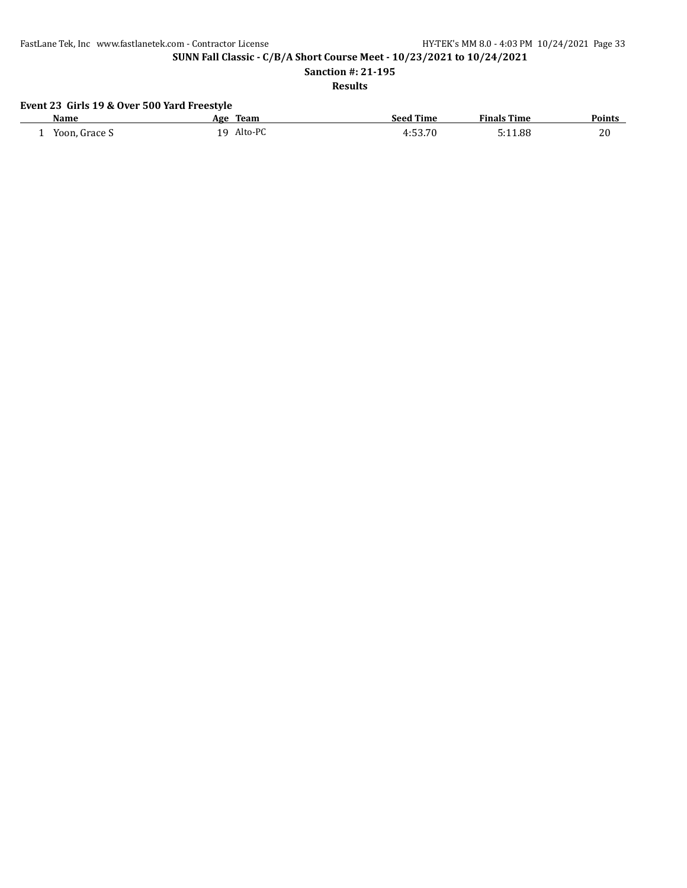FastLane Tek, Inc www.fastlanetek.com - Contractor License HY-TEK's MM 8.0 - 4:03 PM 10/24/2021 Page 33

**SUNN Fall Classic - C/B/A Short Course Meet - 10/23/2021 to 10/24/2021**

**Sanction #: 21-195**

**Results**

# **Event 23 Girls 19 & Over 500 Yard Freestyle**

| Name               | Team<br>Age    | <b>Seed Time</b> | <b>Finals Time</b> | <b>Points</b> |
|--------------------|----------------|------------------|--------------------|---------------|
| Yoon, Grace S<br>- | Alto-PC<br>1 Q | 4:53.70          | 5:11.88            | 20            |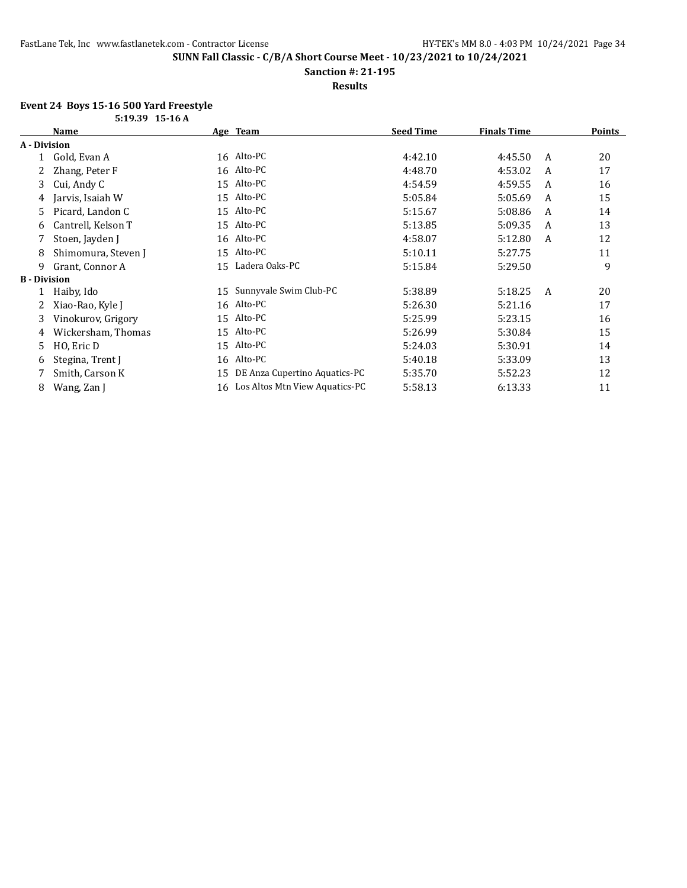**Sanction #: 21-195**

**Results**

#### **Event 24 Boys 15-16 500 Yard Freestyle**

| 5:19.39 15-16 A     |                     |    |                                   |                  |                    |   |               |
|---------------------|---------------------|----|-----------------------------------|------------------|--------------------|---|---------------|
|                     | Name                |    | Age Team                          | <b>Seed Time</b> | <b>Finals Time</b> |   | <u>Points</u> |
| A - Division        |                     |    |                                   |                  |                    |   |               |
|                     | Gold, Evan A        |    | 16 Alto-PC                        | 4:42.10          | 4:45.50            | A | 20            |
|                     | Zhang, Peter F      |    | 16 Alto-PC                        | 4:48.70          | 4:53.02            | A | 17            |
| 3                   | Cui, Andy C         |    | 15 Alto-PC                        | 4:54.59          | 4:59.55            | A | 16            |
| 4                   | Jarvis, Isaiah W    |    | 15 Alto-PC                        | 5:05.84          | 5:05.69            | A | 15            |
| 5.                  | Picard, Landon C    |    | 15 Alto-PC                        | 5:15.67          | 5:08.86            | A | 14            |
| 6                   | Cantrell, Kelson T  |    | 15 Alto-PC                        | 5:13.85          | 5:09.35            | A | 13            |
|                     | Stoen, Jayden J     |    | 16 Alto-PC                        | 4:58.07          | 5:12.80            | A | 12            |
| 8                   | Shimomura, Steven J |    | 15 Alto-PC                        | 5:10.11          | 5:27.75            |   | 11            |
| 9                   | Grant, Connor A     |    | 15 Ladera Oaks-PC                 | 5:15.84          | 5:29.50            |   | 9             |
| <b>B</b> - Division |                     |    |                                   |                  |                    |   |               |
|                     | Haiby, Ido          | 15 | Sunnyvale Swim Club-PC            | 5:38.89          | 5:18.25            | A | 20            |
|                     | Xiao-Rao, Kyle J    |    | 16 Alto-PC                        | 5:26.30          | 5:21.16            |   | 17            |
| 3                   | Vinokurov, Grigory  |    | 15 Alto-PC                        | 5:25.99          | 5:23.15            |   | 16            |
| 4                   | Wickersham, Thomas  |    | 15 Alto-PC                        | 5:26.99          | 5:30.84            |   | 15            |
| 5                   | HO, Eric D          |    | 15 Alto-PC                        | 5:24.03          | 5:30.91            |   | 14            |
| 6                   | Stegina, Trent J    |    | 16 Alto-PC                        | 5:40.18          | 5:33.09            |   | 13            |
|                     | Smith, Carson K     | 15 | DE Anza Cupertino Aquatics-PC     | 5:35.70          | 5:52.23            |   | 12            |
| 8                   | Wang, Zan J         |    | 16 Los Altos Mtn View Aquatics-PC | 5:58.13          | 6:13.33            |   | 11            |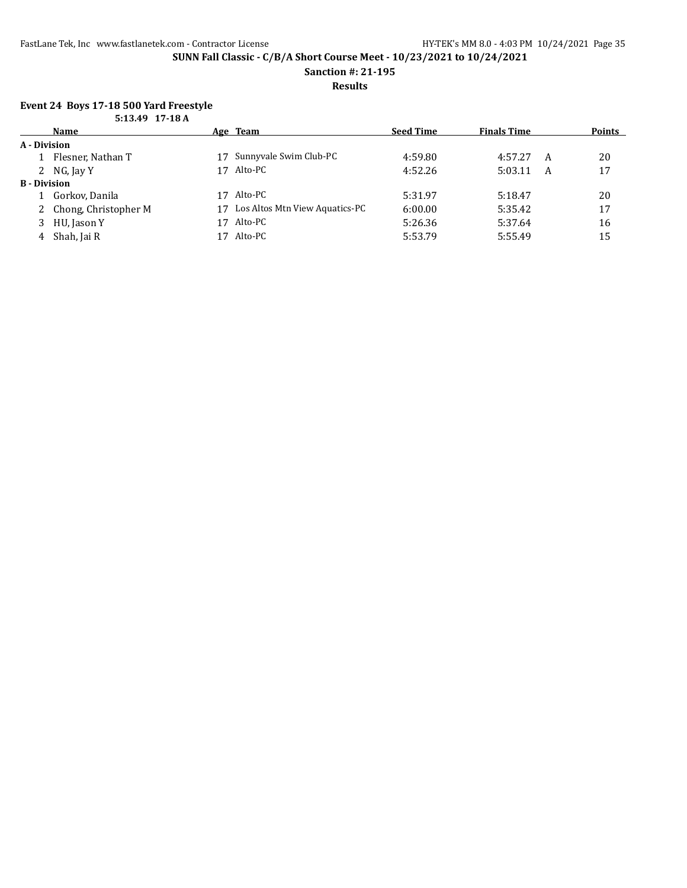**Sanction #: 21-195**

**Results**

### **Event 24 Boys 17-18 500 Yard Freestyle**

|                     | 5:13.49 17-18 A        |    |                                |                  |                    |   |               |
|---------------------|------------------------|----|--------------------------------|------------------|--------------------|---|---------------|
|                     | <b>Name</b>            |    | Age Team                       | <b>Seed Time</b> | <b>Finals Time</b> |   | <b>Points</b> |
| A - Division        |                        |    |                                |                  |                    |   |               |
|                     | Flesner, Nathan T      | 17 | Sunnyvale Swim Club-PC         | 4:59.80          | 4:57.27            | A | 20            |
|                     | 2 NG, Jay Y            | 17 | Alto-PC                        | 4:52.26          | 5:03.11            | A | 17            |
| <b>B</b> - Division |                        |    |                                |                  |                    |   |               |
|                     | 1 Gorkov, Danila       | 17 | Alto-PC                        | 5:31.97          | 5:18.47            |   | 20            |
|                     | 2 Chong, Christopher M | 17 | Los Altos Mtn View Aquatics-PC | 6:00.00          | 5:35.42            |   | 17            |
| 3                   | HU, Jason Y            | 17 | Alto-PC                        | 5:26.36          | 5:37.64            |   | 16            |
| 4                   | Shah, Jai R            | 17 | Alto-PC                        | 5:53.79          | 5:55.49            |   | 15            |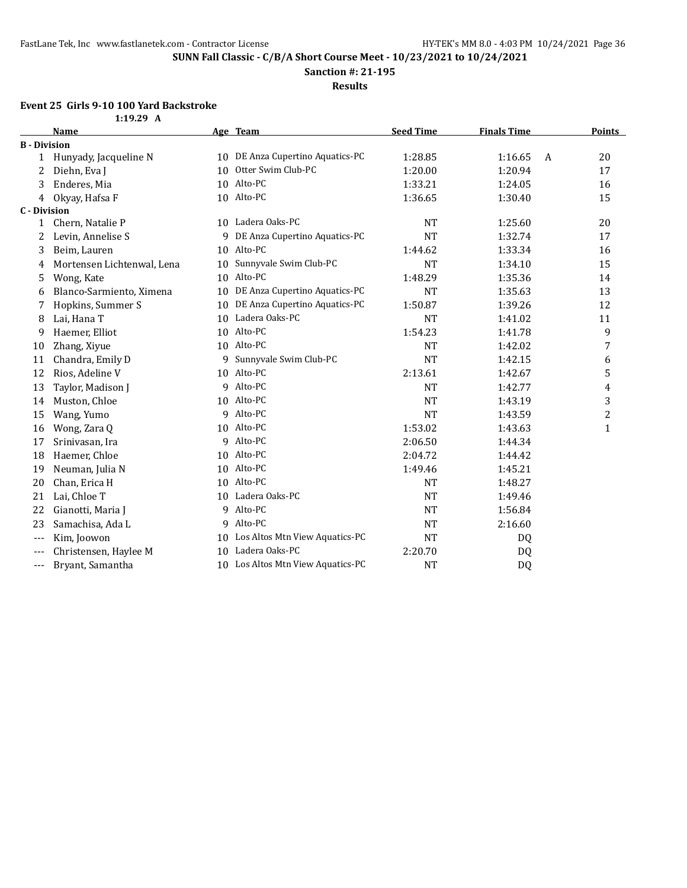**Sanction #: 21-195**

**Results**

# **Event 25 Girls 9-10 100 Yard Backstroke**

|                          | 1:19.29 A                  |                 |                                   |                  |                    |                |               |
|--------------------------|----------------------------|-----------------|-----------------------------------|------------------|--------------------|----------------|---------------|
|                          | <b>Name</b>                |                 | Age Team                          | <b>Seed Time</b> | <b>Finals Time</b> |                | <b>Points</b> |
| <b>B</b> - Division      |                            |                 |                                   |                  |                    |                |               |
| 1                        | Hunyady, Jacqueline N      |                 | 10 DE Anza Cupertino Aquatics-PC  | 1:28.85          | 1:16.65            | $\overline{A}$ | 20            |
| 2                        | Diehn, Eva J               | 10              | Otter Swim Club-PC                | 1:20.00          | 1:20.94            |                | 17            |
| 3                        | Enderes, Mia               | 10              | Alto-PC                           | 1:33.21          | 1:24.05            |                | 16            |
| 4                        | Okyay, Hafsa F             |                 | 10 Alto-PC                        | 1:36.65          | 1:30.40            |                | 15            |
| <b>C</b> - Division      |                            |                 |                                   |                  |                    |                |               |
| 1                        | Chern, Natalie P           |                 | 10 Ladera Oaks-PC                 | <b>NT</b>        | 1:25.60            |                | 20            |
| 2                        | Levin, Annelise S          | 9               | DE Anza Cupertino Aquatics-PC     | <b>NT</b>        | 1:32.74            |                | 17            |
| 3                        | Beim, Lauren               | 10              | Alto-PC                           | 1:44.62          | 1:33.34            |                | 16            |
| 4                        | Mortensen Lichtenwal, Lena | 10              | Sunnyvale Swim Club-PC            | <b>NT</b>        | 1:34.10            |                | 15            |
| 5                        | Wong, Kate                 | 10              | Alto-PC                           | 1:48.29          | 1:35.36            |                | 14            |
| 6                        | Blanco-Sarmiento, Ximena   | 10              | DE Anza Cupertino Aquatics-PC     | <b>NT</b>        | 1:35.63            |                | 13            |
| 7                        | Hopkins, Summer S          | 10              | DE Anza Cupertino Aquatics-PC     | 1:50.87          | 1:39.26            |                | 12            |
| 8                        | Lai, Hana T                | 10              | Ladera Oaks-PC                    | <b>NT</b>        | 1:41.02            |                | 11            |
| 9                        | Haemer, Elliot             | 10              | Alto-PC                           | 1:54.23          | 1:41.78            |                | 9             |
| 10                       | Zhang, Xiyue               |                 | 10 Alto-PC                        | <b>NT</b>        | 1:42.02            |                | 7             |
| 11                       | Chandra, Emily D           | 9               | Sunnyvale Swim Club-PC            | <b>NT</b>        | 1:42.15            |                | 6             |
| 12                       | Rios, Adeline V            | 10              | Alto-PC                           | 2:13.61          | 1:42.67            |                | 5             |
| 13                       | Taylor, Madison J          | 9               | Alto-PC                           | <b>NT</b>        | 1:42.77            |                | 4             |
| 14                       | Muston, Chloe              | 10              | Alto-PC                           | <b>NT</b>        | 1:43.19            |                | 3             |
| 15                       | Wang, Yumo                 | 9               | Alto-PC                           | <b>NT</b>        | 1:43.59            |                | 2             |
| 16                       | Wong, Zara Q               | 10              | Alto-PC                           | 1:53.02          | 1:43.63            |                | $\mathbf{1}$  |
| 17                       | Srinivasan, Ira            | 9               | Alto-PC                           | 2:06.50          | 1:44.34            |                |               |
| 18                       | Haemer, Chloe              | 10              | Alto-PC                           | 2:04.72          | 1:44.42            |                |               |
| 19                       | Neuman, Julia N            |                 | 10 Alto-PC                        | 1:49.46          | 1:45.21            |                |               |
| 20                       | Chan, Erica H              | 10              | Alto-PC                           | <b>NT</b>        | 1:48.27            |                |               |
| 21                       | Lai, Chloe T               | 10 <sup>1</sup> | Ladera Oaks-PC                    | <b>NT</b>        | 1:49.46            |                |               |
| 22                       | Gianotti, Maria J          | 9               | Alto-PC                           | <b>NT</b>        | 1:56.84            |                |               |
| 23                       | Samachisa, Ada L           | 9               | Alto-PC                           | <b>NT</b>        | 2:16.60            |                |               |
| $\overline{\phantom{a}}$ | Kim, Joowon                |                 | 10 Los Altos Mtn View Aquatics-PC | <b>NT</b>        | DQ                 |                |               |
| $\overline{\phantom{a}}$ | Christensen, Haylee M      | 10              | Ladera Oaks-PC                    | 2:20.70          | DQ                 |                |               |
| $---$                    | Bryant, Samantha           |                 | 10 Los Altos Mtn View Aquatics-PC | <b>NT</b>        | DQ                 |                |               |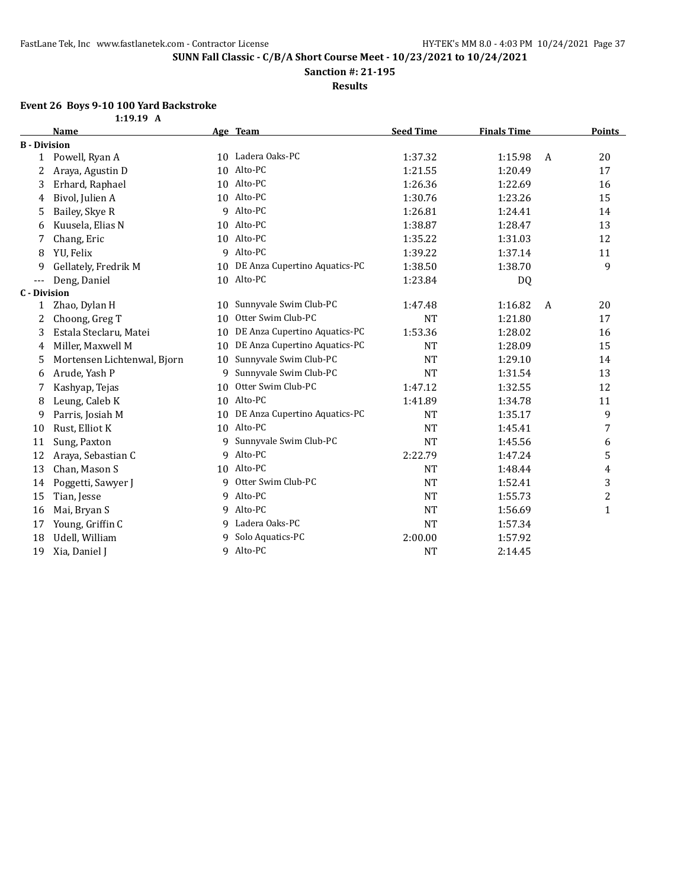**Sanction #: 21-195**

**Results**

#### **Event 26 Boys 9-10 100 Yard Backstroke**

**1:19.19 A**

|                     | <b>Name</b>                 |    | Age Team                      | <b>Seed Time</b> | <b>Finals Time</b> |   | Points       |
|---------------------|-----------------------------|----|-------------------------------|------------------|--------------------|---|--------------|
| <b>B</b> - Division |                             |    |                               |                  |                    |   |              |
| $\mathbf{1}$        | Powell, Ryan A              |    | 10 Ladera Oaks-PC             | 1:37.32          | 1:15.98            | A | 20           |
| 2                   | Araya, Agustin D            | 10 | Alto-PC                       | 1:21.55          | 1:20.49            |   | 17           |
| 3                   | Erhard, Raphael             | 10 | Alto-PC                       | 1:26.36          | 1:22.69            |   | 16           |
| 4                   | Bivol, Julien A             | 10 | Alto-PC                       | 1:30.76          | 1:23.26            |   | 15           |
| 5                   | Bailey, Skye R              | q  | Alto-PC                       | 1:26.81          | 1:24.41            |   | 14           |
| 6                   | Kuusela, Elias N            | 10 | Alto-PC                       | 1:38.87          | 1:28.47            |   | 13           |
| 7                   | Chang, Eric                 | 10 | Alto-PC                       | 1:35.22          | 1:31.03            |   | 12           |
| 8                   | YU, Felix                   | 9  | Alto-PC                       | 1:39.22          | 1:37.14            |   | 11           |
| 9                   | Gellately, Fredrik M        | 10 | DE Anza Cupertino Aquatics-PC | 1:38.50          | 1:38.70            |   | 9            |
| $---$               | Deng, Daniel                |    | 10 Alto-PC                    | 1:23.84          | DQ                 |   |              |
| <b>C</b> - Division |                             |    |                               |                  |                    |   |              |
| 1                   | Zhao, Dylan H               |    | 10 Sunnyvale Swim Club-PC     | 1:47.48          | 1:16.82            | A | 20           |
| 2                   | Choong, Greg T              | 10 | Otter Swim Club-PC            | <b>NT</b>        | 1:21.80            |   | 17           |
| 3                   | Estala Steclaru, Matei      | 10 | DE Anza Cupertino Aquatics-PC | 1:53.36          | 1:28.02            |   | 16           |
| 4                   | Miller, Maxwell M           | 10 | DE Anza Cupertino Aquatics-PC | <b>NT</b>        | 1:28.09            |   | 15           |
| 5                   | Mortensen Lichtenwal, Bjorn | 10 | Sunnyvale Swim Club-PC        | <b>NT</b>        | 1:29.10            |   | 14           |
| 6                   | Arude, Yash P               | 9  | Sunnyvale Swim Club-PC        | <b>NT</b>        | 1:31.54            |   | 13           |
| 7                   | Kashyap, Tejas              | 10 | Otter Swim Club-PC            | 1:47.12          | 1:32.55            |   | 12           |
| 8                   | Leung, Caleb K              | 10 | Alto-PC                       | 1:41.89          | 1:34.78            |   | 11           |
| 9                   | Parris, Josiah M            | 10 | DE Anza Cupertino Aquatics-PC | <b>NT</b>        | 1:35.17            |   | 9            |
| 10                  | Rust, Elliot K              | 10 | Alto-PC                       | <b>NT</b>        | 1:45.41            |   | 7            |
| 11                  | Sung, Paxton                | 9  | Sunnyvale Swim Club-PC        | <b>NT</b>        | 1:45.56            |   | 6            |
| 12                  | Araya, Sebastian C          | 9  | Alto-PC                       | 2:22.79          | 1:47.24            |   | 5            |
| 13                  | Chan, Mason S               | 10 | Alto-PC                       | <b>NT</b>        | 1:48.44            |   | 4            |
| 14                  | Poggetti, Sawyer J          | 9  | Otter Swim Club-PC            | <b>NT</b>        | 1:52.41            |   | 3            |
| 15                  | Tian, Jesse                 | 9  | Alto-PC                       | <b>NT</b>        | 1:55.73            |   | 2            |
| 16                  | Mai, Bryan S                | 9  | Alto-PC                       | <b>NT</b>        | 1:56.69            |   | $\mathbf{1}$ |
| 17                  | Young, Griffin C            | q  | Ladera Oaks-PC                | <b>NT</b>        | 1:57.34            |   |              |
| 18                  | Udell, William              | 9  | Solo Aquatics-PC              | 2:00.00          | 1:57.92            |   |              |
| 19                  | Xia, Daniel J               | 9  | Alto-PC                       | <b>NT</b>        | 2:14.45            |   |              |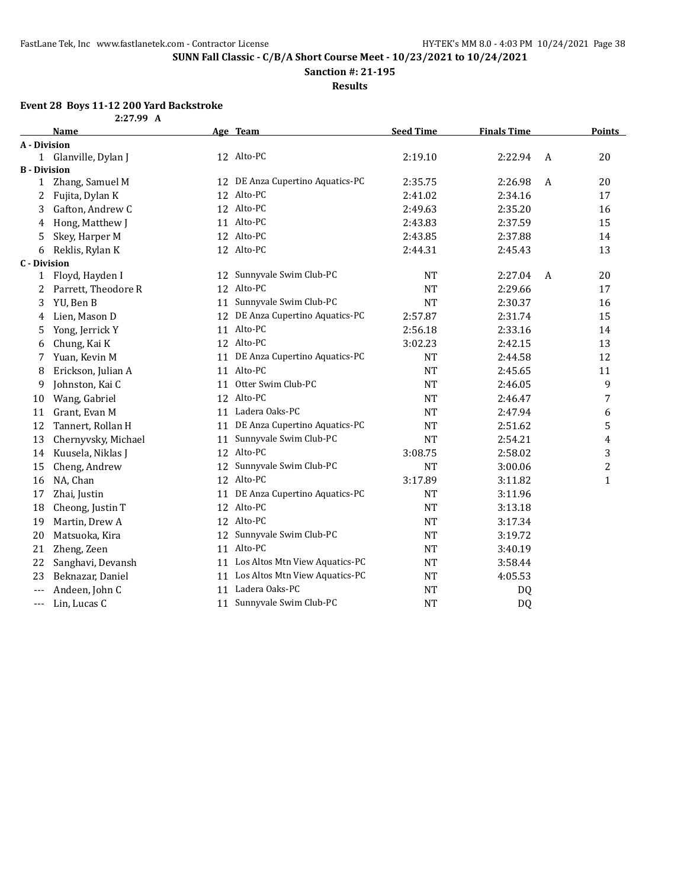**Sanction #: 21-195**

**Results**

### **Event 28 Boys 11-12 200 Yard Backstroke**

| 2:27.99 A |  |
|-----------|--|
|           |  |

|                     | <b>Name</b>          |    | Age Team                          | <b>Seed Time</b> | <b>Finals Time</b> |   | <b>Points</b> |
|---------------------|----------------------|----|-----------------------------------|------------------|--------------------|---|---------------|
| A - Division        |                      |    |                                   |                  |                    |   |               |
|                     | 1 Glanville, Dylan J |    | 12 Alto-PC                        | 2:19.10          | 2:22.94            | A | 20            |
| <b>B</b> - Division |                      |    |                                   |                  |                    |   |               |
| 1                   | Zhang, Samuel M      |    | 12 DE Anza Cupertino Aquatics-PC  | 2:35.75          | 2:26.98            | A | 20            |
| 2                   | Fujita, Dylan K      |    | 12 Alto-PC                        | 2:41.02          | 2:34.16            |   | 17            |
| 3                   | Gafton, Andrew C     |    | 12 Alto-PC                        | 2:49.63          | 2:35.20            |   | 16            |
| 4                   | Hong, Matthew J      |    | 11 Alto-PC                        | 2:43.83          | 2:37.59            |   | 15            |
| 5                   | Skey, Harper M       |    | 12 Alto-PC                        | 2:43.85          | 2:37.88            |   | 14            |
| 6                   | Reklis, Rylan K      |    | 12 Alto-PC                        | 2:44.31          | 2:45.43            |   | 13            |
| <b>C</b> - Division |                      |    |                                   |                  |                    |   |               |
| 1                   | Floyd, Hayden I      |    | 12 Sunnyvale Swim Club-PC         | NT               | 2:27.04            | A | 20            |
| 2                   | Parrett, Theodore R  |    | 12 Alto-PC                        | <b>NT</b>        | 2:29.66            |   | 17            |
| 3                   | YU, Ben B            | 11 | Sunnyvale Swim Club-PC            | <b>NT</b>        | 2:30.37            |   | 16            |
| 4                   | Lien, Mason D        |    | 12 DE Anza Cupertino Aquatics-PC  | 2:57.87          | 2:31.74            |   | 15            |
| 5                   | Yong, Jerrick Y      |    | 11 Alto-PC                        | 2:56.18          | 2:33.16            |   | 14            |
| 6                   | Chung, Kai K         |    | 12 Alto-PC                        | 3:02.23          | 2:42.15            |   | 13            |
| 7                   | Yuan, Kevin M        |    | 11 DE Anza Cupertino Aquatics-PC  | NT               | 2:44.58            |   | 12            |
| 8                   | Erickson, Julian A   |    | 11 Alto-PC                        | <b>NT</b>        | 2:45.65            |   | 11            |
| 9                   | Johnston, Kai C      |    | 11 Otter Swim Club-PC             | <b>NT</b>        | 2:46.05            |   | 9             |
| 10                  | Wang, Gabriel        |    | 12 Alto-PC                        | NT               | 2:46.47            |   | 7             |
| 11                  | Grant, Evan M        |    | 11 Ladera Oaks-PC                 | <b>NT</b>        | 2:47.94            |   | 6             |
| 12                  | Tannert, Rollan H    |    | 11 DE Anza Cupertino Aquatics-PC  | <b>NT</b>        | 2:51.62            |   | 5             |
| 13                  | Chernyvsky, Michael  | 11 | Sunnyvale Swim Club-PC            | <b>NT</b>        | 2:54.21            |   | 4             |
| 14                  | Kuusela, Niklas J    |    | 12 Alto-PC                        | 3:08.75          | 2:58.02            |   | 3             |
| 15                  | Cheng, Andrew        |    | 12 Sunnyvale Swim Club-PC         | <b>NT</b>        | 3:00.06            |   | 2             |
| 16                  | NA, Chan             |    | 12 Alto-PC                        | 3:17.89          | 3:11.82            |   | 1             |
| 17                  | Zhai, Justin         | 11 | DE Anza Cupertino Aquatics-PC     | <b>NT</b>        | 3:11.96            |   |               |
| 18                  | Cheong, Justin T     |    | 12 Alto-PC                        | <b>NT</b>        | 3:13.18            |   |               |
| 19                  | Martin, Drew A       |    | 12 Alto-PC                        | <b>NT</b>        | 3:17.34            |   |               |
| 20                  | Matsuoka, Kira       |    | 12 Sunnyvale Swim Club-PC         | <b>NT</b>        | 3:19.72            |   |               |
| 21                  | Zheng, Zeen          |    | 11 Alto-PC                        | <b>NT</b>        | 3:40.19            |   |               |
| 22                  | Sanghavi, Devansh    |    | 11 Los Altos Mtn View Aquatics-PC | <b>NT</b>        | 3:58.44            |   |               |
| 23                  | Beknazar, Daniel     |    | 11 Los Altos Mtn View Aquatics-PC | <b>NT</b>        | 4:05.53            |   |               |
| ---                 | Andeen, John C       | 11 | Ladera Oaks-PC                    | <b>NT</b>        | DQ                 |   |               |
| $---$               | Lin, Lucas C         |    | 11 Sunnyvale Swim Club-PC         | <b>NT</b>        | DQ                 |   |               |
|                     |                      |    |                                   |                  |                    |   |               |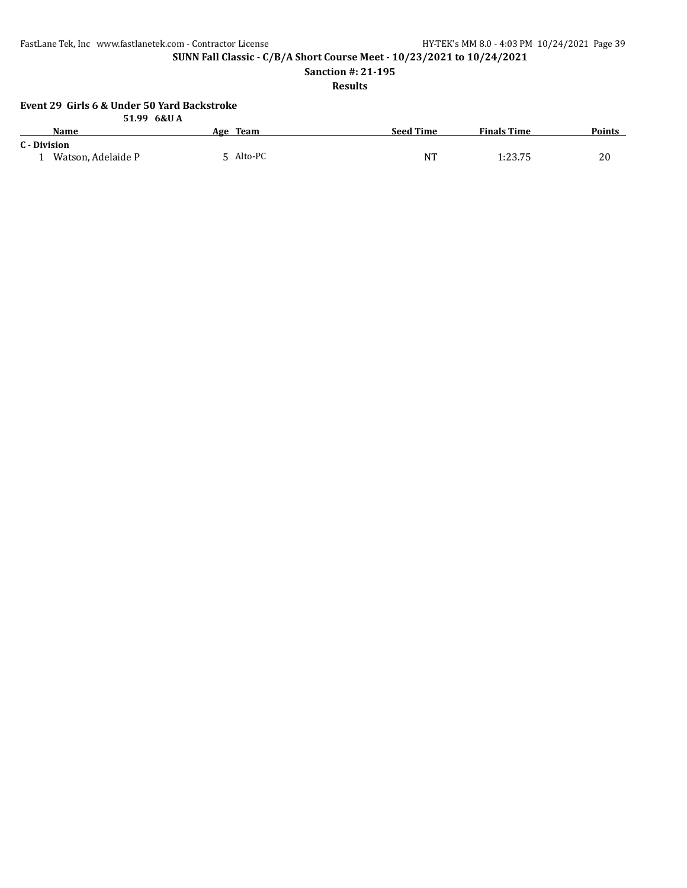**SUNN Fall Classic - C/B/A Short Course Meet - 10/23/2021 to 10/24/2021**

**Sanction #: 21-195**

**Results**

#### **Event 29 Girls 6 & Under 50 Yard Backstroke 51.99 6&U A**

|                    | $31.22 \, \text{0}$ |                  |                    |               |
|--------------------|---------------------|------------------|--------------------|---------------|
| Name               | Age Team            | <b>Seed Time</b> | <b>Finals Time</b> | <b>Points</b> |
| C - Division       |                     |                  |                    |               |
| Watson. Adelaide P | 5 Alto-PC           | NT               | 1:23.75            | 20            |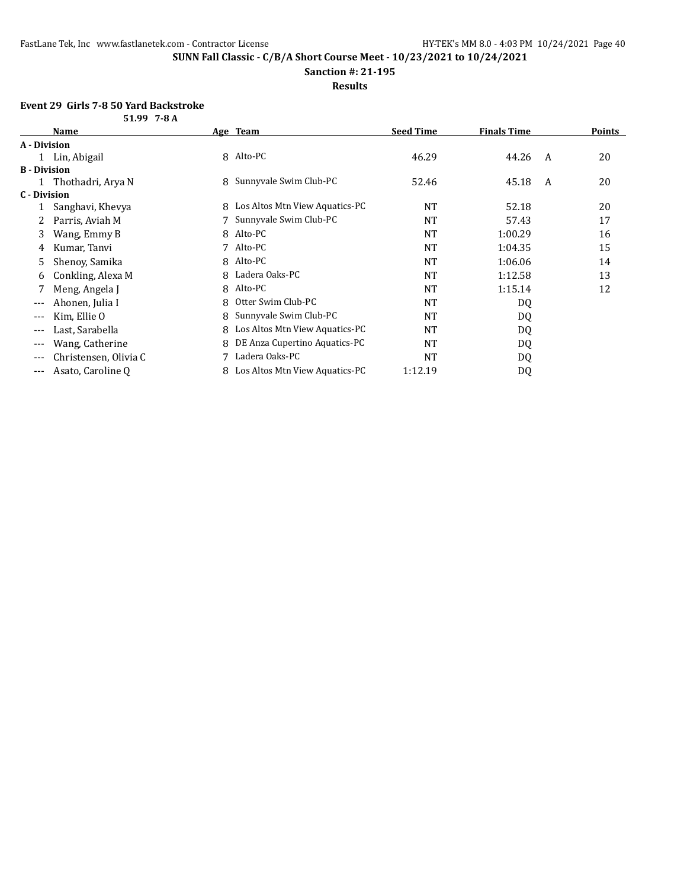**Sanction #: 21-195**

**Results**

#### **Event 29 Girls 7-8 50 Yard Backstroke 51.99 7-8 A**

|                     | ,,, <i>,,</i> ,,,,,   |   |                                |                  |                    |   |               |
|---------------------|-----------------------|---|--------------------------------|------------------|--------------------|---|---------------|
|                     | <b>Name</b>           |   | Age Team                       | <b>Seed Time</b> | <b>Finals Time</b> |   | <b>Points</b> |
| A - Division        |                       |   |                                |                  |                    |   |               |
|                     | 1 Lin, Abigail        |   | 8 Alto-PC                      | 46.29            | 44.26              | A | 20            |
| <b>B</b> - Division |                       |   |                                |                  |                    |   |               |
|                     | 1 Thothadri, Arya N   |   | 8 Sunnyvale Swim Club-PC       | 52.46            | 45.18              | A | 20            |
| C - Division        |                       |   |                                |                  |                    |   |               |
|                     | Sanghavi, Khevya      | 8 | Los Altos Mtn View Aquatics-PC | <b>NT</b>        | 52.18              |   | 20            |
|                     | Parris, Aviah M       |   | Sunnyvale Swim Club-PC         | <b>NT</b>        | 57.43              |   | 17            |
| 3                   | Wang, Emmy B          |   | 8 Alto-PC                      | <b>NT</b>        | 1:00.29            |   | 16            |
| 4                   | Kumar, Tanvi          | 7 | Alto-PC                        | <b>NT</b>        | 1:04.35            |   | 15            |
| 5.                  | Shenoy, Samika        |   | 8 Alto-PC                      | <b>NT</b>        | 1:06.06            |   | 14            |
| 6                   | Conkling, Alexa M     | 8 | Ladera Oaks-PC                 | <b>NT</b>        | 1:12.58            |   | 13            |
|                     | Meng, Angela J        |   | 8 Alto-PC                      | <b>NT</b>        | 1:15.14            |   | 12            |
| ---                 | Ahonen, Julia I       | 8 | Otter Swim Club-PC             | <b>NT</b>        | DQ                 |   |               |
| ---                 | Kim, Ellie O          | 8 | Sunnyvale Swim Club-PC         | <b>NT</b>        | DQ                 |   |               |
| ---                 | Last, Sarabella       | 8 | Los Altos Mtn View Aquatics-PC | <b>NT</b>        | DQ                 |   |               |
| $---$               | Wang, Catherine       | 8 | DE Anza Cupertino Aquatics-PC  | <b>NT</b>        | DQ                 |   |               |
| $---$               | Christensen, Olivia C |   | Ladera Oaks-PC                 | <b>NT</b>        | DQ                 |   |               |
| $- - -$             | Asato, Caroline Q     | 8 | Los Altos Mtn View Aquatics-PC | 1:12.19          | DQ                 |   |               |
|                     |                       |   |                                |                  |                    |   |               |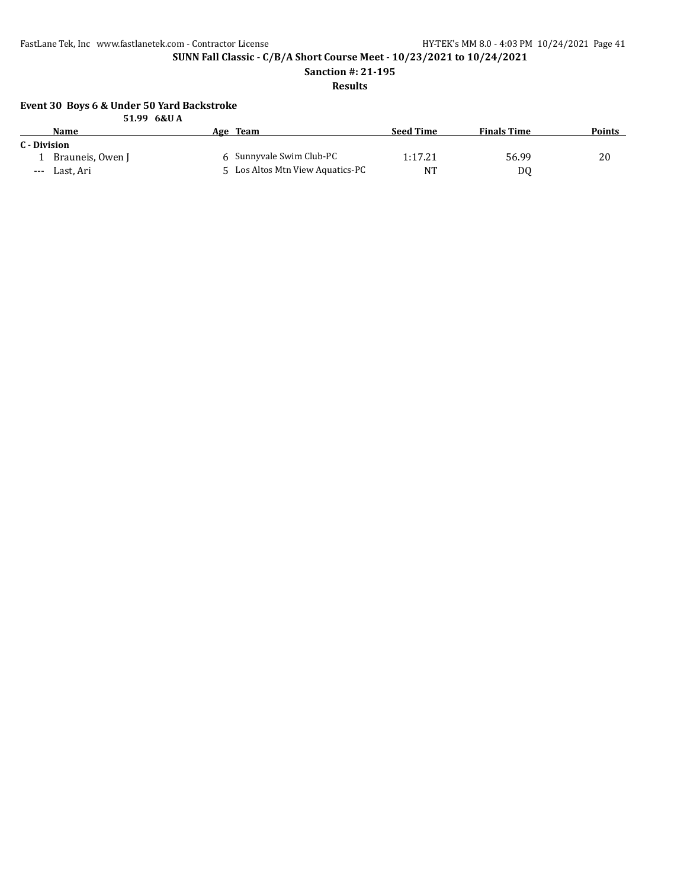**SUNN Fall Classic - C/B/A Short Course Meet - 10/23/2021 to 10/24/2021**

**Sanction #: 21-195**

**Results**

#### **Event 30 Boys 6 & Under 50 Yard Backstroke 51.99 6&U A**

|              |                  | JIJJ UCKU A                      |                  |                    |        |
|--------------|------------------|----------------------------------|------------------|--------------------|--------|
|              | <b>Name</b>      | Age Team                         | <b>Seed Time</b> | <b>Finals Time</b> | Points |
| C - Division |                  |                                  |                  |                    |        |
|              | Brauneis, Owen J | 6 Sunnyvale Swim Club-PC         | 1:17.21          | 56.99              | 20     |
| $---$        | Last. Ari        | 5 Los Altos Mtn View Aquatics-PC | NT               | D0                 |        |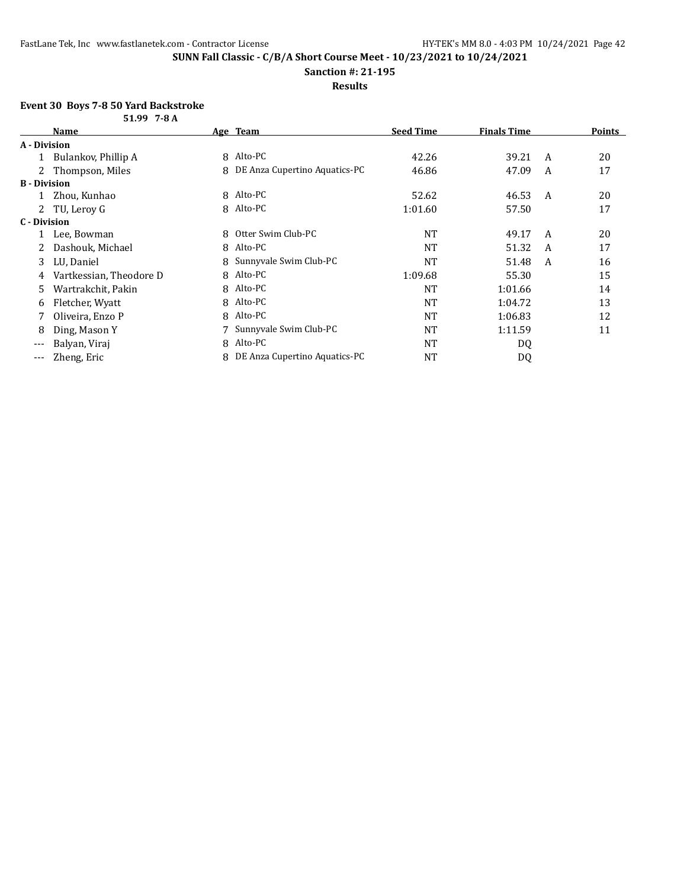**Sanction #: 21-195**

#### **Results**

#### **Event 30 Boys 7-8 50 Yard Backstroke**

|                     | 51.99 7-8 A             |   |                               |                  |                    |   |               |
|---------------------|-------------------------|---|-------------------------------|------------------|--------------------|---|---------------|
|                     | <b>Name</b>             |   | Age Team                      | <b>Seed Time</b> | <b>Finals Time</b> |   | <b>Points</b> |
| A - Division        |                         |   |                               |                  |                    |   |               |
|                     | Bulankov, Phillip A     |   | 8 Alto-PC                     | 42.26            | 39.21              | A | 20            |
| 2                   | Thompson, Miles         | 8 | DE Anza Cupertino Aquatics-PC | 46.86            | 47.09              | A | 17            |
| <b>B</b> - Division |                         |   |                               |                  |                    |   |               |
|                     | Zhou, Kunhao            |   | 8 Alto-PC                     | 52.62            | 46.53              | A | 20            |
|                     | TU, Leroy G             |   | 8 Alto-PC                     | 1:01.60          | 57.50              |   | 17            |
| C - Division        |                         |   |                               |                  |                    |   |               |
|                     | Lee, Bowman             | 8 | Otter Swim Club-PC            | <b>NT</b>        | 49.17              | A | 20            |
|                     | Dashouk, Michael        | 8 | Alto-PC                       | <b>NT</b>        | 51.32              | A | 17            |
| 3                   | LU, Daniel              | 8 | Sunnyvale Swim Club-PC        | NT               | 51.48              | A | 16            |
| 4                   | Vartkessian, Theodore D |   | 8 Alto-PC                     | 1:09.68          | 55.30              |   | 15            |
| 5                   | Wartrakchit, Pakin      | 8 | Alto-PC                       | NT               | 1:01.66            |   | 14            |
| 6                   | Fletcher, Wyatt         |   | 8 Alto-PC                     | <b>NT</b>        | 1:04.72            |   | 13            |
|                     | Oliveira, Enzo P        | 8 | Alto-PC                       | NT               | 1:06.83            |   | 12            |
| 8                   | Ding, Mason Y           |   | Sunnyvale Swim Club-PC        | NT               | 1:11.59            |   | 11            |
| $---$               | Balyan, Viraj           | 8 | Alto-PC                       | <b>NT</b>        | DQ                 |   |               |
| ---                 | Zheng, Eric             | 8 | DE Anza Cupertino Aquatics-PC | <b>NT</b>        | D <sub>0</sub>     |   |               |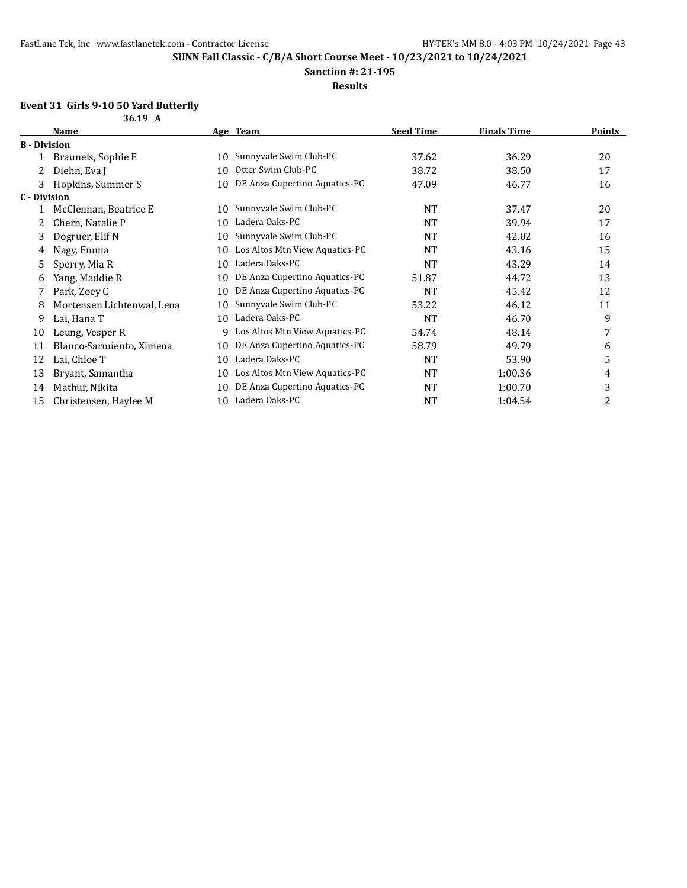**Sanction #: 21-195**

**Results**

### **Event 31 Girls 9-10 50 Yard Butterfly**

|                     | 36.19 A                    |    |                                |                  |                    |               |
|---------------------|----------------------------|----|--------------------------------|------------------|--------------------|---------------|
|                     | Name                       |    | Age Team                       | <b>Seed Time</b> | <b>Finals Time</b> | <b>Points</b> |
| <b>B</b> - Division |                            |    |                                |                  |                    |               |
|                     | Brauneis, Sophie E         | 10 | Sunnyvale Swim Club-PC         | 37.62            | 36.29              | 20            |
| 2                   | Diehn, Eva J               | 10 | Otter Swim Club-PC             | 38.72            | 38.50              | 17            |
| 3                   | Hopkins, Summer S          | 10 | DE Anza Cupertino Aquatics-PC  | 47.09            | 46.77              | 16            |
| <b>C</b> - Division |                            |    |                                |                  |                    |               |
|                     | McClennan, Beatrice E      | 10 | Sunnyvale Swim Club-PC         | <b>NT</b>        | 37.47              | 20            |
| 2                   | Chern, Natalie P           | 10 | Ladera Oaks-PC                 | <b>NT</b>        | 39.94              | 17            |
| 3                   | Dogruer, Elif N            | 10 | Sunnyvale Swim Club-PC         | <b>NT</b>        | 42.02              | 16            |
| 4                   | Nagy, Emma                 | 10 | Los Altos Mtn View Aquatics-PC | NT               | 43.16              | 15            |
| 5                   | Sperry, Mia R              | 10 | Ladera Oaks-PC                 | <b>NT</b>        | 43.29              | 14            |
| 6                   | Yang, Maddie R             | 10 | DE Anza Cupertino Aquatics-PC  | 51.87            | 44.72              | 13            |
|                     | Park, Zoey C               | 10 | DE Anza Cupertino Aquatics-PC  | <b>NT</b>        | 45.42              | 12            |
| 8                   | Mortensen Lichtenwal, Lena | 10 | Sunnyvale Swim Club-PC         | 53.22            | 46.12              | 11            |
| 9                   | Lai, Hana T                | 10 | Ladera Oaks-PC                 | <b>NT</b>        | 46.70              | 9             |
| 10                  | Leung, Vesper R            | 9  | Los Altos Mtn View Aquatics-PC | 54.74            | 48.14              | 7             |
| 11                  | Blanco-Sarmiento, Ximena   | 10 | DE Anza Cupertino Aquatics-PC  | 58.79            | 49.79              | 6             |
| 12                  | Lai, Chloe T               | 10 | Ladera Oaks-PC                 | <b>NT</b>        | 53.90              | 5             |
| 13                  | Bryant, Samantha           | 10 | Los Altos Mtn View Aquatics-PC | <b>NT</b>        | 1:00.36            | 4             |
| 14                  | Mathur, Nikita             | 10 | DE Anza Cupertino Aquatics-PC  | <b>NT</b>        | 1:00.70            | 3             |
| 15                  | Christensen, Haylee M      | 10 | Ladera Oaks-PC                 | NT               | 1:04.54            | 2             |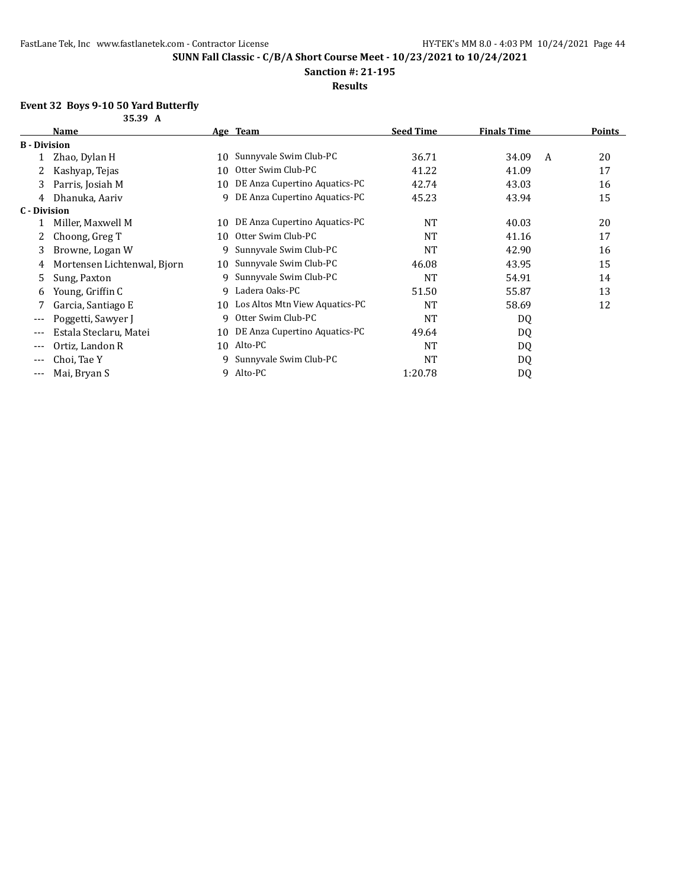**Sanction #: 21-195**

### **Results**

## **Event 32 Boys 9-10 50 Yard Butterfly**

|              | 35.39 A                     |    |                                |                  |                    |   |               |
|--------------|-----------------------------|----|--------------------------------|------------------|--------------------|---|---------------|
|              | Name                        |    | Age Team                       | <b>Seed Time</b> | <b>Finals Time</b> |   | <b>Points</b> |
| B - Division |                             |    |                                |                  |                    |   |               |
|              | Zhao, Dylan H               | 10 | Sunnyvale Swim Club-PC         | 36.71            | 34.09              | A | 20            |
| 2            | Kashyap, Tejas              | 10 | Otter Swim Club-PC             | 41.22            | 41.09              |   | 17            |
| 3            | Parris, Josiah M            | 10 | DE Anza Cupertino Aquatics-PC  | 42.74            | 43.03              |   | 16            |
| 4            | Dhanuka, Aariv              | 9  | DE Anza Cupertino Aquatics-PC  | 45.23            | 43.94              |   | 15            |
| C - Division |                             |    |                                |                  |                    |   |               |
|              | Miller, Maxwell M           | 10 | DE Anza Cupertino Aquatics-PC  | <b>NT</b>        | 40.03              |   | 20            |
| 2            | Choong, Greg T              | 10 | Otter Swim Club-PC             | NT               | 41.16              |   | 17            |
| 3            | Browne, Logan W             | 9  | Sunnyvale Swim Club-PC         | <b>NT</b>        | 42.90              |   | 16            |
| 4            | Mortensen Lichtenwal, Bjorn | 10 | Sunnyvale Swim Club-PC         | 46.08            | 43.95              |   | 15            |
| 5            | Sung, Paxton                | 9  | Sunnyvale Swim Club-PC         | NT               | 54.91              |   | 14            |
| 6            | Young, Griffin C            | 9  | Ladera Oaks-PC                 | 51.50            | 55.87              |   | 13            |
|              | Garcia, Santiago E          | 10 | Los Altos Mtn View Aquatics-PC | <b>NT</b>        | 58.69              |   | 12            |
| $---$        | Poggetti, Sawyer J          | 9  | Otter Swim Club-PC             | NT               | DQ                 |   |               |
| $---$        | Estala Steclaru, Matei      | 10 | DE Anza Cupertino Aquatics-PC  | 49.64            | DQ                 |   |               |
| $---$        | Ortiz, Landon R             | 10 | Alto-PC                        | <b>NT</b>        | DQ                 |   |               |
| ---          | Choi, Tae Y                 | 9  | Sunnyvale Swim Club-PC         | <b>NT</b>        | DQ                 |   |               |
| ---          | Mai, Bryan S                | 9  | Alto-PC                        | 1:20.78          | DQ                 |   |               |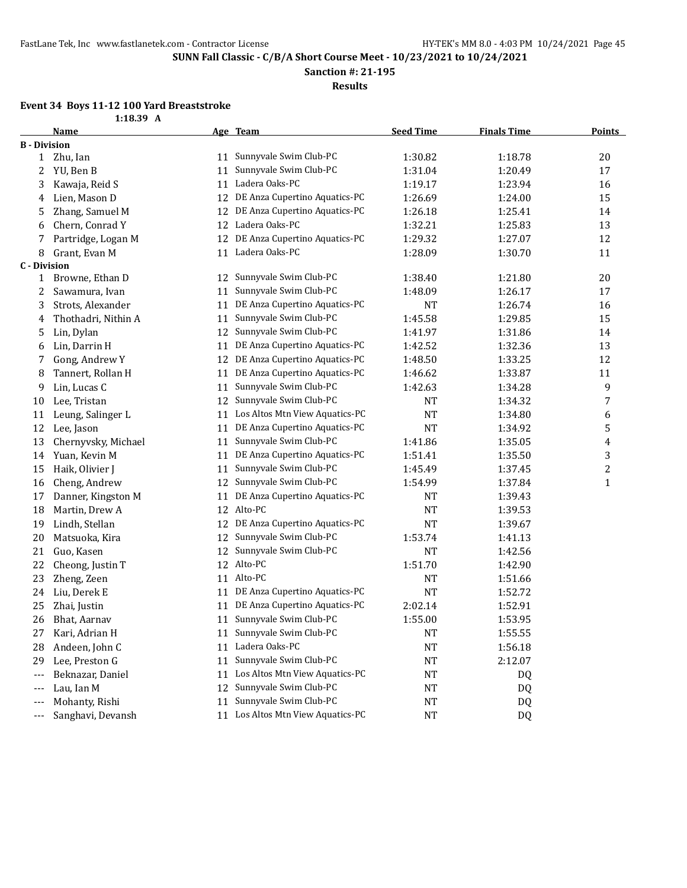**Sanction #: 21-195**

**Results**

## **Event 34 Boys 11-12 100 Yard Breaststroke**

| 73 11 <sup>-</sup> 14 100 1aiu |             |  |
|--------------------------------|-------------|--|
|                                | $1:18.39$ A |  |

|                     | <b>Name</b>         |    | Age Team                          | <b>Seed Time</b> | <b>Finals Time</b> | <b>Points</b>    |
|---------------------|---------------------|----|-----------------------------------|------------------|--------------------|------------------|
| <b>B</b> - Division |                     |    |                                   |                  |                    |                  |
| $\mathbf{1}$        | Zhu, Ian            | 11 | Sunnyvale Swim Club-PC            | 1:30.82          | 1:18.78            | 20               |
| 2                   | YU, Ben B           | 11 | Sunnyvale Swim Club-PC            | 1:31.04          | 1:20.49            | 17               |
| 3                   | Kawaja, Reid S      | 11 | Ladera Oaks-PC                    | 1:19.17          | 1:23.94            | 16               |
| 4                   | Lien, Mason D       | 12 | DE Anza Cupertino Aquatics-PC     | 1:26.69          | 1:24.00            | 15               |
| 5                   | Zhang, Samuel M     | 12 | DE Anza Cupertino Aquatics-PC     | 1:26.18          | 1:25.41            | 14               |
| 6                   | Chern, Conrad Y     | 12 | Ladera Oaks-PC                    | 1:32.21          | 1:25.83            | 13               |
| 7                   | Partridge, Logan M  | 12 | DE Anza Cupertino Aquatics-PC     | 1:29.32          | 1:27.07            | 12               |
| 8                   | Grant, Evan M       | 11 | Ladera Oaks-PC                    | 1:28.09          | 1:30.70            | 11               |
| <b>C</b> - Division |                     |    |                                   |                  |                    |                  |
| $\mathbf{1}$        | Browne, Ethan D     |    | 12 Sunnyvale Swim Club-PC         | 1:38.40          | 1:21.80            | 20               |
| 2                   | Sawamura, Ivan      | 11 | Sunnyvale Swim Club-PC            | 1:48.09          | 1:26.17            | 17               |
| 3                   | Strots, Alexander   | 11 | DE Anza Cupertino Aquatics-PC     | NT               | 1:26.74            | 16               |
| 4                   | Thothadri, Nithin A | 11 | Sunnyvale Swim Club-PC            | 1:45.58          | 1:29.85            | 15               |
| 5                   | Lin, Dylan          | 12 | Sunnyvale Swim Club-PC            | 1:41.97          | 1:31.86            | 14               |
| 6                   | Lin, Darrin H       | 11 | DE Anza Cupertino Aquatics-PC     | 1:42.52          | 1:32.36            | 13               |
| 7                   | Gong, Andrew Y      | 12 | DE Anza Cupertino Aquatics-PC     | 1:48.50          | 1:33.25            | 12               |
| 8                   | Tannert, Rollan H   | 11 | DE Anza Cupertino Aquatics-PC     | 1:46.62          | 1:33.87            | 11               |
| 9                   | Lin, Lucas C        | 11 | Sunnyvale Swim Club-PC            | 1:42.63          | 1:34.28            | 9                |
| 10                  | Lee, Tristan        | 12 | Sunnyvale Swim Club-PC            | NT               | 1:34.32            | 7                |
| 11                  | Leung, Salinger L   | 11 | Los Altos Mtn View Aquatics-PC    | NT               | 1:34.80            | 6                |
| 12                  | Lee, Jason          | 11 | DE Anza Cupertino Aquatics-PC     | NT               | 1:34.92            | 5                |
| 13                  | Chernyvsky, Michael | 11 | Sunnyvale Swim Club-PC            | 1:41.86          | 1:35.05            | 4                |
| 14                  | Yuan, Kevin M       | 11 | DE Anza Cupertino Aquatics-PC     | 1:51.41          | 1:35.50            | 3                |
| 15                  | Haik, Olivier J     | 11 | Sunnyvale Swim Club-PC            | 1:45.49          | 1:37.45            | $\boldsymbol{2}$ |
| 16                  | Cheng, Andrew       | 12 | Sunnyvale Swim Club-PC            | 1:54.99          | 1:37.84            | $\mathbf 1$      |
| 17                  | Danner, Kingston M  | 11 | DE Anza Cupertino Aquatics-PC     | NT               | 1:39.43            |                  |
| 18                  | Martin, Drew A      | 12 | Alto-PC                           | NT               | 1:39.53            |                  |
| 19                  | Lindh, Stellan      | 12 | DE Anza Cupertino Aquatics-PC     | NT               | 1:39.67            |                  |
| 20                  | Matsuoka, Kira      | 12 | Sunnyvale Swim Club-PC            | 1:53.74          | 1:41.13            |                  |
| 21                  | Guo, Kasen          | 12 | Sunnyvale Swim Club-PC            | <b>NT</b>        | 1:42.56            |                  |
| 22                  | Cheong, Justin T    | 12 | Alto-PC                           | 1:51.70          | 1:42.90            |                  |
| 23                  | Zheng, Zeen         | 11 | Alto-PC                           | <b>NT</b>        | 1:51.66            |                  |
| 24                  | Liu, Derek E        | 11 | DE Anza Cupertino Aquatics-PC     | <b>NT</b>        | 1:52.72            |                  |
| 25                  | Zhai, Justin        | 11 | DE Anza Cupertino Aquatics-PC     | 2:02.14          | 1:52.91            |                  |
| 26                  | Bhat, Aarnav        |    | 11 Sunnyvale Swim Club-PC         | 1:55.00          | 1:53.95            |                  |
| 27                  | Kari, Adrian H      |    | 11 Sunnyvale Swim Club-PC         | NT               | 1:55.55            |                  |
| 28                  | Andeen, John C      |    | 11 Ladera Oaks-PC                 | NT               | 1:56.18            |                  |
| 29                  | Lee, Preston G      | 11 | Sunnyvale Swim Club-PC            | NT               | 2:12.07            |                  |
| ---                 | Beknazar, Daniel    | 11 | Los Altos Mtn View Aquatics-PC    | NT               | DQ                 |                  |
| ---                 | Lau, Ian M          | 12 | Sunnyvale Swim Club-PC            | NT               | DQ                 |                  |
| ---                 | Mohanty, Rishi      | 11 | Sunnyvale Swim Club-PC            | NT               | DQ                 |                  |
| ---                 | Sanghavi, Devansh   |    | 11 Los Altos Mtn View Aquatics-PC | NT               | DQ                 |                  |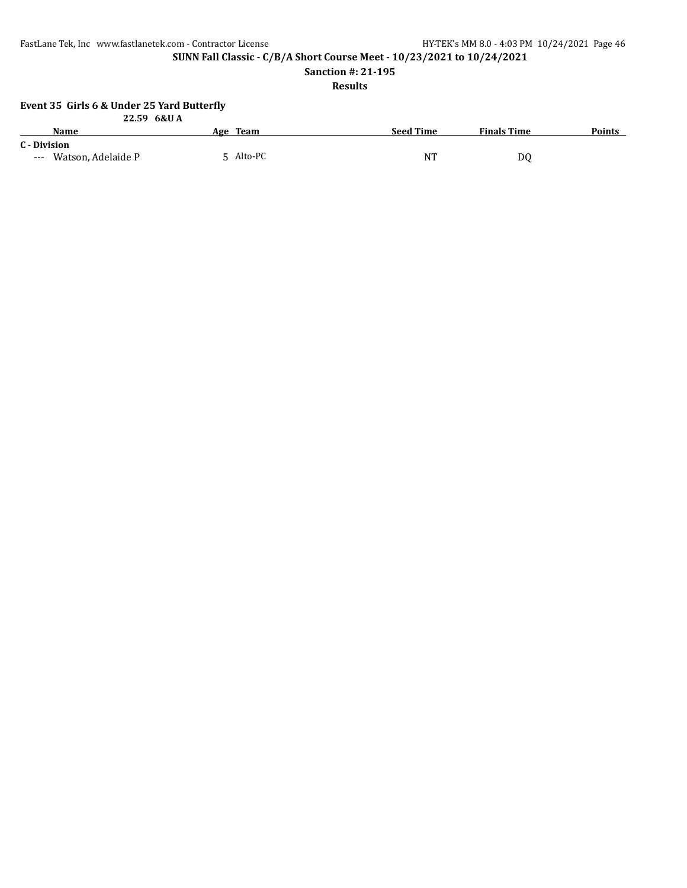**SUNN Fall Classic - C/B/A Short Course Meet - 10/23/2021 to 10/24/2021**

**Sanction #: 21-195**

**Results**

### **Event 35 Girls 6 & Under 25 Yard Butterfly**

|                        | 22.59 6&U A |                  |                    |               |
|------------------------|-------------|------------------|--------------------|---------------|
| <b>Name</b>            | Age Team    | <b>Seed Time</b> | <b>Finals Time</b> | <b>Points</b> |
| C - Division           |             |                  |                    |               |
| --- Watson, Adelaide P | 5 Alto-PC   | NT               | D0                 |               |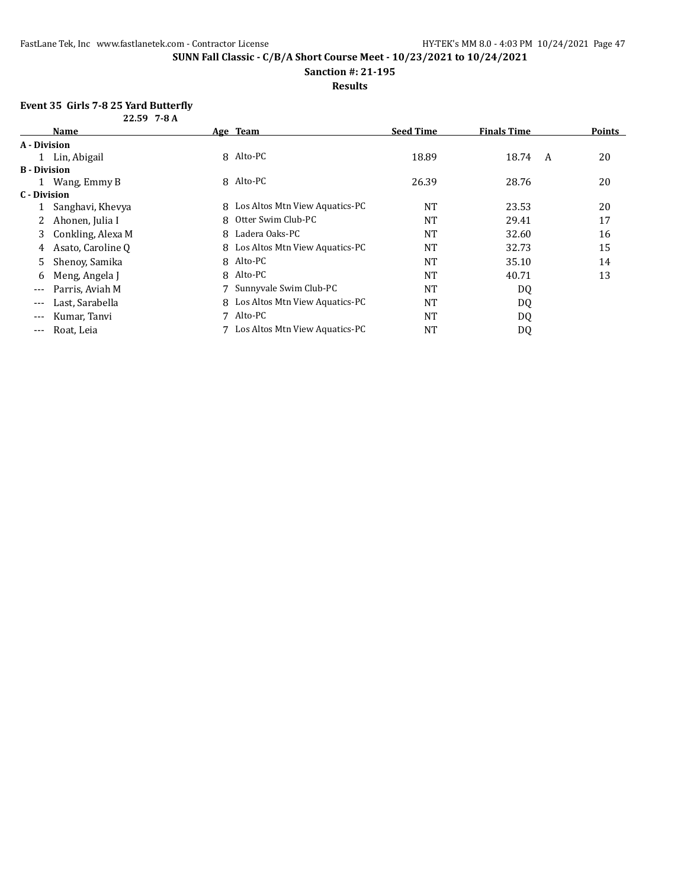#### **Sanction #: 21-195**

#### **Results**

## **Event 35 Girls 7-8 25 Yard Butterfly**

| $22.59$ 7-8 A       |                   |   |                                  |                  |                    |   |               |
|---------------------|-------------------|---|----------------------------------|------------------|--------------------|---|---------------|
|                     | <b>Name</b>       |   | Age Team                         | <b>Seed Time</b> | <b>Finals Time</b> |   | <b>Points</b> |
| A - Division        |                   |   |                                  |                  |                    |   |               |
|                     | 1 Lin, Abigail    |   | 8 Alto-PC                        | 18.89            | 18.74              | A | 20            |
| <b>B</b> - Division |                   |   |                                  |                  |                    |   |               |
|                     | 1 Wang, Emmy B    |   | 8 Alto-PC                        | 26.39            | 28.76              |   | 20            |
| C - Division        |                   |   |                                  |                  |                    |   |               |
|                     | Sanghavi, Khevya  |   | 8 Los Altos Mtn View Aquatics-PC | <b>NT</b>        | 23.53              |   | 20            |
| 2                   | Ahonen, Julia I   | 8 | Otter Swim Club-PC               | <b>NT</b>        | 29.41              |   | 17            |
| 3                   | Conkling, Alexa M | 8 | Ladera Oaks-PC                   | <b>NT</b>        | 32.60              |   | 16            |
| 4                   | Asato, Caroline Q |   | 8 Los Altos Mtn View Aquatics-PC | <b>NT</b>        | 32.73              |   | 15            |
| 5.                  | Shenoy, Samika    |   | 8 Alto-PC                        | <b>NT</b>        | 35.10              |   | 14            |
| 6                   | Meng, Angela J    | 8 | Alto-PC                          | <b>NT</b>        | 40.71              |   | 13            |
| ---                 | Parris, Aviah M   |   | 7 Sunnyvale Swim Club-PC         | <b>NT</b>        | DQ                 |   |               |
| $---$               | Last, Sarabella   |   | 8 Los Altos Mtn View Aquatics-PC | <b>NT</b>        | DQ                 |   |               |
| $--$                | Kumar, Tanvi      |   | 7 Alto-PC                        | <b>NT</b>        | DQ                 |   |               |
| $- - -$             | Roat, Leia        |   | 7 Los Altos Mtn View Aquatics-PC | NT               | DQ                 |   |               |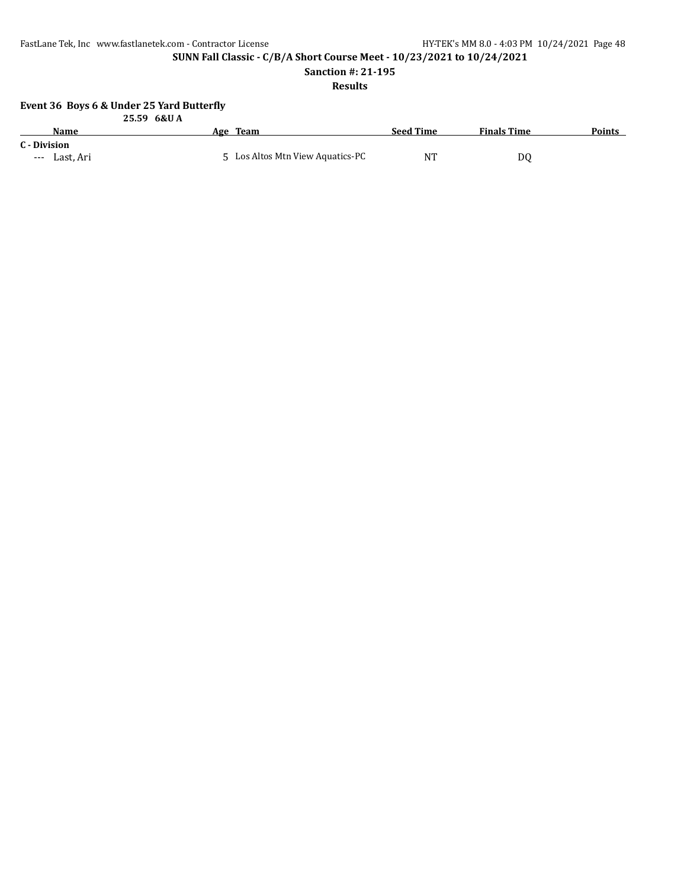**SUNN Fall Classic - C/B/A Short Course Meet - 10/23/2021 to 10/24/2021**

**Sanction #: 21-195**

### **Results**

### **Event 36 Boys 6 & Under 25 Yard Butterfly**

|                               | 25.59 6&UA                       |                  |                    |               |
|-------------------------------|----------------------------------|------------------|--------------------|---------------|
| Name                          | Age Team                         | <b>Seed Time</b> | <b>Finals Time</b> | <b>Points</b> |
| C - Division<br>--- Last, Ari | 5 Los Altos Mtn View Aquatics-PC | <b>NT</b>        | D0                 |               |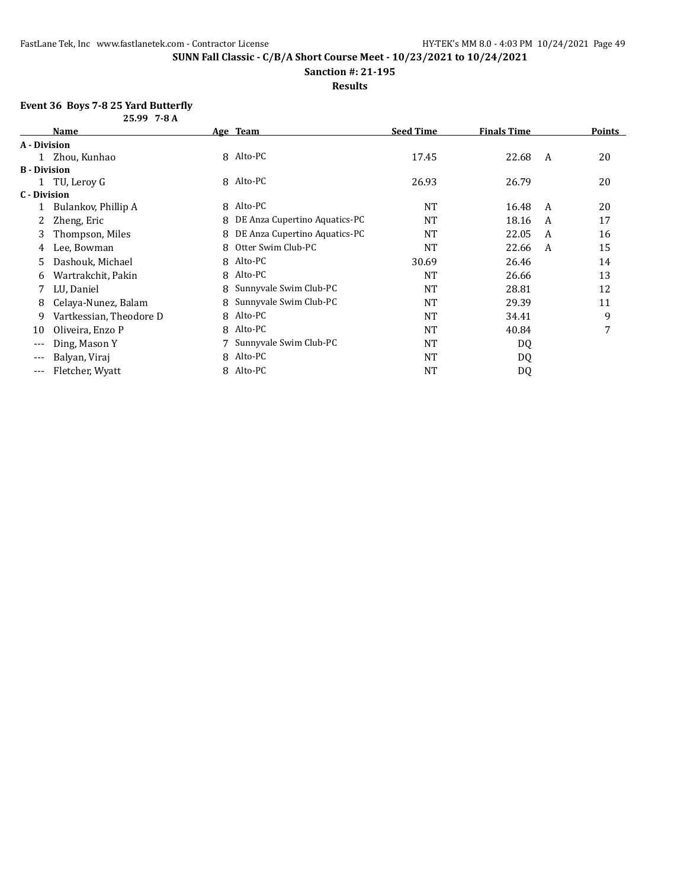#### **Sanction #: 21-195**

#### **Results**

## **Event 36 Boys 7-8 25 Yard Butterfly**

|                     | 25.99 7-8 A             |   |                               |                  |                    |   |               |
|---------------------|-------------------------|---|-------------------------------|------------------|--------------------|---|---------------|
|                     | Name                    |   | Age Team                      | <b>Seed Time</b> | <b>Finals Time</b> |   | <b>Points</b> |
| A - Division        |                         |   |                               |                  |                    |   |               |
|                     | Zhou, Kunhao            | 8 | Alto-PC                       | 17.45            | 22.68              | A | 20            |
| <b>B</b> - Division |                         |   |                               |                  |                    |   |               |
|                     | TU, Leroy G             | 8 | Alto-PC                       | 26.93            | 26.79              |   | 20            |
| C - Division        |                         |   |                               |                  |                    |   |               |
|                     | Bulankov, Phillip A     | 8 | Alto-PC                       | <b>NT</b>        | 16.48              | A | 20            |
|                     | Zheng, Eric             | 8 | DE Anza Cupertino Aquatics-PC | <b>NT</b>        | 18.16              | A | 17            |
| 3                   | Thompson, Miles         |   | DE Anza Cupertino Aquatics-PC | <b>NT</b>        | 22.05              | A | 16            |
| 4                   | Lee, Bowman             | 8 | Otter Swim Club-PC            | <b>NT</b>        | 22.66              | A | 15            |
| 5.                  | Dashouk, Michael        | 8 | Alto-PC                       | 30.69            | 26.46              |   | 14            |
| 6                   | Wartrakchit, Pakin      | 8 | Alto-PC                       | <b>NT</b>        | 26.66              |   | 13            |
|                     | LU, Daniel              |   | Sunnyvale Swim Club-PC        | <b>NT</b>        | 28.81              |   | 12            |
| 8                   | Celaya-Nunez, Balam     |   | Sunnyvale Swim Club-PC        | <b>NT</b>        | 29.39              |   | 11            |
| 9                   | Vartkessian, Theodore D | 8 | Alto-PC                       | <b>NT</b>        | 34.41              |   | 9             |
| 10                  | Oliveira, Enzo P        | 8 | Alto-PC                       | <b>NT</b>        | 40.84              |   | 7             |
| $---$               | Ding, Mason Y           |   | Sunnyvale Swim Club-PC        | <b>NT</b>        | DQ                 |   |               |
| $---$               | Balyan, Viraj           | 8 | Alto-PC                       | NT               | DQ                 |   |               |
| $---$               | Fletcher, Wyatt         | 8 | Alto-PC                       | NT               | DQ                 |   |               |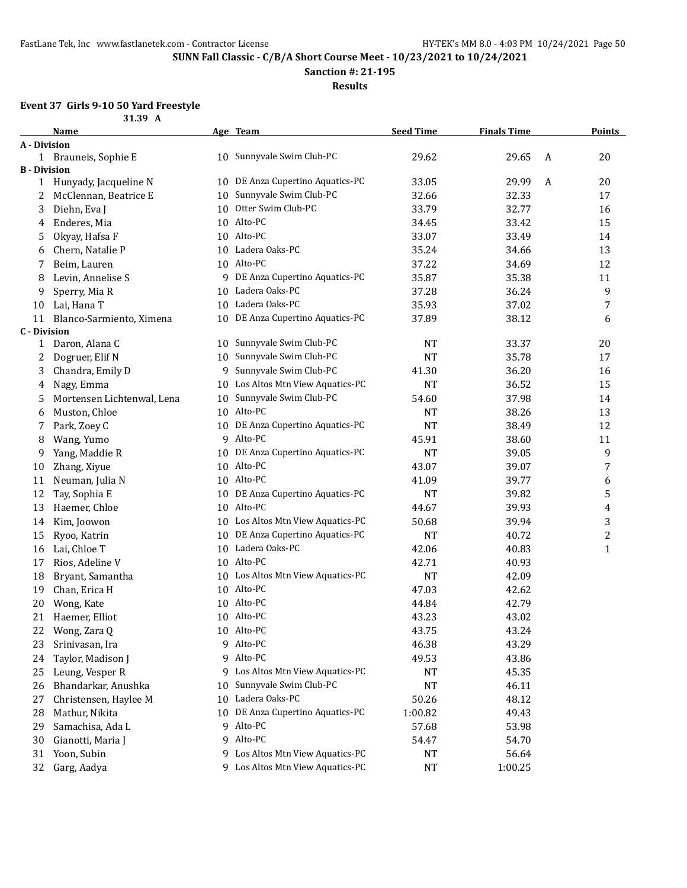**Sanction #: 21-195**

**Results**

## **Event 37 Girls 9-10 50 Yard Freestyle**

|                           | 31.39 A                    |    |                                   |                  |                    |   |               |
|---------------------------|----------------------------|----|-----------------------------------|------------------|--------------------|---|---------------|
|                           | Name                       |    | Age Team                          | <b>Seed Time</b> | <b>Finals Time</b> |   | <b>Points</b> |
| A - Division              |                            |    |                                   |                  |                    |   |               |
|                           | 1 Brauneis, Sophie E       |    | 10 Sunnyvale Swim Club-PC         | 29.62            | 29.65              | A | 20            |
| <b>B</b> - Division       |                            |    |                                   |                  |                    |   |               |
| 1                         | Hunyady, Jacqueline N      |    | 10 DE Anza Cupertino Aquatics-PC  | 33.05            | 29.99              | A | 20            |
| 2                         | McClennan, Beatrice E      | 10 | Sunnyvale Swim Club-PC            | 32.66            | 32.33              |   | 17            |
| 3                         | Diehn, Eva J               | 10 | Otter Swim Club-PC                | 33.79            | 32.77              |   | 16            |
| 4                         | Enderes, Mia               |    | 10 Alto-PC                        | 34.45            | 33.42              |   | 15            |
| 5                         | Okyay, Hafsa F             |    | 10 Alto-PC                        | 33.07            | 33.49              |   | 14            |
| 6                         | Chern, Natalie P           |    | 10 Ladera Oaks-PC                 | 35.24            | 34.66              |   | 13            |
| 7                         | Beim, Lauren               |    | 10 Alto-PC                        | 37.22            | 34.69              |   | 12            |
| 8                         | Levin, Annelise S          |    | 9 DE Anza Cupertino Aquatics-PC   | 35.87            | 35.38              |   | 11            |
| 9                         | Sperry, Mia R              | 10 | Ladera Oaks-PC                    | 37.28            | 36.24              |   | 9             |
| 10                        | Lai, Hana T                |    | 10 Ladera Oaks-PC                 | 35.93            | 37.02              |   | 7             |
| 11<br><b>C</b> - Division | Blanco-Sarmiento, Ximena   |    | 10 DE Anza Cupertino Aquatics-PC  | 37.89            | 38.12              |   | 6             |
| $\mathbf{1}$              | Daron, Alana C             |    | 10 Sunnyvale Swim Club-PC         | <b>NT</b>        | 33.37              |   | 20            |
| 2                         | Dogruer, Elif N            | 10 | Sunnyvale Swim Club-PC            | <b>NT</b>        | 35.78              |   | 17            |
| 3                         | Chandra, Emily D           | 9  | Sunnyvale Swim Club-PC            | 41.30            | 36.20              |   | 16            |
| 4                         | Nagy, Emma                 | 10 | Los Altos Mtn View Aquatics-PC    | <b>NT</b>        | 36.52              |   | 15            |
| 5                         | Mortensen Lichtenwal, Lena | 10 | Sunnyvale Swim Club-PC            | 54.60            | 37.98              |   | 14            |
| 6                         | Muston, Chloe              |    | 10 Alto-PC                        | <b>NT</b>        | 38.26              |   | 13            |
| 7                         | Park, Zoey C               |    | 10 DE Anza Cupertino Aquatics-PC  | <b>NT</b>        | 38.49              |   | 12            |
| 8                         | Wang, Yumo                 |    | 9 Alto-PC                         | 45.91            | 38.60              |   | 11            |
| 9                         | Yang, Maddie R             |    | 10 DE Anza Cupertino Aquatics-PC  | <b>NT</b>        | 39.05              |   | 9             |
| 10                        | Zhang, Xiyue               |    | 10 Alto-PC                        | 43.07            | 39.07              |   | 7             |
| 11                        | Neuman, Julia N            |    | 10 Alto-PC                        | 41.09            | 39.77              |   | 6             |
| 12                        | Tay, Sophia E              |    | 10 DE Anza Cupertino Aquatics-PC  | <b>NT</b>        | 39.82              |   | 5             |
| 13                        | Haemer, Chloe              |    | 10 Alto-PC                        | 44.67            | 39.93              |   | 4             |
| 14                        | Kim, Joowon                |    | 10 Los Altos Mtn View Aquatics-PC | 50.68            | 39.94              |   | 3             |
| 15                        | Ryoo, Katrin               |    | 10 DE Anza Cupertino Aquatics-PC  | <b>NT</b>        | 40.72              |   | 2             |
| 16                        | Lai, Chloe T               |    | 10 Ladera Oaks-PC                 | 42.06            | 40.83              |   | 1             |
| 17                        | Rios, Adeline V            |    | 10 Alto-PC                        | 42.71            | 40.93              |   |               |
| 18                        | Bryant, Samantha           |    | 10 Los Altos Mtn View Aquatics-PC | <b>NT</b>        | 42.09              |   |               |
| 19                        | Chan, Erica H              |    | 10 Alto-PC                        | 47.03            | 42.62              |   |               |
| 20                        | Wong, Kate                 |    | 10 Alto-PC                        | 44.84            | 42.79              |   |               |
| 21                        | Haemer, Elliot             |    | 10 Alto-PC                        | 43.23            | 43.02              |   |               |
| 22                        | Wong, Zara Q               |    | 10 Alto-PC                        | 43.75            | 43.24              |   |               |
| 23                        | Srinivasan, Ira            |    | 9 Alto-PC                         | 46.38            | 43.29              |   |               |
| 24                        | Taylor, Madison J          |    | 9 Alto-PC                         | 49.53            | 43.86              |   |               |
| 25                        | Leung, Vesper R            |    | 9 Los Altos Mtn View Aquatics-PC  | NT               | 45.35              |   |               |
| 26                        | Bhandarkar, Anushka        | 10 | Sunnyvale Swim Club-PC            | <b>NT</b>        | 46.11              |   |               |
| 27                        | Christensen, Haylee M      | 10 | Ladera Oaks-PC                    | 50.26            | 48.12              |   |               |
| 28                        | Mathur, Nikita             |    | 10 DE Anza Cupertino Aquatics-PC  | 1:00.82          | 49.43              |   |               |
| 29                        | Samachisa, Ada L           |    | 9 Alto-PC                         | 57.68            | 53.98              |   |               |
| 30                        | Gianotti, Maria J          |    | 9 Alto-PC                         | 54.47            | 54.70              |   |               |
| 31                        | Yoon, Subin                |    | 9 Los Altos Mtn View Aquatics-PC  | <b>NT</b>        | 56.64              |   |               |
| 32                        | Garg, Aadya                |    | 9 Los Altos Mtn View Aquatics-PC  | NT               | 1:00.25            |   |               |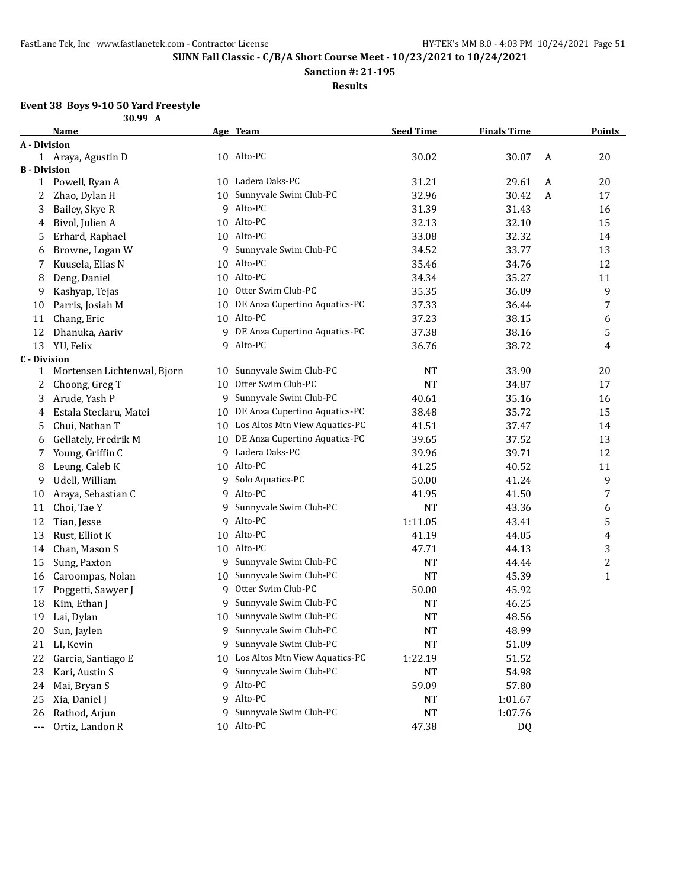**Sanction #: 21-195**

**Results**

## **Event 38 Boys 9-10 50 Yard Freestyle**

|                      | 30.99 A                     |    |                                   |                  |                    |              |                |
|----------------------|-----------------------------|----|-----------------------------------|------------------|--------------------|--------------|----------------|
|                      | Name                        |    | Age Team                          | <b>Seed Time</b> | <b>Finals Time</b> |              | <b>Points</b>  |
| A - Division         |                             |    |                                   |                  |                    |              |                |
|                      | 1 Araya, Agustin D          |    | 10 Alto-PC                        | 30.02            | 30.07              | A            | 20             |
| <b>B</b> - Division  |                             |    |                                   |                  |                    |              |                |
| 1                    | Powell, Ryan A              |    | 10 Ladera Oaks-PC                 | 31.21            | 29.61              | A            | 20             |
| 2                    | Zhao, Dylan H               |    | 10 Sunnyvale Swim Club-PC         | 32.96            | 30.42              | $\mathbf{A}$ | 17             |
| 3                    | Bailey, Skye R              |    | 9 Alto-PC                         | 31.39            | 31.43              |              | 16             |
| 4                    | Bivol, Julien A             | 10 | Alto-PC                           | 32.13            | 32.10              |              | 15             |
| 5                    | Erhard, Raphael             |    | 10 Alto-PC                        | 33.08            | 32.32              |              | 14             |
| 6                    | Browne, Logan W             | 9  | Sunnyvale Swim Club-PC            | 34.52            | 33.77              |              | 13             |
| 7                    | Kuusela, Elias N            | 10 | Alto-PC                           | 35.46            | 34.76              |              | 12             |
| 8                    | Deng, Daniel                | 10 | Alto-PC                           | 34.34            | 35.27              |              | 11             |
| 9                    | Kashyap, Tejas              | 10 | Otter Swim Club-PC                | 35.35            | 36.09              |              | 9              |
| 10                   | Parris, Josiah M            | 10 | DE Anza Cupertino Aquatics-PC     | 37.33            | 36.44              |              | 7              |
| 11                   | Chang, Eric                 | 10 | Alto-PC                           | 37.23            | 38.15              |              | 6              |
| 12                   | Dhanuka, Aariv              | 9  | DE Anza Cupertino Aquatics-PC     | 37.38            | 38.16              |              | 5              |
| 13                   | YU, Felix                   | 9  | Alto-PC                           | 36.76            | 38.72              |              | 4              |
| <b>C</b> - Division  |                             |    |                                   |                  |                    |              |                |
| 1                    | Mortensen Lichtenwal, Bjorn | 10 | Sunnyvale Swim Club-PC            | <b>NT</b>        | 33.90              |              | 20             |
| 2                    | Choong, Greg T              | 10 | Otter Swim Club-PC                | <b>NT</b>        | 34.87              |              | 17             |
| 3                    | Arude, Yash P               | 9  | Sunnyvale Swim Club-PC            | 40.61            | 35.16              |              | 16             |
| 4                    | Estala Steclaru, Matei      | 10 | DE Anza Cupertino Aquatics-PC     | 38.48            | 35.72              |              | 15             |
| 5                    | Chui, Nathan T              | 10 | Los Altos Mtn View Aquatics-PC    | 41.51            | 37.47              |              | 14             |
| 6                    | Gellately, Fredrik M        | 10 | DE Anza Cupertino Aquatics-PC     | 39.65            | 37.52              |              | 13             |
| 7                    | Young, Griffin C            | 9  | Ladera Oaks-PC                    | 39.96            | 39.71              |              | 12             |
| 8                    | Leung, Caleb K              | 10 | Alto-PC                           | 41.25            | 40.52              |              | 11             |
| 9                    | Udell, William              | 9  | Solo Aquatics-PC                  | 50.00            | 41.24              |              | 9              |
| 10                   | Araya, Sebastian C          | 9  | Alto-PC                           | 41.95            | 41.50              |              | 7              |
| 11                   | Choi, Tae Y                 | 9  | Sunnyvale Swim Club-PC            | <b>NT</b>        | 43.36              |              | 6              |
| 12                   | Tian, Jesse                 | 9  | Alto-PC                           | 1:11.05          | 43.41              |              | 5              |
| 13                   | Rust, Elliot K              |    | 10 Alto-PC                        | 41.19            | 44.05              |              | 4              |
| 14                   | Chan, Mason S               |    | 10 Alto-PC                        | 47.71            | 44.13              |              | 3              |
| 15                   | Sung, Paxton                |    | 9 Sunnyvale Swim Club-PC          | <b>NT</b>        | 44.44              |              | $\overline{c}$ |
| 16                   | Caroompas, Nolan            |    | 10 Sunnyvale Swim Club-PC         | <b>NT</b>        | 45.39              |              | $\mathbf{1}$   |
| 17                   | Poggetti, Sawyer J          | 9  | Otter Swim Club-PC                | 50.00            | 45.92              |              |                |
| 18                   | Kim, Ethan J                |    | 9 Sunnyvale Swim Club-PC          | <b>NT</b>        | 46.25              |              |                |
| 19                   | Lai, Dylan                  |    | 10 Sunnyvale Swim Club-PC         | <b>NT</b>        | 48.56              |              |                |
| 20                   | Sun, Jaylen                 | 9  | Sunnyvale Swim Club-PC            | NT               | 48.99              |              |                |
| 21                   | LI, Kevin                   | 9  | Sunnyvale Swim Club-PC            | NT               | 51.09              |              |                |
| 22                   | Garcia, Santiago E          |    | 10 Los Altos Mtn View Aquatics-PC | 1:22.19          | 51.52              |              |                |
| 23                   | Kari, Austin S              | 9  | Sunnyvale Swim Club-PC            | NT               | 54.98              |              |                |
| 24                   | Mai, Bryan S                | 9  | Alto-PC                           | 59.09            | 57.80              |              |                |
| 25                   | Xia, Daniel J               | 9  | Alto-PC                           | NT               | 1:01.67            |              |                |
| 26                   | Rathod, Arjun               | 9  | Sunnyvale Swim Club-PC            | NT               | 1:07.76            |              |                |
| $\scriptstyle\cdots$ | Ortiz, Landon R             | 10 | Alto-PC                           | 47.38            | <b>DQ</b>          |              |                |
|                      |                             |    |                                   |                  |                    |              |                |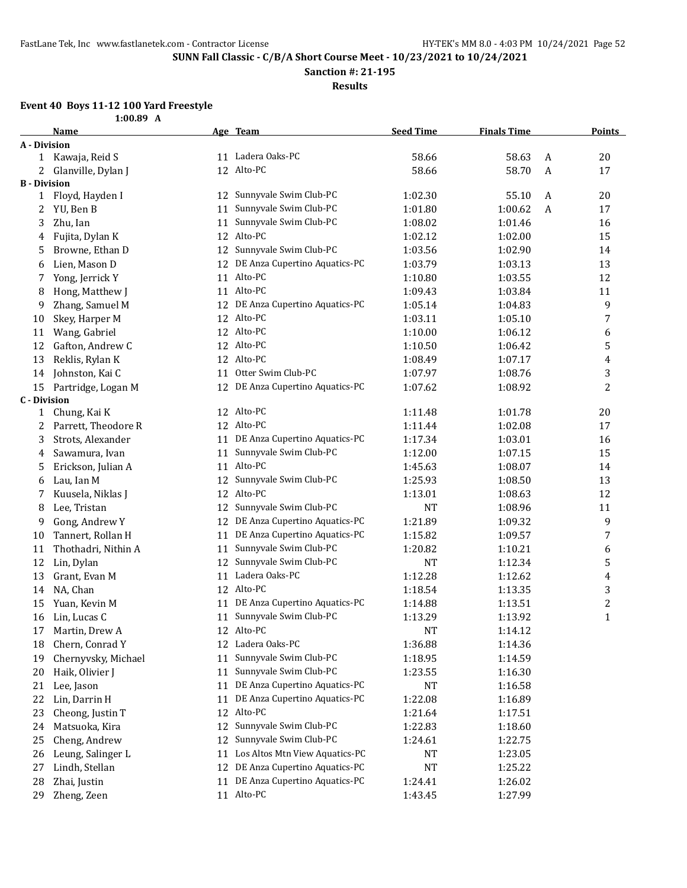**Sanction #: 21-195**

**Results**

### **Event 40 Boys 11-12 100 Yard Freestyle**

|                     | 1:00.89 A           |    |                                  |                  |                    |   |               |
|---------------------|---------------------|----|----------------------------------|------------------|--------------------|---|---------------|
|                     | Name                |    | Age Team                         | <b>Seed Time</b> | <b>Finals Time</b> |   | <b>Points</b> |
| A - Division        |                     |    |                                  |                  |                    |   |               |
|                     | 1 Kawaja, Reid S    |    | 11 Ladera Oaks-PC                | 58.66            | 58.63              | A | 20            |
| 2                   | Glanville, Dylan J  | 12 | Alto-PC                          | 58.66            | 58.70              | A | 17            |
| <b>B</b> - Division |                     |    |                                  |                  |                    |   |               |
| 1                   | Floyd, Hayden I     | 12 | Sunnyvale Swim Club-PC           | 1:02.30          | 55.10              | A | 20            |
| 2                   | YU, Ben B           | 11 | Sunnyvale Swim Club-PC           | 1:01.80          | 1:00.62            | A | 17            |
| 3                   | Zhu, Ian            | 11 | Sunnyvale Swim Club-PC           | 1:08.02          | 1:01.46            |   | 16            |
| 4                   | Fujita, Dylan K     |    | 12 Alto-PC                       | 1:02.12          | 1:02.00            |   | 15            |
| 5                   | Browne, Ethan D     |    | 12 Sunnyvale Swim Club-PC        | 1:03.56          | 1:02.90            |   | 14            |
| 6                   | Lien, Mason D       |    | 12 DE Anza Cupertino Aquatics-PC | 1:03.79          | 1:03.13            |   | 13            |
| 7                   | Yong, Jerrick Y     | 11 | Alto-PC                          | 1:10.80          | 1:03.55            |   | 12            |
| 8                   | Hong, Matthew J     |    | 11 Alto-PC                       | 1:09.43          | 1:03.84            |   | 11            |
| 9                   | Zhang, Samuel M     |    | 12 DE Anza Cupertino Aquatics-PC | 1:05.14          | 1:04.83            |   | 9             |
| 10                  | Skey, Harper M      | 12 | Alto-PC                          | 1:03.11          | 1:05.10            |   | 7             |
| 11                  | Wang, Gabriel       |    | 12 Alto-PC                       | 1:10.00          | 1:06.12            |   | 6             |
| 12                  | Gafton, Andrew C    | 12 | Alto-PC                          | 1:10.50          | 1:06.42            |   | 5             |
| 13                  | Reklis, Rylan K     | 12 | Alto-PC                          | 1:08.49          | 1:07.17            |   | 4             |
| 14                  | Johnston, Kai C     | 11 | Otter Swim Club-PC               | 1:07.97          | 1:08.76            |   | 3             |
| 15                  | Partridge, Logan M  |    | 12 DE Anza Cupertino Aquatics-PC | 1:07.62          | 1:08.92            |   | 2             |
| <b>C</b> - Division |                     |    |                                  |                  |                    |   |               |
| 1                   | Chung, Kai K        |    | 12 Alto-PC                       | 1:11.48          | 1:01.78            |   | 20            |
| 2                   | Parrett, Theodore R |    | 12 Alto-PC                       | 1:11.44          | 1:02.08            |   | 17            |
| 3                   | Strots, Alexander   | 11 | DE Anza Cupertino Aquatics-PC    | 1:17.34          | 1:03.01            |   | 16            |
| 4                   | Sawamura, Ivan      | 11 | Sunnyvale Swim Club-PC           | 1:12.00          | 1:07.15            |   | 15            |
| 5                   | Erickson, Julian A  | 11 | Alto-PC                          | 1:45.63          | 1:08.07            |   | 14            |
| 6                   | Lau, Ian M          | 12 | Sunnyvale Swim Club-PC           | 1:25.93          | 1:08.50            |   | 13            |
| 7                   | Kuusela, Niklas J   | 12 | Alto-PC                          | 1:13.01          | 1:08.63            |   | 12            |
| 8                   | Lee, Tristan        | 12 | Sunnyvale Swim Club-PC           | <b>NT</b>        | 1:08.96            |   | 11            |
| 9                   | Gong, Andrew Y      | 12 | DE Anza Cupertino Aquatics-PC    | 1:21.89          | 1:09.32            |   | 9             |
| 10                  | Tannert, Rollan H   | 11 | DE Anza Cupertino Aquatics-PC    | 1:15.82          | 1:09.57            |   | 7             |
| 11                  | Thothadri, Nithin A | 11 | Sunnyvale Swim Club-PC           | 1:20.82          | 1:10.21            |   | 6             |
| 12                  | Lin, Dylan          | 12 | Sunnyvale Swim Club-PC           | <b>NT</b>        | 1:12.34            |   | 5             |
| 13                  | Grant, Evan M       |    | 11 Ladera Oaks-PC                | 1:12.28          | 1:12.62            |   | 4             |
| 14                  | NA, Chan            |    | 12 Alto-PC                       | 1:18.54          | 1:13.35            |   | 3             |
| 15                  | Yuan, Kevin M       |    | 11 DE Anza Cupertino Aquatics-PC | 1:14.88          | 1:13.51            |   | 2             |
|                     | 16 Lin, Lucas C     |    | 11 Sunnyvale Swim Club-PC        | 1:13.29          | 1:13.92            |   | 1             |
| 17                  | Martin, Drew A      |    | 12 Alto-PC                       | NT               | 1:14.12            |   |               |
| 18                  | Chern, Conrad Y     | 12 | Ladera Oaks-PC                   | 1:36.88          | 1:14.36            |   |               |
| 19                  | Chernyvsky, Michael | 11 | Sunnyvale Swim Club-PC           | 1:18.95          | 1:14.59            |   |               |
| 20                  | Haik, Olivier J     | 11 | Sunnyvale Swim Club-PC           | 1:23.55          | 1:16.30            |   |               |
| 21                  | Lee, Jason          | 11 | DE Anza Cupertino Aquatics-PC    | NT               | 1:16.58            |   |               |
| 22                  | Lin, Darrin H       | 11 | DE Anza Cupertino Aquatics-PC    | 1:22.08          | 1:16.89            |   |               |
| 23                  | Cheong, Justin T    | 12 | Alto-PC                          | 1:21.64          | 1:17.51            |   |               |
| 24                  | Matsuoka, Kira      | 12 | Sunnyvale Swim Club-PC           | 1:22.83          | 1:18.60            |   |               |
| 25                  | Cheng, Andrew       | 12 | Sunnyvale Swim Club-PC           | 1:24.61          | 1:22.75            |   |               |
| 26                  | Leung, Salinger L   | 11 | Los Altos Mtn View Aquatics-PC   | NT               | 1:23.05            |   |               |
| 27                  | Lindh, Stellan      | 12 | DE Anza Cupertino Aquatics-PC    | NT               | 1:25.22            |   |               |
| 28                  | Zhai, Justin        | 11 | DE Anza Cupertino Aquatics-PC    | 1:24.41          | 1:26.02            |   |               |
| 29                  | Zheng, Zeen         |    | 11 Alto-PC                       | 1:43.45          | 1:27.99            |   |               |
|                     |                     |    |                                  |                  |                    |   |               |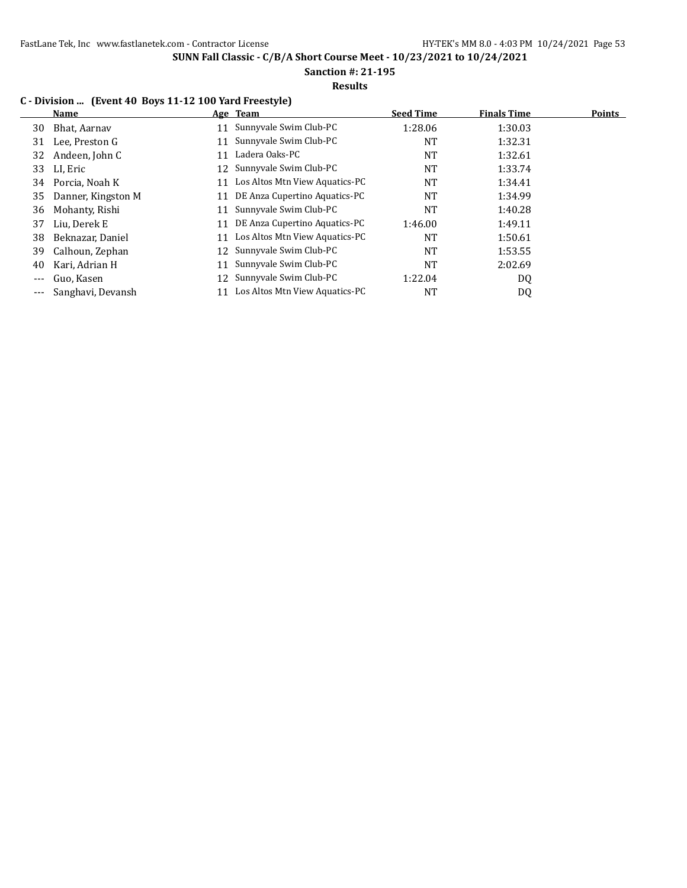# **Sanction #: 21-195**

### **Results**

### **C - Division ... (Event 40 Boys 11-12 100 Yard Freestyle)**

|    | Name               |     | Age Team                       | <b>Seed Time</b> | <b>Finals Time</b> | <b>Points</b> |
|----|--------------------|-----|--------------------------------|------------------|--------------------|---------------|
| 30 | Bhat, Aarnav       | 11  | Sunnyvale Swim Club-PC         | 1:28.06          | 1:30.03            |               |
| 31 | Lee, Preston G     | 11  | Sunnyvale Swim Club-PC         | <b>NT</b>        | 1:32.31            |               |
| 32 | Andeen, John C     | 11  | Ladera Oaks-PC                 | NT               | 1:32.61            |               |
| 33 | LI, Eric           |     | 12 Sunnyvale Swim Club-PC      | <b>NT</b>        | 1:33.74            |               |
| 34 | Porcia, Noah K     | 11  | Los Altos Mtn View Aquatics-PC | <b>NT</b>        | 1:34.41            |               |
| 35 | Danner, Kingston M | 11  | DE Anza Cupertino Aquatics-PC  | <b>NT</b>        | 1:34.99            |               |
| 36 | Mohanty, Rishi     | 11  | Sunnyvale Swim Club-PC         | <b>NT</b>        | 1:40.28            |               |
| 37 | Liu, Derek E       | 11  | DE Anza Cupertino Aquatics-PC  | 1:46.00          | 1:49.11            |               |
| 38 | Beknazar, Daniel   | 11  | Los Altos Mtn View Aquatics-PC | <b>NT</b>        | 1:50.61            |               |
| 39 | Calhoun, Zephan    | 12. | Sunnyvale Swim Club-PC         | <b>NT</b>        | 1:53.55            |               |
| 40 | Kari, Adrian H     | 11  | Sunnyvale Swim Club-PC         | <b>NT</b>        | 2:02.69            |               |
|    | Guo, Kasen         |     | 12 Sunnyvale Swim Club-PC      | 1:22.04          | DQ                 |               |
|    | Sanghavi, Devansh  | 11  | Los Altos Mtn View Aquatics-PC | NT               | DQ                 |               |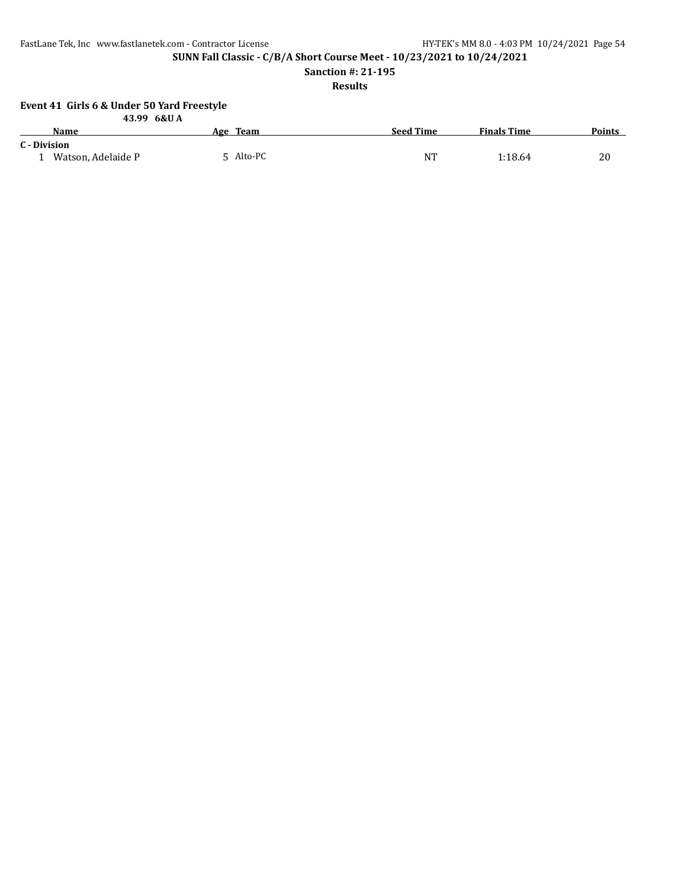**SUNN Fall Classic - C/B/A Short Course Meet - 10/23/2021 to 10/24/2021**

**Sanction #: 21-195**

**Results**

#### **Event 41 Girls 6 & Under 50 Yard Freestyle**

|                    | 43.99 6&U A |                  |                    |               |
|--------------------|-------------|------------------|--------------------|---------------|
| <b>Name</b>        | Age Team    | <b>Seed Time</b> | <b>Finals Time</b> | <b>Points</b> |
| C - Division       |             |                  |                    |               |
| Watson, Adelaide P | 5 Alto-PC   | <b>NT</b>        | 1:18.64            | 20            |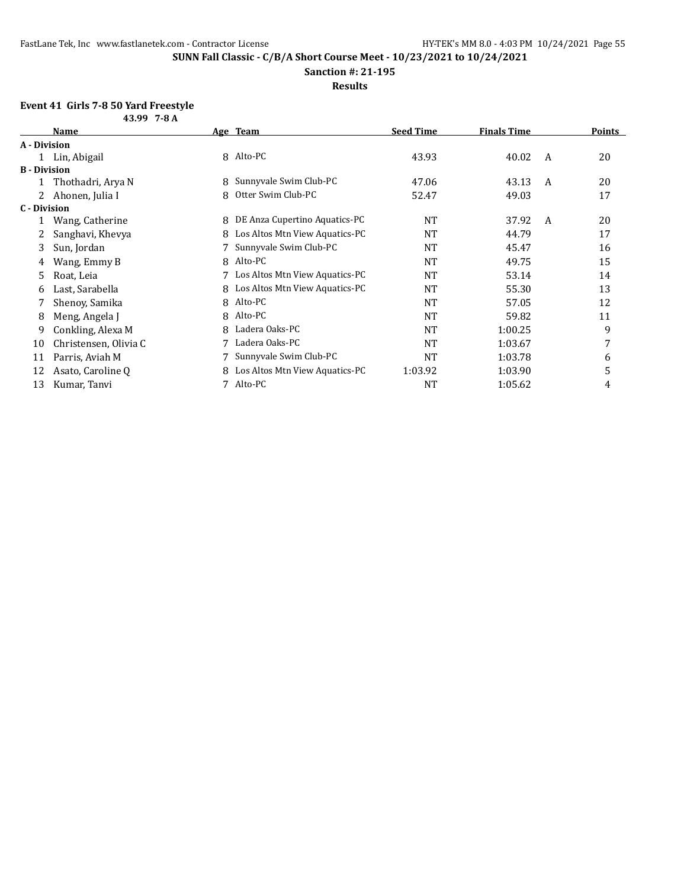**Sanction #: 21-195**

**Results**

#### **Event 41 Girls 7-8 50 Yard Freestyle 43.99 7-8 A**

|                     | , , ,                 |   |                                |                  |                    |   |               |
|---------------------|-----------------------|---|--------------------------------|------------------|--------------------|---|---------------|
|                     | Name                  |   | Age Team                       | <b>Seed Time</b> | <b>Finals Time</b> |   | <b>Points</b> |
| A - Division        |                       |   |                                |                  |                    |   |               |
|                     | Lin, Abigail          |   | 8 Alto-PC                      | 43.93            | 40.02              | A | 20            |
| <b>B</b> - Division |                       |   |                                |                  |                    |   |               |
|                     | Thothadri, Arya N     | 8 | Sunnyvale Swim Club-PC         | 47.06            | 43.13              | A | 20            |
|                     | Ahonen, Julia I       | 8 | Otter Swim Club-PC             | 52.47            | 49.03              |   | 17            |
| C - Division        |                       |   |                                |                  |                    |   |               |
|                     | Wang, Catherine       | 8 | DE Anza Cupertino Aquatics-PC  | NT               | 37.92              | A | 20            |
|                     | Sanghavi, Khevya      | 8 | Los Altos Mtn View Aquatics-PC | NT               | 44.79              |   | 17            |
| 3                   | Sun, Jordan           |   | Sunnyvale Swim Club-PC         | NT               | 45.47              |   | 16            |
| 4                   | Wang, Emmy B          | 8 | Alto-PC                        | <b>NT</b>        | 49.75              |   | 15            |
| 5                   | Roat, Leia            |   | Los Altos Mtn View Aquatics-PC | NT               | 53.14              |   | 14            |
| 6                   | Last, Sarabella       | 8 | Los Altos Mtn View Aquatics-PC | NT               | 55.30              |   | 13            |
|                     | Shenoy, Samika        | 8 | Alto-PC                        | NT               | 57.05              |   | 12            |
| 8                   | Meng, Angela J        | 8 | Alto-PC                        | NT               | 59.82              |   | 11            |
| 9                   | Conkling, Alexa M     | 8 | Ladera Oaks-PC                 | <b>NT</b>        | 1:00.25            |   | 9             |
| 10                  | Christensen, Olivia C |   | Ladera Oaks-PC                 | NT               | 1:03.67            |   | 7             |
| 11                  | Parris, Aviah M       |   | Sunnyvale Swim Club-PC         | NT               | 1:03.78            |   | 6             |
| 12                  | Asato, Caroline Q     | 8 | Los Altos Mtn View Aquatics-PC | 1:03.92          | 1:03.90            |   | 5             |
| 13                  | Kumar, Tanvi          | 7 | Alto-PC                        | NT               | 1:05.62            |   | 4             |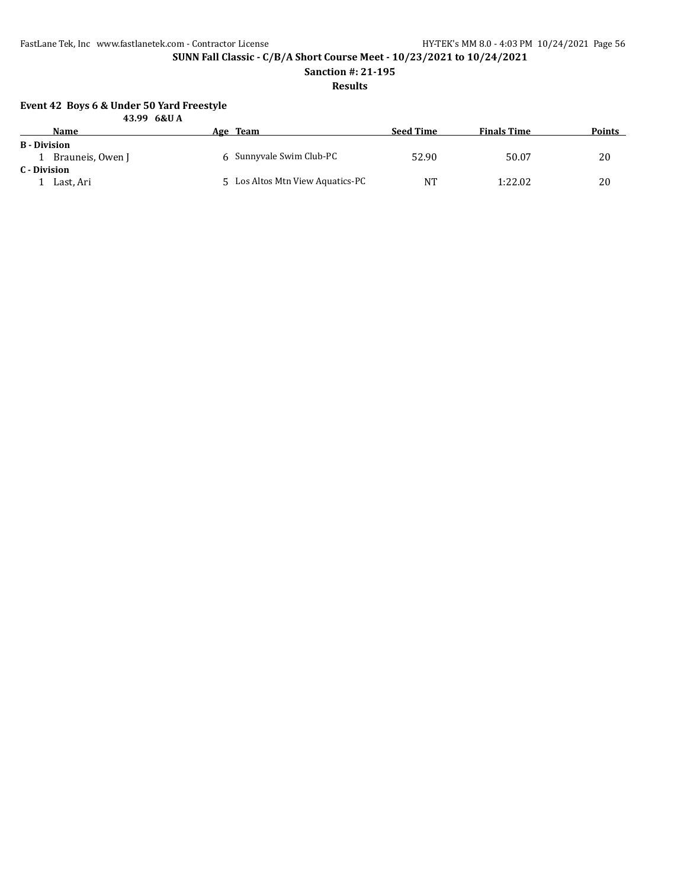**SUNN Fall Classic - C/B/A Short Course Meet - 10/23/2021 to 10/24/2021**

**Sanction #: 21-195**

### **Results**

#### **Event 42 Boys 6 & Under 50 Yard Freestyle**

|                     | 43.99 6&U A      |                                  |                  |                    |               |
|---------------------|------------------|----------------------------------|------------------|--------------------|---------------|
|                     | <b>Name</b>      | Age Team                         | <b>Seed Time</b> | <b>Finals Time</b> | <b>Points</b> |
| <b>B</b> - Division |                  |                                  |                  |                    |               |
|                     | Brauneis, Owen J | 6 Sunnyvale Swim Club-PC         | 52.90            | 50.07              | 20            |
| C - Division        |                  |                                  |                  |                    |               |
|                     | Last, Ari        | 5 Los Altos Mtn View Aquatics-PC | <b>NT</b>        | 1:22.02            | 20            |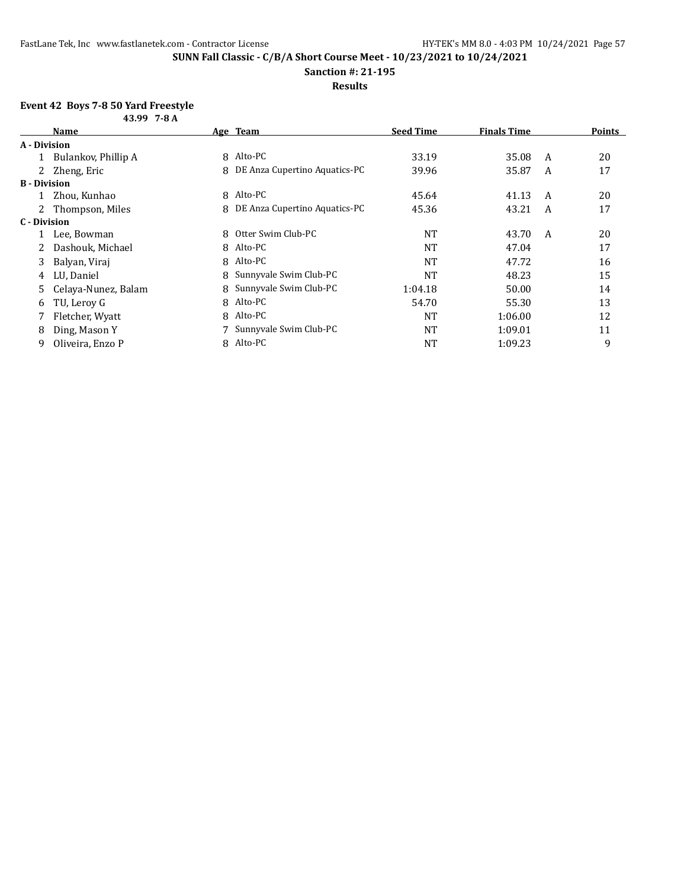**Sanction #: 21-195**

**Results**

### **Event 42 Boys 7-8 50 Yard Freestyle**

| 43.99 7-8 A         |                     |   |                                 |                  |                    |   |               |
|---------------------|---------------------|---|---------------------------------|------------------|--------------------|---|---------------|
|                     | <b>Name</b>         |   | Age Team                        | <b>Seed Time</b> | <b>Finals Time</b> |   | <b>Points</b> |
| A - Division        |                     |   |                                 |                  |                    |   |               |
|                     | Bulankov, Phillip A | 8 | Alto-PC                         | 33.19            | 35.08              | A | 20            |
|                     | 2 Zheng, Eric       | 8 | DE Anza Cupertino Aquatics-PC   | 39.96            | 35.87              | A | 17            |
| <b>B</b> - Division |                     |   |                                 |                  |                    |   |               |
|                     | Zhou, Kunhao        |   | 8 Alto-PC                       | 45.64            | 41.13              | A | 20            |
|                     | 2 Thompson, Miles   |   | 8 DE Anza Cupertino Aquatics-PC | 45.36            | 43.21              | A | 17            |
| C - Division        |                     |   |                                 |                  |                    |   |               |
|                     | Lee, Bowman         | 8 | Otter Swim Club-PC              | <b>NT</b>        | 43.70              | A | 20            |
|                     | Dashouk, Michael    |   | 8 Alto-PC                       | NT               | 47.04              |   | 17            |
| 3                   | Balyan, Viraj       |   | 8 Alto-PC                       | <b>NT</b>        | 47.72              |   | 16            |
| 4                   | LU, Daniel          | 8 | Sunnyvale Swim Club-PC          | NT               | 48.23              |   | 15            |
| 5.                  | Celaya-Nunez, Balam | 8 | Sunnyvale Swim Club-PC          | 1:04.18          | 50.00              |   | 14            |
| 6                   | TU, Leroy G         |   | 8 Alto-PC                       | 54.70            | 55.30              |   | 13            |
|                     | Fletcher, Wyatt     | 8 | Alto-PC                         | <b>NT</b>        | 1:06.00            |   | 12            |
| 8                   | Ding, Mason Y       |   | Sunnyvale Swim Club-PC          | <b>NT</b>        | 1:09.01            |   | 11            |
| 9                   | Oliveira, Enzo P    |   | 8 Alto-PC                       | NT               | 1:09.23            |   | 9             |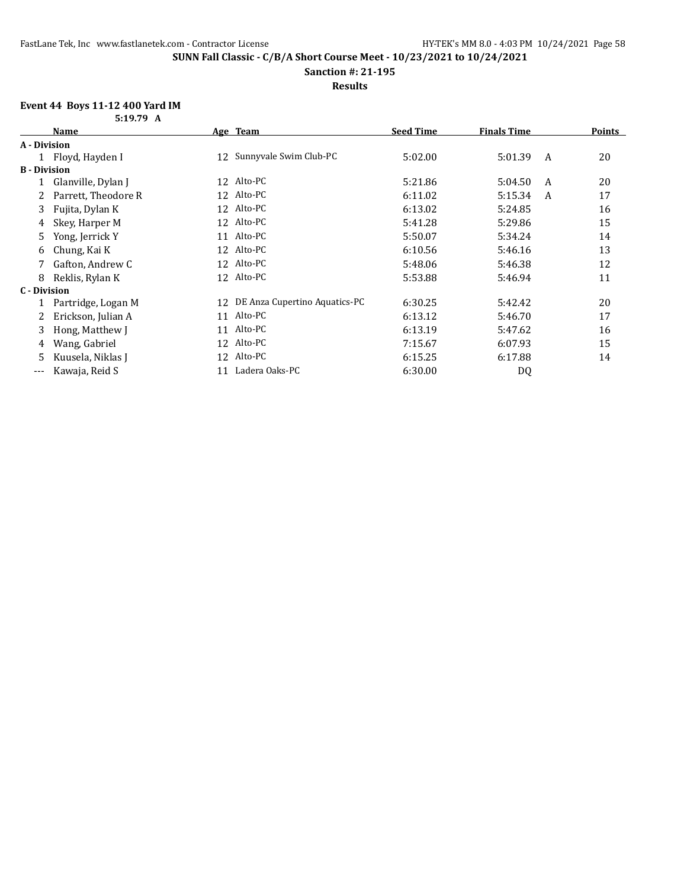**Sanction #: 21-195**

### **Results**

### **Event 44 Boys 11-12 400 Yard IM**

|                     | 5:19.79 A           |    |                                  |                  |                    |   |               |
|---------------------|---------------------|----|----------------------------------|------------------|--------------------|---|---------------|
|                     | <b>Name</b>         |    | Age Team                         | <b>Seed Time</b> | <b>Finals Time</b> |   | <b>Points</b> |
| A - Division        |                     |    |                                  |                  |                    |   |               |
|                     | Floyd, Hayden I     | 12 | Sunnyvale Swim Club-PC           | 5:02.00          | 5:01.39            | A | 20            |
| <b>B</b> - Division |                     |    |                                  |                  |                    |   |               |
|                     | Glanville, Dylan J  |    | 12 Alto-PC                       | 5:21.86          | 5:04.50            | A | 20            |
| 2                   | Parrett, Theodore R |    | 12 Alto-PC                       | 6:11.02          | 5:15.34            | A | 17            |
| 3                   | Fujita, Dylan K     |    | 12 Alto-PC                       | 6:13.02          | 5:24.85            |   | 16            |
| 4                   | Skey, Harper M      |    | 12 Alto-PC                       | 5:41.28          | 5:29.86            |   | 15            |
| 5                   | Yong, Jerrick Y     |    | 11 Alto-PC                       | 5:50.07          | 5:34.24            |   | 14            |
| 6                   | Chung, Kai K        |    | 12 Alto-PC                       | 6:10.56          | 5:46.16            |   | 13            |
|                     | Gafton, Andrew C    |    | 12 Alto-PC                       | 5:48.06          | 5:46.38            |   | 12            |
| 8                   | Reklis, Rylan K     |    | 12 Alto-PC                       | 5:53.88          | 5:46.94            |   | 11            |
| C - Division        |                     |    |                                  |                  |                    |   |               |
|                     | Partridge, Logan M  |    | 12 DE Anza Cupertino Aquatics-PC | 6:30.25          | 5:42.42            |   | 20            |
|                     | Erickson, Julian A  | 11 | Alto-PC                          | 6:13.12          | 5:46.70            |   | 17            |
| 3                   | Hong, Matthew J     | 11 | Alto-PC                          | 6:13.19          | 5:47.62            |   | 16            |
| 4                   | Wang, Gabriel       |    | 12 Alto-PC                       | 7:15.67          | 6:07.93            |   | 15            |
| 5                   | Kuusela, Niklas J   |    | 12 Alto-PC                       | 6:15.25          | 6:17.88            |   | 14            |
| ---                 | Kawaja, Reid S      | 11 | Ladera Oaks-PC                   | 6:30.00          | DQ                 |   |               |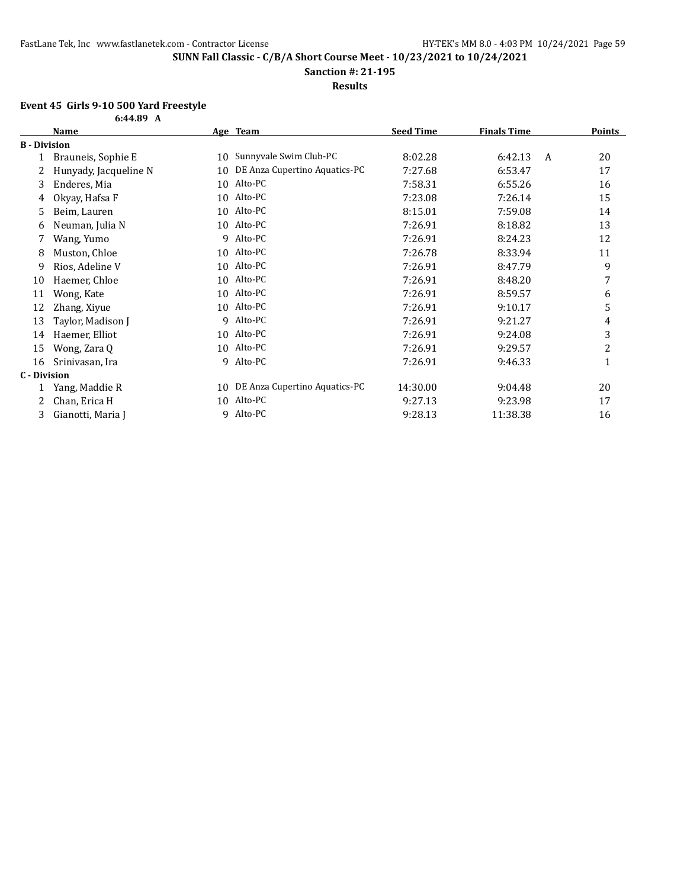**Sanction #: 21-195**

**Results**

#### **Event 45 Girls 9-10 500 Yard Freestyle**

|                     | 6:44.89 A             |    |                               |                  |                    |                |
|---------------------|-----------------------|----|-------------------------------|------------------|--------------------|----------------|
|                     | <b>Name</b>           |    | Age Team                      | <b>Seed Time</b> | <b>Finals Time</b> | <b>Points</b>  |
| <b>B</b> - Division |                       |    |                               |                  |                    |                |
|                     | Brauneis, Sophie E    | 10 | Sunnyvale Swim Club-PC        | 8:02.28          | 6:42.13            | 20<br>A        |
|                     | Hunyady, Jacqueline N | 10 | DE Anza Cupertino Aquatics-PC | 7:27.68          | 6:53.47            | 17             |
| 3                   | Enderes, Mia          | 10 | Alto-PC                       | 7:58.31          | 6:55.26            | 16             |
| 4                   | Okyay, Hafsa F        | 10 | Alto-PC                       | 7:23.08          | 7:26.14            | 15             |
| 5                   | Beim, Lauren          | 10 | Alto-PC                       | 8:15.01          | 7:59.08            | 14             |
| 6                   | Neuman, Julia N       |    | 10 Alto-PC                    | 7:26.91          | 8:18.82            | 13             |
| 7                   | Wang, Yumo            | 9  | Alto-PC                       | 7:26.91          | 8:24.23            | 12             |
| 8                   | Muston, Chloe         |    | 10 Alto-PC                    | 7:26.78          | 8:33.94            | 11             |
| 9                   | Rios, Adeline V       |    | 10 Alto-PC                    | 7:26.91          | 8:47.79            | 9              |
| 10                  | Haemer, Chloe         | 10 | Alto-PC                       | 7:26.91          | 8:48.20            | 7              |
| 11                  | Wong, Kate            | 10 | Alto-PC                       | 7:26.91          | 8:59.57            | 6              |
| 12                  | Zhang, Xiyue          | 10 | Alto-PC                       | 7:26.91          | 9:10.17            | 5              |
| 13                  | Taylor, Madison J     | 9  | Alto-PC                       | 7:26.91          | 9:21.27            | 4              |
| 14                  | Haemer, Elliot        | 10 | Alto-PC                       | 7:26.91          | 9:24.08            | 3              |
| 15                  | Wong, Zara Q          | 10 | Alto-PC                       | 7:26.91          | 9:29.57            | $\overline{c}$ |
| 16                  | Srinivasan, Ira       | 9  | Alto-PC                       | 7:26.91          | 9:46.33            | $\mathbf{1}$   |
| <b>C</b> - Division |                       |    |                               |                  |                    |                |
|                     | Yang, Maddie R        | 10 | DE Anza Cupertino Aquatics-PC | 14:30.00         | 9:04.48            | 20             |
|                     | Chan, Erica H         | 10 | Alto-PC                       | 9:27.13          | 9:23.98            | 17             |
| 3                   | Gianotti, Maria J     | 9  | Alto-PC                       | 9:28.13          | 11:38.38           | 16             |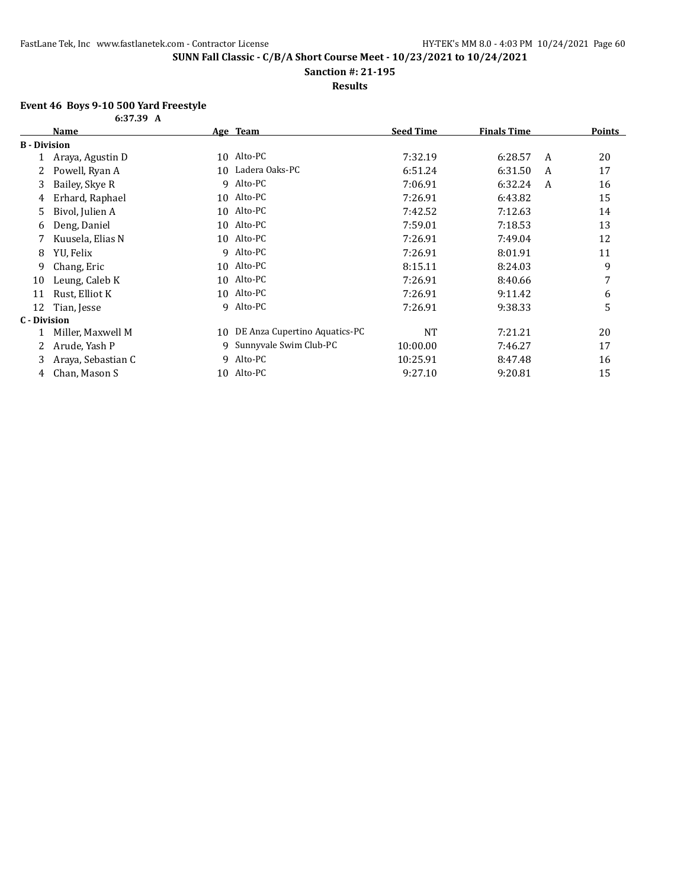**Sanction #: 21-195**

**Results**

#### **Event 46 Boys 9-10 500 Yard Freestyle**

|                     | 6:37.39 A          |    |                               |                  |                    |   |               |
|---------------------|--------------------|----|-------------------------------|------------------|--------------------|---|---------------|
|                     | Name               |    | Age Team                      | <b>Seed Time</b> | <b>Finals Time</b> |   | <b>Points</b> |
| <b>B</b> - Division |                    |    |                               |                  |                    |   |               |
|                     | Araya, Agustin D   | 10 | Alto-PC                       | 7:32.19          | 6:28.57            | A | 20            |
|                     | Powell, Ryan A     | 10 | Ladera Oaks-PC                | 6:51.24          | 6:31.50            | A | 17            |
| 3                   | Bailey, Skye R     | 9  | Alto-PC                       | 7:06.91          | 6:32.24            | A | 16            |
| 4                   | Erhard, Raphael    | 10 | Alto-PC                       | 7:26.91          | 6:43.82            |   | 15            |
| 5                   | Bivol, Julien A    | 10 | Alto-PC                       | 7:42.52          | 7:12.63            |   | 14            |
| 6                   | Deng, Daniel       | 10 | Alto-PC                       | 7:59.01          | 7:18.53            |   | 13            |
|                     | Kuusela, Elias N   |    | 10 Alto-PC                    | 7:26.91          | 7:49.04            |   | 12            |
| 8                   | YU, Felix          | 9  | Alto-PC                       | 7:26.91          | 8:01.91            |   | 11            |
| 9                   | Chang, Eric        | 10 | Alto-PC                       | 8:15.11          | 8:24.03            |   | 9             |
| 10                  | Leung, Caleb K     | 10 | Alto-PC                       | 7:26.91          | 8:40.66            |   | 7             |
| 11                  | Rust, Elliot K     | 10 | Alto-PC                       | 7:26.91          | 9:11.42            |   | 6             |
| 12                  | Tian, Jesse        | q  | Alto-PC                       | 7:26.91          | 9:38.33            |   | 5             |
| C - Division        |                    |    |                               |                  |                    |   |               |
|                     | Miller, Maxwell M  | 10 | DE Anza Cupertino Aquatics-PC | <b>NT</b>        | 7:21.21            |   | 20            |
|                     | Arude, Yash P      | 9  | Sunnyvale Swim Club-PC        | 10:00.00         | 7:46.27            |   | 17            |
| 3                   | Araya, Sebastian C | 9  | Alto-PC                       | 10:25.91         | 8:47.48            |   | 16            |
| 4                   | Chan, Mason S      | 10 | Alto-PC                       | 9:27.10          | 9:20.81            |   | 15            |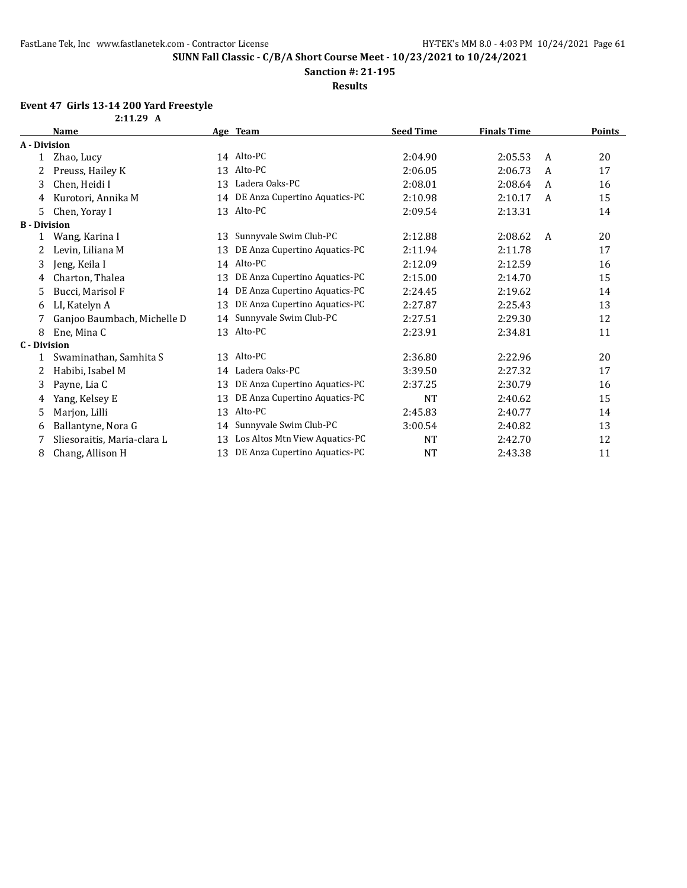**Sanction #: 21-195**

**Results**

### **Event 47 Girls 13-14 200 Yard Freestyle**

|                     | 2:11.29 A                   |    |                                |                  |                    |   |        |
|---------------------|-----------------------------|----|--------------------------------|------------------|--------------------|---|--------|
|                     | Name                        |    | Age Team                       | <b>Seed Time</b> | <b>Finals Time</b> |   | Points |
| A - Division        |                             |    |                                |                  |                    |   |        |
| $\mathbf{1}$        | Zhao, Lucy                  |    | 14 Alto-PC                     | 2:04.90          | 2:05.53            | A | 20     |
| 2                   | Preuss, Hailey K            | 13 | Alto-PC                        | 2:06.05          | 2:06.73            | A | 17     |
| 3                   | Chen, Heidi I               | 13 | Ladera Oaks-PC                 | 2:08.01          | 2:08.64            | A | 16     |
| 4                   | Kurotori, Annika M          | 14 | DE Anza Cupertino Aquatics-PC  | 2:10.98          | 2:10.17            | A | 15     |
| 5.                  | Chen, Yoray I               |    | 13 Alto-PC                     | 2:09.54          | 2:13.31            |   | 14     |
| <b>B</b> - Division |                             |    |                                |                  |                    |   |        |
|                     | Wang, Karina I              | 13 | Sunnyvale Swim Club-PC         | 2:12.88          | 2:08.62            | A | 20     |
|                     | Levin, Liliana M            | 13 | DE Anza Cupertino Aquatics-PC  | 2:11.94          | 2:11.78            |   | 17     |
| 3                   | Jeng, Keila I               |    | 14 Alto-PC                     | 2:12.09          | 2:12.59            |   | 16     |
| 4                   | Charton, Thalea             | 13 | DE Anza Cupertino Aquatics-PC  | 2:15.00          | 2:14.70            |   | 15     |
| 5                   | Bucci, Marisol F            | 14 | DE Anza Cupertino Aquatics-PC  | 2:24.45          | 2:19.62            |   | 14     |
| 6                   | LI, Katelyn A               | 13 | DE Anza Cupertino Aquatics-PC  | 2:27.87          | 2:25.43            |   | 13     |
| 7                   | Ganjoo Baumbach, Michelle D | 14 | Sunnyvale Swim Club-PC         | 2:27.51          | 2:29.30            |   | 12     |
| 8                   | Ene, Mina C                 |    | 13 Alto-PC                     | 2:23.91          | 2:34.81            |   | 11     |
| <b>C</b> - Division |                             |    |                                |                  |                    |   |        |
| 1                   | Swaminathan, Samhita S      |    | 13 Alto-PC                     | 2:36.80          | 2:22.96            |   | 20     |
| 2                   | Habibi, Isabel M            | 14 | Ladera Oaks-PC                 | 3:39.50          | 2:27.32            |   | 17     |
| 3                   | Payne, Lia C                | 13 | DE Anza Cupertino Aquatics-PC  | 2:37.25          | 2:30.79            |   | 16     |
| 4                   | Yang, Kelsey E              | 13 | DE Anza Cupertino Aquatics-PC  | <b>NT</b>        | 2:40.62            |   | 15     |
| 5                   | Marjon, Lilli               | 13 | Alto-PC                        | 2:45.83          | 2:40.77            |   | 14     |
| 6                   | Ballantyne, Nora G          | 14 | Sunnyvale Swim Club-PC         | 3:00.54          | 2:40.82            |   | 13     |
| 7                   | Sliesoraitis, Maria-clara L | 13 | Los Altos Mtn View Aquatics-PC | <b>NT</b>        | 2:42.70            |   | 12     |
| 8                   | Chang, Allison H            | 13 | DE Anza Cupertino Aquatics-PC  | <b>NT</b>        | 2:43.38            |   | 11     |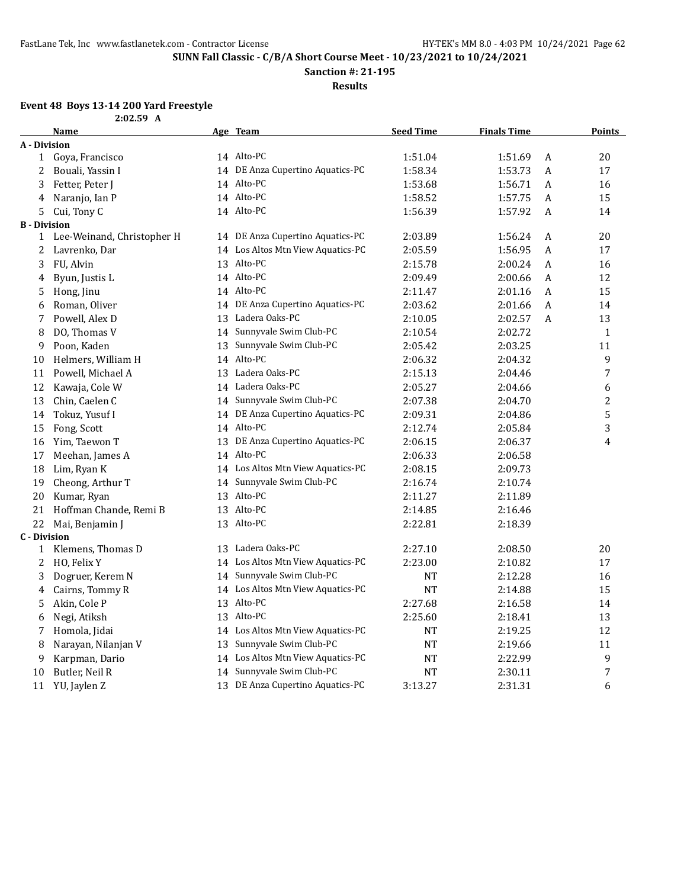**Sanction #: 21-195**

**Results**

## **Event 48 Boys 13-14 200 Yard Freestyle**

| 19-14 ZW 141U 1 |             |  |
|-----------------|-------------|--|
|                 | $2:02.59$ A |  |

|                     | <b>Name</b>                |    | Age Team                          | <b>Seed Time</b> | <b>Finals Time</b> |   | <b>Points</b>    |
|---------------------|----------------------------|----|-----------------------------------|------------------|--------------------|---|------------------|
| A - Division        |                            |    |                                   |                  |                    |   |                  |
| $\mathbf{1}$        | Goya, Francisco            |    | 14 Alto-PC                        | 1:51.04          | 1:51.69            | A | 20               |
| 2                   | Bouali, Yassin I           |    | 14 DE Anza Cupertino Aquatics-PC  | 1:58.34          | 1:53.73            | A | 17               |
| 3                   | Fetter, Peter J            |    | 14 Alto-PC                        | 1:53.68          | 1:56.71            | A | 16               |
| 4                   | Naranjo, Ian P             |    | 14 Alto-PC                        | 1:58.52          | 1:57.75            | A | 15               |
| 5                   | Cui, Tony C                |    | 14 Alto-PC                        | 1:56.39          | 1:57.92            | A | 14               |
| <b>B</b> - Division |                            |    |                                   |                  |                    |   |                  |
| $\mathbf{1}$        | Lee-Weinand, Christopher H |    | 14 DE Anza Cupertino Aquatics-PC  | 2:03.89          | 1:56.24            | A | 20               |
| $\boldsymbol{2}$    | Lavrenko, Dar              |    | 14 Los Altos Mtn View Aquatics-PC | 2:05.59          | 1:56.95            | A | 17               |
| 3                   | FU, Alvin                  |    | 13 Alto-PC                        | 2:15.78          | 2:00.24            | A | 16               |
| 4                   | Byun, Justis L             |    | 14 Alto-PC                        | 2:09.49          | 2:00.66            | A | 12               |
| 5                   | Hong, Jinu                 |    | 14 Alto-PC                        | 2:11.47          | 2:01.16            | A | 15               |
| 6                   | Roman, Oliver              |    | 14 DE Anza Cupertino Aquatics-PC  | 2:03.62          | 2:01.66            | A | 14               |
| 7                   | Powell, Alex D             |    | 13 Ladera Oaks-PC                 | 2:10.05          | 2:02.57            | A | 13               |
| 8                   | DO, Thomas V               |    | 14 Sunnyvale Swim Club-PC         | 2:10.54          | 2:02.72            |   | $\mathbf{1}$     |
| 9                   | Poon, Kaden                | 13 | Sunnyvale Swim Club-PC            | 2:05.42          | 2:03.25            |   | 11               |
| 10                  | Helmers, William H         |    | 14 Alto-PC                        | 2:06.32          | 2:04.32            |   | 9                |
| 11                  | Powell, Michael A          |    | 13 Ladera Oaks-PC                 | 2:15.13          | 2:04.46            |   | $\boldsymbol{7}$ |
| 12                  | Kawaja, Cole W             |    | 14 Ladera Oaks-PC                 | 2:05.27          | 2:04.66            |   | 6                |
| 13                  | Chin, Caelen C             |    | 14 Sunnyvale Swim Club-PC         | 2:07.38          | 2:04.70            |   | $\overline{c}$   |
| 14                  | Tokuz, Yusuf I             |    | 14 DE Anza Cupertino Aquatics-PC  | 2:09.31          | 2:04.86            |   | $\mathsf S$      |
| 15                  | Fong, Scott                |    | 14 Alto-PC                        | 2:12.74          | 2:05.84            |   | 3                |
| 16                  | Yim, Taewon T              |    | 13 DE Anza Cupertino Aquatics-PC  | 2:06.15          | 2:06.37            |   | 4                |
| 17                  | Meehan, James A            |    | 14 Alto-PC                        | 2:06.33          | 2:06.58            |   |                  |
| 18                  | Lim, Ryan K                |    | 14 Los Altos Mtn View Aquatics-PC | 2:08.15          | 2:09.73            |   |                  |
| 19                  | Cheong, Arthur T           | 14 | Sunnyvale Swim Club-PC            | 2:16.74          | 2:10.74            |   |                  |
| 20                  | Kumar, Ryan                |    | 13 Alto-PC                        | 2:11.27          | 2:11.89            |   |                  |
| 21                  | Hoffman Chande, Remi B     |    | 13 Alto-PC                        | 2:14.85          | 2:16.46            |   |                  |
| 22                  | Mai, Benjamin J            |    | 13 Alto-PC                        | 2:22.81          | 2:18.39            |   |                  |
| <b>C</b> - Division |                            |    |                                   |                  |                    |   |                  |
| 1                   | Klemens, Thomas D          |    | 13 Ladera Oaks-PC                 | 2:27.10          | 2:08.50            |   | 20               |
| 2                   | HO, Felix Y                |    | 14 Los Altos Mtn View Aquatics-PC | 2:23.00          | 2:10.82            |   | 17               |
| 3                   | Dogruer, Kerem N           |    | 14 Sunnyvale Swim Club-PC         | NT               | 2:12.28            |   | 16               |
| 4                   | Cairns, Tommy R            |    | 14 Los Altos Mtn View Aquatics-PC | NT               | 2:14.88            |   | 15               |
| 5                   | Akin, Cole P               |    | 13 Alto-PC                        | 2:27.68          | 2:16.58            |   | 14               |
| 6                   | Negi, Atiksh               |    | 13 Alto-PC                        | 2:25.60          | 2:18.41            |   | 13               |
| 7                   | Homola, Jidai              |    | 14 Los Altos Mtn View Aquatics-PC | NT               | 2:19.25            |   | 12               |
| 8                   | Narayan, Nilanjan V        | 13 | Sunnyvale Swim Club-PC            | NT               | 2:19.66            |   | 11               |
| 9                   | Karpman, Dario             |    | 14 Los Altos Mtn View Aquatics-PC | <b>NT</b>        | 2:22.99            |   | 9                |
| 10                  | Butler, Neil R             | 14 | Sunnyvale Swim Club-PC            | NT               | 2:30.11            |   | 7                |
| 11                  | YU, Jaylen Z               |    | 13 DE Anza Cupertino Aquatics-PC  | 3:13.27          | 2:31.31            |   | 6                |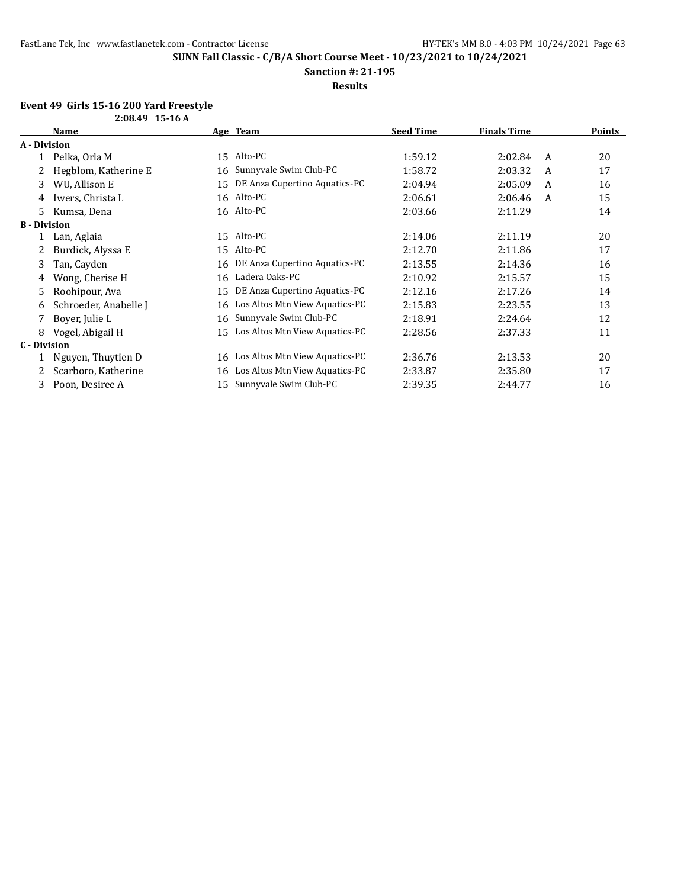**Sanction #: 21-195**

**Results**

#### **Event 49 Girls 15-16 200 Yard Freestyle 2:08.49 15-16 A**

|                     | 4.00.TJ 1J-10 A       |    |                                   |                  |                    |   |               |
|---------------------|-----------------------|----|-----------------------------------|------------------|--------------------|---|---------------|
|                     | <b>Name</b>           |    | Age Team                          | <b>Seed Time</b> | <b>Finals Time</b> |   | <b>Points</b> |
| A - Division        |                       |    |                                   |                  |                    |   |               |
| 1                   | Pelka, Orla M         |    | 15 Alto-PC                        | 1:59.12          | 2:02.84            | A | 20            |
|                     | Hegblom, Katherine E  | 16 | Sunnyvale Swim Club-PC            | 1:58.72          | 2:03.32            | A | 17            |
| 3                   | WU, Allison E         | 15 | DE Anza Cupertino Aquatics-PC     | 2:04.94          | 2:05.09            | A | 16            |
| 4                   | Iwers, Christa L      |    | 16 Alto-PC                        | 2:06.61          | 2:06.46            | A | 15            |
| 5.                  | Kumsa, Dena           |    | 16 Alto-PC                        | 2:03.66          | 2:11.29            |   | 14            |
| <b>B</b> - Division |                       |    |                                   |                  |                    |   |               |
| 1                   | Lan, Aglaia           | 15 | Alto-PC                           | 2:14.06          | 2:11.19            |   | 20            |
|                     | Burdick, Alyssa E     | 15 | Alto-PC                           | 2:12.70          | 2:11.86            |   | 17            |
| 3                   | Tan, Cayden           | 16 | DE Anza Cupertino Aquatics-PC     | 2:13.55          | 2:14.36            |   | 16            |
| 4                   | Wong, Cherise H       | 16 | Ladera Oaks-PC                    | 2:10.92          | 2:15.57            |   | 15            |
| 5.                  | Roohipour, Ava        | 15 | DE Anza Cupertino Aquatics-PC     | 2:12.16          | 2:17.26            |   | 14            |
| 6                   | Schroeder, Anabelle J |    | 16 Los Altos Mtn View Aquatics-PC | 2:15.83          | 2:23.55            |   | 13            |
|                     | Boyer, Julie L        | 16 | Sunnyvale Swim Club-PC            | 2:18.91          | 2:24.64            |   | 12            |
| 8                   | Vogel, Abigail H      | 15 | Los Altos Mtn View Aquatics-PC    | 2:28.56          | 2:37.33            |   | 11            |
| C - Division        |                       |    |                                   |                  |                    |   |               |
|                     | Nguyen, Thuytien D    | 16 | Los Altos Mtn View Aquatics-PC    | 2:36.76          | 2:13.53            |   | 20            |
|                     | Scarboro, Katherine   | 16 | Los Altos Mtn View Aquatics-PC    | 2:33.87          | 2:35.80            |   | 17            |
| 3                   | Poon, Desiree A       | 15 | Sunnyvale Swim Club-PC            | 2:39.35          | 2:44.77            |   | 16            |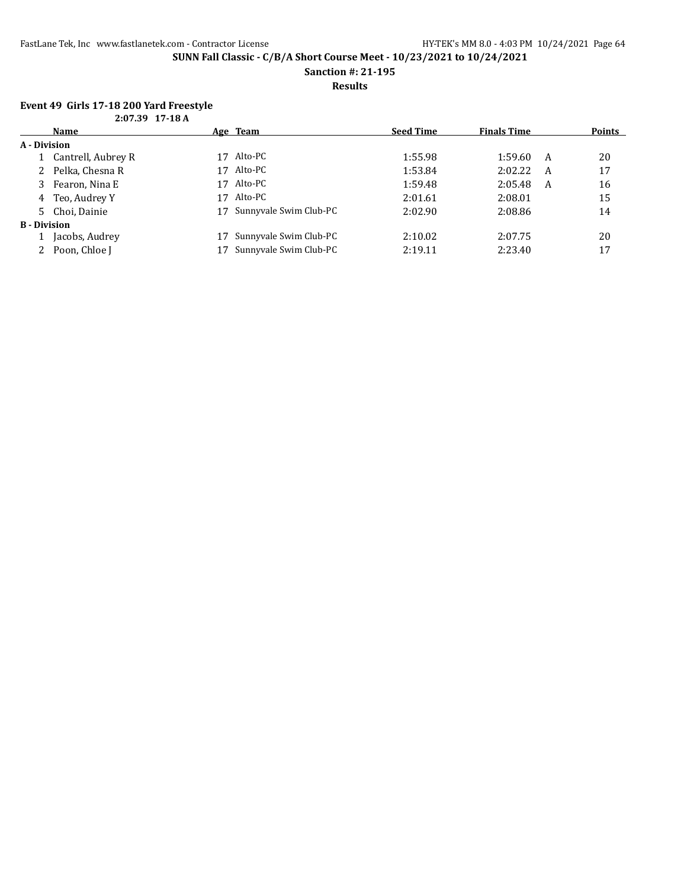**Sanction #: 21-195**

**Results**

#### **Event 49 Girls 17-18 200 Yard Freestyle 2:07.39 17-18 A**

| 2.07.37 17 10 A     |                      |    |                        |                  |                    |   |               |
|---------------------|----------------------|----|------------------------|------------------|--------------------|---|---------------|
|                     | Name                 |    | <u>Age Team</u>        | <b>Seed Time</b> | <b>Finals Time</b> |   | <b>Points</b> |
| A - Division        |                      |    |                        |                  |                    |   |               |
|                     | 1 Cantrell, Aubrey R | 17 | Alto-PC                | 1:55.98          | 1:59.60            | A | 20            |
|                     | 2 Pelka, Chesna R    | 17 | Alto-PC                | 1:53.84          | 2:02.22            | A | 17            |
|                     | 3 Fearon, Nina E     | 17 | Alto-PC                | 1:59.48          | 2:05.48            | A | 16            |
|                     | 4 Teo, Audrey Y      | 17 | Alto-PC                | 2:01.61          | 2:08.01            |   | 15            |
|                     | 5 Choi, Dainie       | 17 | Sunnyvale Swim Club-PC | 2:02.90          | 2:08.86            |   | 14            |
| <b>B</b> - Division |                      |    |                        |                  |                    |   |               |
|                     | Jacobs, Audrey       |    | Sunnyvale Swim Club-PC | 2:10.02          | 2:07.75            |   | 20            |
|                     | 2 Poon, Chloe J      |    | Sunnyvale Swim Club-PC | 2:19.11          | 2:23.40            |   | 17            |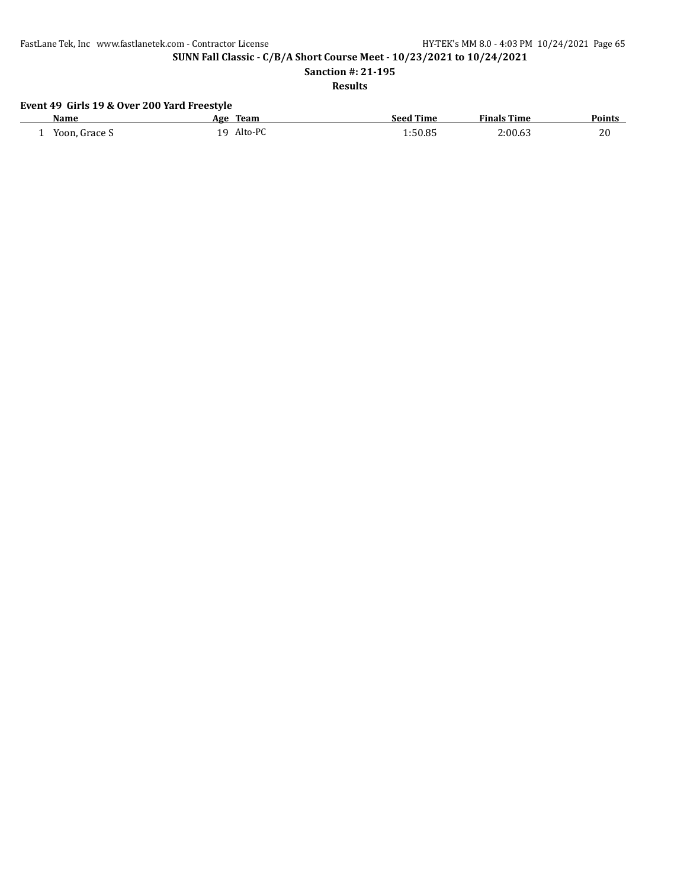**SUNN Fall Classic - C/B/A Short Course Meet - 10/23/2021 to 10/24/2021**

**Sanction #: 21-195**

**Results**

## **Event 49 Girls 19 & Over 200 Yard Freestyle**

| Name          | <b>Team</b><br>Age | <b>Seed Time</b> | <b>Finals Time</b> | <b>Points</b> |
|---------------|--------------------|------------------|--------------------|---------------|
| Yoon, Grace S | Alto-PC<br>1 Q     | 1:50.85          | 2:00.63            | 20            |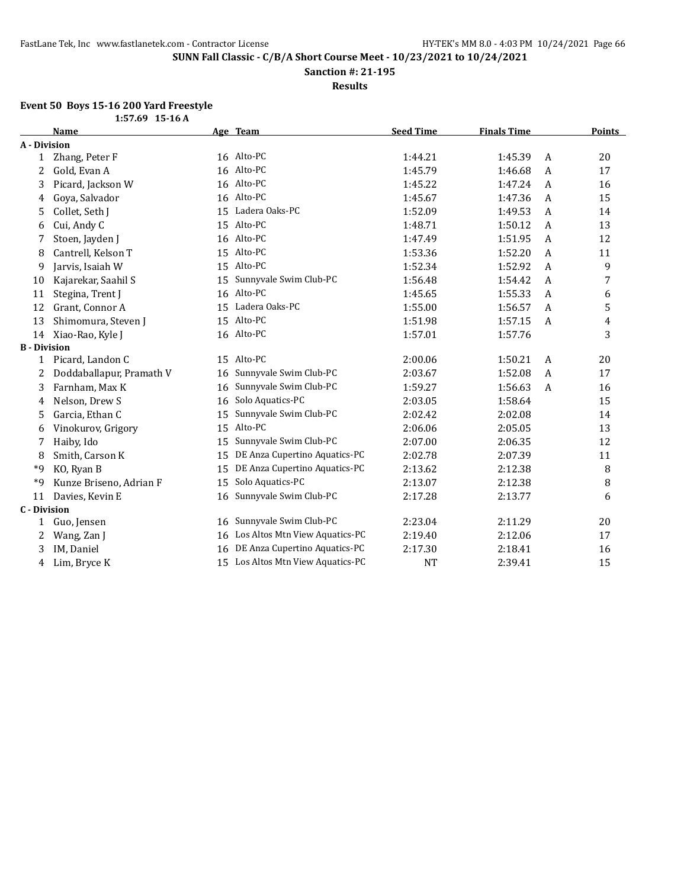**Sanction #: 21-195**

**Results**

#### **Event 50 Boys 15-16 200 Yard Freestyle**

|                     | $1:57.69$ 15-16 A        |    |                                   |                  |                    |   |               |
|---------------------|--------------------------|----|-----------------------------------|------------------|--------------------|---|---------------|
|                     | <b>Name</b>              |    | Age Team                          | <b>Seed Time</b> | <b>Finals Time</b> |   | <b>Points</b> |
| A - Division        |                          |    |                                   |                  |                    |   |               |
| 1                   | Zhang, Peter F           |    | 16 Alto-PC                        | 1:44.21          | 1:45.39            | A | 20            |
| 2                   | Gold, Evan A             |    | 16 Alto-PC                        | 1:45.79          | 1:46.68            | A | 17            |
| 3                   | Picard, Jackson W        |    | 16 Alto-PC                        | 1:45.22          | 1:47.24            | A | 16            |
| 4                   | Goya, Salvador           |    | 16 Alto-PC                        | 1:45.67          | 1:47.36            | A | 15            |
| 5                   | Collet, Seth J           |    | 15 Ladera Oaks-PC                 | 1:52.09          | 1:49.53            | A | 14            |
| 6                   | Cui, Andy C              |    | 15 Alto-PC                        | 1:48.71          | 1:50.12            | A | 13            |
| 7                   | Stoen, Jayden J          |    | 16 Alto-PC                        | 1:47.49          | 1:51.95            | A | 12            |
| 8                   | Cantrell, Kelson T       |    | 15 Alto-PC                        | 1:53.36          | 1:52.20            | A | 11            |
| 9                   | Jarvis, Isaiah W         |    | 15 Alto-PC                        | 1:52.34          | 1:52.92            | A | 9             |
| 10                  | Kajarekar, Saahil S      | 15 | Sunnyvale Swim Club-PC            | 1:56.48          | 1:54.42            | A | 7             |
| 11                  | Stegina, Trent J         |    | 16 Alto-PC                        | 1:45.65          | 1:55.33            | A | 6             |
| 12                  | Grant, Connor A          | 15 | Ladera Oaks-PC                    | 1:55.00          | 1:56.57            | A | 5             |
| 13                  | Shimomura, Steven J      |    | 15 Alto-PC                        | 1:51.98          | 1:57.15            | A | 4             |
| 14                  | Xiao-Rao, Kyle J         |    | 16 Alto-PC                        | 1:57.01          | 1:57.76            |   | 3             |
| <b>B</b> - Division |                          |    |                                   |                  |                    |   |               |
| 1                   | Picard, Landon C         |    | 15 Alto-PC                        | 2:00.06          | 1:50.21            | A | 20            |
| 2                   | Doddaballapur, Pramath V | 16 | Sunnyvale Swim Club-PC            | 2:03.67          | 1:52.08            | A | 17            |
| 3                   | Farnham, Max K           | 16 | Sunnyvale Swim Club-PC            | 1:59.27          | 1:56.63            | A | 16            |
| 4                   | Nelson, Drew S           | 16 | Solo Aquatics-PC                  | 2:03.05          | 1:58.64            |   | 15            |
| 5                   | Garcia, Ethan C          | 15 | Sunnyvale Swim Club-PC            | 2:02.42          | 2:02.08            |   | 14            |
| 6                   | Vinokurov, Grigory       |    | 15 Alto-PC                        | 2:06.06          | 2:05.05            |   | 13            |
| 7                   | Haiby, Ido               | 15 | Sunnyvale Swim Club-PC            | 2:07.00          | 2:06.35            |   | 12            |
| 8                   | Smith, Carson K          | 15 | DE Anza Cupertino Aquatics-PC     | 2:02.78          | 2:07.39            |   | 11            |
| *9                  | KO, Ryan B               | 15 | DE Anza Cupertino Aquatics-PC     | 2:13.62          | 2:12.38            |   | 8             |
| *9                  | Kunze Briseno, Adrian F  | 15 | Solo Aquatics-PC                  | 2:13.07          | 2:12.38            |   | 8             |
| 11                  | Davies, Kevin E          |    | 16 Sunnyvale Swim Club-PC         | 2:17.28          | 2:13.77            |   | 6             |
| <b>C</b> - Division |                          |    |                                   |                  |                    |   |               |
| 1                   | Guo, Jensen              |    | 16 Sunnyvale Swim Club-PC         | 2:23.04          | 2:11.29            |   | 20            |
| 2                   | Wang, Zan J              | 16 | Los Altos Mtn View Aquatics-PC    | 2:19.40          | 2:12.06            |   | 17            |
| 3                   | IM, Daniel               |    | 16 DE Anza Cupertino Aquatics-PC  | 2:17.30          | 2:18.41            |   | 16            |
| 4                   | Lim, Bryce K             |    | 15 Los Altos Mtn View Aquatics-PC | <b>NT</b>        | 2:39.41            |   | 15            |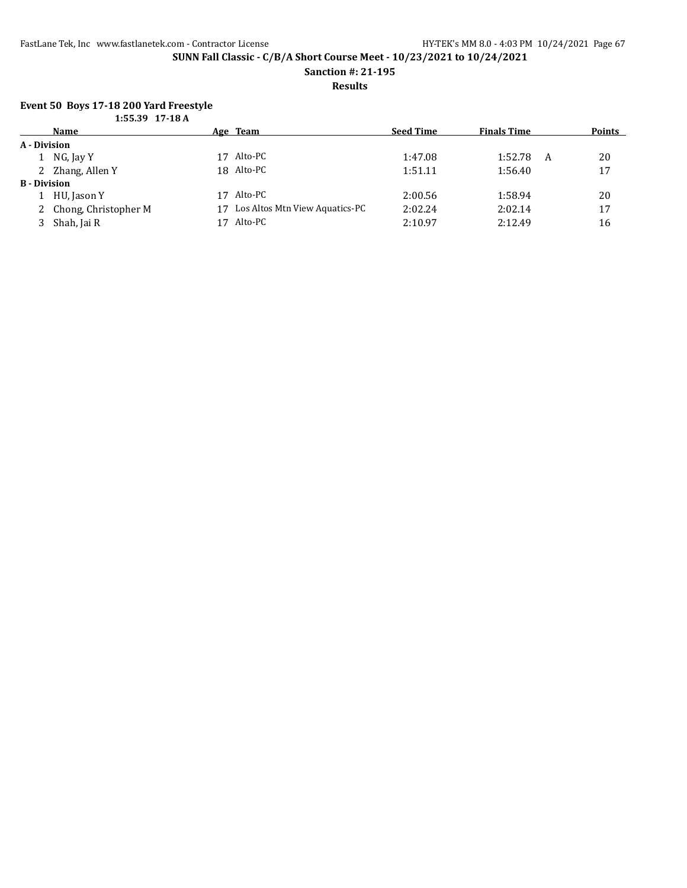**Sanction #: 21-195**

**Results**

### **Event 50 Boys 17-18 200 Yard Freestyle**

|                     | $1:55.39$ 17-18 A      |    |                                |                  |                    |   |               |
|---------------------|------------------------|----|--------------------------------|------------------|--------------------|---|---------------|
|                     | Name                   |    | Age Team                       | <b>Seed Time</b> | <b>Finals Time</b> |   | <b>Points</b> |
| A - Division        |                        |    |                                |                  |                    |   |               |
|                     | 1 NG, Jay Y            | 17 | Alto-PC                        | 1:47.08          | 1:52.78            | A | 20            |
|                     | 2 Zhang, Allen Y       |    | 18 Alto-PC                     | 1:51.11          | 1:56.40            |   | 17            |
| <b>B</b> - Division |                        |    |                                |                  |                    |   |               |
|                     | HU, Jason Y            | 17 | Alto-PC                        | 2:00.56          | 1:58.94            |   | 20            |
|                     | 2 Chong, Christopher M | 17 | Los Altos Mtn View Aquatics-PC | 2:02.24          | 2:02.14            |   | 17            |
|                     | 3 Shah, Jai R          | 17 | Alto-PC                        | 2:10.97          | 2:12.49            |   | 16            |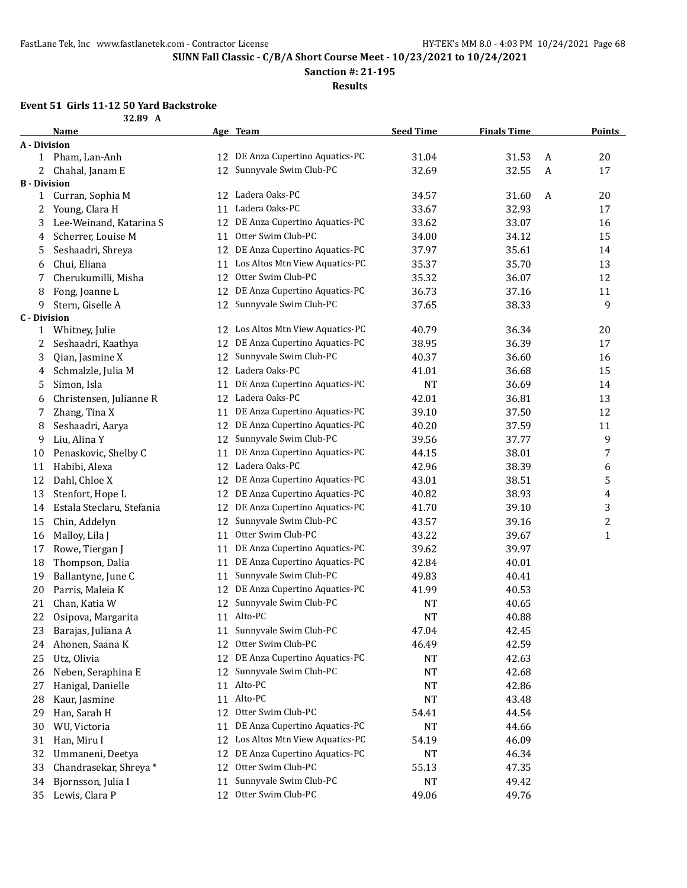**Sanction #: 21-195**

**Results**

## **Event 51 Girls 11-12 50 Yard Backstroke**

|                     | Name                      |    | Age Team                          | <b>Seed Time</b> | <b>Finals Time</b> |              | <b>Points</b>  |
|---------------------|---------------------------|----|-----------------------------------|------------------|--------------------|--------------|----------------|
| A - Division        |                           |    |                                   |                  |                    |              |                |
|                     | 1 Pham, Lan-Anh           | 12 | DE Anza Cupertino Aquatics-PC     | 31.04            | 31.53              | A            | 20             |
|                     | Chahal, Janam E           | 12 | Sunnyvale Swim Club-PC            | 32.69            | 32.55              | $\mathbf{A}$ | 17             |
| <b>B</b> - Division |                           |    |                                   |                  |                    |              |                |
| 1                   | Curran, Sophia M          |    | 12 Ladera Oaks-PC                 | 34.57            | 31.60              | A            | 20             |
| 2                   | Young, Clara H            | 11 | Ladera Oaks-PC                    | 33.67            | 32.93              |              | 17             |
| 3                   | Lee-Weinand, Katarina S   | 12 | DE Anza Cupertino Aquatics-PC     | 33.62            | 33.07              |              | 16             |
| 4                   | Scherrer, Louise M        | 11 | Otter Swim Club-PC                | 34.00            | 34.12              |              | 15             |
| 5                   | Seshaadri, Shreya         | 12 | DE Anza Cupertino Aquatics-PC     | 37.97            | 35.61              |              | 14             |
| 6                   | Chui, Eliana              | 11 | Los Altos Mtn View Aquatics-PC    | 35.37            | 35.70              |              | 13             |
| 7                   | Cherukumilli, Misha       | 12 | Otter Swim Club-PC                | 35.32            | 36.07              |              | 12             |
| 8                   | Fong, Joanne L            | 12 | DE Anza Cupertino Aquatics-PC     | 36.73            | 37.16              |              | 11             |
| 9                   | Stern, Giselle A          | 12 | Sunnyvale Swim Club-PC            | 37.65            | 38.33              |              | 9              |
| <b>C</b> - Division |                           |    |                                   |                  |                    |              |                |
| 1                   | Whitney, Julie            |    | 12 Los Altos Mtn View Aquatics-PC | 40.79            | 36.34              |              | 20             |
| 2                   | Seshaadri, Kaathya        | 12 | DE Anza Cupertino Aquatics-PC     | 38.95            | 36.39              |              | 17             |
| 3                   | Qian, Jasmine X           | 12 | Sunnyvale Swim Club-PC            | 40.37            | 36.60              |              | 16             |
| 4                   | Schmalzle, Julia M        | 12 | Ladera Oaks-PC                    | 41.01            | 36.68              |              | 15             |
| 5                   | Simon, Isla               | 11 | DE Anza Cupertino Aquatics-PC     | <b>NT</b>        | 36.69              |              | 14             |
| 6                   | Christensen, Julianne R   | 12 | Ladera Oaks-PC                    | 42.01            | 36.81              |              | 13             |
| 7                   | Zhang, Tina X             | 11 | DE Anza Cupertino Aquatics-PC     | 39.10            | 37.50              |              | 12             |
| 8                   | Seshaadri, Aarya          | 12 | DE Anza Cupertino Aquatics-PC     | 40.20            | 37.59              |              | 11             |
| 9                   | Liu, Alina Y              | 12 | Sunnyvale Swim Club-PC            | 39.56            | 37.77              |              | 9              |
| 10                  | Penaskovic, Shelby C      | 11 | DE Anza Cupertino Aquatics-PC     | 44.15            | 38.01              |              | 7              |
| 11                  | Habibi, Alexa             | 12 | Ladera Oaks-PC                    | 42.96            | 38.39              |              | 6              |
| 12                  | Dahl, Chloe X             | 12 | DE Anza Cupertino Aquatics-PC     | 43.01            | 38.51              |              | 5              |
| 13                  | Stenfort, Hope L          | 12 | DE Anza Cupertino Aquatics-PC     | 40.82            | 38.93              |              | 4              |
| 14                  | Estala Steclaru, Stefania | 12 | DE Anza Cupertino Aquatics-PC     | 41.70            | 39.10              |              | 3              |
| 15                  | Chin, Addelyn             | 12 | Sunnyvale Swim Club-PC            | 43.57            | 39.16              |              | $\overline{c}$ |
| 16                  | Malloy, Lila J            | 11 | Otter Swim Club-PC                | 43.22            | 39.67              |              | $\mathbf{1}$   |
| 17                  | Rowe, Tiergan J           | 11 | DE Anza Cupertino Aquatics-PC     | 39.62            | 39.97              |              |                |
| 18                  | Thompson, Dalia           | 11 | DE Anza Cupertino Aquatics-PC     | 42.84            | 40.01              |              |                |
| 19                  | Ballantyne, June C        | 11 | Sunnyvale Swim Club-PC            | 49.83            | 40.41              |              |                |
| 20                  | Parris, Maleia K          | 12 | DE Anza Cupertino Aquatics-PC     | 41.99            | 40.53              |              |                |
| 21                  | Chan, Katia W             |    | 12 Sunnyvale Swim Club-PC         | <b>NT</b>        | 40.65              |              |                |
| 22                  | Osipova, Margarita        |    | 11 Alto-PC                        | <b>NT</b>        | 40.88              |              |                |
| 23                  | Barajas, Juliana A        | 11 | Sunnyvale Swim Club-PC            | 47.04            | 42.45              |              |                |
| 24                  | Ahonen, Saana K           | 12 | Otter Swim Club-PC                | 46.49            | 42.59              |              |                |
| 25                  | Utz, Olivia               |    | 12 DE Anza Cupertino Aquatics-PC  | NT               | 42.63              |              |                |
| 26                  | Neben, Seraphina E        | 12 | Sunnyvale Swim Club-PC            | NT               | 42.68              |              |                |
| 27                  | Hanigal, Danielle         |    | 11 Alto-PC                        | NT               | 42.86              |              |                |
| 28                  | Kaur, Jasmine             | 11 | Alto-PC                           | <b>NT</b>        | 43.48              |              |                |
| 29                  | Han, Sarah H              | 12 | Otter Swim Club-PC                | 54.41            | 44.54              |              |                |
| 30                  | WU, Victoria              | 11 | DE Anza Cupertino Aquatics-PC     | NT               | 44.66              |              |                |
| 31                  | Han, Miru I               | 12 | Los Altos Mtn View Aquatics-PC    | 54.19            | 46.09              |              |                |
| 32                  | Ummaneni, Deetya          | 12 | DE Anza Cupertino Aquatics-PC     | NT               | 46.34              |              |                |
| 33                  | Chandrasekar, Shreya*     | 12 | Otter Swim Club-PC                | 55.13            | 47.35              |              |                |
| 34                  | Bjornsson, Julia I        | 11 | Sunnyvale Swim Club-PC            | NT               | 49.42              |              |                |
| 35                  | Lewis, Clara P            | 12 | Otter Swim Club-PC                | 49.06            | 49.76              |              |                |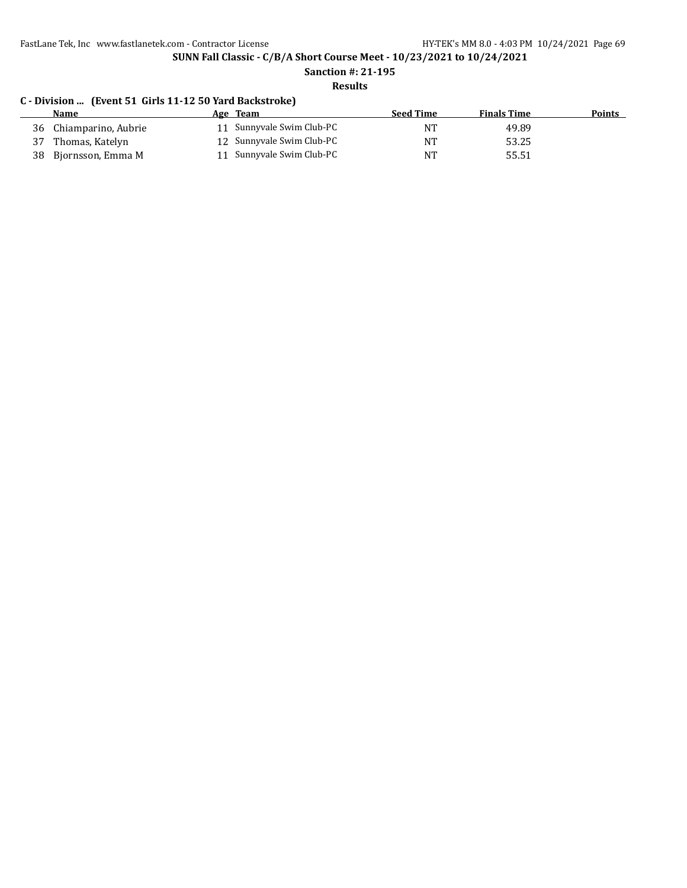**SUNN Fall Classic - C/B/A Short Course Meet - 10/23/2021 to 10/24/2021**

# **Sanction #: 21-195**

**Results**

### **C - Division ... (Event 51 Girls 11-12 50 Yard Backstroke)**

| <b>Name</b>             | Age Team                  | <b>Seed Time</b> | <b>Finals Time</b> | Points |
|-------------------------|---------------------------|------------------|--------------------|--------|
| 36 Chiamparino, Aubrie  | 11 Sunnyvale Swim Club-PC | NТ               | 49.89              |        |
| 37 Thomas, Katelyn      | 12 Sunnyvale Swim Club-PC | NT               | 53.25              |        |
| 38<br>Biornsson, Emma M | 11 Sunnyvale Swim Club-PC | NT               | 55.51              |        |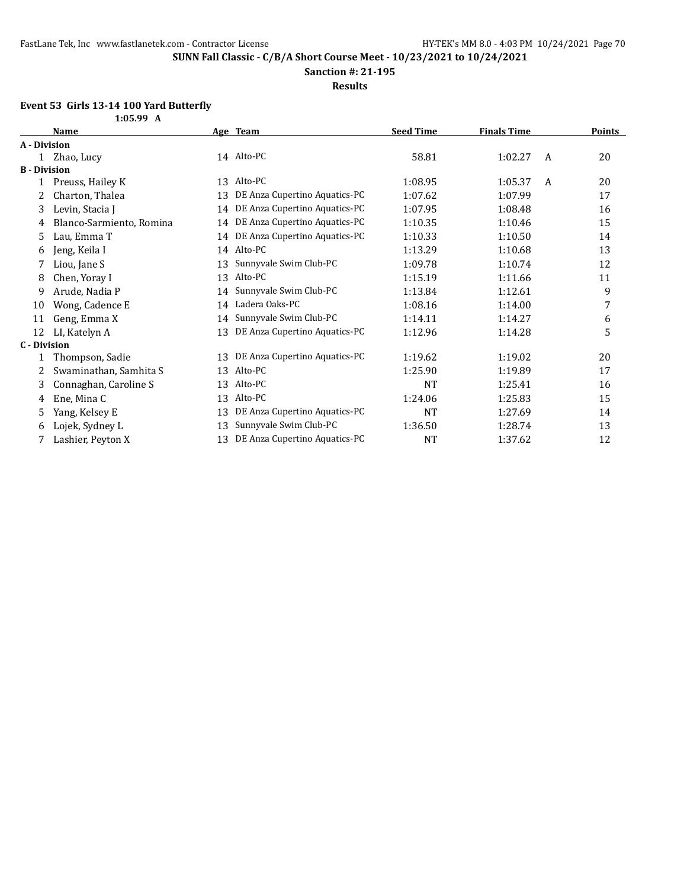**1:05.99 A**

**SUNN Fall Classic - C/B/A Short Course Meet - 10/23/2021 to 10/24/2021**

**Sanction #: 21-195**

**Results**

### **Event 53 Girls 13-14 100 Yard Butterfly**

|                     | Name                     |    | Age Team                         | <b>Seed Time</b> | <b>Finals Time</b> |   | <b>Points</b> |
|---------------------|--------------------------|----|----------------------------------|------------------|--------------------|---|---------------|
| A - Division        |                          |    |                                  |                  |                    |   |               |
|                     | 1 Zhao, Lucy             |    | 14 Alto-PC                       | 58.81            | 1:02.27            | A | 20            |
| <b>B</b> - Division |                          |    |                                  |                  |                    |   |               |
| $\mathbf{1}$        | Preuss, Hailey K         |    | 13 Alto-PC                       | 1:08.95          | 1:05.37            | A | 20            |
| 2                   | Charton, Thalea          | 13 | DE Anza Cupertino Aquatics-PC    | 1:07.62          | 1:07.99            |   | 17            |
| 3                   | Levin, Stacia J          | 14 | DE Anza Cupertino Aquatics-PC    | 1:07.95          | 1:08.48            |   | 16            |
| 4                   | Blanco-Sarmiento, Romina | 14 | DE Anza Cupertino Aquatics-PC    | 1:10.35          | 1:10.46            |   | 15            |
| 5                   | Lau, Emma T              |    | 14 DE Anza Cupertino Aquatics-PC | 1:10.33          | 1:10.50            |   | 14            |
| 6                   | Jeng, Keila I            |    | 14 Alto-PC                       | 1:13.29          | 1:10.68            |   | 13            |
| 7                   | Liou, Jane S             | 13 | Sunnyvale Swim Club-PC           | 1:09.78          | 1:10.74            |   | 12            |
| 8                   | Chen, Yoray I            | 13 | Alto-PC                          | 1:15.19          | 1:11.66            |   | 11            |
| 9                   | Arude, Nadia P           | 14 | Sunnyvale Swim Club-PC           | 1:13.84          | 1:12.61            |   | 9             |
| 10                  | Wong, Cadence E          | 14 | Ladera Oaks-PC                   | 1:08.16          | 1:14.00            |   | 7             |
| 11                  | Geng, Emma X             | 14 | Sunnyvale Swim Club-PC           | 1:14.11          | 1:14.27            |   | 6             |
| 12                  | LI, Katelyn A            | 13 | DE Anza Cupertino Aquatics-PC    | 1:12.96          | 1:14.28            |   | 5             |
| <b>C</b> - Division |                          |    |                                  |                  |                    |   |               |
| 1                   | Thompson, Sadie          | 13 | DE Anza Cupertino Aquatics-PC    | 1:19.62          | 1:19.02            |   | 20            |
| 2                   | Swaminathan, Samhita S   | 13 | Alto-PC                          | 1:25.90          | 1:19.89            |   | 17            |
| 3                   | Connaghan, Caroline S    | 13 | Alto-PC                          | <b>NT</b>        | 1:25.41            |   | 16            |
| 4                   | Ene, Mina C              | 13 | Alto-PC                          | 1:24.06          | 1:25.83            |   | 15            |
| 5                   | Yang, Kelsey E           | 13 | DE Anza Cupertino Aquatics-PC    | <b>NT</b>        | 1:27.69            |   | 14            |
| 6                   | Lojek, Sydney L          | 13 | Sunnyvale Swim Club-PC           | 1:36.50          | 1:28.74            |   | 13            |
| 7                   | Lashier, Peyton X        | 13 | DE Anza Cupertino Aquatics-PC    | <b>NT</b>        | 1:37.62            |   | 12            |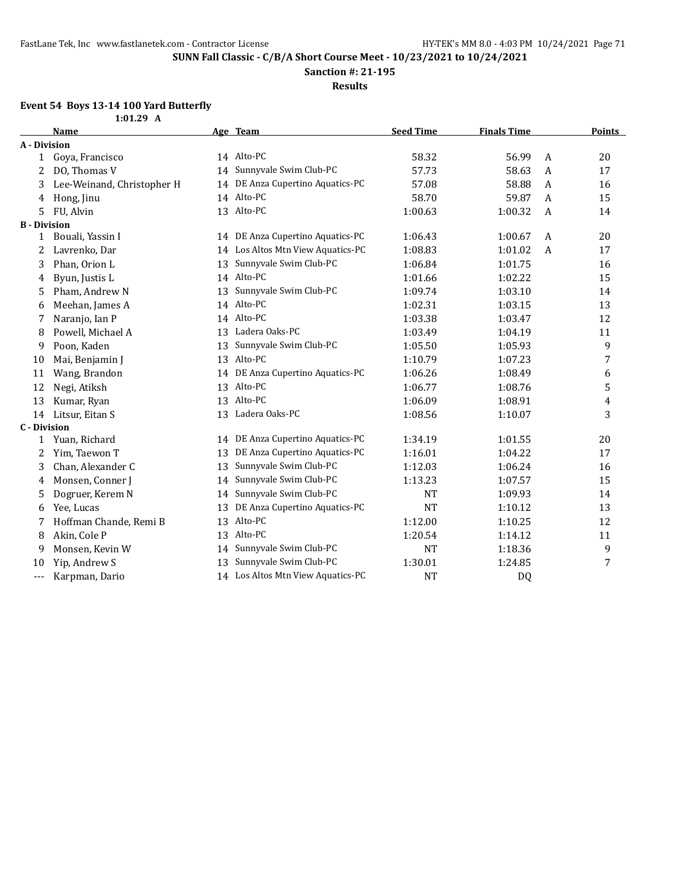**Sanction #: 21-195**

**Results**

#### **Event 54 Boys 13-14 100 Yard Butterfly**

|                     | $1:01.29$ A                |    |                                  |                  |                    |                |                         |
|---------------------|----------------------------|----|----------------------------------|------------------|--------------------|----------------|-------------------------|
|                     | Name                       |    | Age Team                         | <b>Seed Time</b> | <b>Finals Time</b> |                | <b>Points</b>           |
| A - Division        |                            |    |                                  |                  |                    |                |                         |
| $\mathbf{1}$        | Goya, Francisco            |    | 14 Alto-PC                       | 58.32            | 56.99              | A              | 20                      |
| 2                   | DO, Thomas V               | 14 | Sunnyvale Swim Club-PC           | 57.73            | 58.63              | A              | 17                      |
| 3                   | Lee-Weinand, Christopher H | 14 | DE Anza Cupertino Aquatics-PC    | 57.08            | 58.88              | A              | 16                      |
| 4                   | Hong, Jinu                 |    | 14 Alto-PC                       | 58.70            | 59.87              | A              | 15                      |
| 5                   | FU, Alvin                  |    | 13 Alto-PC                       | 1:00.63          | 1:00.32            | A              | 14                      |
| <b>B</b> - Division |                            |    |                                  |                  |                    |                |                         |
| 1                   | Bouali, Yassin I           |    | 14 DE Anza Cupertino Aquatics-PC | 1:06.43          | 1:00.67            | A              | 20                      |
| 2                   | Lavrenko, Dar              | 14 | Los Altos Mtn View Aquatics-PC   | 1:08.83          | 1:01.02            | $\overline{A}$ | 17                      |
| 3                   | Phan, Orion L              | 13 | Sunnyvale Swim Club-PC           | 1:06.84          | 1:01.75            |                | 16                      |
| 4                   | Byun, Justis L             |    | 14 Alto-PC                       | 1:01.66          | 1:02.22            |                | 15                      |
| 5                   | Pham, Andrew N             | 13 | Sunnyvale Swim Club-PC           | 1:09.74          | 1:03.10            |                | 14                      |
| 6                   | Meehan, James A            | 14 | Alto-PC                          | 1:02.31          | 1:03.15            |                | 13                      |
| 7                   | Naranjo, Ian P             | 14 | Alto-PC                          | 1:03.38          | 1:03.47            |                | 12                      |
| 8                   | Powell, Michael A          | 13 | Ladera Oaks-PC                   | 1:03.49          | 1:04.19            |                | 11                      |
| 9                   | Poon, Kaden                | 13 | Sunnyvale Swim Club-PC           | 1:05.50          | 1:05.93            |                | 9                       |
| 10                  | Mai, Benjamin J            | 13 | Alto-PC                          | 1:10.79          | 1:07.23            |                | 7                       |
| 11                  | Wang, Brandon              | 14 | DE Anza Cupertino Aquatics-PC    | 1:06.26          | 1:08.49            |                | 6                       |
| 12                  | Negi, Atiksh               |    | 13 Alto-PC                       | 1:06.77          | 1:08.76            |                | 5                       |
| 13                  | Kumar, Ryan                |    | 13 Alto-PC                       | 1:06.09          | 1:08.91            |                | $\overline{\mathbf{4}}$ |
| 14                  | Litsur, Eitan S            |    | 13 Ladera Oaks-PC                | 1:08.56          | 1:10.07            |                | 3                       |
| <b>C</b> - Division |                            |    |                                  |                  |                    |                |                         |
| 1                   | Yuan, Richard              | 14 | DE Anza Cupertino Aquatics-PC    | 1:34.19          | 1:01.55            |                | 20                      |
| 2                   | Yim, Taewon T              | 13 | DE Anza Cupertino Aquatics-PC    | 1:16.01          | 1:04.22            |                | 17                      |
| 3                   | Chan, Alexander C          | 13 | Sunnyvale Swim Club-PC           | 1:12.03          | 1:06.24            |                | 16                      |
| 4                   | Monsen, Conner J           | 14 | Sunnyvale Swim Club-PC           | 1:13.23          | 1:07.57            |                | 15                      |
| 5                   | Dogruer, Kerem N           | 14 | Sunnyvale Swim Club-PC           | <b>NT</b>        | 1:09.93            |                | 14                      |
| 6                   | Yee, Lucas                 | 13 | DE Anza Cupertino Aquatics-PC    | <b>NT</b>        | 1:10.12            |                | 13                      |
| 7                   | Hoffman Chande, Remi B     | 13 | Alto-PC                          | 1:12.00          | 1:10.25            |                | 12                      |
| 8                   | Akin, Cole P               | 13 | Alto-PC                          | 1:20.54          | 1:14.12            |                | 11                      |
| 9                   | Monsen, Kevin W            | 14 | Sunnyvale Swim Club-PC           | <b>NT</b>        | 1:18.36            |                | 9                       |
| 10                  | Yip, Andrew S              | 13 | Sunnyvale Swim Club-PC           | 1:30.01          | 1:24.85            |                | 7                       |

--- Karpman, Dario 14 Los Altos Mtn View Aquatics-PC NT NT DQ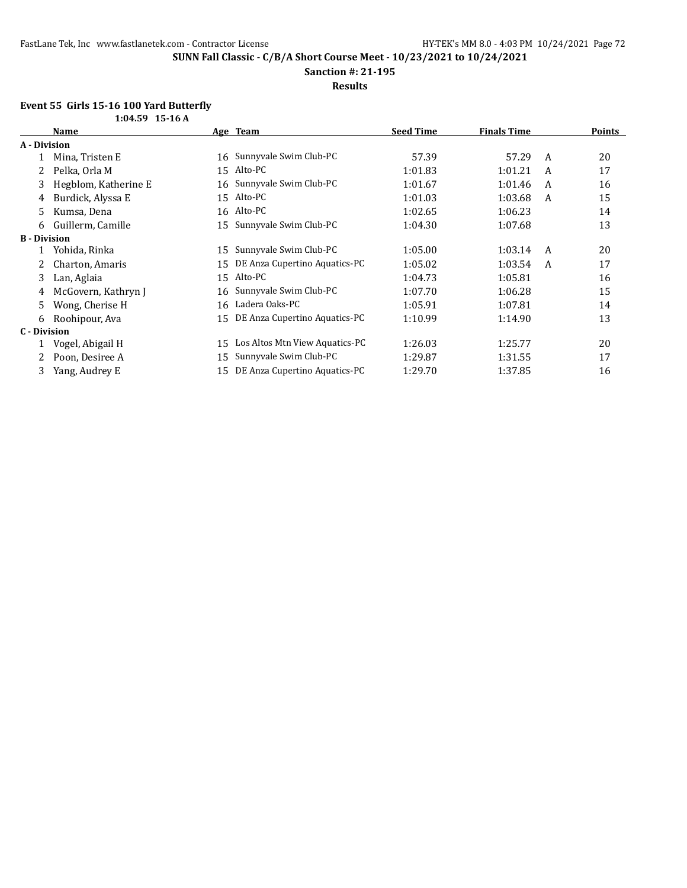**Sanction #: 21-195**

**Results**

#### **Event 55 Girls 15-16 100 Yard Butterfly**

|                     | $1:04.59$ 15-16 A    |    |                                |                  |                    |   |               |
|---------------------|----------------------|----|--------------------------------|------------------|--------------------|---|---------------|
|                     | Name                 |    | Age Team                       | <b>Seed Time</b> | <b>Finals Time</b> |   | <b>Points</b> |
| A - Division        |                      |    |                                |                  |                    |   |               |
|                     | Mina, Tristen E      | 16 | Sunnyvale Swim Club-PC         | 57.39            | 57.29              | A | 20            |
| 2                   | Pelka, Orla M        | 15 | Alto-PC                        | 1:01.83          | 1:01.21            | A | 17            |
| 3                   | Hegblom, Katherine E | 16 | Sunnyvale Swim Club-PC         | 1:01.67          | 1:01.46            | A | 16            |
| 4                   | Burdick, Alyssa E    | 15 | Alto-PC                        | 1:01.03          | 1:03.68            | A | 15            |
| 5.                  | Kumsa, Dena          | 16 | Alto-PC                        | 1:02.65          | 1:06.23            |   | 14            |
| 6                   | Guillerm, Camille    | 15 | Sunnyvale Swim Club-PC         | 1:04.30          | 1:07.68            |   | 13            |
| <b>B</b> - Division |                      |    |                                |                  |                    |   |               |
|                     | Yohida, Rinka        | 15 | Sunnyvale Swim Club-PC         | 1:05.00          | 1:03.14            | A | 20            |
| 2.                  | Charton, Amaris      | 15 | DE Anza Cupertino Aquatics-PC  | 1:05.02          | 1:03.54            | A | 17            |
| 3.                  | Lan, Aglaia          | 15 | Alto-PC                        | 1:04.73          | 1:05.81            |   | 16            |
| 4                   | McGovern, Kathryn J  | 16 | Sunnyvale Swim Club-PC         | 1:07.70          | 1:06.28            |   | 15            |
| 5.                  | Wong, Cherise H      | 16 | Ladera Oaks-PC                 | 1:05.91          | 1:07.81            |   | 14            |
| 6                   | Roohipour, Ava       | 15 | DE Anza Cupertino Aquatics-PC  | 1:10.99          | 1:14.90            |   | 13            |
| C - Division        |                      |    |                                |                  |                    |   |               |
|                     | Vogel, Abigail H     | 15 | Los Altos Mtn View Aquatics-PC | 1:26.03          | 1:25.77            |   | 20            |
|                     | Poon, Desiree A      | 15 | Sunnyvale Swim Club-PC         | 1:29.87          | 1:31.55            |   | 17            |
|                     | Yang, Audrey E       | 15 | DE Anza Cupertino Aquatics-PC  | 1:29.70          | 1:37.85            |   | 16            |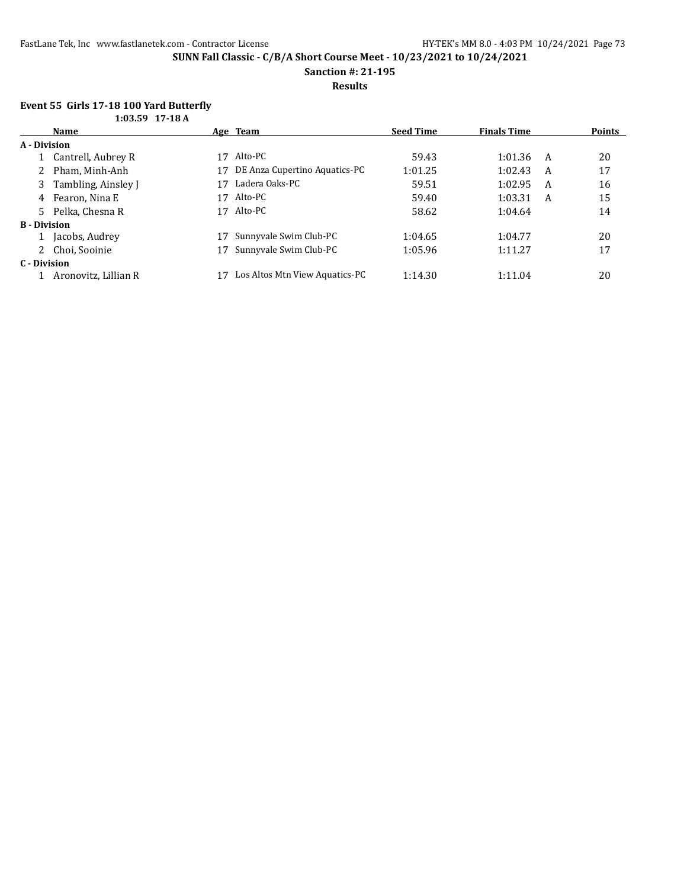**Sanction #: 21-195**

**Results**

#### **Event 55 Girls 17-18 100 Yard Butterfly 1:03.59 17-18 A**

| 1.0. 1.1. 1.1. 1.0 m |                       |    |                                |                  |                    |   |               |
|----------------------|-----------------------|----|--------------------------------|------------------|--------------------|---|---------------|
|                      | Name                  |    | Age Team                       | <b>Seed Time</b> | <b>Finals Time</b> |   | <b>Points</b> |
| A - Division         |                       |    |                                |                  |                    |   |               |
|                      | 1 Cantrell, Aubrey R  | 17 | Alto-PC                        | 59.43            | 1:01.36            | A | 20            |
|                      | 2 Pham, Minh-Anh      | 17 | DE Anza Cupertino Aquatics-PC  | 1:01.25          | 1:02.43            | A | 17            |
|                      | 3 Tambling, Ainsley J | 17 | Ladera Oaks-PC                 | 59.51            | 1:02.95            | A | 16            |
|                      | 4 Fearon, Nina E      | 17 | Alto-PC                        | 59.40            | 1:03.31            | A | 15            |
|                      | 5 Pelka, Chesna R     | 17 | Alto-PC                        | 58.62            | 1:04.64            |   | 14            |
| <b>B</b> - Division  |                       |    |                                |                  |                    |   |               |
|                      | 1 Jacobs, Audrey      |    | Sunnyvale Swim Club-PC         | 1:04.65          | 1:04.77            |   | 20            |
|                      | 2 Choi, Sooinie       |    | Sunnyvale Swim Club-PC         | 1:05.96          | 1:11.27            |   | 17            |
| C - Division         |                       |    |                                |                  |                    |   |               |
|                      | Aronovitz, Lillian R  |    | Los Altos Mtn View Aquatics-PC | 1:14.30          | 1:11.04            |   | 20            |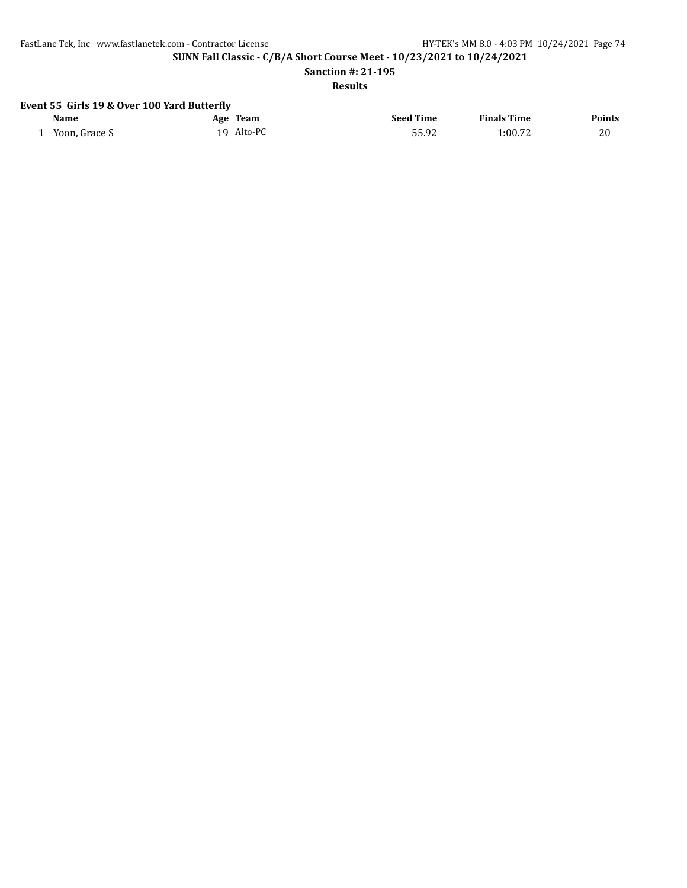FastLane Tek, Inc www.fastlanetek.com - Contractor License HY-TEK's MM 8.0 - 4:03 PM 10/24/2021 Page 74

**SUNN Fall Classic - C/B/A Short Course Meet - 10/23/2021 to 10/24/2021**

**Sanction #: 21-195**

**Results**

# **Event 55 Girls 19 & Over 100 Yard Butterfly**

| Name               | Team<br>Age    | <b>Seed Time</b> | <b>Finals Time</b> | <b>Points</b> |
|--------------------|----------------|------------------|--------------------|---------------|
| Yoon, Grace S<br>- | Alto-PC<br>1 Q | 55.92            | 1:00.72            | 20            |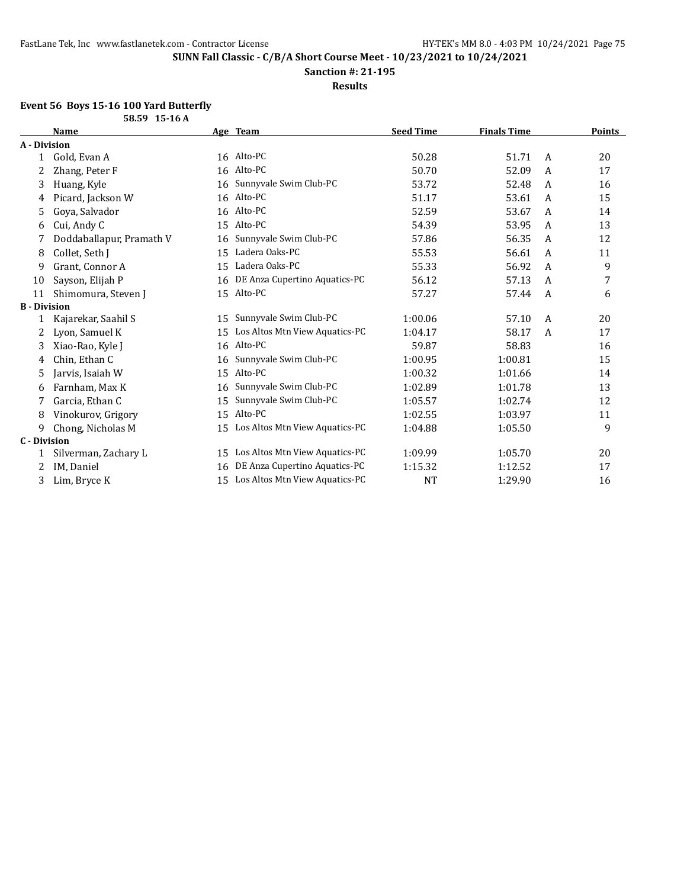**Sanction #: 21-195**

**Results**

## **Event 56 Boys 15-16 100 Yard Butterfly**

| 58.59 15-16 A       |                          |    |                                |                  |                    |   |               |
|---------------------|--------------------------|----|--------------------------------|------------------|--------------------|---|---------------|
|                     | Name                     |    | Age Team                       | <b>Seed Time</b> | <b>Finals Time</b> |   | <b>Points</b> |
| A - Division        |                          |    |                                |                  |                    |   |               |
| 1                   | Gold, Evan A             |    | 16 Alto-PC                     | 50.28            | 51.71              | A | 20            |
|                     | Zhang, Peter F           | 16 | Alto-PC                        | 50.70            | 52.09              | A | 17            |
| 3                   | Huang, Kyle              | 16 | Sunnyvale Swim Club-PC         | 53.72            | 52.48              | A | 16            |
| 4                   | Picard, Jackson W        | 16 | Alto-PC                        | 51.17            | 53.61              | A | 15            |
| 5                   | Goya, Salvador           | 16 | Alto-PC                        | 52.59            | 53.67              | A | 14            |
| 6                   | Cui, Andy C              | 15 | Alto-PC                        | 54.39            | 53.95              | A | 13            |
| 7                   | Doddaballapur, Pramath V | 16 | Sunnyvale Swim Club-PC         | 57.86            | 56.35              | A | 12            |
| 8                   | Collet, Seth J           | 15 | Ladera Oaks-PC                 | 55.53            | 56.61              | A | 11            |
| 9                   | Grant, Connor A          | 15 | Ladera Oaks-PC                 | 55.33            | 56.92              | A | 9             |
| 10                  | Sayson, Elijah P         | 16 | DE Anza Cupertino Aquatics-PC  | 56.12            | 57.13              | A | 7             |
| 11                  | Shimomura, Steven J      |    | 15 Alto-PC                     | 57.27            | 57.44              | A | 6             |
| <b>B</b> - Division |                          |    |                                |                  |                    |   |               |
| 1                   | Kajarekar, Saahil S      | 15 | Sunnyvale Swim Club-PC         | 1:00.06          | 57.10              | A | 20            |
| 2                   | Lyon, Samuel K           | 15 | Los Altos Mtn View Aquatics-PC | 1:04.17          | 58.17              | A | 17            |
| 3                   | Xiao-Rao, Kyle J         | 16 | Alto-PC                        | 59.87            | 58.83              |   | 16            |
| 4                   | Chin, Ethan C            | 16 | Sunnyvale Swim Club-PC         | 1:00.95          | 1:00.81            |   | 15            |
| 5                   | Jarvis, Isaiah W         | 15 | Alto-PC                        | 1:00.32          | 1:01.66            |   | 14            |
| 6                   | Farnham, Max K           | 16 | Sunnyvale Swim Club-PC         | 1:02.89          | 1:01.78            |   | 13            |
| 7                   | Garcia, Ethan C          | 15 | Sunnyvale Swim Club-PC         | 1:05.57          | 1:02.74            |   | 12            |
| 8                   | Vinokurov, Grigory       | 15 | Alto-PC                        | 1:02.55          | 1:03.97            |   | 11            |
| 9                   | Chong, Nicholas M        | 15 | Los Altos Mtn View Aquatics-PC | 1:04.88          | 1:05.50            |   | 9             |
| <b>C</b> - Division |                          |    |                                |                  |                    |   |               |
|                     | Silverman, Zachary L     | 15 | Los Altos Mtn View Aquatics-PC | 1:09.99          | 1:05.70            |   | 20            |
|                     | IM, Daniel               | 16 | DE Anza Cupertino Aquatics-PC  | 1:15.32          | 1:12.52            |   | 17            |
| 3                   | Lim, Bryce K             | 15 | Los Altos Mtn View Aquatics-PC | <b>NT</b>        | 1:29.90            |   | 16            |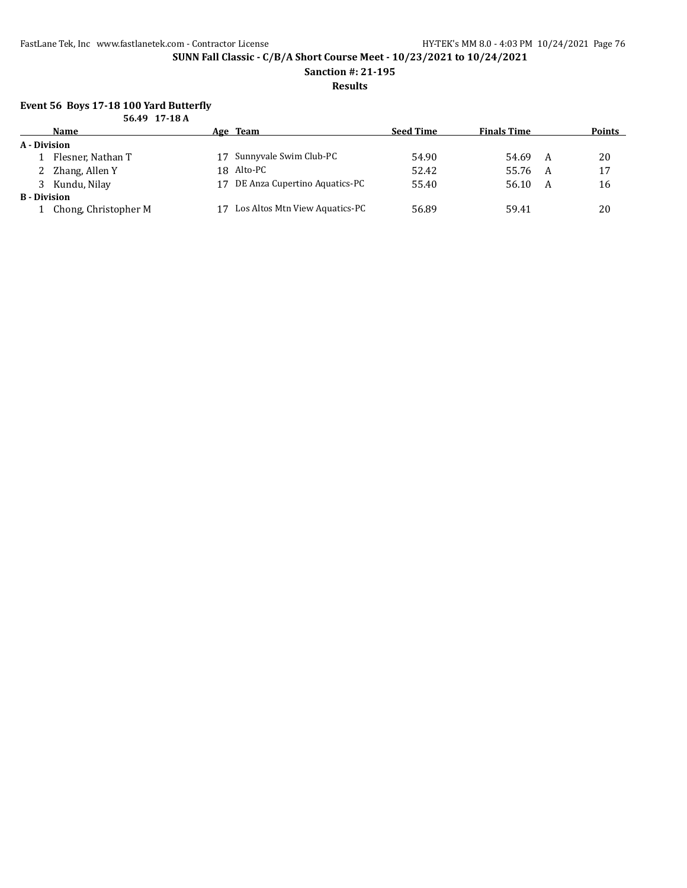**Sanction #: 21-195**

**Results**

#### **Event 56 Boys 17-18 100 Yard Butterfly 56.49 17-18 A**

| 50.49 1/-18A        |                      |     |                                |                  |                    |   |               |  |
|---------------------|----------------------|-----|--------------------------------|------------------|--------------------|---|---------------|--|
|                     | Name                 |     | Age Team                       | <b>Seed Time</b> | <b>Finals Time</b> |   | <b>Points</b> |  |
| A - Division        |                      |     |                                |                  |                    |   |               |  |
|                     | Flesner, Nathan T    |     | 17 Sunnyvale Swim Club-PC      | 54.90            | 54.69              | A | 20            |  |
|                     | 2 Zhang, Allen Y     |     | 18 Alto-PC                     | 52.42            | 55.76              | A | 17            |  |
|                     | 3 Kundu, Nilay       | 17. | DE Anza Cupertino Aquatics-PC  | 55.40            | 56.10              | A | 16            |  |
| <b>B</b> - Division |                      |     |                                |                  |                    |   |               |  |
|                     | Chong, Christopher M |     | Los Altos Mtn View Aquatics-PC | 56.89            | 59.41              |   | 20            |  |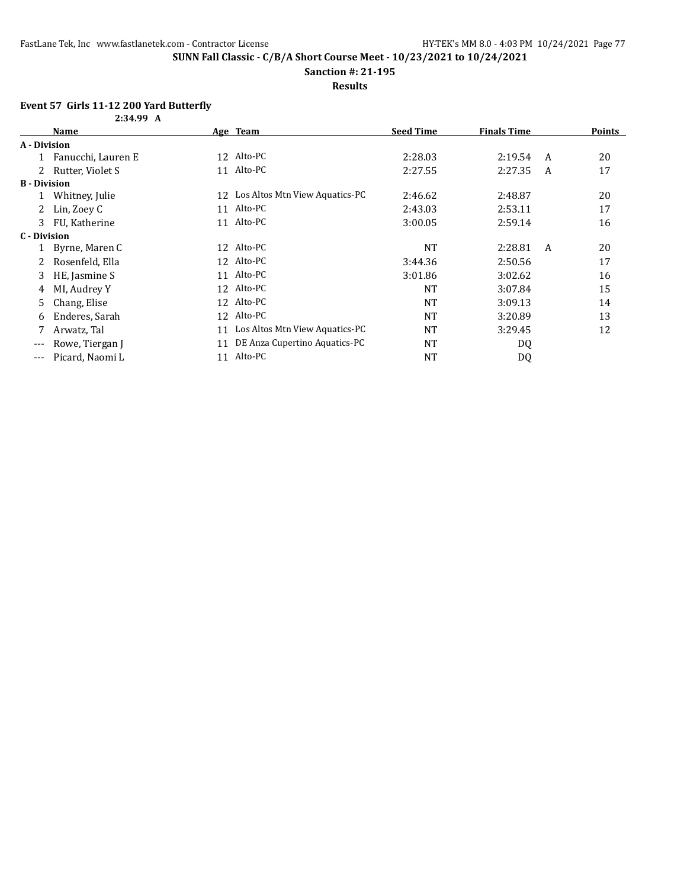**Sanction #: 21-195**

**Results**

## **Event 57 Girls 11-12 200 Yard Butterfly**

| 2:34.99 A           |                    |    |                                |                  |                    |   |               |
|---------------------|--------------------|----|--------------------------------|------------------|--------------------|---|---------------|
|                     | Name               |    | Age Team                       | <b>Seed Time</b> | <b>Finals Time</b> |   | <b>Points</b> |
| A - Division        |                    |    |                                |                  |                    |   |               |
|                     | Fanucchi, Lauren E |    | 12 Alto-PC                     | 2:28.03          | 2:19.54            | A | 20            |
|                     | Rutter, Violet S   |    | 11 Alto-PC                     | 2:27.55          | 2:27.35            | A | 17            |
| <b>B</b> - Division |                    |    |                                |                  |                    |   |               |
|                     | Whitney, Julie     | 12 | Los Altos Mtn View Aquatics-PC | 2:46.62          | 2:48.87            |   | 20            |
| 2                   | Lin, Zoey C        |    | 11 Alto-PC                     | 2:43.03          | 2:53.11            |   | 17            |
| 3                   | FU, Katherine      |    | 11 Alto-PC                     | 3:00.05          | 2:59.14            |   | 16            |
| C - Division        |                    |    |                                |                  |                    |   |               |
|                     | Byrne, Maren C     | 12 | Alto-PC                        | <b>NT</b>        | 2:28.81            | A | 20            |
|                     | Rosenfeld, Ella    |    | 12 Alto-PC                     | 3:44.36          | 2:50.56            |   | 17            |
| 3                   | HE, Jasmine S      |    | 11 Alto-PC                     | 3:01.86          | 3:02.62            |   | 16            |
| 4                   | MI, Audrey Y       |    | 12 Alto-PC                     | NT               | 3:07.84            |   | 15            |
| 5                   | Chang, Elise       |    | 12 Alto-PC                     | <b>NT</b>        | 3:09.13            |   | 14            |
| 6                   | Enderes, Sarah     |    | 12 Alto-PC                     | NT               | 3:20.89            |   | 13            |
|                     | Arwatz, Tal        | 11 | Los Altos Mtn View Aquatics-PC | NT               | 3:29.45            |   | 12            |
| $---$               | Rowe, Tiergan J    | 11 | DE Anza Cupertino Aquatics-PC  | <b>NT</b>        | DQ                 |   |               |
| $---$               | Picard, Naomi L    | 11 | Alto-PC                        | <b>NT</b>        | D <sub>0</sub>     |   |               |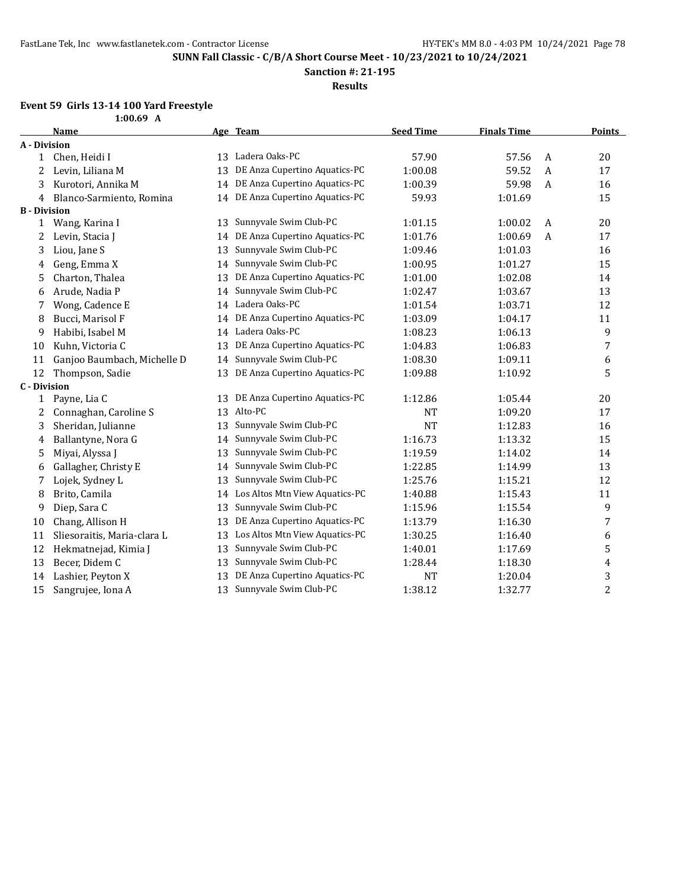**Sanction #: 21-195**

**Results**

# **Event 59 Girls 13-14 100 Yard Freestyle**

|                     | $1:00.69$ A                 |    |                                  |                  |                    |                |                |
|---------------------|-----------------------------|----|----------------------------------|------------------|--------------------|----------------|----------------|
|                     | <b>Name</b>                 |    | Age Team                         | <b>Seed Time</b> | <b>Finals Time</b> |                | <b>Points</b>  |
| <b>A</b> - Division |                             |    |                                  |                  |                    |                |                |
| 1                   | Chen, Heidi I               |    | 13 Ladera Oaks-PC                | 57.90            | 57.56              | $\mathbf{A}$   | 20             |
| 2                   | Levin, Liliana M            | 13 | DE Anza Cupertino Aquatics-PC    | 1:00.08          | 59.52              | $\overline{A}$ | 17             |
| 3                   | Kurotori, Annika M          | 14 | DE Anza Cupertino Aquatics-PC    | 1:00.39          | 59.98              | A              | 16             |
| 4                   | Blanco-Sarmiento, Romina    | 14 | DE Anza Cupertino Aquatics-PC    | 59.93            | 1:01.69            |                | 15             |
| <b>B</b> - Division |                             |    |                                  |                  |                    |                |                |
| 1                   | Wang, Karina I              | 13 | Sunnyvale Swim Club-PC           | 1:01.15          | 1:00.02            | A              | 20             |
| 2                   | Levin, Stacia J             | 14 | DE Anza Cupertino Aquatics-PC    | 1:01.76          | 1:00.69            | $\mathbf{A}$   | 17             |
| 3                   | Liou, Jane S                | 13 | Sunnyvale Swim Club-PC           | 1:09.46          | 1:01.03            |                | 16             |
| 4                   | Geng, Emma X                | 14 | Sunnyvale Swim Club-PC           | 1:00.95          | 1:01.27            |                | 15             |
| 5                   | Charton, Thalea             | 13 | DE Anza Cupertino Aquatics-PC    | 1:01.00          | 1:02.08            |                | 14             |
| 6                   | Arude, Nadia P              | 14 | Sunnyvale Swim Club-PC           | 1:02.47          | 1:03.67            |                | 13             |
| 7                   | Wong, Cadence E             |    | 14 Ladera Oaks-PC                | 1:01.54          | 1:03.71            |                | 12             |
| 8                   | Bucci, Marisol F            | 14 | DE Anza Cupertino Aquatics-PC    | 1:03.09          | 1:04.17            |                | 11             |
| 9                   | Habibi, Isabel M            | 14 | Ladera Oaks-PC                   | 1:08.23          | 1:06.13            |                | 9              |
| 10                  | Kuhn, Victoria C            | 13 | DE Anza Cupertino Aquatics-PC    | 1:04.83          | 1:06.83            |                | 7              |
| 11                  | Ganjoo Baumbach, Michelle D | 14 | Sunnyvale Swim Club-PC           | 1:08.30          | 1:09.11            |                | 6              |
| 12                  | Thompson, Sadie             | 13 | DE Anza Cupertino Aquatics-PC    | 1:09.88          | 1:10.92            |                | 5              |
| <b>C</b> - Division |                             |    |                                  |                  |                    |                |                |
| 1                   | Payne, Lia C                |    | 13 DE Anza Cupertino Aquatics-PC | 1:12.86          | 1:05.44            |                | 20             |
| 2                   | Connaghan, Caroline S       |    | 13 Alto-PC                       | <b>NT</b>        | 1:09.20            |                | 17             |
| 3                   | Sheridan, Julianne          | 13 | Sunnyvale Swim Club-PC           | <b>NT</b>        | 1:12.83            |                | 16             |
| 4                   | Ballantyne, Nora G          | 14 | Sunnyvale Swim Club-PC           | 1:16.73          | 1:13.32            |                | 15             |
| 5                   | Miyai, Alyssa J             | 13 | Sunnyvale Swim Club-PC           | 1:19.59          | 1:14.02            |                | 14             |
| 6                   | Gallagher, Christy E        | 14 | Sunnyvale Swim Club-PC           | 1:22.85          | 1:14.99            |                | 13             |
| 7                   | Lojek, Sydney L             | 13 | Sunnyvale Swim Club-PC           | 1:25.76          | 1:15.21            |                | 12             |
| 8                   | Brito, Camila               | 14 | Los Altos Mtn View Aquatics-PC   | 1:40.88          | 1:15.43            |                | 11             |
| 9                   | Diep, Sara C                | 13 | Sunnyvale Swim Club-PC           | 1:15.96          | 1:15.54            |                | 9              |
| 10                  | Chang, Allison H            | 13 | DE Anza Cupertino Aquatics-PC    | 1:13.79          | 1:16.30            |                | 7              |
| 11                  | Sliesoraitis, Maria-clara L | 13 | Los Altos Mtn View Aquatics-PC   | 1:30.25          | 1:16.40            |                | 6              |
| 12                  | Hekmatnejad, Kimia J        | 13 | Sunnyvale Swim Club-PC           | 1:40.01          | 1:17.69            |                | 5              |
| 13                  | Becer, Didem C              | 13 | Sunnyvale Swim Club-PC           | 1:28.44          | 1:18.30            |                | 4              |
| 14                  | Lashier, Peyton X           | 13 | DE Anza Cupertino Aquatics-PC    | <b>NT</b>        | 1:20.04            |                | 3              |
| 15                  | Sangrujee, Iona A           | 13 | Sunnyvale Swim Club-PC           | 1:38.12          | 1:32.77            |                | $\overline{c}$ |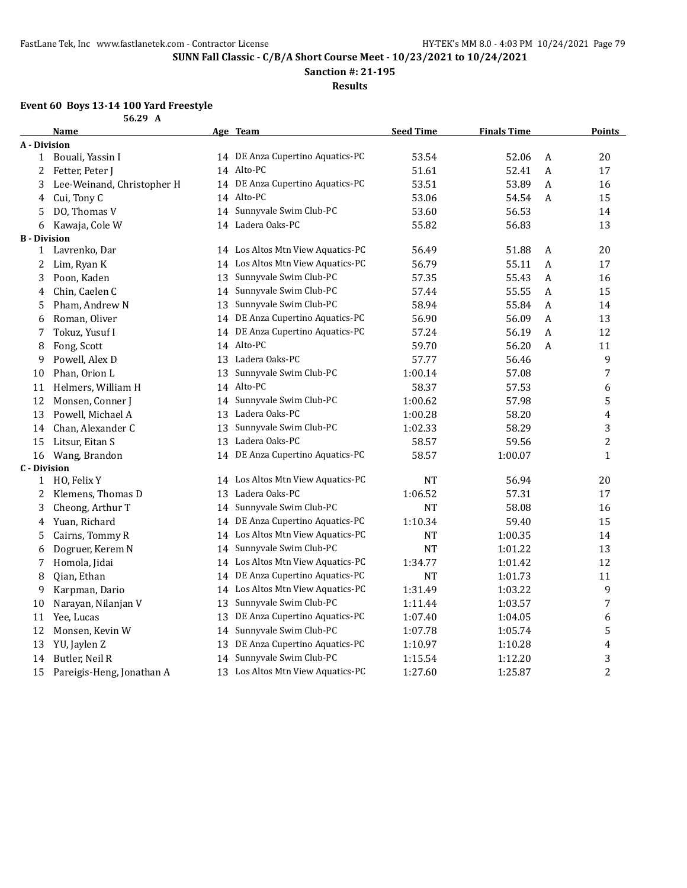**Sanction #: 21-195**

**Results**

## **Event 60 Boys 13-14 100 Yard Freestyle**

|                     | 56.29 A                    |    |                                   |                  |                    |   |                  |
|---------------------|----------------------------|----|-----------------------------------|------------------|--------------------|---|------------------|
|                     | <b>Name</b>                |    | Age Team                          | <b>Seed Time</b> | <b>Finals Time</b> |   | <b>Points</b>    |
| A - Division        |                            |    |                                   |                  |                    |   |                  |
|                     | 1 Bouali, Yassin I         |    | 14 DE Anza Cupertino Aquatics-PC  | 53.54            | 52.06              | A | 20               |
| 2                   | Fetter, Peter J            |    | 14 Alto-PC                        | 51.61            | 52.41              | A | 17               |
| 3                   | Lee-Weinand, Christopher H |    | 14 DE Anza Cupertino Aquatics-PC  | 53.51            | 53.89              | A | 16               |
| 4                   | Cui, Tony C                |    | 14 Alto-PC                        | 53.06            | 54.54              | A | 15               |
| 5                   | DO, Thomas V               | 14 | Sunnyvale Swim Club-PC            | 53.60            | 56.53              |   | 14               |
| 6                   | Kawaja, Cole W             |    | 14 Ladera Oaks-PC                 | 55.82            | 56.83              |   | 13               |
| <b>B</b> - Division |                            |    |                                   |                  |                    |   |                  |
| 1                   | Lavrenko, Dar              |    | 14 Los Altos Mtn View Aquatics-PC | 56.49            | 51.88              | A | 20               |
| 2                   | Lim, Ryan K                |    | 14 Los Altos Mtn View Aquatics-PC | 56.79            | 55.11              | A | 17               |
| 3                   | Poon, Kaden                | 13 | Sunnyvale Swim Club-PC            | 57.35            | 55.43              | A | 16               |
| 4                   | Chin, Caelen C             |    | 14 Sunnyvale Swim Club-PC         | 57.44            | 55.55              | A | 15               |
| 5                   | Pham, Andrew N             | 13 | Sunnyvale Swim Club-PC            | 58.94            | 55.84              | A | 14               |
| 6                   | Roman, Oliver              | 14 | DE Anza Cupertino Aquatics-PC     | 56.90            | 56.09              | A | 13               |
| 7                   | Tokuz, Yusuf I             | 14 | DE Anza Cupertino Aquatics-PC     | 57.24            | 56.19              | A | 12               |
| 8                   | Fong, Scott                |    | 14 Alto-PC                        | 59.70            | 56.20              | A | 11               |
| 9                   | Powell, Alex D             |    | 13 Ladera Oaks-PC                 | 57.77            | 56.46              |   | 9                |
| 10                  | Phan, Orion L              | 13 | Sunnyvale Swim Club-PC            | 1:00.14          | 57.08              |   | 7                |
| 11                  | Helmers, William H         |    | 14 Alto-PC                        | 58.37            | 57.53              |   | 6                |
| 12                  | Monsen, Conner J           | 14 | Sunnyvale Swim Club-PC            | 1:00.62          | 57.98              |   | 5                |
| 13                  | Powell, Michael A          |    | 13 Ladera Oaks-PC                 | 1:00.28          | 58.20              |   | 4                |
| 14                  | Chan, Alexander C          | 13 | Sunnyvale Swim Club-PC            | 1:02.33          | 58.29              |   | 3                |
| 15                  | Litsur, Eitan S            |    | 13 Ladera Oaks-PC                 | 58.57            | 59.56              |   | $\overline{c}$   |
| 16                  | Wang, Brandon              |    | 14 DE Anza Cupertino Aquatics-PC  | 58.57            | 1:00.07            |   | $\mathbf{1}$     |
| <b>C</b> - Division |                            |    |                                   |                  |                    |   |                  |
| $\mathbf{1}$        | HO, Felix Y                |    | 14 Los Altos Mtn View Aquatics-PC | <b>NT</b>        | 56.94              |   | 20               |
| 2                   | Klemens, Thomas D          |    | 13 Ladera Oaks-PC                 | 1:06.52          | 57.31              |   | 17               |
| 3                   | Cheong, Arthur T           | 14 | Sunnyvale Swim Club-PC            | <b>NT</b>        | 58.08              |   | 16               |
| 4                   | Yuan, Richard              | 14 | DE Anza Cupertino Aquatics-PC     | 1:10.34          | 59.40              |   | 15               |
| 5                   | Cairns, Tommy R            | 14 | Los Altos Mtn View Aquatics-PC    | <b>NT</b>        | 1:00.35            |   | 14               |
| 6                   | Dogruer, Kerem N           | 14 | Sunnyvale Swim Club-PC            | <b>NT</b>        | 1:01.22            |   | 13               |
| 7                   | Homola, Jidai              |    | 14 Los Altos Mtn View Aquatics-PC | 1:34.77          | 1:01.42            |   | 12               |
| 8                   | Qian, Ethan                |    | 14 DE Anza Cupertino Aquatics-PC  | NT               | 1:01.73            |   | 11               |
| 9                   | Karpman, Dario             | 14 | Los Altos Mtn View Aquatics-PC    | 1:31.49          | 1:03.22            |   | 9                |
| 10                  | Narayan, Nilanjan V        | 13 | Sunnyvale Swim Club-PC            | 1:11.44          | 1:03.57            |   | $\boldsymbol{7}$ |
| 11                  | Yee, Lucas                 | 13 | DE Anza Cupertino Aquatics-PC     | 1:07.40          | 1:04.05            |   | 6                |
| 12                  | Monsen, Kevin W            |    | 14 Sunnyvale Swim Club-PC         | 1:07.78          | 1:05.74            |   | 5                |
| 13                  | YU, Jaylen Z               | 13 | DE Anza Cupertino Aquatics-PC     | 1:10.97          | 1:10.28            |   | 4                |
| 14                  | Butler, Neil R             | 14 | Sunnyvale Swim Club-PC            | 1:15.54          | 1:12.20            |   | 3                |
| 15                  | Pareigis-Heng, Jonathan A  |    | 13 Los Altos Mtn View Aquatics-PC | 1:27.60          | 1:25.87            |   | $\overline{c}$   |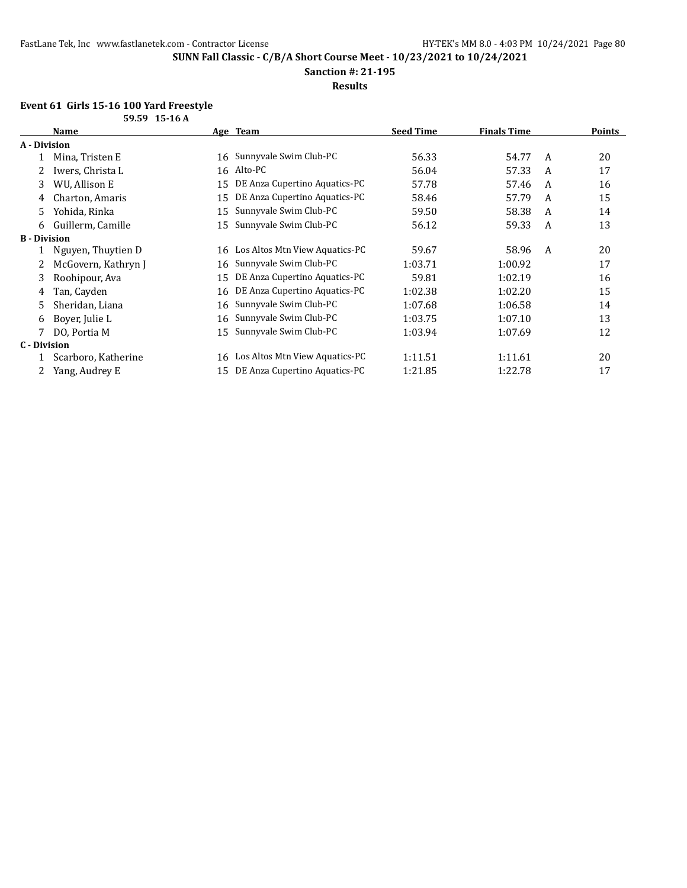**Sanction #: 21-195**

## **Results**

## **Event 61 Girls 15-16 100 Yard Freestyle**

| 59.59 15-16 A       |                     |    |                                |                  |                    |   |               |
|---------------------|---------------------|----|--------------------------------|------------------|--------------------|---|---------------|
|                     | Name                |    | Age Team                       | <b>Seed Time</b> | <b>Finals Time</b> |   | <b>Points</b> |
| A - Division        |                     |    |                                |                  |                    |   |               |
|                     | Mina, Tristen E     |    | 16 Sunnyvale Swim Club-PC      | 56.33            | 54.77              | A | 20            |
|                     | Iwers, Christa L    |    | 16 Alto-PC                     | 56.04            | 57.33              | A | 17            |
| 3                   | WU, Allison E       | 15 | DE Anza Cupertino Aquatics-PC  | 57.78            | 57.46              | A | 16            |
| 4                   | Charton, Amaris     | 15 | DE Anza Cupertino Aquatics-PC  | 58.46            | 57.79              | A | 15            |
| 5.                  | Yohida, Rinka       | 15 | Sunnyvale Swim Club-PC         | 59.50            | 58.38              | A | 14            |
| 6                   | Guillerm, Camille   | 15 | Sunnyvale Swim Club-PC         | 56.12            | 59.33              | A | 13            |
| <b>B</b> - Division |                     |    |                                |                  |                    |   |               |
| 1                   | Nguyen, Thuytien D  | 16 | Los Altos Mtn View Aquatics-PC | 59.67            | 58.96              | A | 20            |
|                     | McGovern, Kathryn J | 16 | Sunnyvale Swim Club-PC         | 1:03.71          | 1:00.92            |   | 17            |
| 3                   | Roohipour, Ava      | 15 | DE Anza Cupertino Aquatics-PC  | 59.81            | 1:02.19            |   | 16            |
| 4                   | Tan, Cayden         | 16 | DE Anza Cupertino Aquatics-PC  | 1:02.38          | 1:02.20            |   | 15            |
| 5                   | Sheridan, Liana     | 16 | Sunnyvale Swim Club-PC         | 1:07.68          | 1:06.58            |   | 14            |
| 6                   | Boyer, Julie L      | 16 | Sunnyvale Swim Club-PC         | 1:03.75          | 1:07.10            |   | 13            |
|                     | DO, Portia M        | 15 | Sunnyvale Swim Club-PC         | 1:03.94          | 1:07.69            |   | 12            |
| C - Division        |                     |    |                                |                  |                    |   |               |
|                     | Scarboro, Katherine | 16 | Los Altos Mtn View Aquatics-PC | 1:11.51          | 1:11.61            |   | 20            |
|                     | Yang, Audrey E      | 15 | DE Anza Cupertino Aquatics-PC  | 1:21.85          | 1:22.78            |   | 17            |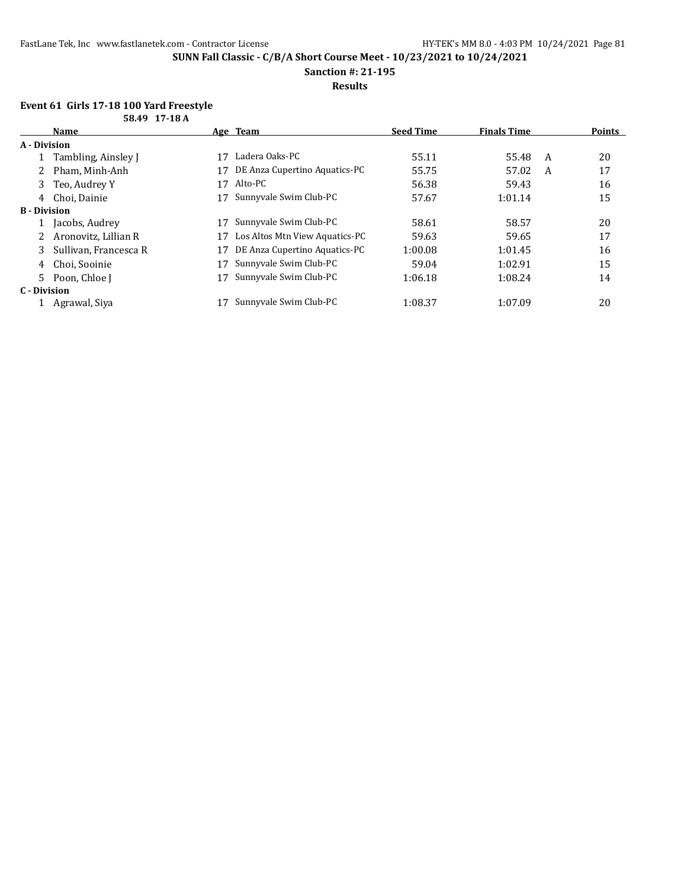**Sanction #: 21-195**

## **Results**

### **Event 61 Girls 17-18 100 Yard Freestyle 58.49 17-18 A**

| נו טב וב כדוטט        |    |                                |                  |                    |   |               |
|-----------------------|----|--------------------------------|------------------|--------------------|---|---------------|
| <b>Name</b>           |    |                                | <b>Seed Time</b> | <b>Finals Time</b> |   | <b>Points</b> |
| A - Division          |    |                                |                  |                    |   |               |
| Tambling, Ainsley J   | 17 | Ladera Oaks-PC                 | 55.11            | 55.48              |   | 20            |
| Pham, Minh-Anh        | 17 | DE Anza Cupertino Aquatics-PC  | 55.75            | 57.02              | A | 17            |
| Teo, Audrey Y<br>3    | 17 | Alto-PC                        | 56.38            | 59.43              |   | 16            |
| Choi. Dainie<br>4     |    | Sunnyvale Swim Club-PC         | 57.67            | 1:01.14            |   | 15            |
| <b>B</b> - Division   |    |                                |                  |                    |   |               |
| Jacobs, Audrey        |    | Sunnyvale Swim Club-PC         | 58.61            | 58.57              |   | 20            |
| Aronovitz, Lillian R  | 17 | Los Altos Mtn View Aquatics-PC | 59.63            | 59.65              |   | 17            |
| Sullivan, Francesca R | 17 | DE Anza Cupertino Aquatics-PC  | 1:00.08          | 1:01.45            |   | 16            |
| Choi, Sooinie<br>4    |    | Sunnyvale Swim Club-PC         | 59.04            | 1:02.91            |   | 15            |
| 5<br>Poon, Chloe J    |    | Sunnyvale Swim Club-PC         | 1:06.18          | 1:08.24            |   | 14            |
| C - Division          |    |                                |                  |                    |   |               |
| Agrawal, Siya         |    | Sunnyvale Swim Club-PC         | 1:08.37          | 1:07.09            |   | 20            |
|                       |    |                                | Age Team         |                    |   | A             |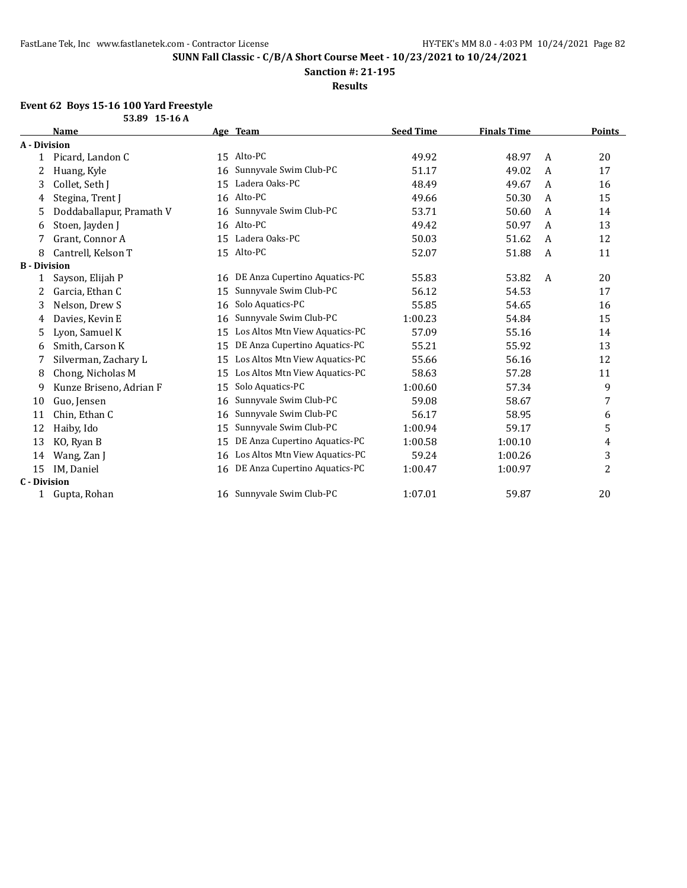**Sanction #: 21-195**

**Results**

## **Event 62 Boys 15-16 100 Yard Freestyle**

| 53.89 15-16 A       |                          |    |                                |                  |                    |                |        |
|---------------------|--------------------------|----|--------------------------------|------------------|--------------------|----------------|--------|
|                     | <b>Name</b>              |    | Age Team                       | <b>Seed Time</b> | <b>Finals Time</b> |                | Points |
| A - Division        |                          |    |                                |                  |                    |                |        |
|                     | Picard, Landon C         | 15 | Alto-PC                        | 49.92            | 48.97              | $\overline{A}$ | 20     |
| 2                   | Huang, Kyle              | 16 | Sunnyvale Swim Club-PC         | 51.17            | 49.02              | A              | 17     |
| 3                   | Collet, Seth J           | 15 | Ladera Oaks-PC                 | 48.49            | 49.67              | A              | 16     |
| 4                   | Stegina, Trent J         | 16 | Alto-PC                        | 49.66            | 50.30              | A              | 15     |
| 5.                  | Doddaballapur, Pramath V | 16 | Sunnyvale Swim Club-PC         | 53.71            | 50.60              | A              | 14     |
| 6                   | Stoen, Jayden J          | 16 | Alto-PC                        | 49.42            | 50.97              | A              | 13     |
| 7                   | Grant, Connor A          | 15 | Ladera Oaks-PC                 | 50.03            | 51.62              | A              | 12     |
| 8                   | Cantrell, Kelson T       |    | 15 Alto-PC                     | 52.07            | 51.88              | A              | 11     |
| <b>B</b> - Division |                          |    |                                |                  |                    |                |        |
| 1                   | Sayson, Elijah P         | 16 | DE Anza Cupertino Aquatics-PC  | 55.83            | 53.82              | A              | 20     |
| 2                   | Garcia, Ethan C          | 15 | Sunnyvale Swim Club-PC         | 56.12            | 54.53              |                | 17     |
| 3                   | Nelson, Drew S           | 16 | Solo Aquatics-PC               | 55.85            | 54.65              |                | 16     |
| 4                   | Davies, Kevin E          | 16 | Sunnyvale Swim Club-PC         | 1:00.23          | 54.84              |                | 15     |
| 5                   | Lyon, Samuel K           | 15 | Los Altos Mtn View Aquatics-PC | 57.09            | 55.16              |                | 14     |
| 6                   | Smith, Carson K          | 15 | DE Anza Cupertino Aquatics-PC  | 55.21            | 55.92              |                | 13     |
| 7                   | Silverman, Zachary L     | 15 | Los Altos Mtn View Aquatics-PC | 55.66            | 56.16              |                | 12     |
| 8                   | Chong, Nicholas M        | 15 | Los Altos Mtn View Aquatics-PC | 58.63            | 57.28              |                | 11     |
| 9                   | Kunze Briseno, Adrian F  | 15 | Solo Aquatics-PC               | 1:00.60          | 57.34              |                | 9      |
| 10                  | Guo, Jensen              | 16 | Sunnyvale Swim Club-PC         | 59.08            | 58.67              |                | 7      |
| 11                  | Chin, Ethan C            | 16 | Sunnyvale Swim Club-PC         | 56.17            | 58.95              |                | 6      |
| 12                  | Haiby, Ido               | 15 | Sunnyvale Swim Club-PC         | 1:00.94          | 59.17              |                | 5      |
| 13                  | KO, Ryan B               | 15 | DE Anza Cupertino Aquatics-PC  | 1:00.58          | 1:00.10            |                | 4      |
| 14                  | Wang, Zan J              | 16 | Los Altos Mtn View Aquatics-PC | 59.24            | 1:00.26            |                | 3      |
| 15                  | IM, Daniel               | 16 | DE Anza Cupertino Aquatics-PC  | 1:00.47          | 1:00.97            |                | 2      |
| <b>C</b> - Division |                          |    |                                |                  |                    |                |        |
| 1                   | Gupta, Rohan             |    | 16 Sunnyvale Swim Club-PC      | 1:07.01          | 59.87              |                | 20     |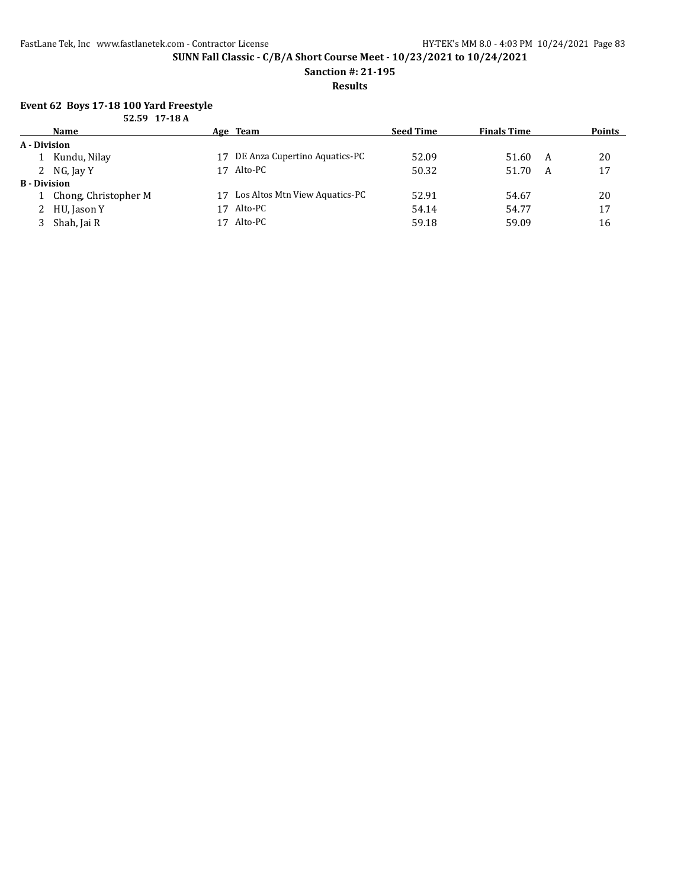**Sanction #: 21-195**

**Results**

## **Event 62 Boys 17-18 100 Yard Freestyle**

|                     | 52.59 17-18 A          |    |                                |                  |                    |   |               |
|---------------------|------------------------|----|--------------------------------|------------------|--------------------|---|---------------|
|                     | <b>Name</b>            |    | Age Team                       | <b>Seed Time</b> | <b>Finals Time</b> |   | <b>Points</b> |
| A - Division        |                        |    |                                |                  |                    |   |               |
|                     | 1 Kundu, Nilay         | 17 | DE Anza Cupertino Aquatics-PC  | 52.09            | 51.60              | A | 20            |
|                     | 2 NG, Jay Y            | 17 | Alto-PC                        | 50.32            | 51.70              | A | 17            |
| <b>B</b> - Division |                        |    |                                |                  |                    |   |               |
|                     | 1 Chong, Christopher M | 17 | Los Altos Mtn View Aquatics-PC | 52.91            | 54.67              |   | 20            |
|                     | 2 HU, Jason Y          | 17 | Alto-PC                        | 54.14            | 54.77              |   | 17            |
|                     | Shah, Jai R            | 17 | Alto-PC                        | 59.18            | 59.09              |   | 16            |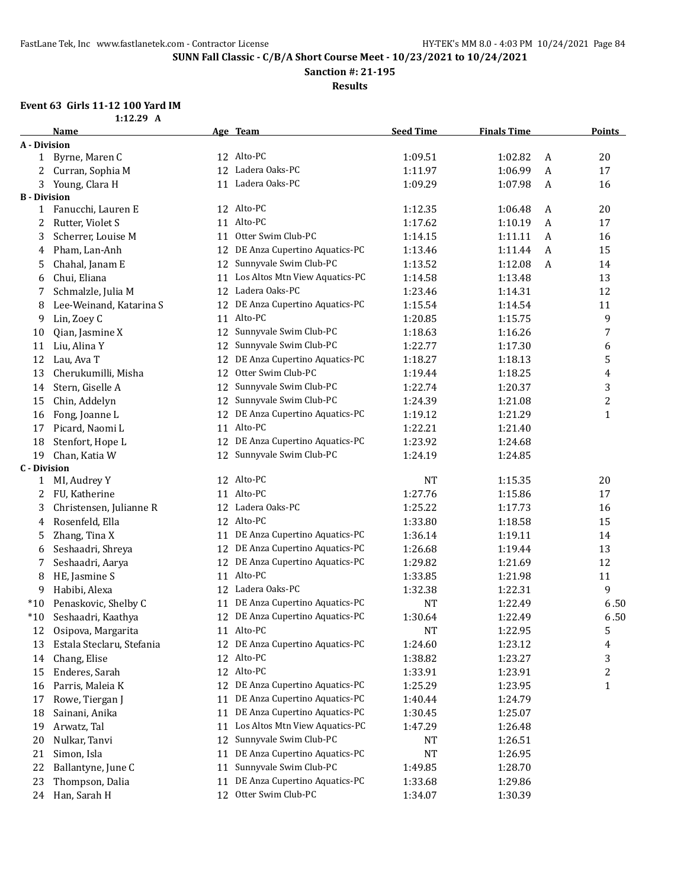**Sanction #: 21-195**

**Results**

# **Event 63 Girls 11-12 100 Yard IM**

| $1:12.29$ A |  |
|-------------|--|
|             |  |

|                     | <b>Name</b>               |    | Age Team                         | <b>Seed Time</b> | <b>Finals Time</b> |   | <b>Points</b> |
|---------------------|---------------------------|----|----------------------------------|------------------|--------------------|---|---------------|
| <b>A</b> - Division |                           |    |                                  |                  |                    |   |               |
|                     | 1 Byrne, Maren C          |    | 12 Alto-PC                       | 1:09.51          | 1:02.82            | A | 20            |
| 2                   | Curran, Sophia M          |    | 12 Ladera Oaks-PC                | 1:11.97          | 1:06.99            | A | $17\,$        |
| 3                   | Young, Clara H            |    | 11 Ladera Oaks-PC                | 1:09.29          | 1:07.98            | A | 16            |
| <b>B</b> - Division |                           |    |                                  |                  |                    |   |               |
| 1                   | Fanucchi, Lauren E        |    | 12 Alto-PC                       | 1:12.35          | 1:06.48            | A | 20            |
| 2                   | Rutter, Violet S          |    | 11 Alto-PC                       | 1:17.62          | 1:10.19            | A | 17            |
| 3                   | Scherrer, Louise M        | 11 | Otter Swim Club-PC               | 1:14.15          | 1:11.11            | A | 16            |
| 4                   | Pham, Lan-Anh             | 12 | DE Anza Cupertino Aquatics-PC    | 1:13.46          | 1:11.44            | A | 15            |
| 5                   | Chahal, Janam E           | 12 | Sunnyvale Swim Club-PC           | 1:13.52          | 1:12.08            | A | 14            |
| 6                   | Chui, Eliana              | 11 | Los Altos Mtn View Aquatics-PC   | 1:14.58          | 1:13.48            |   | 13            |
| 7                   | Schmalzle, Julia M        |    | 12 Ladera Oaks-PC                | 1:23.46          | 1:14.31            |   | 12            |
| 8                   | Lee-Weinand, Katarina S   |    | 12 DE Anza Cupertino Aquatics-PC | 1:15.54          | 1:14.54            |   | 11            |
| 9                   | Lin, Zoey C               |    | 11 Alto-PC                       | 1:20.85          | 1:15.75            |   | 9             |
| 10                  | Qian, Jasmine X           | 12 | Sunnyvale Swim Club-PC           | 1:18.63          | 1:16.26            |   | 7             |
| 11                  | Liu, Alina Y              | 12 | Sunnyvale Swim Club-PC           | 1:22.77          | 1:17.30            |   | 6             |
| 12                  | Lau, Ava T                | 12 | DE Anza Cupertino Aquatics-PC    | 1:18.27          | 1:18.13            |   | 5             |
| 13                  | Cherukumilli, Misha       | 12 | Otter Swim Club-PC               | 1:19.44          | 1:18.25            |   | 4             |
| 14                  | Stern, Giselle A          | 12 | Sunnyvale Swim Club-PC           | 1:22.74          | 1:20.37            |   | 3             |
| 15                  | Chin, Addelyn             | 12 | Sunnyvale Swim Club-PC           | 1:24.39          | 1:21.08            |   | 2             |
| 16                  | Fong, Joanne L            | 12 | DE Anza Cupertino Aquatics-PC    | 1:19.12          | 1:21.29            |   | $\mathbf{1}$  |
| 17                  | Picard, Naomi L           |    | 11 Alto-PC                       | 1:22.21          | 1:21.40            |   |               |
| 18                  | Stenfort, Hope L          | 12 | DE Anza Cupertino Aquatics-PC    | 1:23.92          | 1:24.68            |   |               |
| 19                  | Chan, Katia W             | 12 | Sunnyvale Swim Club-PC           | 1:24.19          | 1:24.85            |   |               |
| <b>C</b> - Division |                           |    |                                  |                  |                    |   |               |
| 1                   | MI, Audrey Y              |    | 12 Alto-PC                       | <b>NT</b>        | 1:15.35            |   | 20            |
| 2                   | FU, Katherine             |    | 11 Alto-PC                       | 1:27.76          | 1:15.86            |   | 17            |
| 3                   | Christensen, Julianne R   |    | 12 Ladera Oaks-PC                | 1:25.22          | 1:17.73            |   | 16            |
| 4                   | Rosenfeld, Ella           |    | 12 Alto-PC                       | 1:33.80          | 1:18.58            |   | 15            |
| 5                   | Zhang, Tina X             | 11 | DE Anza Cupertino Aquatics-PC    | 1:36.14          | 1:19.11            |   | 14            |
| 6                   | Seshaadri, Shreya         | 12 | DE Anza Cupertino Aquatics-PC    | 1:26.68          | 1:19.44            |   | 13            |
| 7                   | Seshaadri, Aarya          | 12 | DE Anza Cupertino Aquatics-PC    | 1:29.82          | 1:21.69            |   | 12            |
| 8                   | HE, Jasmine S             |    | 11 Alto-PC                       | 1:33.85          | 1:21.98            |   | 11            |
| 9                   | Habibi, Alexa             |    | 12 Ladera Oaks-PC                | 1:32.38          | 1:22.31            |   | 9             |
| $*10$               | Penaskovic, Shelby C      |    | 11 DE Anza Cupertino Aquatics-PC | NT               | 1:22.49            |   | 6.50          |
| $*10$               | Seshaadri, Kaathya        |    | 12 DE Anza Cupertino Aquatics-PC | 1:30.64          | 1:22.49            |   | 6.50          |
| 12                  | Osipova, Margarita        |    | 11 Alto-PC                       | <b>NT</b>        | 1:22.95            |   | 5             |
| 13                  | Estala Steclaru, Stefania |    | 12 DE Anza Cupertino Aquatics-PC | 1:24.60          | 1:23.12            |   | 4             |
| 14                  | Chang, Elise              |    | 12 Alto-PC                       | 1:38.82          | 1:23.27            |   | 3             |
| 15                  | Enderes, Sarah            |    | 12 Alto-PC                       | 1:33.91          | 1:23.91            |   | 2             |
| 16                  | Parris, Maleia K          |    | 12 DE Anza Cupertino Aquatics-PC | 1:25.29          | 1:23.95            |   | $\mathbf{1}$  |
| 17                  | Rowe, Tiergan J           | 11 | DE Anza Cupertino Aquatics-PC    | 1:40.44          | 1:24.79            |   |               |
| 18                  | Sainani, Anika            | 11 | DE Anza Cupertino Aquatics-PC    | 1:30.45          | 1:25.07            |   |               |
| 19                  | Arwatz, Tal               | 11 | Los Altos Mtn View Aquatics-PC   | 1:47.29          | 1:26.48            |   |               |
| 20                  | Nulkar, Tanvi             | 12 | Sunnyvale Swim Club-PC           | NT               | 1:26.51            |   |               |
| 21                  | Simon, Isla               | 11 | DE Anza Cupertino Aquatics-PC    | <b>NT</b>        | 1:26.95            |   |               |
| 22                  | Ballantyne, June C        | 11 | Sunnyvale Swim Club-PC           | 1:49.85          | 1:28.70            |   |               |
| 23                  | Thompson, Dalia           | 11 | DE Anza Cupertino Aquatics-PC    | 1:33.68          | 1:29.86            |   |               |
| 24                  | Han, Sarah H              | 12 | Otter Swim Club-PC               | 1:34.07          | 1:30.39            |   |               |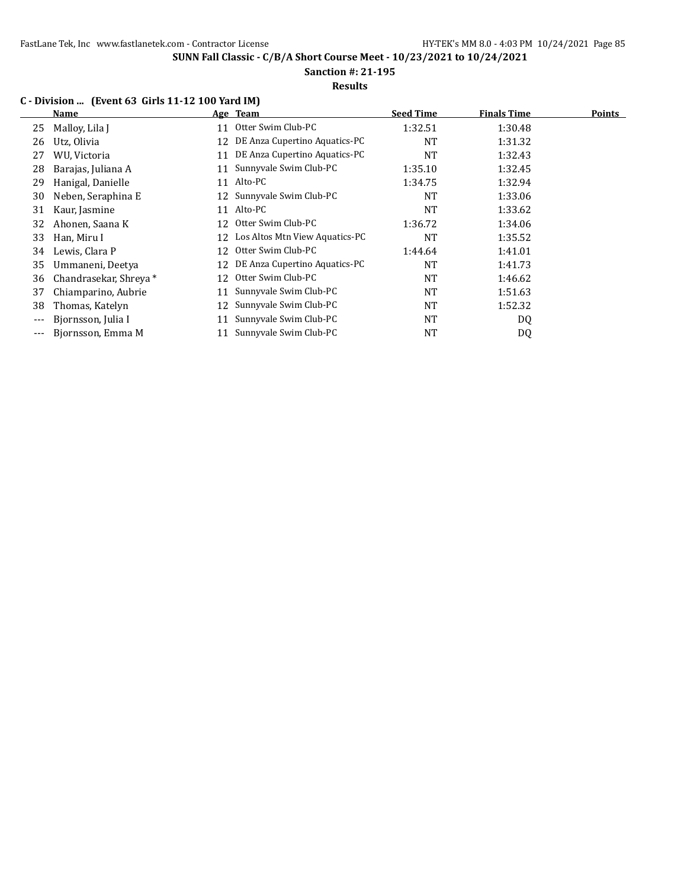FastLane Tek, Inc www.fastlanetek.com - Contractor License HY-TEK's MM 8.0 - 4:03 PM 10/24/2021 Page 85

**SUNN Fall Classic - C/B/A Short Course Meet - 10/23/2021 to 10/24/2021**

**Sanction #: 21-195**

### **Results**

## **C - Division ... (Event 63 Girls 11-12 100 Yard IM)**

|       | Name                   |    | Age Team                       | <b>Seed Time</b> | <b>Finals Time</b> | <b>Points</b> |
|-------|------------------------|----|--------------------------------|------------------|--------------------|---------------|
| 25    | Malloy, Lila J         | 11 | Otter Swim Club-PC             | 1:32.51          | 1:30.48            |               |
| 26    | Utz, Olivia            | 12 | DE Anza Cupertino Aquatics-PC  | NT               | 1:31.32            |               |
| 27    | WU, Victoria           | 11 | DE Anza Cupertino Aquatics-PC  | NT               | 1:32.43            |               |
| 28    | Barajas, Juliana A     | 11 | Sunnyvale Swim Club-PC         | 1:35.10          | 1:32.45            |               |
| 29    | Hanigal, Danielle      | 11 | Alto-PC                        | 1:34.75          | 1:32.94            |               |
| 30    | Neben, Seraphina E     | 12 | Sunnyvale Swim Club-PC         | NT               | 1:33.06            |               |
| 31    | Kaur, Jasmine          | 11 | Alto-PC                        | NT               | 1:33.62            |               |
| 32    | Ahonen, Saana K        | 12 | Otter Swim Club-PC             | 1:36.72          | 1:34.06            |               |
| 33    | Han, Miru I            | 12 | Los Altos Mtn View Aquatics-PC | NT               | 1:35.52            |               |
| 34    | Lewis, Clara P         | 12 | Otter Swim Club-PC             | 1:44.64          | 1:41.01            |               |
| 35    | Ummaneni, Deetya       | 12 | DE Anza Cupertino Aquatics-PC  | NT               | 1:41.73            |               |
| 36    | Chandrasekar, Shreya * | 12 | Otter Swim Club-PC             | NT               | 1:46.62            |               |
| 37    | Chiamparino, Aubrie    | 11 | Sunnyvale Swim Club-PC         | <b>NT</b>        | 1:51.63            |               |
| 38    | Thomas, Katelyn        | 12 | Sunnyvale Swim Club-PC         | <b>NT</b>        | 1:52.32            |               |
| $---$ | Biornsson, Julia I     | 11 | Sunnyvale Swim Club-PC         | <b>NT</b>        | DQ                 |               |
|       | Bjornsson, Emma M      | 11 | Sunnyvale Swim Club-PC         | NT               | DQ                 |               |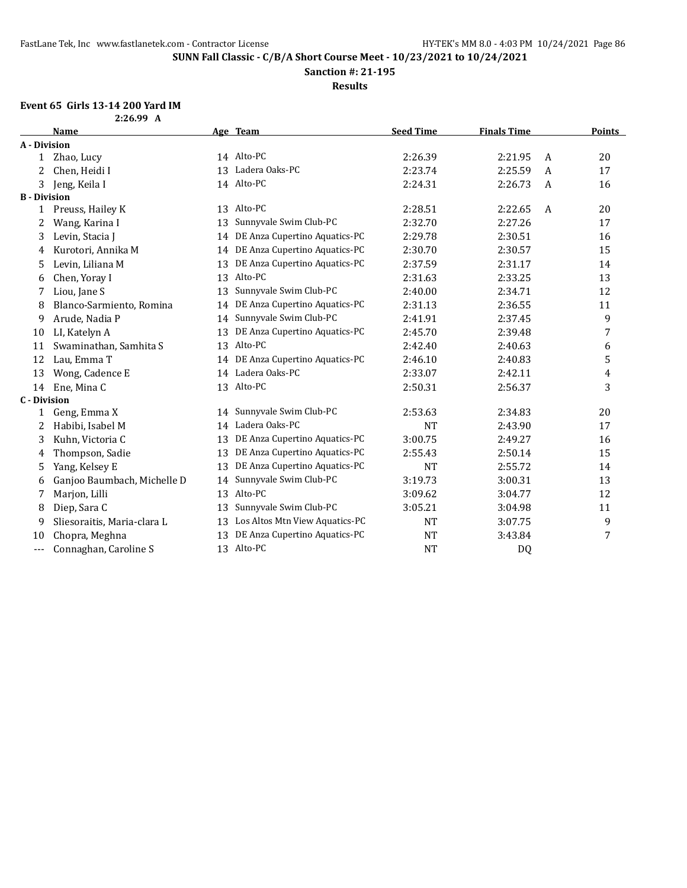**Sanction #: 21-195**

**Results**

# **Event 65 Girls 13-14 200 Yard IM**

| $2:26.99$ A |  |
|-------------|--|
|             |  |

|                     | <b>Name</b>                 |    | Age Team                         | <b>Seed Time</b> | <b>Finals Time</b> |   | <b>Points</b> |
|---------------------|-----------------------------|----|----------------------------------|------------------|--------------------|---|---------------|
| A - Division        |                             |    |                                  |                  |                    |   |               |
| 1                   | Zhao, Lucy                  |    | 14 Alto-PC                       | 2:26.39          | 2:21.95            | A | 20            |
| 2                   | Chen, Heidi I               | 13 | Ladera Oaks-PC                   | 2:23.74          | 2:25.59            | A | 17            |
| 3                   | Jeng, Keila I               |    | 14 Alto-PC                       | 2:24.31          | 2:26.73            | A | 16            |
| <b>B</b> - Division |                             |    |                                  |                  |                    |   |               |
| 1                   | Preuss, Hailey K            |    | 13 Alto-PC                       | 2:28.51          | 2:22.65            | A | 20            |
| 2                   | Wang, Karina I              | 13 | Sunnyvale Swim Club-PC           | 2:32.70          | 2:27.26            |   | 17            |
| 3                   | Levin, Stacia J             |    | 14 DE Anza Cupertino Aquatics-PC | 2:29.78          | 2:30.51            |   | 16            |
| 4                   | Kurotori, Annika M          | 14 | DE Anza Cupertino Aquatics-PC    | 2:30.70          | 2:30.57            |   | 15            |
| 5                   | Levin, Liliana M            | 13 | DE Anza Cupertino Aquatics-PC    | 2:37.59          | 2:31.17            |   | 14            |
| 6                   | Chen, Yoray I               | 13 | Alto-PC                          | 2:31.63          | 2:33.25            |   | 13            |
| 7                   | Liou, Jane S                | 13 | Sunnyvale Swim Club-PC           | 2:40.00          | 2:34.71            |   | 12            |
| 8                   | Blanco-Sarmiento, Romina    | 14 | DE Anza Cupertino Aquatics-PC    | 2:31.13          | 2:36.55            |   | 11            |
| 9                   | Arude, Nadia P              | 14 | Sunnyvale Swim Club-PC           | 2:41.91          | 2:37.45            |   | 9             |
| 10                  | LI, Katelyn A               | 13 | DE Anza Cupertino Aquatics-PC    | 2:45.70          | 2:39.48            |   | 7             |
| 11                  | Swaminathan, Samhita S      | 13 | Alto-PC                          | 2:42.40          | 2:40.63            |   | 6             |
| 12                  | Lau, Emma T                 |    | 14 DE Anza Cupertino Aquatics-PC | 2:46.10          | 2:40.83            |   | 5             |
| 13                  | Wong, Cadence E             |    | 14 Ladera Oaks-PC                | 2:33.07          | 2:42.11            |   | 4             |
| 14                  | Ene, Mina C                 |    | 13 Alto-PC                       | 2:50.31          | 2:56.37            |   | 3             |
| <b>C</b> - Division |                             |    |                                  |                  |                    |   |               |
| 1                   | Geng, Emma X                |    | 14 Sunnyvale Swim Club-PC        | 2:53.63          | 2:34.83            |   | 20            |
| 2                   | Habibi, Isabel M            |    | 14 Ladera Oaks-PC                | <b>NT</b>        | 2:43.90            |   | 17            |
| 3                   | Kuhn, Victoria C            | 13 | DE Anza Cupertino Aquatics-PC    | 3:00.75          | 2:49.27            |   | 16            |
| 4                   | Thompson, Sadie             | 13 | DE Anza Cupertino Aquatics-PC    | 2:55.43          | 2:50.14            |   | 15            |
| 5                   | Yang, Kelsey E              | 13 | DE Anza Cupertino Aquatics-PC    | <b>NT</b>        | 2:55.72            |   | 14            |
| 6                   | Ganjoo Baumbach, Michelle D | 14 | Sunnyvale Swim Club-PC           | 3:19.73          | 3:00.31            |   | 13            |
| 7                   | Marjon, Lilli               | 13 | Alto-PC                          | 3:09.62          | 3:04.77            |   | 12            |
| 8                   | Diep, Sara C                | 13 | Sunnyvale Swim Club-PC           | 3:05.21          | 3:04.98            |   | 11            |
| 9                   | Sliesoraitis, Maria-clara L | 13 | Los Altos Mtn View Aquatics-PC   | <b>NT</b>        | 3:07.75            |   | 9             |
| 10                  | Chopra, Meghna              | 13 | DE Anza Cupertino Aquatics-PC    | <b>NT</b>        | 3:43.84            |   | 7             |
| $---$               | Connaghan, Caroline S       | 13 | Alto-PC                          | <b>NT</b>        | D <sub>0</sub>     |   |               |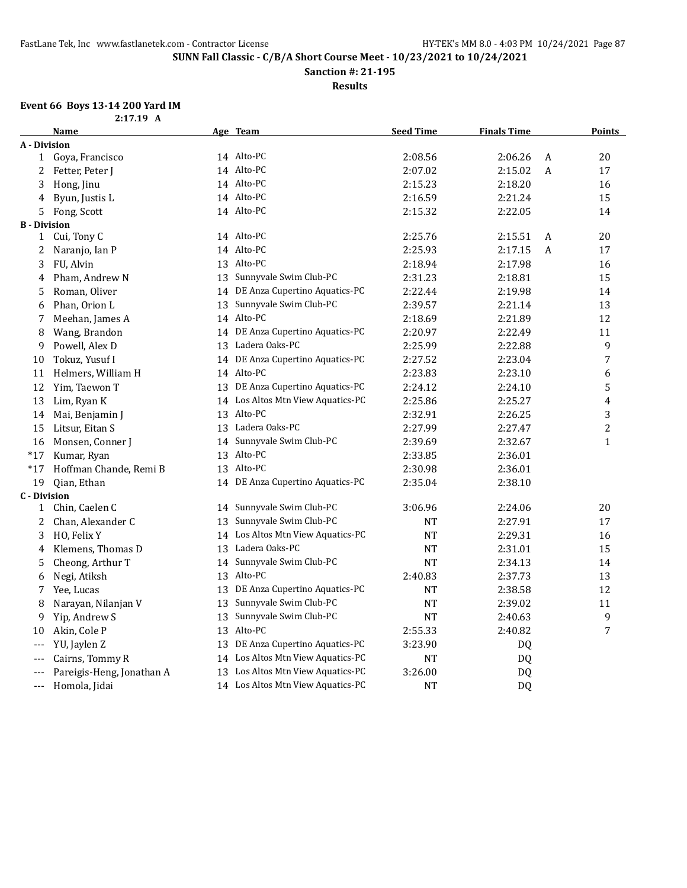**Sanction #: 21-195**

**Results**

# **Event 66 Boys 13-14 200 Yard IM**

|      | $2:17.19$ A |  |
|------|-------------|--|
| Namo |             |  |

|                     | <b>Name</b>               |    | Age Team                          | <b>Seed Time</b> | <b>Finals Time</b> |   | <b>Points</b>    |
|---------------------|---------------------------|----|-----------------------------------|------------------|--------------------|---|------------------|
| A - Division        |                           |    |                                   |                  |                    |   |                  |
|                     | 1 Goya, Francisco         |    | 14 Alto-PC                        | 2:08.56          | 2:06.26            | A | 20               |
| 2                   | Fetter, Peter J           |    | 14 Alto-PC                        | 2:07.02          | 2:15.02            | A | 17               |
| 3                   | Hong, Jinu                |    | 14 Alto-PC                        | 2:15.23          | 2:18.20            |   | 16               |
| 4                   | Byun, Justis L            |    | 14 Alto-PC                        | 2:16.59          | 2:21.24            |   | 15               |
| 5                   | Fong, Scott               |    | 14 Alto-PC                        | 2:15.32          | 2:22.05            |   | 14               |
| <b>B</b> - Division |                           |    |                                   |                  |                    |   |                  |
| $\mathbf{1}$        | Cui, Tony C               |    | 14 Alto-PC                        | 2:25.76          | 2:15.51            | A | 20               |
| 2                   | Naranjo, Ian P            |    | 14 Alto-PC                        | 2:25.93          | 2:17.15            | A | $17\,$           |
| 3                   | FU, Alvin                 |    | 13 Alto-PC                        | 2:18.94          | 2:17.98            |   | 16               |
| 4                   | Pham, Andrew N            |    | 13 Sunnyvale Swim Club-PC         | 2:31.23          | 2:18.81            |   | 15               |
| 5                   | Roman, Oliver             |    | 14 DE Anza Cupertino Aquatics-PC  | 2:22.44          | 2:19.98            |   | 14               |
| 6                   | Phan, Orion L             |    | 13 Sunnyvale Swim Club-PC         | 2:39.57          | 2:21.14            |   | 13               |
| 7                   | Meehan, James A           |    | 14 Alto-PC                        | 2:18.69          | 2:21.89            |   | 12               |
| 8                   | Wang, Brandon             |    | 14 DE Anza Cupertino Aquatics-PC  | 2:20.97          | 2:22.49            |   | 11               |
| 9                   | Powell, Alex D            |    | 13 Ladera Oaks-PC                 | 2:25.99          | 2:22.88            |   | 9                |
| 10                  | Tokuz, Yusuf I            |    | 14 DE Anza Cupertino Aquatics-PC  | 2:27.52          | 2:23.04            |   | 7                |
| 11                  | Helmers, William H        |    | 14 Alto-PC                        | 2:23.83          | 2:23.10            |   | 6                |
| 12                  | Yim, Taewon T             |    | 13 DE Anza Cupertino Aquatics-PC  | 2:24.12          | 2:24.10            |   | 5                |
| 13                  | Lim, Ryan K               |    | 14 Los Altos Mtn View Aquatics-PC | 2:25.86          | 2:25.27            |   | 4                |
| 14                  | Mai, Benjamin J           |    | 13 Alto-PC                        | 2:32.91          | 2:26.25            |   | 3                |
| 15                  | Litsur, Eitan S           |    | 13 Ladera Oaks-PC                 | 2:27.99          | 2:27.47            |   | $\boldsymbol{2}$ |
| 16                  | Monsen, Conner J          |    | 14 Sunnyvale Swim Club-PC         | 2:39.69          | 2:32.67            |   | $\mathbf{1}$     |
| $*17$               | Kumar, Ryan               |    | 13 Alto-PC                        | 2:33.85          | 2:36.01            |   |                  |
| $*17$               | Hoffman Chande, Remi B    |    | 13 Alto-PC                        | 2:30.98          | 2:36.01            |   |                  |
| 19                  | Qian, Ethan               |    | 14 DE Anza Cupertino Aquatics-PC  | 2:35.04          | 2:38.10            |   |                  |
| <b>C</b> - Division |                           |    |                                   |                  |                    |   |                  |
| 1                   | Chin, Caelen C            |    | 14 Sunnyvale Swim Club-PC         | 3:06.96          | 2:24.06            |   | 20               |
| 2                   | Chan, Alexander C         | 13 | Sunnyvale Swim Club-PC            | NT               | 2:27.91            |   | 17               |
| 3                   | HO, Felix Y               |    | 14 Los Altos Mtn View Aquatics-PC | <b>NT</b>        | 2:29.31            |   | 16               |
| 4                   | Klemens, Thomas D         |    | 13 Ladera Oaks-PC                 | <b>NT</b>        | 2:31.01            |   | 15               |
| 5                   | Cheong, Arthur T          |    | 14 Sunnyvale Swim Club-PC         | <b>NT</b>        | 2:34.13            |   | 14               |
| 6                   | Negi, Atiksh              |    | 13 Alto-PC                        | 2:40.83          | 2:37.73            |   | 13               |
| 7                   | Yee, Lucas                |    | 13 DE Anza Cupertino Aquatics-PC  | <b>NT</b>        | 2:38.58            |   | 12               |
| 8                   | Narayan, Nilanjan V       | 13 | Sunnyvale Swim Club-PC            | NT               | 2:39.02            |   | 11               |
| 9                   | Yip, Andrew S             | 13 | Sunnyvale Swim Club-PC            | <b>NT</b>        | 2:40.63            |   | 9                |
| 10                  | Akin, Cole P              | 13 | Alto-PC                           | 2:55.33          | 2:40.82            |   | 7                |
| $---$               | YU, Jaylen Z              | 13 | DE Anza Cupertino Aquatics-PC     | 3:23.90          | DQ                 |   |                  |
| ---                 | Cairns, Tommy R           |    | 14 Los Altos Mtn View Aquatics-PC | <b>NT</b>        | DQ                 |   |                  |
| ---                 | Pareigis-Heng, Jonathan A |    | 13 Los Altos Mtn View Aquatics-PC | 3:26.00          | DQ                 |   |                  |
| $---$               | Homola, Jidai             |    | 14 Los Altos Mtn View Aquatics-PC | <b>NT</b>        | D <sub>0</sub>     |   |                  |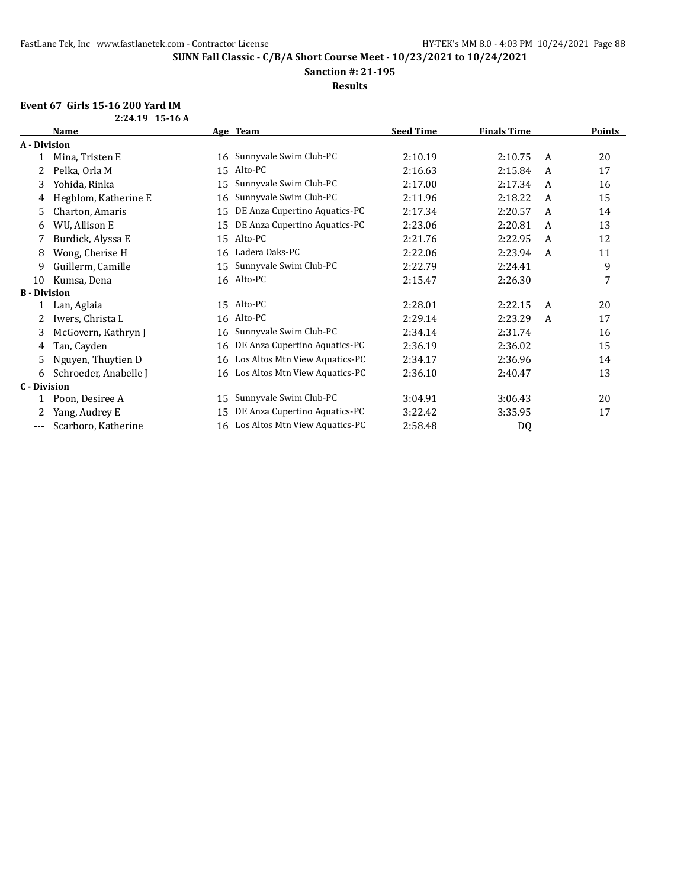**Sanction #: 21-195**

**Results**

# **Event 67 Girls 15-16 200 Yard IM**

|                     | <b>Name</b>           |    | Age Team                          | <b>Seed Time</b> | <b>Finals Time</b> |   | <b>Points</b> |
|---------------------|-----------------------|----|-----------------------------------|------------------|--------------------|---|---------------|
| A - Division        |                       |    |                                   |                  |                    |   |               |
|                     | Mina, Tristen E       |    | 16 Sunnyvale Swim Club-PC         | 2:10.19          | 2:10.75            | A | 20            |
|                     | Pelka, Orla M         | 15 | Alto-PC                           | 2:16.63          | 2:15.84            | A | 17            |
| 3                   | Yohida, Rinka         | 15 | Sunnyvale Swim Club-PC            | 2:17.00          | 2:17.34            | A | 16            |
| 4                   | Hegblom, Katherine E  | 16 | Sunnyvale Swim Club-PC            | 2:11.96          | 2:18.22            | A | 15            |
| 5                   | Charton, Amaris       | 15 | DE Anza Cupertino Aquatics-PC     | 2:17.34          | 2:20.57            | A | 14            |
| 6                   | WU, Allison E         | 15 | DE Anza Cupertino Aquatics-PC     | 2:23.06          | 2:20.81            | A | 13            |
| 7                   | Burdick, Alyssa E     | 15 | Alto-PC                           | 2:21.76          | 2:22.95            | A | 12            |
| 8                   | Wong, Cherise H       | 16 | Ladera Oaks-PC                    | 2:22.06          | 2:23.94            | A | 11            |
| 9                   | Guillerm, Camille     | 15 | Sunnyvale Swim Club-PC            | 2:22.79          | 2:24.41            |   | 9             |
| 10                  | Kumsa, Dena           |    | 16 Alto-PC                        | 2:15.47          | 2:26.30            |   | 7             |
| <b>B</b> - Division |                       |    |                                   |                  |                    |   |               |
|                     | Lan, Aglaia           |    | 15 Alto-PC                        | 2:28.01          | 2:22.15            | A | 20            |
| 2                   | Iwers, Christa L      |    | 16 Alto-PC                        | 2:29.14          | 2:23.29            | A | 17            |
| 3                   | McGovern, Kathryn J   | 16 | Sunnyvale Swim Club-PC            | 2:34.14          | 2:31.74            |   | 16            |
| 4                   | Tan, Cayden           | 16 | DE Anza Cupertino Aquatics-PC     | 2:36.19          | 2:36.02            |   | 15            |
| 5                   | Nguyen, Thuytien D    | 16 | Los Altos Mtn View Aquatics-PC    | 2:34.17          | 2:36.96            |   | 14            |
| 6                   | Schroeder, Anabelle J |    | 16 Los Altos Mtn View Aquatics-PC | 2:36.10          | 2:40.47            |   | 13            |
| <b>C</b> - Division |                       |    |                                   |                  |                    |   |               |
|                     | Poon, Desiree A       | 15 | Sunnyvale Swim Club-PC            | 3:04.91          | 3:06.43            |   | 20            |
|                     | Yang, Audrey E        | 15 | DE Anza Cupertino Aquatics-PC     | 3:22.42          | 3:35.95            |   | 17            |
| ---                 | Scarboro, Katherine   |    | 16 Los Altos Mtn View Aquatics-PC | 2:58.48          | DQ                 |   |               |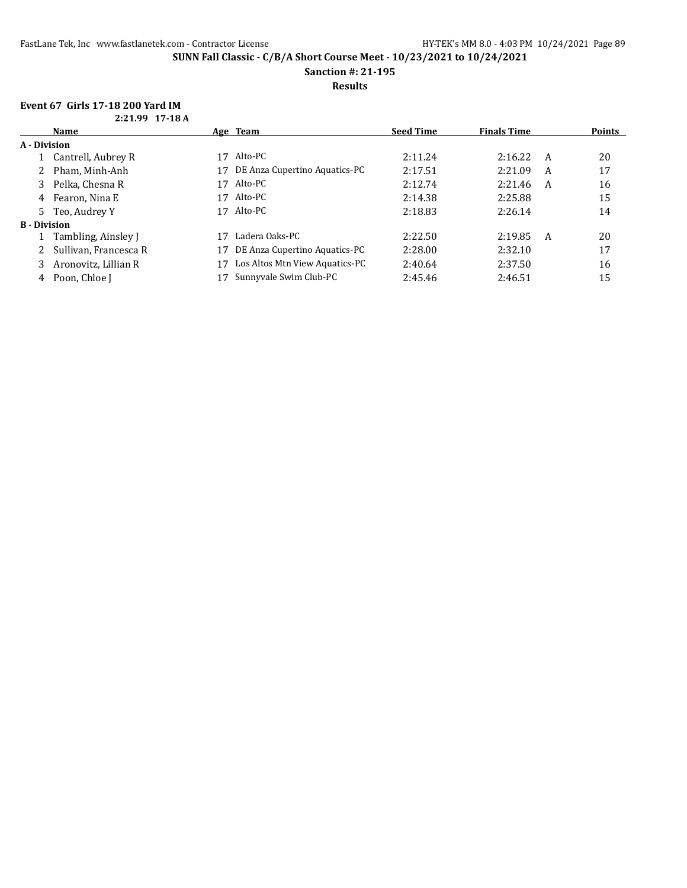**Sanction #: 21-195**

**Results**

### **Event 67 Girls 17-18 200 Yard IM 2:21.99 17-18 A**

|                     | 4.41.77 11 10 M       |    |                                |                  |                    |   |               |
|---------------------|-----------------------|----|--------------------------------|------------------|--------------------|---|---------------|
|                     | <b>Name</b>           |    | Age Team                       | <b>Seed Time</b> | <b>Finals Time</b> |   | <b>Points</b> |
| A - Division        |                       |    |                                |                  |                    |   |               |
|                     | 1 Cantrell, Aubrey R  | 17 | Alto-PC                        | 2:11.24          | 2:16.22            | A | 20            |
|                     | Pham, Minh-Anh        | 17 | DE Anza Cupertino Aquatics-PC  | 2:17.51          | 2:21.09            | A | 17            |
|                     | Pelka, Chesna R       | 17 | Alto-PC                        | 2:12.74          | 2:21.46            | A | 16            |
| 4                   | Fearon, Nina E        | 17 | Alto-PC                        | 2:14.38          | 2:25.88            |   | 15            |
| 5                   | Teo, Audrey Y         | 17 | Alto-PC                        | 2:18.83          | 2:26.14            |   | 14            |
| <b>B</b> - Division |                       |    |                                |                  |                    |   |               |
|                     | Tambling, Ainsley J   |    | Ladera Oaks-PC                 | 2:22.50          | 2:19.85            | A | 20            |
|                     | Sullivan, Francesca R | 17 | DE Anza Cupertino Aquatics-PC  | 2:28.00          | 2:32.10            |   | 17            |
|                     | Aronovitz, Lillian R  | 17 | Los Altos Mtn View Aquatics-PC | 2:40.64          | 2:37.50            |   | 16            |
| 4                   | Poon, Chloe I         |    | Sunnyvale Swim Club-PC         | 2:45.46          | 2:46.51            |   | 15            |
|                     |                       |    |                                |                  |                    |   |               |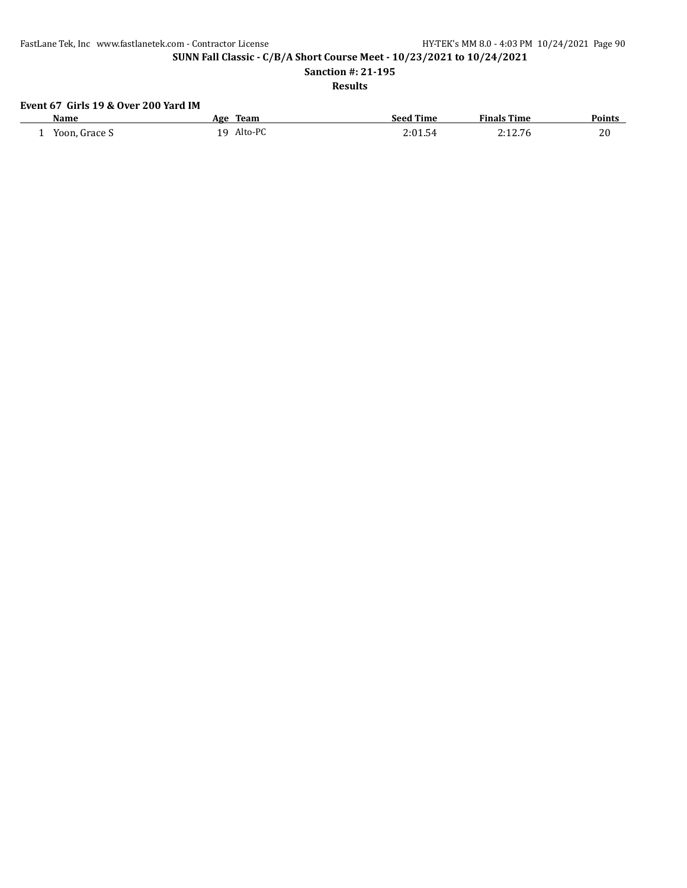**Sanction #: 21-195**

# **Results**

# **Event 67 Girls 19 & Over 200 Yard IM**

| Name                      | Team<br>Age                 | Seed Time                                    | <sup>F</sup> inals Time | Points |
|---------------------------|-----------------------------|----------------------------------------------|-------------------------|--------|
| Frace S<br>Yoon<br>-<br>. | Alto-P $\Gamma$<br>1 Q<br>- | $^{\prime}$ . The set of $\sim$<br>54<br>. J |                         | 20     |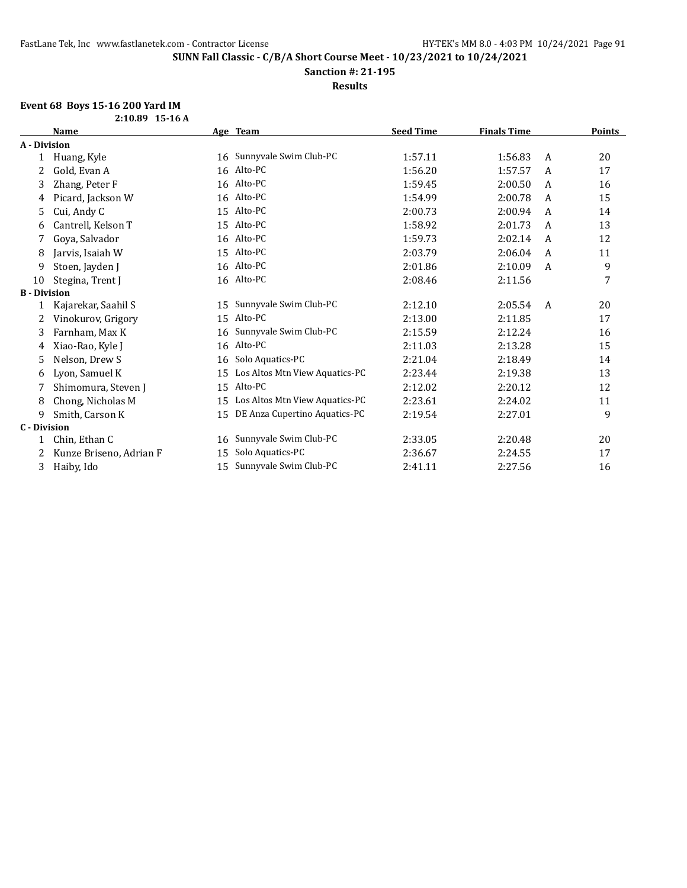**Sanction #: 21-195**

**Results**

# **Event 68 Boys 15-16 200 Yard IM**

|                     | 2:10.89 15-16 A         |    |                                |                  |                    |              |        |
|---------------------|-------------------------|----|--------------------------------|------------------|--------------------|--------------|--------|
|                     | <b>Name</b>             |    | Age Team                       | <b>Seed Time</b> | <b>Finals Time</b> |              | Points |
| A - Division        |                         |    |                                |                  |                    |              |        |
|                     | Huang, Kyle             | 16 | Sunnyvale Swim Club-PC         | 1:57.11          | 1:56.83            | A            | 20     |
| 2                   | Gold, Evan A            |    | 16 Alto-PC                     | 1:56.20          | 1:57.57            | A            | 17     |
| 3                   | Zhang, Peter F          | 16 | Alto-PC                        | 1:59.45          | 2:00.50            | A            | 16     |
| 4                   | Picard, Jackson W       | 16 | Alto-PC                        | 1:54.99          | 2:00.78            | A            | 15     |
| 5                   | Cui, Andy C             | 15 | Alto-PC                        | 2:00.73          | 2:00.94            | A            | 14     |
| 6                   | Cantrell, Kelson T      | 15 | Alto-PC                        | 1:58.92          | 2:01.73            | A            | 13     |
|                     | Goya, Salvador          | 16 | Alto-PC                        | 1:59.73          | 2:02.14            | A            | 12     |
| 8                   | Jarvis, Isaiah W        | 15 | Alto-PC                        | 2:03.79          | 2:06.04            | A            | 11     |
| 9                   | Stoen, Jayden J         |    | 16 Alto-PC                     | 2:01.86          | 2:10.09            | $\mathsf{A}$ | 9      |
| 10                  | Stegina, Trent J        |    | 16 Alto-PC                     | 2:08.46          | 2:11.56            |              | 7      |
| <b>B</b> - Division |                         |    |                                |                  |                    |              |        |
|                     | Kajarekar, Saahil S     | 15 | Sunnyvale Swim Club-PC         | 2:12.10          | 2:05.54            | A            | 20     |
| 2                   | Vinokurov, Grigory      | 15 | Alto-PC                        | 2:13.00          | 2:11.85            |              | 17     |
| 3                   | Farnham, Max K          | 16 | Sunnyvale Swim Club-PC         | 2:15.59          | 2:12.24            |              | 16     |
| 4                   | Xiao-Rao, Kyle J        | 16 | Alto-PC                        | 2:11.03          | 2:13.28            |              | 15     |
| 5                   | Nelson, Drew S          | 16 | Solo Aquatics-PC               | 2:21.04          | 2:18.49            |              | 14     |
| 6                   | Lyon, Samuel K          | 15 | Los Altos Mtn View Aquatics-PC | 2:23.44          | 2:19.38            |              | 13     |
|                     | Shimomura, Steven J     | 15 | Alto-PC                        | 2:12.02          | 2:20.12            |              | 12     |
| 8                   | Chong, Nicholas M       | 15 | Los Altos Mtn View Aquatics-PC | 2:23.61          | 2:24.02            |              | 11     |
| 9                   | Smith, Carson K         | 15 | DE Anza Cupertino Aquatics-PC  | 2:19.54          | 2:27.01            |              | 9      |
| <b>C</b> - Division |                         |    |                                |                  |                    |              |        |
|                     | Chin, Ethan C           | 16 | Sunnyvale Swim Club-PC         | 2:33.05          | 2:20.48            |              | 20     |
| 2                   | Kunze Briseno, Adrian F | 15 | Solo Aquatics-PC               | 2:36.67          | 2:24.55            |              | 17     |
| 3                   | Haiby, Ido              | 15 | Sunnyvale Swim Club-PC         | 2:41.11          | 2:27.56            |              | 16     |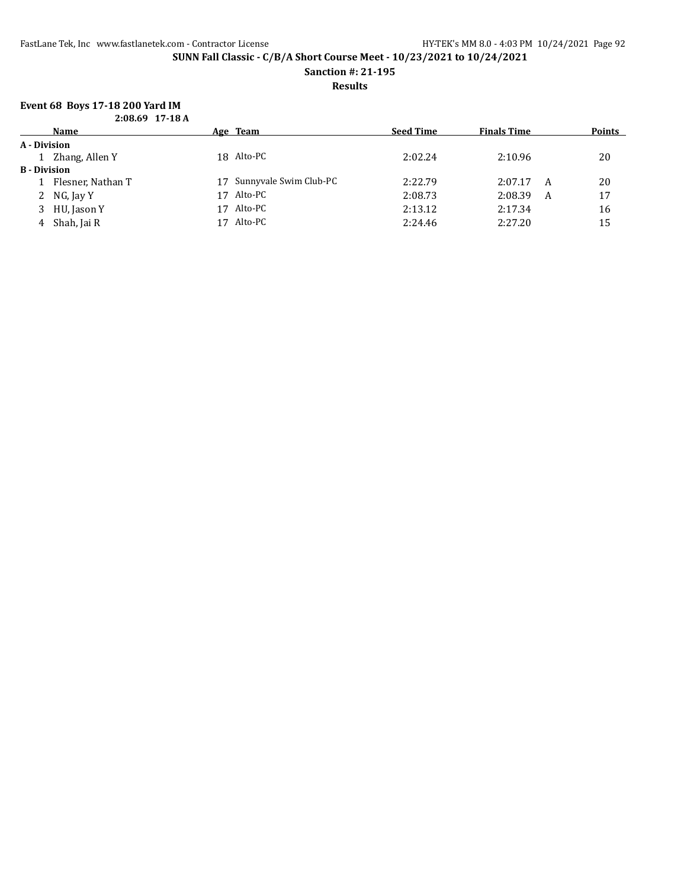**Sanction #: 21-195**

## **Results**

# **Event 68 Boys 17-18 200 Yard IM**

|  | $2:08.69$ 17-18 A |
|--|-------------------|
|  |                   |

|                     | <b>Name</b>       |    | Age Team                  | <b>Seed Time</b> | <b>Finals Time</b> | <b>Points</b> |
|---------------------|-------------------|----|---------------------------|------------------|--------------------|---------------|
| A - Division        |                   |    |                           |                  |                    |               |
|                     | 1 Zhang, Allen Y  |    | 18 Alto-PC                | 2:02.24          | 2:10.96            | 20            |
| <b>B</b> - Division |                   |    |                           |                  |                    |               |
|                     | Flesner, Nathan T |    | 17 Sunnyvale Swim Club-PC | 2:22.79          | 2:07.17<br>A       | 20            |
|                     | 2 NG, Jay Y       | 17 | Alto-PC                   | 2:08.73          | 2:08.39            | 17<br>A       |
|                     | 3 HU, Jason Y     | 17 | Alto-PC                   | 2:13.12          | 2:17.34            | 16            |
|                     | 4 Shah, Jai R     |    | 17 Alto-PC                | 2:24.46          | 2:27.20            | 15            |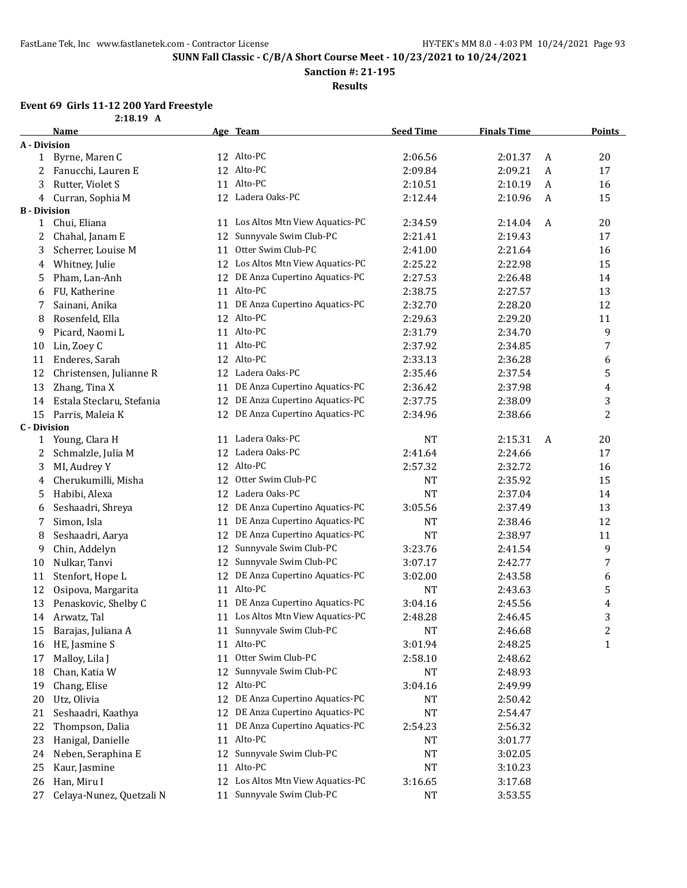**Sanction #: 21-195**

**Results**

### **Event 69 Girls 11-12 200 Yard Freestyle 2:18.19 A**

|                     | 4.10.1 <i>)</i> a<br><b>Name</b> |    | Age Team                          | <b>Seed Time</b> | <b>Finals Time</b> |   | <b>Points</b>  |
|---------------------|----------------------------------|----|-----------------------------------|------------------|--------------------|---|----------------|
| A - Division        |                                  |    |                                   |                  |                    |   |                |
| 1                   | Byrne, Maren C                   |    | 12 Alto-PC                        | 2:06.56          | 2:01.37            | A | 20             |
| 2                   | Fanucchi, Lauren E               |    | 12 Alto-PC                        | 2:09.84          | 2:09.21            | A | 17             |
| 3                   | Rutter, Violet S                 |    | 11 Alto-PC                        | 2:10.51          | 2:10.19            | A | 16             |
| 4                   | Curran, Sophia M                 |    | 12 Ladera Oaks-PC                 | 2:12.44          | 2:10.96            | A | 15             |
| <b>B</b> - Division |                                  |    |                                   |                  |                    |   |                |
| 1                   | Chui, Eliana                     |    | 11 Los Altos Mtn View Aquatics-PC | 2:34.59          | 2:14.04            | A | 20             |
| 2                   | Chahal, Janam E                  | 12 | Sunnyvale Swim Club-PC            | 2:21.41          | 2:19.43            |   | 17             |
| 3                   | Scherrer, Louise M               | 11 | Otter Swim Club-PC                | 2:41.00          | 2:21.64            |   | 16             |
| 4                   | Whitney, Julie                   |    | 12 Los Altos Mtn View Aquatics-PC | 2:25.22          | 2:22.98            |   | 15             |
| 5                   | Pham, Lan-Anh                    |    | 12 DE Anza Cupertino Aquatics-PC  | 2:27.53          | 2:26.48            |   | 14             |
| 6                   | FU, Katherine                    |    | 11 Alto-PC                        | 2:38.75          | 2:27.57            |   | 13             |
| 7                   | Sainani, Anika                   |    | 11 DE Anza Cupertino Aquatics-PC  | 2:32.70          | 2:28.20            |   | 12             |
| 8                   | Rosenfeld, Ella                  |    | 12 Alto-PC                        | 2:29.63          | 2:29.20            |   | 11             |
| 9                   | Picard, Naomi L                  |    | 11 Alto-PC                        | 2:31.79          | 2:34.70            |   | 9              |
| 10                  | Lin, Zoey C                      |    | 11 Alto-PC                        | 2:37.92          | 2:34.85            |   | 7              |
| 11                  | Enderes, Sarah                   |    | 12 Alto-PC                        | 2:33.13          | 2:36.28            |   | 6              |
| 12                  | Christensen, Julianne R          |    | 12 Ladera Oaks-PC                 | 2:35.46          | 2:37.54            |   | 5              |
| 13                  | Zhang, Tina X                    | 11 | DE Anza Cupertino Aquatics-PC     | 2:36.42          | 2:37.98            |   | 4              |
| 14                  | Estala Steclaru, Stefania        | 12 | DE Anza Cupertino Aquatics-PC     | 2:37.75          | 2:38.09            |   | 3              |
| 15                  | Parris, Maleia K                 |    | 12 DE Anza Cupertino Aquatics-PC  | 2:34.96          | 2:38.66            |   | $\overline{c}$ |
| <b>C</b> - Division |                                  |    |                                   |                  |                    |   |                |
| 1                   | Young, Clara H                   |    | 11 Ladera Oaks-PC                 | <b>NT</b>        | 2:15.31            | A | 20             |
| 2                   | Schmalzle, Julia M               |    | 12 Ladera Oaks-PC                 | 2:41.64          | 2:24.66            |   | 17             |
| 3                   | MI, Audrey Y                     |    | 12 Alto-PC                        | 2:57.32          | 2:32.72            |   | 16             |
| 4                   | Cherukumilli, Misha              |    | 12 Otter Swim Club-PC             | NT               | 2:35.92            |   | 15             |
| 5                   | Habibi, Alexa                    |    | 12 Ladera Oaks-PC                 | NT               | 2:37.04            |   | 14             |
| 6                   | Seshaadri, Shreya                |    | 12 DE Anza Cupertino Aquatics-PC  | 3:05.56          | 2:37.49            |   | 13             |
| 7                   | Simon, Isla                      | 11 | DE Anza Cupertino Aquatics-PC     | <b>NT</b>        | 2:38.46            |   | 12             |
| 8                   | Seshaadri, Aarya                 | 12 | DE Anza Cupertino Aquatics-PC     | <b>NT</b>        | 2:38.97            |   | 11             |
| 9                   | Chin, Addelyn                    | 12 | Sunnyvale Swim Club-PC            | 3:23.76          | 2:41.54            |   | 9              |
| 10                  | Nulkar, Tanvi                    | 12 | Sunnyvale Swim Club-PC            | 3:07.17          | 2:42.77            |   | 7              |
| 11                  | Stenfort, Hope L                 | 12 | DE Anza Cupertino Aquatics-PC     | 3:02.00          | 2:43.58            |   | 6              |
| 12                  | Osipova, Margarita               |    | 11 Alto-PC                        | NT               | 2:43.63            |   | 5              |
| 13                  | Penaskovic, Shelby C             |    | 11 DE Anza Cupertino Aquatics-PC  | 3:04.16          | 2:45.56            |   | 4              |
| 14                  | Arwatz, Tal                      |    | 11 Los Altos Mtn View Aquatics-PC | 2:48.28          | 2:46.45            |   | 3              |
| 15                  | Barajas, Juliana A               |    | 11 Sunnyvale Swim Club-PC         | NT               | 2:46.68            |   | 2              |
| 16                  | HE, Jasmine S                    |    | 11 Alto-PC                        | 3:01.94          | 2:48.25            |   | $\mathbf{1}$   |
| 17                  | Malloy, Lila J                   | 11 | Otter Swim Club-PC                | 2:58.10          | 2:48.62            |   |                |
| 18                  | Chan, Katia W                    | 12 | Sunnyvale Swim Club-PC            | NT               | 2:48.93            |   |                |
| 19                  | Chang, Elise                     |    | 12 Alto-PC                        | 3:04.16          | 2:49.99            |   |                |
| 20                  | Utz, Olivia                      | 12 | DE Anza Cupertino Aquatics-PC     | NT               | 2:50.42            |   |                |
| 21                  | Seshaadri, Kaathya               | 12 | DE Anza Cupertino Aquatics-PC     | NT               | 2:54.47            |   |                |
| 22                  | Thompson, Dalia                  | 11 | DE Anza Cupertino Aquatics-PC     | 2:54.23          | 2:56.32            |   |                |
| 23                  | Hanigal, Danielle                | 11 | Alto-PC                           | NT               | 3:01.77            |   |                |
| 24                  | Neben, Seraphina E               | 12 | Sunnyvale Swim Club-PC            | NT               | 3:02.05            |   |                |
| 25                  | Kaur, Jasmine                    | 11 | Alto-PC                           | NT               | 3:10.23            |   |                |
| 26                  | Han, Miru I                      | 12 | Los Altos Mtn View Aquatics-PC    | 3:16.65          | 3:17.68            |   |                |
| 27                  | Celaya-Nunez, Quetzali N         | 11 | Sunnyvale Swim Club-PC            | NT               | 3:53.55            |   |                |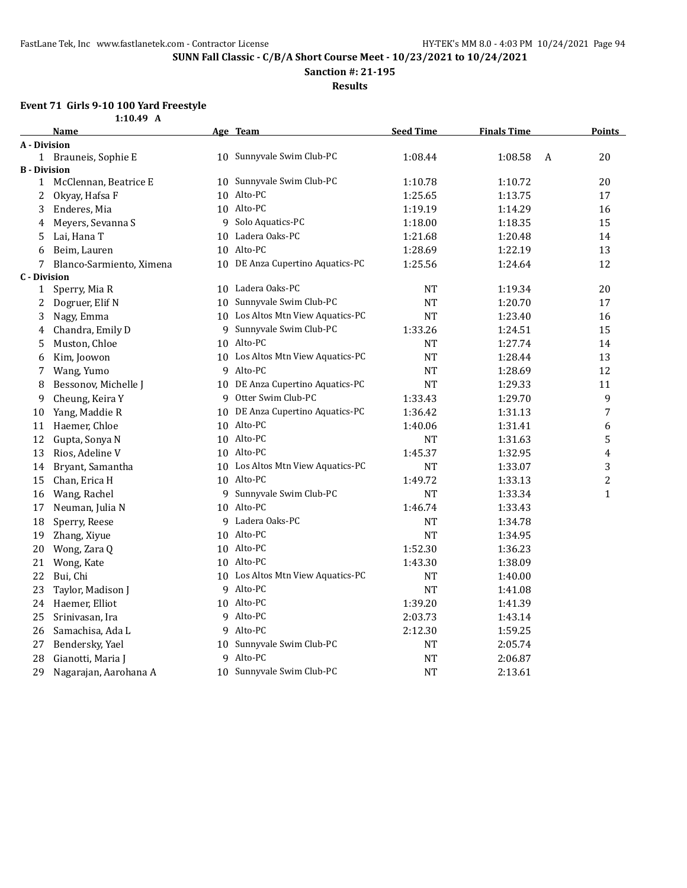**Sanction #: 21-195**

**Results**

# **Event 71 Girls 9-10 100 Yard Freestyle**

|                     | 1:10.49 A                |    |                                   |                  |                    |   |                |
|---------------------|--------------------------|----|-----------------------------------|------------------|--------------------|---|----------------|
|                     | <b>Name</b>              |    | Age Team                          | <b>Seed Time</b> | <b>Finals Time</b> |   | <b>Points</b>  |
| <b>A</b> - Division |                          |    |                                   |                  |                    |   |                |
|                     | 1 Brauneis, Sophie E     |    | 10 Sunnyvale Swim Club-PC         | 1:08.44          | 1:08.58            | A | 20             |
| <b>B</b> - Division |                          |    |                                   |                  |                    |   |                |
|                     | 1 McClennan, Beatrice E  |    | 10 Sunnyvale Swim Club-PC         | 1:10.78          | 1:10.72            |   | 20             |
| 2                   | Okyay, Hafsa F           |    | 10 Alto-PC                        | 1:25.65          | 1:13.75            |   | 17             |
| 3                   | Enderes, Mia             |    | 10 Alto-PC                        | 1:19.19          | 1:14.29            |   | 16             |
| 4                   | Meyers, Sevanna S        |    | 9 Solo Aquatics-PC                | 1:18.00          | 1:18.35            |   | 15             |
| 5                   | Lai, Hana T              |    | 10 Ladera Oaks-PC                 | 1:21.68          | 1:20.48            |   | 14             |
| 6                   | Beim, Lauren             |    | 10 Alto-PC                        | 1:28.69          | 1:22.19            |   | 13             |
| 7                   | Blanco-Sarmiento, Ximena |    | 10 DE Anza Cupertino Aquatics-PC  | 1:25.56          | 1:24.64            |   | 12             |
| <b>C</b> - Division |                          |    |                                   |                  |                    |   |                |
| 1                   | Sperry, Mia R            |    | 10 Ladera Oaks-PC                 | <b>NT</b>        | 1:19.34            |   | 20             |
| 2                   | Dogruer, Elif N          | 10 | Sunnyvale Swim Club-PC            | <b>NT</b>        | 1:20.70            |   | 17             |
| 3                   | Nagy, Emma               |    | 10 Los Altos Mtn View Aquatics-PC | <b>NT</b>        | 1:23.40            |   | 16             |
| 4                   | Chandra, Emily D         | 9  | Sunnyvale Swim Club-PC            | 1:33.26          | 1:24.51            |   | 15             |
| 5                   | Muston, Chloe            |    | 10 Alto-PC                        | NT               | 1:27.74            |   | 14             |
| 6                   | Kim, Joowon              |    | 10 Los Altos Mtn View Aquatics-PC | <b>NT</b>        | 1:28.44            |   | 13             |
| 7                   | Wang, Yumo               |    | 9 Alto-PC                         | <b>NT</b>        | 1:28.69            |   | 12             |
| 8                   | Bessonov, Michelle J     |    | 10 DE Anza Cupertino Aquatics-PC  | <b>NT</b>        | 1:29.33            |   | 11             |
| 9                   | Cheung, Keira Y          |    | 9 Otter Swim Club-PC              | 1:33.43          | 1:29.70            |   | 9              |
| 10                  | Yang, Maddie R           |    | 10 DE Anza Cupertino Aquatics-PC  | 1:36.42          | 1:31.13            |   | 7              |
| 11                  | Haemer, Chloe            |    | 10 Alto-PC                        | 1:40.06          | 1:31.41            |   | 6              |
| 12                  | Gupta, Sonya N           |    | 10 Alto-PC                        | NT               | 1:31.63            |   | 5              |
| 13                  | Rios, Adeline V          |    | 10 Alto-PC                        | 1:45.37          | 1:32.95            |   | 4              |
| 14                  | Bryant, Samantha         |    | 10 Los Altos Mtn View Aquatics-PC | NT               | 1:33.07            |   | 3              |
| 15                  | Chan, Erica H            |    | 10 Alto-PC                        | 1:49.72          | 1:33.13            |   | $\overline{c}$ |
| 16                  | Wang, Rachel             |    | 9 Sunnyvale Swim Club-PC          | <b>NT</b>        | 1:33.34            |   | $\mathbf{1}$   |
| 17                  | Neuman, Julia N          |    | 10 Alto-PC                        | 1:46.74          | 1:33.43            |   |                |
| 18                  | Sperry, Reese            |    | 9 Ladera Oaks-PC                  | <b>NT</b>        | 1:34.78            |   |                |
| 19                  | Zhang, Xiyue             |    | 10 Alto-PC                        | <b>NT</b>        | 1:34.95            |   |                |
| 20                  | Wong, Zara Q             |    | 10 Alto-PC                        | 1:52.30          | 1:36.23            |   |                |
| 21                  | Wong, Kate               |    | 10 Alto-PC                        | 1:43.30          | 1:38.09            |   |                |
| 22                  | Bui, Chi                 |    | 10 Los Altos Mtn View Aquatics-PC | NT               | 1:40.00            |   |                |
| 23                  | Taylor, Madison J        |    | 9 Alto-PC                         | <b>NT</b>        | 1:41.08            |   |                |
| 24                  | Haemer, Elliot           |    | 10 Alto-PC                        | 1:39.20          | 1:41.39            |   |                |
| 25                  | Srinivasan, Ira          |    | 9 Alto-PC                         | 2:03.73          | 1:43.14            |   |                |
| 26                  | Samachisa, Ada L         |    | 9 Alto-PC                         | 2:12.30          | 1:59.25            |   |                |
| 27                  | Bendersky, Yael          |    | 10 Sunnyvale Swim Club-PC         | NT               | 2:05.74            |   |                |
| 28                  | Gianotti, Maria J        |    | 9 Alto-PC                         | <b>NT</b>        | 2:06.87            |   |                |
| 29                  | Nagarajan, Aarohana A    |    | 10 Sunnyvale Swim Club-PC         | <b>NT</b>        | 2:13.61            |   |                |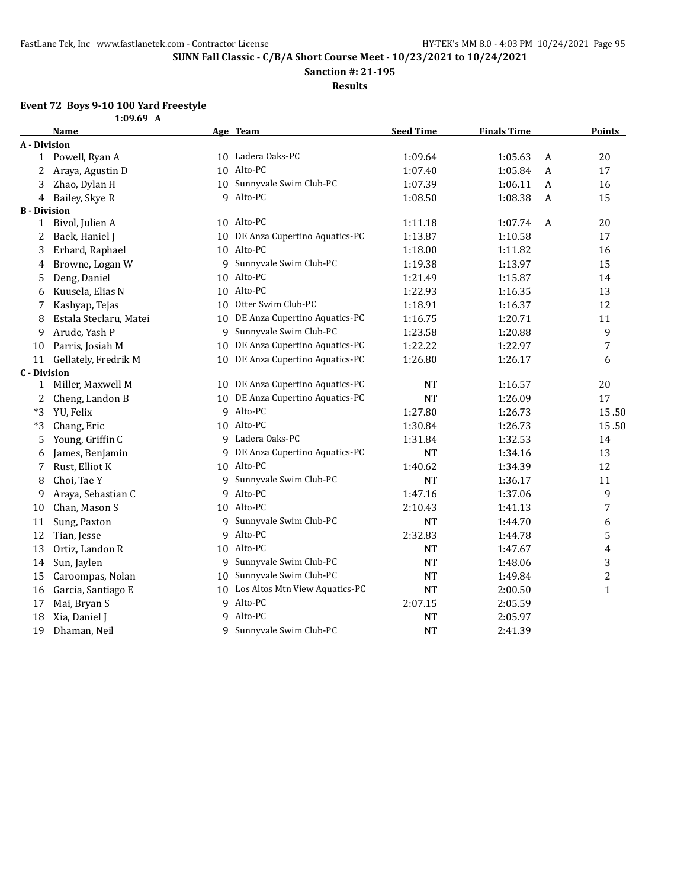**1:09.69 A**

**SUNN Fall Classic - C/B/A Short Course Meet - 10/23/2021 to 10/24/2021**

**Sanction #: 21-195**

**Results**

# **Event 72 Boys 9-10 100 Yard Freestyle**

|                     | Name                   |    | Age Team                          | <b>Seed Time</b> | <b>Finals Time</b> |                  | <b>Points</b> |
|---------------------|------------------------|----|-----------------------------------|------------------|--------------------|------------------|---------------|
| A - Division        |                        |    |                                   |                  |                    |                  |               |
| $\mathbf{1}$        | Powell, Ryan A         |    | 10 Ladera Oaks-PC                 | 1:09.64          | 1:05.63            | A                | 20            |
| 2                   | Araya, Agustin D       | 10 | Alto-PC                           | 1:07.40          | 1:05.84            | A                | 17            |
| 3                   | Zhao, Dylan H          | 10 | Sunnyvale Swim Club-PC            | 1:07.39          | 1:06.11            | A                | 16            |
| 4                   | Bailey, Skye R         | 9  | Alto-PC                           | 1:08.50          | 1:08.38            | $\boldsymbol{A}$ | 15            |
| <b>B</b> - Division |                        |    |                                   |                  |                    |                  |               |
| 1                   | Bivol, Julien A        |    | 10 Alto-PC                        | 1:11.18          | 1:07.74            | A                | 20            |
| 2                   | Baek, Haniel J         |    | 10 DE Anza Cupertino Aquatics-PC  | 1:13.87          | 1:10.58            |                  | 17            |
| 3                   | Erhard, Raphael        |    | 10 Alto-PC                        | 1:18.00          | 1:11.82            |                  | 16            |
| 4                   | Browne, Logan W        | 9  | Sunnyvale Swim Club-PC            | 1:19.38          | 1:13.97            |                  | 15            |
| 5                   | Deng, Daniel           |    | 10 Alto-PC                        | 1:21.49          | 1:15.87            |                  | 14            |
| 6                   | Kuusela, Elias N       | 10 | Alto-PC                           | 1:22.93          | 1:16.35            |                  | 13            |
| 7                   | Kashyap, Tejas         | 10 | Otter Swim Club-PC                | 1:18.91          | 1:16.37            |                  | 12            |
| 8                   | Estala Steclaru, Matei | 10 | DE Anza Cupertino Aquatics-PC     | 1:16.75          | 1:20.71            |                  | 11            |
| 9                   | Arude, Yash P          | 9  | Sunnyvale Swim Club-PC            | 1:23.58          | 1:20.88            |                  | 9             |
| 10                  | Parris, Josiah M       | 10 | DE Anza Cupertino Aquatics-PC     | 1:22.22          | 1:22.97            |                  | 7             |
| 11                  | Gellately, Fredrik M   |    | 10 DE Anza Cupertino Aquatics-PC  | 1:26.80          | 1:26.17            |                  | 6             |
| <b>C</b> - Division |                        |    |                                   |                  |                    |                  |               |
| $\mathbf{1}$        | Miller, Maxwell M      |    | 10 DE Anza Cupertino Aquatics-PC  | <b>NT</b>        | 1:16.57            |                  | 20            |
| 2                   | Cheng, Landon B        | 10 | DE Anza Cupertino Aquatics-PC     | <b>NT</b>        | 1:26.09            |                  | 17            |
| $*3$                | YU, Felix              |    | 9 Alto-PC                         | 1:27.80          | 1:26.73            |                  | 15.50         |
| $*3$                | Chang, Eric            |    | 10 Alto-PC                        | 1:30.84          | 1:26.73            |                  | 15.50         |
| 5                   | Young, Griffin C       |    | 9 Ladera Oaks-PC                  | 1:31.84          | 1:32.53            |                  | 14            |
| 6                   | James, Benjamin        | 9  | DE Anza Cupertino Aquatics-PC     | <b>NT</b>        | 1:34.16            |                  | 13            |
| 7                   | Rust, Elliot K         |    | 10 Alto-PC                        | 1:40.62          | 1:34.39            |                  | 12            |
| 8                   | Choi, Tae Y            | 9  | Sunnyvale Swim Club-PC            | <b>NT</b>        | 1:36.17            |                  | 11            |
| 9                   | Araya, Sebastian C     |    | 9 Alto-PC                         | 1:47.16          | 1:37.06            |                  | 9             |
| 10                  | Chan, Mason S          |    | 10 Alto-PC                        | 2:10.43          | 1:41.13            |                  | 7             |
| 11                  | Sung, Paxton           | 9  | Sunnyvale Swim Club-PC            | <b>NT</b>        | 1:44.70            |                  | 6             |
| 12                  | Tian, Jesse            | 9  | Alto-PC                           | 2:32.83          | 1:44.78            |                  | 5             |
| 13                  | Ortiz, Landon R        |    | 10 Alto-PC                        | <b>NT</b>        | 1:47.67            |                  | 4             |
| 14                  | Sun, Jaylen            | 9  | Sunnyvale Swim Club-PC            | <b>NT</b>        | 1:48.06            |                  | 3             |
| 15                  | Caroompas, Nolan       | 10 | Sunnyvale Swim Club-PC            | <b>NT</b>        | 1:49.84            |                  | 2             |
| 16                  | Garcia, Santiago E     |    | 10 Los Altos Mtn View Aquatics-PC | <b>NT</b>        | 2:00.50            |                  | $\mathbf{1}$  |
| 17                  | Mai, Bryan S           |    | 9 Alto-PC                         | 2:07.15          | 2:05.59            |                  |               |
| 18                  | Xia, Daniel J          | 9  | Alto-PC                           | <b>NT</b>        | 2:05.97            |                  |               |
| 19                  | Dhaman, Neil           |    | 9 Sunnyvale Swim Club-PC          | <b>NT</b>        | 2:41.39            |                  |               |
|                     |                        |    |                                   |                  |                    |                  |               |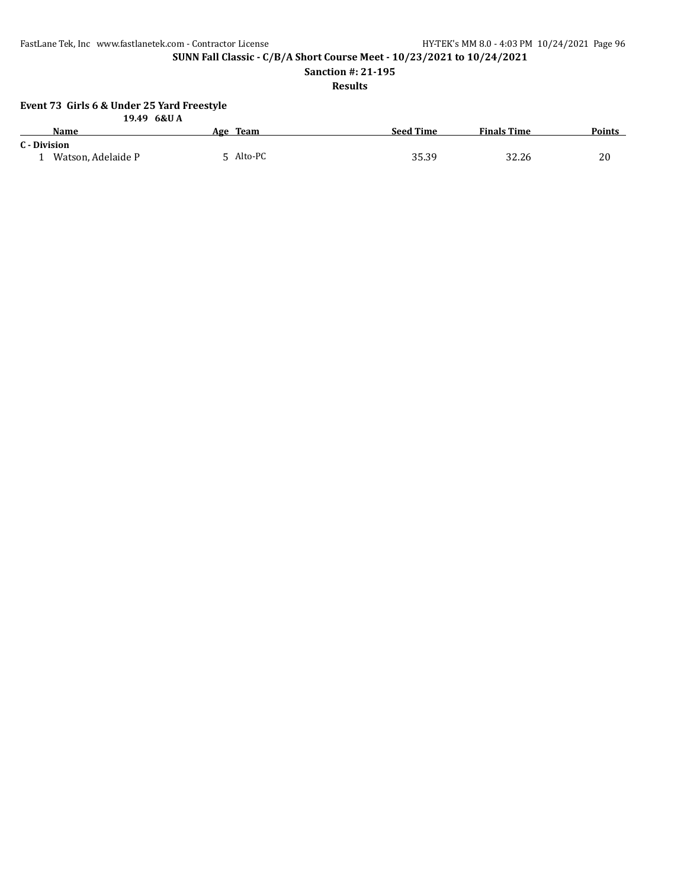FastLane Tek, Inc www.fastlanetek.com - Contractor License HY-TEK's MM 8.0 - 4:03 PM 10/24/2021 Page 96

**SUNN Fall Classic - C/B/A Short Course Meet - 10/23/2021 to 10/24/2021**

**Sanction #: 21-195**

**Results**

## **Event 73 Girls 6 & Under 25 Yard Freestyle**

|              | 19.49 6&U A        |           |                  |                    |               |
|--------------|--------------------|-----------|------------------|--------------------|---------------|
|              | <b>Name</b>        | Age Team  | <b>Seed Time</b> | <b>Finals Time</b> | <b>Points</b> |
| C - Division |                    |           |                  |                    |               |
|              | Watson, Adelaide P | 5 Alto-PC | 35.39            | 32.26              | 20            |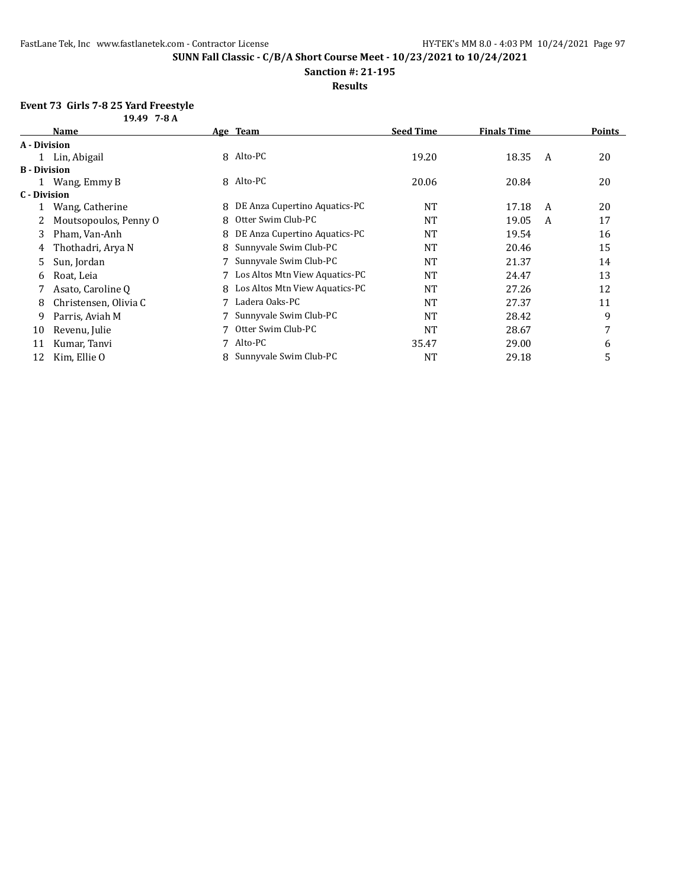### **Sanction #: 21-195**

### **Results**

### **Event 73 Girls 7-8 25 Yard Freestyle 19.49 7-8 A**

| מט־ <i>ו</i> נד <sub>י</sub> כב |                       |   |                                  |                  |                    |   |               |
|---------------------------------|-----------------------|---|----------------------------------|------------------|--------------------|---|---------------|
|                                 | <b>Name</b>           |   | Age Team                         | <b>Seed Time</b> | <b>Finals Time</b> |   | <b>Points</b> |
| A - Division                    |                       |   |                                  |                  |                    |   |               |
|                                 | 1 Lin, Abigail        |   | 8 Alto-PC                        | 19.20            | 18.35              | A | 20            |
| <b>B</b> - Division             |                       |   |                                  |                  |                    |   |               |
|                                 | Wang, Emmy B          |   | 8 Alto-PC                        | 20.06            | 20.84              |   | 20            |
| C - Division                    |                       |   |                                  |                  |                    |   |               |
|                                 | Wang, Catherine       | 8 | DE Anza Cupertino Aquatics-PC    | NT               | 17.18              | A | 20            |
|                                 | Moutsopoulos, Penny O | 8 | Otter Swim Club-PC               | NT               | 19.05              | A | 17            |
| 3                               | Pham, Van-Anh         | 8 | DE Anza Cupertino Aquatics-PC    | <b>NT</b>        | 19.54              |   | 16            |
| 4                               | Thothadri, Arya N     | 8 | Sunnyvale Swim Club-PC           | NT               | 20.46              |   | 15            |
| 5.                              | Sun, Jordan           |   | Sunnyvale Swim Club-PC           | NT               | 21.37              |   | 14            |
| 6                               | Roat, Leia            |   | 7 Los Altos Mtn View Aquatics-PC | <b>NT</b>        | 24.47              |   | 13            |
|                                 | Asato, Caroline O     | 8 | Los Altos Mtn View Aquatics-PC   | NT               | 27.26              |   | 12            |
| 8                               | Christensen, Olivia C |   | Ladera Oaks-PC                   | NT               | 27.37              |   | 11            |
| 9                               | Parris, Aviah M       |   | 7 Sunnyvale Swim Club-PC         | NT               | 28.42              |   | 9             |
| 10                              | Revenu, Julie         |   | Otter Swim Club-PC               | NT               | 28.67              |   | 7             |
| 11                              | Kumar, Tanvi          |   | Alto-PC                          | 35.47            | 29.00              |   | 6             |
| 12                              | Kim, Ellie O          |   | Sunnyvale Swim Club-PC           | <b>NT</b>        | 29.18              |   | 5             |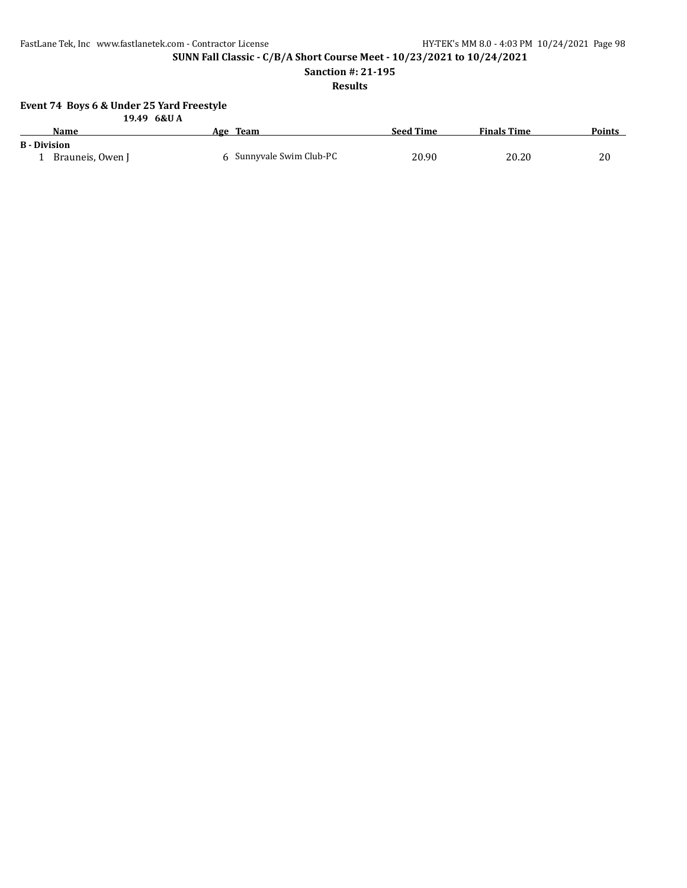FastLane Tek, Inc www.fastlanetek.com - Contractor License HY-TEK's MM 8.0 - 4:03 PM 10/24/2021 Page 98

**SUNN Fall Classic - C/B/A Short Course Meet - 10/23/2021 to 10/24/2021**

**Sanction #: 21-195**

## **Results**

### **Event 74 Boys 6 & Under 25 Yard Freestyle**

|                     | 19.49 6&U A      |                          |                  |                    |               |
|---------------------|------------------|--------------------------|------------------|--------------------|---------------|
|                     | <b>Name</b>      | Age Team                 | <b>Seed Time</b> | <b>Finals Time</b> | <b>Points</b> |
| <b>B</b> - Division |                  |                          |                  |                    |               |
|                     | Brauneis, Owen J | 6 Sunnyvale Swim Club-PC | 20.90            | 20.20              | 20            |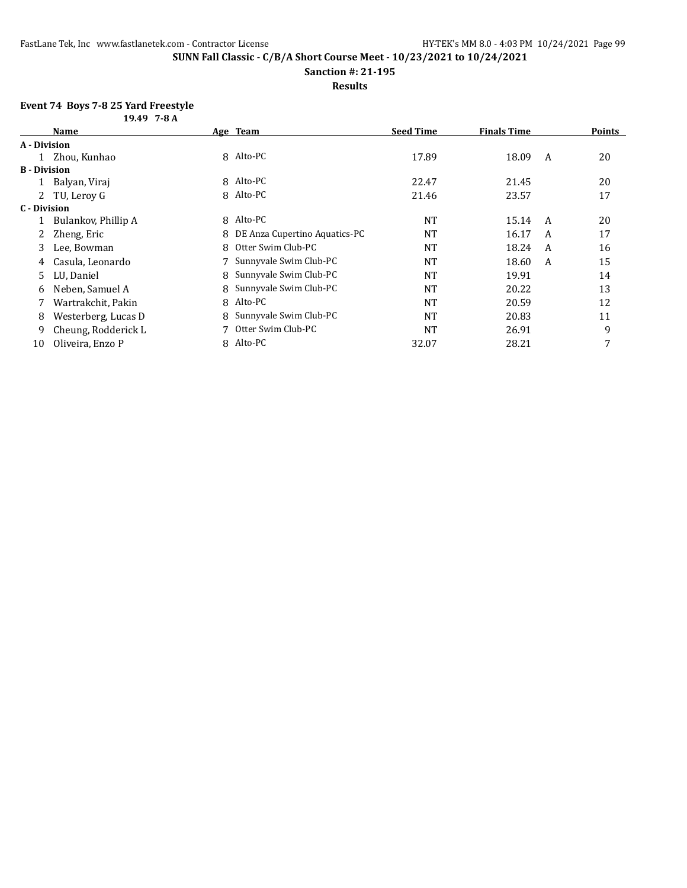**Sanction #: 21-195**

## **Results**

# **Event 74 Boys 7-8 25 Yard Freestyle**

|                     | $19.497 - -8A$      |   |                                 |                  |                    |   |               |
|---------------------|---------------------|---|---------------------------------|------------------|--------------------|---|---------------|
|                     | <b>Name</b>         |   | Age Team                        | <b>Seed Time</b> | <b>Finals Time</b> |   | <b>Points</b> |
| A - Division        |                     |   |                                 |                  |                    |   |               |
|                     | 1 Zhou, Kunhao      |   | 8 Alto-PC                       | 17.89            | 18.09              | A | 20            |
| <b>B</b> - Division |                     |   |                                 |                  |                    |   |               |
|                     | Balyan, Viraj       |   | 8 Alto-PC                       | 22.47            | 21.45              |   | 20            |
|                     | 2 TU, Leroy G       |   | 8 Alto-PC                       | 21.46            | 23.57              |   | 17            |
| C - Division        |                     |   |                                 |                  |                    |   |               |
|                     | Bulankov, Phillip A | 8 | Alto-PC                         | <b>NT</b>        | 15.14              | A | 20            |
|                     | Zheng, Eric         |   | 8 DE Anza Cupertino Aquatics-PC | NT               | 16.17              | A | 17            |
| 3                   | Lee, Bowman         | 8 | Otter Swim Club-PC              | NT               | 18.24              | A | 16            |
| 4                   | Casula, Leonardo    |   | Sunnyvale Swim Club-PC          | <b>NT</b>        | 18.60              | A | 15            |
| 5.                  | LU, Daniel          |   | 8 Sunnyvale Swim Club-PC        | <b>NT</b>        | 19.91              |   | 14            |
| 6                   | Neben, Samuel A     |   | 8 Sunnyvale Swim Club-PC        | <b>NT</b>        | 20.22              |   | 13            |
|                     | Wartrakchit, Pakin  | 8 | Alto-PC                         | <b>NT</b>        | 20.59              |   | 12            |
| 8                   | Westerberg, Lucas D |   | Sunnyvale Swim Club-PC          | NT               | 20.83              |   | 11            |
| 9                   | Cheung, Rodderick L |   | Otter Swim Club-PC              | <b>NT</b>        | 26.91              |   | 9             |
| 10                  | Oliveira, Enzo P    |   | 8 Alto-PC                       | 32.07            | 28.21              |   | 7             |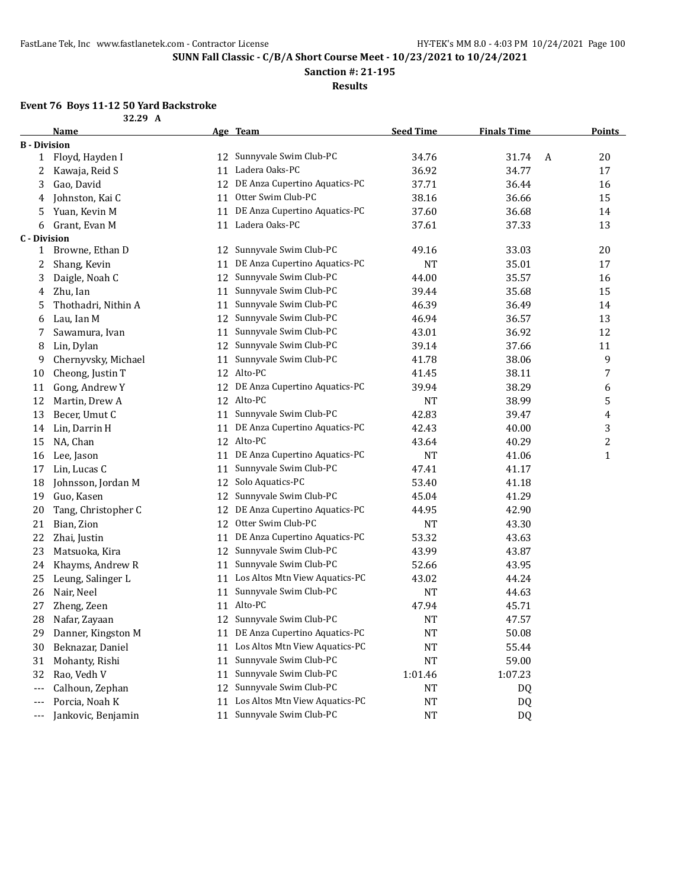**32.29 A**

**SUNN Fall Classic - C/B/A Short Course Meet - 10/23/2021 to 10/24/2021**

**Sanction #: 21-195**

**Results**

# **Event 76 Boys 11-12 50 Yard Backstroke**

| <b>B</b> - Division<br>Sunnyvale Swim Club-PC<br>34.76<br>20<br>Floyd, Hayden I<br>31.74<br>$\mathbf{1}$<br>12<br>A<br>Ladera Oaks-PC<br>36.92<br>34.77<br>11<br>17<br>2<br>Kawaja, Reid S<br>DE Anza Cupertino Aquatics-PC<br>Gao, David<br>37.71<br>36.44<br>16<br>3<br>12<br>Otter Swim Club-PC<br>38.16<br>Johnston, Kai C<br>11<br>36.66<br>15<br>4<br>DE Anza Cupertino Aquatics-PC<br>Yuan, Kevin M<br>37.60<br>36.68<br>14<br>11<br>5<br>Ladera Oaks-PC<br>Grant, Evan M<br>11<br>37.61<br>37.33<br>13<br>6<br><b>C</b> - Division<br>Sunnyvale Swim Club-PC<br>Browne, Ethan D<br>49.16<br>33.03<br>20<br>$\mathbf{1}$<br>12<br>DE Anza Cupertino Aquatics-PC<br>Shang, Kevin<br><b>NT</b><br>35.01<br>17<br>2<br>11<br>Sunnyvale Swim Club-PC<br>Daigle, Noah C<br>44.00<br>35.57<br>16<br>3<br>12<br>Sunnyvale Swim Club-PC<br>15<br>Zhu, Ian<br>39.44<br>35.68<br>11<br>4<br>Sunnyvale Swim Club-PC<br>Thothadri, Nithin A<br>46.39<br>36.49<br>14<br>11<br>5<br>Sunnyvale Swim Club-PC<br>Lau, Ian M<br>12<br>46.94<br>36.57<br>13<br>6<br>Sunnyvale Swim Club-PC<br>43.01<br>12<br>Sawamura, Ivan<br>36.92<br>11<br>7<br>Sunnyvale Swim Club-PC<br>Lin, Dylan<br>12<br>39.14<br>37.66<br>11<br>8<br>Sunnyvale Swim Club-PC<br>9<br>9<br>Chernyvsky, Michael<br>41.78<br>38.06<br>11<br>Alto-PC<br>7<br>Cheong, Justin T<br>12<br>41.45<br>38.11<br>10<br>DE Anza Cupertino Aquatics-PC<br>Gong, Andrew Y<br>39.94<br>38.29<br>6<br>11<br>12<br>Alto-PC<br>5<br>Martin, Drew A<br>12<br><b>NT</b><br>12<br>38.99<br>Sunnyvale Swim Club-PC<br>42.83<br>13<br>Becer, Umut C<br>11<br>39.47<br>4<br>DE Anza Cupertino Aquatics-PC<br>3<br>Lin, Darrin H<br>42.43<br>40.00<br>14<br>11<br>$\overline{c}$<br>12 Alto-PC<br>NA, Chan<br>43.64<br>40.29<br>15<br>DE Anza Cupertino Aquatics-PC<br><b>NT</b><br>41.06<br>$\mathbf{1}$<br>16<br>Lee, Jason<br>11<br>Sunnyvale Swim Club-PC<br>Lin, Lucas C<br>47.41<br>41.17<br>17<br>11<br>Solo Aquatics-PC<br>Johnsson, Jordan M<br>53.40<br>41.18<br>18<br>12<br>Sunnyvale Swim Club-PC<br>19<br>Guo, Kasen<br>45.04<br>41.29<br>12<br>DE Anza Cupertino Aquatics-PC<br>42.90<br>20<br>Tang, Christopher C<br>44.95<br>12<br>Otter Swim Club-PC<br>21<br>Bian, Zion<br>12<br>43.30<br>NT<br>DE Anza Cupertino Aquatics-PC<br>22<br>Zhai, Justin<br>53.32<br>43.63<br>11<br>Sunnyvale Swim Club-PC<br>43.99<br>23<br>Matsuoka, Kira<br>43.87<br>12<br>Sunnyvale Swim Club-PC<br>Khayms, Andrew R<br>43.95<br>24<br>52.66<br>11<br>Los Altos Mtn View Aquatics-PC<br>44.24<br>25<br>Leung, Salinger L<br>43.02<br>11<br>Sunnyvale Swim Club-PC<br>26<br><b>NT</b><br>44.63<br>Nair, Neel<br>11<br>Alto-PC<br>27<br>Zheng, Zeen<br>47.94<br>45.71<br>11<br>28<br>12 Sunnyvale Swim Club-PC<br><b>NT</b><br>47.57<br>Nafar, Zayaan<br>11 DE Anza Cupertino Aquatics-PC<br>Danner, Kingston M<br>50.08<br>NT<br>29<br>11 Los Altos Mtn View Aquatics-PC<br>30<br>Beknazar, Daniel<br>55.44<br><b>NT</b><br>Sunnyvale Swim Club-PC<br>31<br>Mohanty, Rishi<br>59.00<br>11<br>NT<br>Sunnyvale Swim Club-PC<br>32<br>Rao, Vedh V<br>11<br>1:01.46<br>1:07.23<br>Sunnyvale Swim Club-PC<br>Calhoun, Zephan<br>12<br>NT<br>DQ<br>$---$<br>Los Altos Mtn View Aquatics-PC<br>Porcia, Noah K<br>11<br><b>NT</b><br>DQ<br>$---$ | Name               |    | Age Team               | <b>Seed Time</b> | <b>Finals Time</b> | <b>Points</b> |
|----------------------------------------------------------------------------------------------------------------------------------------------------------------------------------------------------------------------------------------------------------------------------------------------------------------------------------------------------------------------------------------------------------------------------------------------------------------------------------------------------------------------------------------------------------------------------------------------------------------------------------------------------------------------------------------------------------------------------------------------------------------------------------------------------------------------------------------------------------------------------------------------------------------------------------------------------------------------------------------------------------------------------------------------------------------------------------------------------------------------------------------------------------------------------------------------------------------------------------------------------------------------------------------------------------------------------------------------------------------------------------------------------------------------------------------------------------------------------------------------------------------------------------------------------------------------------------------------------------------------------------------------------------------------------------------------------------------------------------------------------------------------------------------------------------------------------------------------------------------------------------------------------------------------------------------------------------------------------------------------------------------------------------------------------------------------------------------------------------------------------------------------------------------------------------------------------------------------------------------------------------------------------------------------------------------------------------------------------------------------------------------------------------------------------------------------------------------------------------------------------------------------------------------------------------------------------------------------------------------------------------------------------------------------------------------------------------------------------------------------------------------------------------------------------------------------------------------------------------------------------------------------------------------------------------------------------------------------------------------------------------------------------------------------------------------------------------------------------------------------------------------------------------------------------------------------------------------------------------------------------------------------------|--------------------|----|------------------------|------------------|--------------------|---------------|
|                                                                                                                                                                                                                                                                                                                                                                                                                                                                                                                                                                                                                                                                                                                                                                                                                                                                                                                                                                                                                                                                                                                                                                                                                                                                                                                                                                                                                                                                                                                                                                                                                                                                                                                                                                                                                                                                                                                                                                                                                                                                                                                                                                                                                                                                                                                                                                                                                                                                                                                                                                                                                                                                                                                                                                                                                                                                                                                                                                                                                                                                                                                                                                                                                                                                            |                    |    |                        |                  |                    |               |
|                                                                                                                                                                                                                                                                                                                                                                                                                                                                                                                                                                                                                                                                                                                                                                                                                                                                                                                                                                                                                                                                                                                                                                                                                                                                                                                                                                                                                                                                                                                                                                                                                                                                                                                                                                                                                                                                                                                                                                                                                                                                                                                                                                                                                                                                                                                                                                                                                                                                                                                                                                                                                                                                                                                                                                                                                                                                                                                                                                                                                                                                                                                                                                                                                                                                            |                    |    |                        |                  |                    |               |
|                                                                                                                                                                                                                                                                                                                                                                                                                                                                                                                                                                                                                                                                                                                                                                                                                                                                                                                                                                                                                                                                                                                                                                                                                                                                                                                                                                                                                                                                                                                                                                                                                                                                                                                                                                                                                                                                                                                                                                                                                                                                                                                                                                                                                                                                                                                                                                                                                                                                                                                                                                                                                                                                                                                                                                                                                                                                                                                                                                                                                                                                                                                                                                                                                                                                            |                    |    |                        |                  |                    |               |
|                                                                                                                                                                                                                                                                                                                                                                                                                                                                                                                                                                                                                                                                                                                                                                                                                                                                                                                                                                                                                                                                                                                                                                                                                                                                                                                                                                                                                                                                                                                                                                                                                                                                                                                                                                                                                                                                                                                                                                                                                                                                                                                                                                                                                                                                                                                                                                                                                                                                                                                                                                                                                                                                                                                                                                                                                                                                                                                                                                                                                                                                                                                                                                                                                                                                            |                    |    |                        |                  |                    |               |
|                                                                                                                                                                                                                                                                                                                                                                                                                                                                                                                                                                                                                                                                                                                                                                                                                                                                                                                                                                                                                                                                                                                                                                                                                                                                                                                                                                                                                                                                                                                                                                                                                                                                                                                                                                                                                                                                                                                                                                                                                                                                                                                                                                                                                                                                                                                                                                                                                                                                                                                                                                                                                                                                                                                                                                                                                                                                                                                                                                                                                                                                                                                                                                                                                                                                            |                    |    |                        |                  |                    |               |
|                                                                                                                                                                                                                                                                                                                                                                                                                                                                                                                                                                                                                                                                                                                                                                                                                                                                                                                                                                                                                                                                                                                                                                                                                                                                                                                                                                                                                                                                                                                                                                                                                                                                                                                                                                                                                                                                                                                                                                                                                                                                                                                                                                                                                                                                                                                                                                                                                                                                                                                                                                                                                                                                                                                                                                                                                                                                                                                                                                                                                                                                                                                                                                                                                                                                            |                    |    |                        |                  |                    |               |
|                                                                                                                                                                                                                                                                                                                                                                                                                                                                                                                                                                                                                                                                                                                                                                                                                                                                                                                                                                                                                                                                                                                                                                                                                                                                                                                                                                                                                                                                                                                                                                                                                                                                                                                                                                                                                                                                                                                                                                                                                                                                                                                                                                                                                                                                                                                                                                                                                                                                                                                                                                                                                                                                                                                                                                                                                                                                                                                                                                                                                                                                                                                                                                                                                                                                            |                    |    |                        |                  |                    |               |
|                                                                                                                                                                                                                                                                                                                                                                                                                                                                                                                                                                                                                                                                                                                                                                                                                                                                                                                                                                                                                                                                                                                                                                                                                                                                                                                                                                                                                                                                                                                                                                                                                                                                                                                                                                                                                                                                                                                                                                                                                                                                                                                                                                                                                                                                                                                                                                                                                                                                                                                                                                                                                                                                                                                                                                                                                                                                                                                                                                                                                                                                                                                                                                                                                                                                            |                    |    |                        |                  |                    |               |
|                                                                                                                                                                                                                                                                                                                                                                                                                                                                                                                                                                                                                                                                                                                                                                                                                                                                                                                                                                                                                                                                                                                                                                                                                                                                                                                                                                                                                                                                                                                                                                                                                                                                                                                                                                                                                                                                                                                                                                                                                                                                                                                                                                                                                                                                                                                                                                                                                                                                                                                                                                                                                                                                                                                                                                                                                                                                                                                                                                                                                                                                                                                                                                                                                                                                            |                    |    |                        |                  |                    |               |
|                                                                                                                                                                                                                                                                                                                                                                                                                                                                                                                                                                                                                                                                                                                                                                                                                                                                                                                                                                                                                                                                                                                                                                                                                                                                                                                                                                                                                                                                                                                                                                                                                                                                                                                                                                                                                                                                                                                                                                                                                                                                                                                                                                                                                                                                                                                                                                                                                                                                                                                                                                                                                                                                                                                                                                                                                                                                                                                                                                                                                                                                                                                                                                                                                                                                            |                    |    |                        |                  |                    |               |
|                                                                                                                                                                                                                                                                                                                                                                                                                                                                                                                                                                                                                                                                                                                                                                                                                                                                                                                                                                                                                                                                                                                                                                                                                                                                                                                                                                                                                                                                                                                                                                                                                                                                                                                                                                                                                                                                                                                                                                                                                                                                                                                                                                                                                                                                                                                                                                                                                                                                                                                                                                                                                                                                                                                                                                                                                                                                                                                                                                                                                                                                                                                                                                                                                                                                            |                    |    |                        |                  |                    |               |
|                                                                                                                                                                                                                                                                                                                                                                                                                                                                                                                                                                                                                                                                                                                                                                                                                                                                                                                                                                                                                                                                                                                                                                                                                                                                                                                                                                                                                                                                                                                                                                                                                                                                                                                                                                                                                                                                                                                                                                                                                                                                                                                                                                                                                                                                                                                                                                                                                                                                                                                                                                                                                                                                                                                                                                                                                                                                                                                                                                                                                                                                                                                                                                                                                                                                            |                    |    |                        |                  |                    |               |
|                                                                                                                                                                                                                                                                                                                                                                                                                                                                                                                                                                                                                                                                                                                                                                                                                                                                                                                                                                                                                                                                                                                                                                                                                                                                                                                                                                                                                                                                                                                                                                                                                                                                                                                                                                                                                                                                                                                                                                                                                                                                                                                                                                                                                                                                                                                                                                                                                                                                                                                                                                                                                                                                                                                                                                                                                                                                                                                                                                                                                                                                                                                                                                                                                                                                            |                    |    |                        |                  |                    |               |
|                                                                                                                                                                                                                                                                                                                                                                                                                                                                                                                                                                                                                                                                                                                                                                                                                                                                                                                                                                                                                                                                                                                                                                                                                                                                                                                                                                                                                                                                                                                                                                                                                                                                                                                                                                                                                                                                                                                                                                                                                                                                                                                                                                                                                                                                                                                                                                                                                                                                                                                                                                                                                                                                                                                                                                                                                                                                                                                                                                                                                                                                                                                                                                                                                                                                            |                    |    |                        |                  |                    |               |
|                                                                                                                                                                                                                                                                                                                                                                                                                                                                                                                                                                                                                                                                                                                                                                                                                                                                                                                                                                                                                                                                                                                                                                                                                                                                                                                                                                                                                                                                                                                                                                                                                                                                                                                                                                                                                                                                                                                                                                                                                                                                                                                                                                                                                                                                                                                                                                                                                                                                                                                                                                                                                                                                                                                                                                                                                                                                                                                                                                                                                                                                                                                                                                                                                                                                            |                    |    |                        |                  |                    |               |
|                                                                                                                                                                                                                                                                                                                                                                                                                                                                                                                                                                                                                                                                                                                                                                                                                                                                                                                                                                                                                                                                                                                                                                                                                                                                                                                                                                                                                                                                                                                                                                                                                                                                                                                                                                                                                                                                                                                                                                                                                                                                                                                                                                                                                                                                                                                                                                                                                                                                                                                                                                                                                                                                                                                                                                                                                                                                                                                                                                                                                                                                                                                                                                                                                                                                            |                    |    |                        |                  |                    |               |
|                                                                                                                                                                                                                                                                                                                                                                                                                                                                                                                                                                                                                                                                                                                                                                                                                                                                                                                                                                                                                                                                                                                                                                                                                                                                                                                                                                                                                                                                                                                                                                                                                                                                                                                                                                                                                                                                                                                                                                                                                                                                                                                                                                                                                                                                                                                                                                                                                                                                                                                                                                                                                                                                                                                                                                                                                                                                                                                                                                                                                                                                                                                                                                                                                                                                            |                    |    |                        |                  |                    |               |
|                                                                                                                                                                                                                                                                                                                                                                                                                                                                                                                                                                                                                                                                                                                                                                                                                                                                                                                                                                                                                                                                                                                                                                                                                                                                                                                                                                                                                                                                                                                                                                                                                                                                                                                                                                                                                                                                                                                                                                                                                                                                                                                                                                                                                                                                                                                                                                                                                                                                                                                                                                                                                                                                                                                                                                                                                                                                                                                                                                                                                                                                                                                                                                                                                                                                            |                    |    |                        |                  |                    |               |
|                                                                                                                                                                                                                                                                                                                                                                                                                                                                                                                                                                                                                                                                                                                                                                                                                                                                                                                                                                                                                                                                                                                                                                                                                                                                                                                                                                                                                                                                                                                                                                                                                                                                                                                                                                                                                                                                                                                                                                                                                                                                                                                                                                                                                                                                                                                                                                                                                                                                                                                                                                                                                                                                                                                                                                                                                                                                                                                                                                                                                                                                                                                                                                                                                                                                            |                    |    |                        |                  |                    |               |
|                                                                                                                                                                                                                                                                                                                                                                                                                                                                                                                                                                                                                                                                                                                                                                                                                                                                                                                                                                                                                                                                                                                                                                                                                                                                                                                                                                                                                                                                                                                                                                                                                                                                                                                                                                                                                                                                                                                                                                                                                                                                                                                                                                                                                                                                                                                                                                                                                                                                                                                                                                                                                                                                                                                                                                                                                                                                                                                                                                                                                                                                                                                                                                                                                                                                            |                    |    |                        |                  |                    |               |
|                                                                                                                                                                                                                                                                                                                                                                                                                                                                                                                                                                                                                                                                                                                                                                                                                                                                                                                                                                                                                                                                                                                                                                                                                                                                                                                                                                                                                                                                                                                                                                                                                                                                                                                                                                                                                                                                                                                                                                                                                                                                                                                                                                                                                                                                                                                                                                                                                                                                                                                                                                                                                                                                                                                                                                                                                                                                                                                                                                                                                                                                                                                                                                                                                                                                            |                    |    |                        |                  |                    |               |
|                                                                                                                                                                                                                                                                                                                                                                                                                                                                                                                                                                                                                                                                                                                                                                                                                                                                                                                                                                                                                                                                                                                                                                                                                                                                                                                                                                                                                                                                                                                                                                                                                                                                                                                                                                                                                                                                                                                                                                                                                                                                                                                                                                                                                                                                                                                                                                                                                                                                                                                                                                                                                                                                                                                                                                                                                                                                                                                                                                                                                                                                                                                                                                                                                                                                            |                    |    |                        |                  |                    |               |
|                                                                                                                                                                                                                                                                                                                                                                                                                                                                                                                                                                                                                                                                                                                                                                                                                                                                                                                                                                                                                                                                                                                                                                                                                                                                                                                                                                                                                                                                                                                                                                                                                                                                                                                                                                                                                                                                                                                                                                                                                                                                                                                                                                                                                                                                                                                                                                                                                                                                                                                                                                                                                                                                                                                                                                                                                                                                                                                                                                                                                                                                                                                                                                                                                                                                            |                    |    |                        |                  |                    |               |
|                                                                                                                                                                                                                                                                                                                                                                                                                                                                                                                                                                                                                                                                                                                                                                                                                                                                                                                                                                                                                                                                                                                                                                                                                                                                                                                                                                                                                                                                                                                                                                                                                                                                                                                                                                                                                                                                                                                                                                                                                                                                                                                                                                                                                                                                                                                                                                                                                                                                                                                                                                                                                                                                                                                                                                                                                                                                                                                                                                                                                                                                                                                                                                                                                                                                            |                    |    |                        |                  |                    |               |
|                                                                                                                                                                                                                                                                                                                                                                                                                                                                                                                                                                                                                                                                                                                                                                                                                                                                                                                                                                                                                                                                                                                                                                                                                                                                                                                                                                                                                                                                                                                                                                                                                                                                                                                                                                                                                                                                                                                                                                                                                                                                                                                                                                                                                                                                                                                                                                                                                                                                                                                                                                                                                                                                                                                                                                                                                                                                                                                                                                                                                                                                                                                                                                                                                                                                            |                    |    |                        |                  |                    |               |
|                                                                                                                                                                                                                                                                                                                                                                                                                                                                                                                                                                                                                                                                                                                                                                                                                                                                                                                                                                                                                                                                                                                                                                                                                                                                                                                                                                                                                                                                                                                                                                                                                                                                                                                                                                                                                                                                                                                                                                                                                                                                                                                                                                                                                                                                                                                                                                                                                                                                                                                                                                                                                                                                                                                                                                                                                                                                                                                                                                                                                                                                                                                                                                                                                                                                            |                    |    |                        |                  |                    |               |
|                                                                                                                                                                                                                                                                                                                                                                                                                                                                                                                                                                                                                                                                                                                                                                                                                                                                                                                                                                                                                                                                                                                                                                                                                                                                                                                                                                                                                                                                                                                                                                                                                                                                                                                                                                                                                                                                                                                                                                                                                                                                                                                                                                                                                                                                                                                                                                                                                                                                                                                                                                                                                                                                                                                                                                                                                                                                                                                                                                                                                                                                                                                                                                                                                                                                            |                    |    |                        |                  |                    |               |
|                                                                                                                                                                                                                                                                                                                                                                                                                                                                                                                                                                                                                                                                                                                                                                                                                                                                                                                                                                                                                                                                                                                                                                                                                                                                                                                                                                                                                                                                                                                                                                                                                                                                                                                                                                                                                                                                                                                                                                                                                                                                                                                                                                                                                                                                                                                                                                                                                                                                                                                                                                                                                                                                                                                                                                                                                                                                                                                                                                                                                                                                                                                                                                                                                                                                            |                    |    |                        |                  |                    |               |
|                                                                                                                                                                                                                                                                                                                                                                                                                                                                                                                                                                                                                                                                                                                                                                                                                                                                                                                                                                                                                                                                                                                                                                                                                                                                                                                                                                                                                                                                                                                                                                                                                                                                                                                                                                                                                                                                                                                                                                                                                                                                                                                                                                                                                                                                                                                                                                                                                                                                                                                                                                                                                                                                                                                                                                                                                                                                                                                                                                                                                                                                                                                                                                                                                                                                            |                    |    |                        |                  |                    |               |
|                                                                                                                                                                                                                                                                                                                                                                                                                                                                                                                                                                                                                                                                                                                                                                                                                                                                                                                                                                                                                                                                                                                                                                                                                                                                                                                                                                                                                                                                                                                                                                                                                                                                                                                                                                                                                                                                                                                                                                                                                                                                                                                                                                                                                                                                                                                                                                                                                                                                                                                                                                                                                                                                                                                                                                                                                                                                                                                                                                                                                                                                                                                                                                                                                                                                            |                    |    |                        |                  |                    |               |
|                                                                                                                                                                                                                                                                                                                                                                                                                                                                                                                                                                                                                                                                                                                                                                                                                                                                                                                                                                                                                                                                                                                                                                                                                                                                                                                                                                                                                                                                                                                                                                                                                                                                                                                                                                                                                                                                                                                                                                                                                                                                                                                                                                                                                                                                                                                                                                                                                                                                                                                                                                                                                                                                                                                                                                                                                                                                                                                                                                                                                                                                                                                                                                                                                                                                            |                    |    |                        |                  |                    |               |
|                                                                                                                                                                                                                                                                                                                                                                                                                                                                                                                                                                                                                                                                                                                                                                                                                                                                                                                                                                                                                                                                                                                                                                                                                                                                                                                                                                                                                                                                                                                                                                                                                                                                                                                                                                                                                                                                                                                                                                                                                                                                                                                                                                                                                                                                                                                                                                                                                                                                                                                                                                                                                                                                                                                                                                                                                                                                                                                                                                                                                                                                                                                                                                                                                                                                            |                    |    |                        |                  |                    |               |
|                                                                                                                                                                                                                                                                                                                                                                                                                                                                                                                                                                                                                                                                                                                                                                                                                                                                                                                                                                                                                                                                                                                                                                                                                                                                                                                                                                                                                                                                                                                                                                                                                                                                                                                                                                                                                                                                                                                                                                                                                                                                                                                                                                                                                                                                                                                                                                                                                                                                                                                                                                                                                                                                                                                                                                                                                                                                                                                                                                                                                                                                                                                                                                                                                                                                            |                    |    |                        |                  |                    |               |
|                                                                                                                                                                                                                                                                                                                                                                                                                                                                                                                                                                                                                                                                                                                                                                                                                                                                                                                                                                                                                                                                                                                                                                                                                                                                                                                                                                                                                                                                                                                                                                                                                                                                                                                                                                                                                                                                                                                                                                                                                                                                                                                                                                                                                                                                                                                                                                                                                                                                                                                                                                                                                                                                                                                                                                                                                                                                                                                                                                                                                                                                                                                                                                                                                                                                            |                    |    |                        |                  |                    |               |
|                                                                                                                                                                                                                                                                                                                                                                                                                                                                                                                                                                                                                                                                                                                                                                                                                                                                                                                                                                                                                                                                                                                                                                                                                                                                                                                                                                                                                                                                                                                                                                                                                                                                                                                                                                                                                                                                                                                                                                                                                                                                                                                                                                                                                                                                                                                                                                                                                                                                                                                                                                                                                                                                                                                                                                                                                                                                                                                                                                                                                                                                                                                                                                                                                                                                            |                    |    |                        |                  |                    |               |
|                                                                                                                                                                                                                                                                                                                                                                                                                                                                                                                                                                                                                                                                                                                                                                                                                                                                                                                                                                                                                                                                                                                                                                                                                                                                                                                                                                                                                                                                                                                                                                                                                                                                                                                                                                                                                                                                                                                                                                                                                                                                                                                                                                                                                                                                                                                                                                                                                                                                                                                                                                                                                                                                                                                                                                                                                                                                                                                                                                                                                                                                                                                                                                                                                                                                            |                    |    |                        |                  |                    |               |
|                                                                                                                                                                                                                                                                                                                                                                                                                                                                                                                                                                                                                                                                                                                                                                                                                                                                                                                                                                                                                                                                                                                                                                                                                                                                                                                                                                                                                                                                                                                                                                                                                                                                                                                                                                                                                                                                                                                                                                                                                                                                                                                                                                                                                                                                                                                                                                                                                                                                                                                                                                                                                                                                                                                                                                                                                                                                                                                                                                                                                                                                                                                                                                                                                                                                            |                    |    |                        |                  |                    |               |
|                                                                                                                                                                                                                                                                                                                                                                                                                                                                                                                                                                                                                                                                                                                                                                                                                                                                                                                                                                                                                                                                                                                                                                                                                                                                                                                                                                                                                                                                                                                                                                                                                                                                                                                                                                                                                                                                                                                                                                                                                                                                                                                                                                                                                                                                                                                                                                                                                                                                                                                                                                                                                                                                                                                                                                                                                                                                                                                                                                                                                                                                                                                                                                                                                                                                            |                    |    |                        |                  |                    |               |
|                                                                                                                                                                                                                                                                                                                                                                                                                                                                                                                                                                                                                                                                                                                                                                                                                                                                                                                                                                                                                                                                                                                                                                                                                                                                                                                                                                                                                                                                                                                                                                                                                                                                                                                                                                                                                                                                                                                                                                                                                                                                                                                                                                                                                                                                                                                                                                                                                                                                                                                                                                                                                                                                                                                                                                                                                                                                                                                                                                                                                                                                                                                                                                                                                                                                            |                    |    |                        |                  |                    |               |
|                                                                                                                                                                                                                                                                                                                                                                                                                                                                                                                                                                                                                                                                                                                                                                                                                                                                                                                                                                                                                                                                                                                                                                                                                                                                                                                                                                                                                                                                                                                                                                                                                                                                                                                                                                                                                                                                                                                                                                                                                                                                                                                                                                                                                                                                                                                                                                                                                                                                                                                                                                                                                                                                                                                                                                                                                                                                                                                                                                                                                                                                                                                                                                                                                                                                            |                    |    |                        |                  |                    |               |
|                                                                                                                                                                                                                                                                                                                                                                                                                                                                                                                                                                                                                                                                                                                                                                                                                                                                                                                                                                                                                                                                                                                                                                                                                                                                                                                                                                                                                                                                                                                                                                                                                                                                                                                                                                                                                                                                                                                                                                                                                                                                                                                                                                                                                                                                                                                                                                                                                                                                                                                                                                                                                                                                                                                                                                                                                                                                                                                                                                                                                                                                                                                                                                                                                                                                            |                    |    |                        |                  |                    |               |
|                                                                                                                                                                                                                                                                                                                                                                                                                                                                                                                                                                                                                                                                                                                                                                                                                                                                                                                                                                                                                                                                                                                                                                                                                                                                                                                                                                                                                                                                                                                                                                                                                                                                                                                                                                                                                                                                                                                                                                                                                                                                                                                                                                                                                                                                                                                                                                                                                                                                                                                                                                                                                                                                                                                                                                                                                                                                                                                                                                                                                                                                                                                                                                                                                                                                            |                    |    |                        |                  |                    |               |
| $---$                                                                                                                                                                                                                                                                                                                                                                                                                                                                                                                                                                                                                                                                                                                                                                                                                                                                                                                                                                                                                                                                                                                                                                                                                                                                                                                                                                                                                                                                                                                                                                                                                                                                                                                                                                                                                                                                                                                                                                                                                                                                                                                                                                                                                                                                                                                                                                                                                                                                                                                                                                                                                                                                                                                                                                                                                                                                                                                                                                                                                                                                                                                                                                                                                                                                      | Jankovic, Benjamin | 11 | Sunnyvale Swim Club-PC | NT               | DQ                 |               |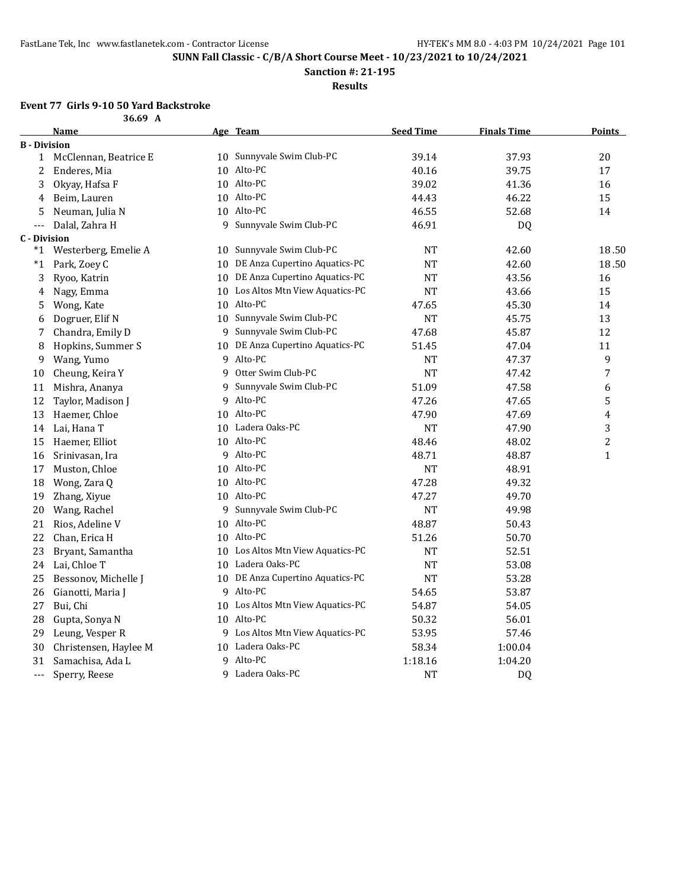**Sanction #: 21-195**

**Results**

### **Event 77 Girls 9-10 50 Yard Backstroke 36.69 A**

|                                     | JUIJ A                |   |                                   |                  |                    |                  |
|-------------------------------------|-----------------------|---|-----------------------------------|------------------|--------------------|------------------|
|                                     | Name                  |   | Age Team                          | <b>Seed Time</b> | <b>Finals Time</b> | <u>Points</u>    |
| <b>B</b> - Division<br>$\mathbf{1}$ | McClennan, Beatrice E |   | 10 Sunnyvale Swim Club-PC         | 39.14            | 37.93              | $20\,$           |
| 2                                   | Enderes, Mia          |   | 10 Alto-PC                        | 40.16            | 39.75              | 17               |
| 3                                   | Okyay, Hafsa F        |   | 10 Alto-PC                        | 39.02            | 41.36              | 16               |
| 4                                   | Beim, Lauren          |   | 10 Alto-PC                        | 44.43            | 46.22              | 15               |
| 5                                   | Neuman, Julia N       |   | 10 Alto-PC                        | 46.55            | 52.68              | 14               |
| $---$                               |                       | 9 | Sunnyvale Swim Club-PC            | 46.91            |                    |                  |
| <b>C</b> - Division                 | Dalal, Zahra H        |   |                                   |                  | <b>DQ</b>          |                  |
| *1                                  | Westerberg, Emelie A  |   | 10 Sunnyvale Swim Club-PC         | NT               | 42.60              | 18.50            |
| *1                                  | Park, Zoey C          |   | 10 DE Anza Cupertino Aquatics-PC  | <b>NT</b>        | 42.60              | 18.50            |
| 3                                   | Ryoo, Katrin          |   | 10 DE Anza Cupertino Aquatics-PC  | $\rm{NT}$        | 43.56              | 16               |
| 4                                   | Nagy, Emma            |   | 10 Los Altos Mtn View Aquatics-PC | NT               | 43.66              | 15               |
| 5                                   | Wong, Kate            |   | 10 Alto-PC                        | 47.65            | 45.30              | 14               |
| 6                                   | Dogruer, Elif N       |   | 10 Sunnyvale Swim Club-PC         | <b>NT</b>        | 45.75              | 13               |
| 7                                   | Chandra, Emily D      |   | 9 Sunnyvale Swim Club-PC          | 47.68            | 45.87              | 12               |
| 8                                   | Hopkins, Summer S     |   | 10 DE Anza Cupertino Aquatics-PC  | 51.45            | 47.04              | 11               |
| 9                                   | Wang, Yumo            |   | 9 Alto-PC                         | NT               | 47.37              | 9                |
| 10                                  | Cheung, Keira Y       |   | 9 Otter Swim Club-PC              | <b>NT</b>        | 47.42              | 7                |
| 11                                  | Mishra, Ananya        |   | 9 Sunnyvale Swim Club-PC          | 51.09            | 47.58              | 6                |
| 12                                  | Taylor, Madison J     |   | 9 Alto-PC                         | 47.26            | 47.65              | 5                |
| 13                                  | Haemer, Chloe         |   | 10 Alto-PC                        | 47.90            | 47.69              | $\overline{4}$   |
| 14                                  | Lai, Hana T           |   | 10 Ladera Oaks-PC                 | NT               | 47.90              | $\sqrt{3}$       |
| 15                                  | Haemer, Elliot        |   | 10 Alto-PC                        | 48.46            | 48.02              | $\boldsymbol{2}$ |
| 16                                  | Srinivasan, Ira       |   | 9 Alto-PC                         | 48.71            | 48.87              | $\mathbf{1}$     |
| 17                                  | Muston, Chloe         |   | 10 Alto-PC                        | <b>NT</b>        | 48.91              |                  |
| 18                                  | Wong, Zara Q          |   | 10 Alto-PC                        | 47.28            | 49.32              |                  |
| 19                                  | Zhang, Xiyue          |   | 10 Alto-PC                        | 47.27            | 49.70              |                  |
| 20                                  | Wang, Rachel          |   | 9 Sunnyvale Swim Club-PC          | <b>NT</b>        | 49.98              |                  |
| 21                                  | Rios, Adeline V       |   | 10 Alto-PC                        | 48.87            | 50.43              |                  |
| 22                                  | Chan, Erica H         |   | 10 Alto-PC                        | 51.26            | 50.70              |                  |
| 23                                  | Bryant, Samantha      |   | 10 Los Altos Mtn View Aquatics-PC | NT               | 52.51              |                  |
| 24                                  | Lai, Chloe T          |   | 10 Ladera Oaks-PC                 | <b>NT</b>        | 53.08              |                  |
| 25                                  | Bessonov, Michelle J  |   | 10 DE Anza Cupertino Aquatics-PC  | NT               | 53.28              |                  |
| 26                                  | Gianotti, Maria J     |   | 9 Alto-PC                         | 54.65            | 53.87              |                  |
| 27                                  | Bui, Chi              |   | 10 Los Altos Mtn View Aquatics-PC | 54.87            | 54.05              |                  |
| 28                                  | Gupta, Sonya N        |   | 10 Alto-PC                        | 50.32            | 56.01              |                  |
| 29                                  | Leung, Vesper R       |   | 9 Los Altos Mtn View Aquatics-PC  | 53.95            | 57.46              |                  |
| 30                                  | Christensen, Haylee M |   | 10 Ladera Oaks-PC                 | 58.34            | 1:00.04            |                  |
| 31                                  | Samachisa, Ada L      | 9 | Alto-PC                           | 1:18.16          | 1:04.20            |                  |
| ---                                 | Sperry, Reese         |   | 9 Ladera Oaks-PC                  | <b>NT</b>        | <b>DQ</b>          |                  |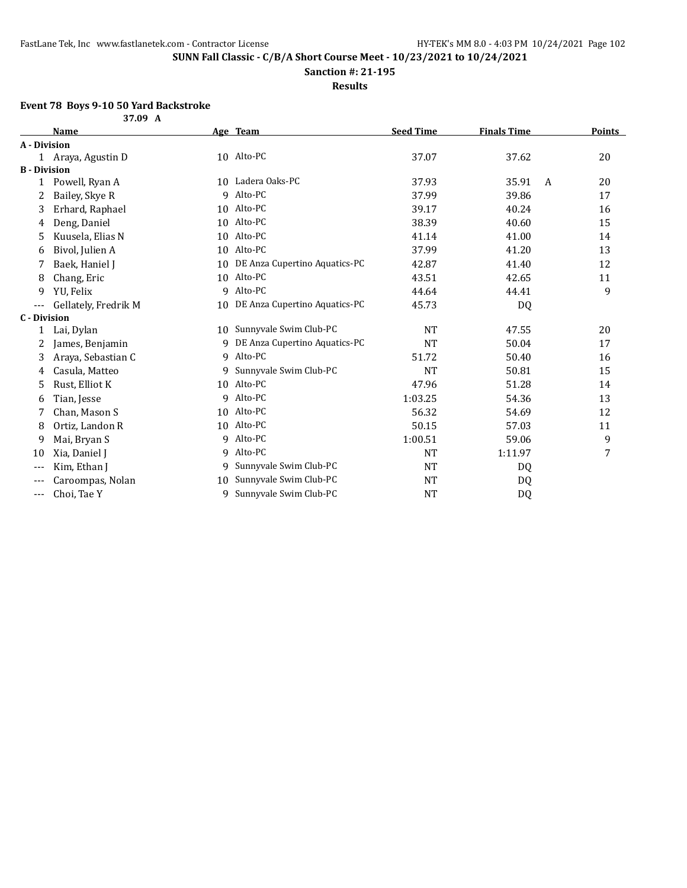**Sanction #: 21-195**

**Results**

## **Event 78 Boys 9-10 50 Yard Backstroke**

|                     | 37.09 A              |    |                                  |                  |                    |               |
|---------------------|----------------------|----|----------------------------------|------------------|--------------------|---------------|
|                     | <b>Name</b>          |    | Age Team                         | <b>Seed Time</b> | <b>Finals Time</b> | <b>Points</b> |
| A - Division        |                      |    |                                  |                  |                    |               |
|                     | 1 Araya, Agustin D   |    | 10 Alto-PC                       | 37.07            | 37.62              | 20            |
| <b>B</b> - Division |                      |    |                                  |                  |                    |               |
| 1                   | Powell, Ryan A       |    | 10 Ladera Oaks-PC                | 37.93            | 35.91<br>A         | 20            |
| 2                   | Bailey, Skye R       | 9  | Alto-PC                          | 37.99            | 39.86              | 17            |
| 3                   | Erhard, Raphael      | 10 | Alto-PC                          | 39.17            | 40.24              | 16            |
| 4                   | Deng, Daniel         |    | 10 Alto-PC                       | 38.39            | 40.60              | 15            |
| 5                   | Kuusela, Elias N     | 10 | Alto-PC                          | 41.14            | 41.00              | 14            |
| 6                   | Bivol, Julien A      | 10 | Alto-PC                          | 37.99            | 41.20              | 13            |
| 7                   | Baek, Haniel J       | 10 | DE Anza Cupertino Aquatics-PC    | 42.87            | 41.40              | 12            |
| 8                   | Chang, Eric          | 10 | Alto-PC                          | 43.51            | 42.65              | 11            |
| 9                   | YU, Felix            | 9  | Alto-PC                          | 44.64            | 44.41              | 9             |
| ---                 | Gellately, Fredrik M |    | 10 DE Anza Cupertino Aquatics-PC | 45.73            | DQ                 |               |
| <b>C</b> - Division |                      |    |                                  |                  |                    |               |
| 1                   | Lai, Dylan           | 10 | Sunnyvale Swim Club-PC           | <b>NT</b>        | 47.55              | 20            |
| 2                   | James, Benjamin      | 9  | DE Anza Cupertino Aquatics-PC    | <b>NT</b>        | 50.04              | 17            |
| 3                   | Araya, Sebastian C   | 9  | Alto-PC                          | 51.72            | 50.40              | 16            |
| 4                   | Casula, Matteo       | 9  | Sunnyvale Swim Club-PC           | <b>NT</b>        | 50.81              | 15            |
| 5                   | Rust, Elliot K       | 10 | Alto-PC                          | 47.96            | 51.28              | 14            |
| 6                   | Tian, Jesse          | 9  | Alto-PC                          | 1:03.25          | 54.36              | 13            |
| 7                   | Chan, Mason S        | 10 | Alto-PC                          | 56.32            | 54.69              | 12            |
| 8                   | Ortiz, Landon R      | 10 | Alto-PC                          | 50.15            | 57.03              | 11            |
| 9                   | Mai, Bryan S         | 9  | Alto-PC                          | 1:00.51          | 59.06              | 9             |
| 10                  | Xia, Daniel J        | 9  | Alto-PC                          | <b>NT</b>        | 1:11.97            | 7             |
| $---$               | Kim, Ethan J         | 9  | Sunnyvale Swim Club-PC           | <b>NT</b>        | DQ                 |               |
|                     | Caroompas, Nolan     | 10 | Sunnyvale Swim Club-PC           | NT               | DQ                 |               |
| ---                 | Choi, Tae Y          | 9  | Sunnyvale Swim Club-PC           | <b>NT</b>        | D <sub>Q</sub>     |               |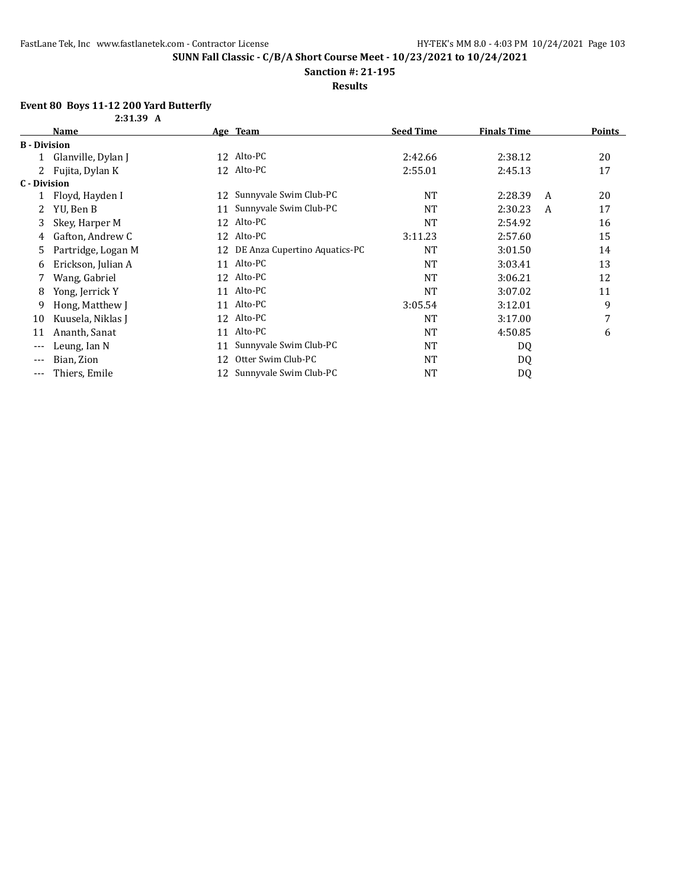**Sanction #: 21-195**

**Results**

## **Event 80 Boys 11-12 200 Yard Butterfly**

|                     | 2:31.39 A          |    |                               |                  |                    |   |               |
|---------------------|--------------------|----|-------------------------------|------------------|--------------------|---|---------------|
|                     | <b>Name</b>        |    | Age Team                      | <b>Seed Time</b> | <b>Finals Time</b> |   | <b>Points</b> |
| <b>B</b> - Division |                    |    |                               |                  |                    |   |               |
|                     | Glanville, Dylan J | 12 | Alto-PC                       | 2:42.66          | 2:38.12            |   | 20            |
|                     | Fujita, Dylan K    | 12 | Alto-PC                       | 2:55.01          | 2:45.13            |   | 17            |
| C - Division        |                    |    |                               |                  |                    |   |               |
|                     | Floyd, Hayden I    | 12 | Sunnyvale Swim Club-PC        | <b>NT</b>        | 2:28.39            | A | 20            |
| 2                   | YU, Ben B          | 11 | Sunnyvale Swim Club-PC        | <b>NT</b>        | 2:30.23            | A | 17            |
| 3                   | Skey, Harper M     | 12 | Alto-PC                       | <b>NT</b>        | 2:54.92            |   | 16            |
| 4                   | Gafton, Andrew C   |    | 12 Alto-PC                    | 3:11.23          | 2:57.60            |   | 15            |
| 5                   | Partridge, Logan M | 12 | DE Anza Cupertino Aquatics-PC | NT               | 3:01.50            |   | 14            |
| 6                   | Erickson, Julian A | 11 | Alto-PC                       | <b>NT</b>        | 3:03.41            |   | 13            |
| 7                   | Wang, Gabriel      |    | 12 Alto-PC                    | NT               | 3:06.21            |   | 12            |
| 8                   | Yong, Jerrick Y    |    | 11 Alto-PC                    | <b>NT</b>        | 3:07.02            |   | 11            |
| 9                   | Hong, Matthew J    | 11 | Alto-PC                       | 3:05.54          | 3:12.01            |   | 9             |
| 10                  | Kuusela, Niklas J  |    | 12 Alto-PC                    | <b>NT</b>        | 3:17.00            |   | 7             |
| 11                  | Ananth, Sanat      | 11 | Alto-PC                       | <b>NT</b>        | 4:50.85            |   | 6             |
| $---$               | Leung, Ian N       | 11 | Sunnyvale Swim Club-PC        | <b>NT</b>        | DQ                 |   |               |
| ---                 | Bian, Zion         | 12 | Otter Swim Club-PC            | <b>NT</b>        | DQ                 |   |               |
| ---                 | Thiers, Emile      | 12 | Sunnyvale Swim Club-PC        | NT               | DQ                 |   |               |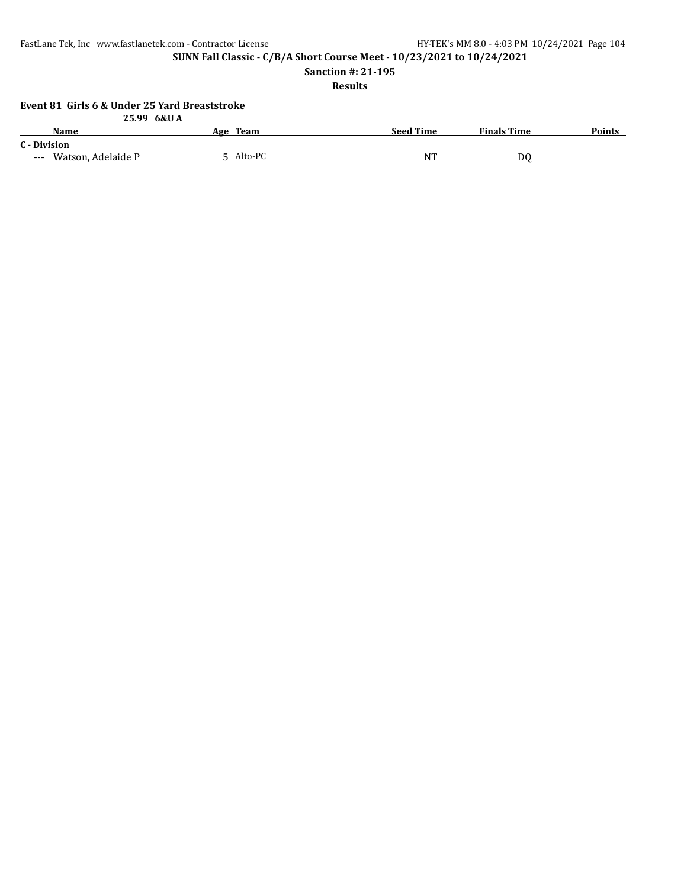FastLane Tek, Inc www.fastlanetek.com - Contractor License HY-TEK's MM 8.0 - 4:03 PM 10/24/2021 Page 104

**SUNN Fall Classic - C/B/A Short Course Meet - 10/23/2021 to 10/24/2021**

**Sanction #: 21-195**

**Results**

## **Event 81 Girls 6 & Under 25 Yard Breaststroke**

| 25.99 6&UA                  |           |                  |                    |               |
|-----------------------------|-----------|------------------|--------------------|---------------|
| Name                        | Age Team  | <b>Seed Time</b> | <b>Finals Time</b> | <b>Points</b> |
| C - Division                |           |                  |                    |               |
| Watson, Adelaide P<br>$---$ | 5 Alto-PC | NT               | D0                 |               |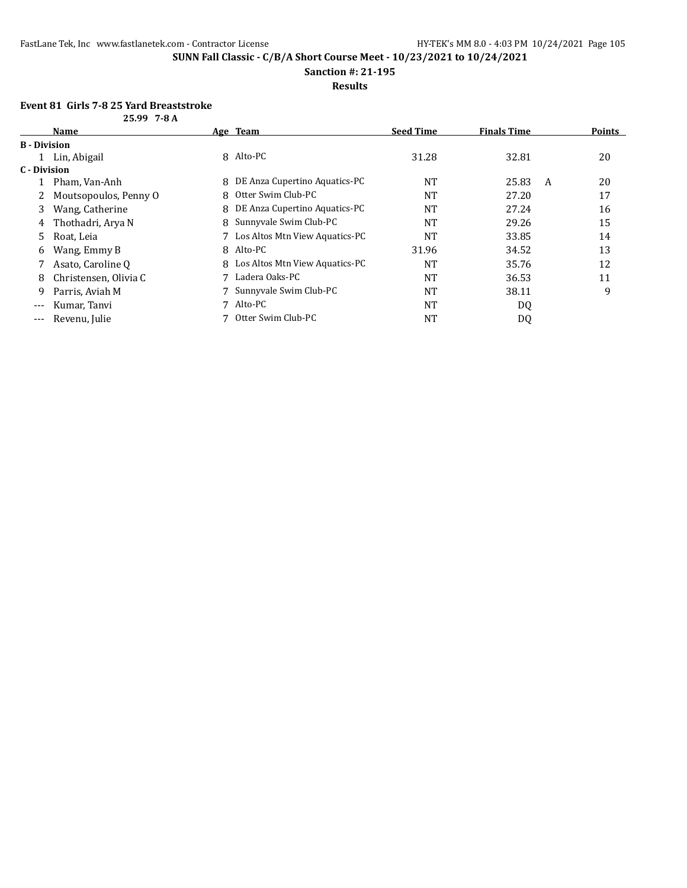**Sanction #: 21-195**

**Results**

### **Event 81 Girls 7-8 25 Yard Breaststroke 25.99 7-8 A**

|                     | <i>LJ.JJ I</i> UA     |   |                                  |                  |                    |               |
|---------------------|-----------------------|---|----------------------------------|------------------|--------------------|---------------|
|                     | <b>Name</b>           |   | Age Team                         | <b>Seed Time</b> | <b>Finals Time</b> | <b>Points</b> |
| <b>B</b> - Division |                       |   |                                  |                  |                    |               |
|                     | Lin, Abigail          |   | 8 Alto-PC                        | 31.28            | 32.81              | 20            |
| C - Division        |                       |   |                                  |                  |                    |               |
|                     | Pham, Van-Anh         | 8 | DE Anza Cupertino Aquatics-PC    | NT               | 25.83<br>A         | 20            |
| 2                   | Moutsopoulos, Penny O |   | 8 Otter Swim Club-PC             | <b>NT</b>        | 27.20              | 17            |
| 3                   | Wang, Catherine       | 8 | DE Anza Cupertino Aquatics-PC    | NT               | 27.24              | 16            |
| 4                   | Thothadri, Arya N     |   | 8 Sunnyvale Swim Club-PC         | NT               | 29.26              | 15            |
| 5.                  | Roat, Leia            |   | 7 Los Altos Mtn View Aquatics-PC | NT               | 33.85              | 14            |
| 6                   | Wang, Emmy B          |   | 8 Alto-PC                        | 31.96            | 34.52              | 13            |
|                     | Asato, Caroline Q     |   | 8 Los Altos Mtn View Aquatics-PC | NT               | 35.76              | 12            |
| 8                   | Christensen, Olivia C |   | Ladera Oaks-PC                   | NT               | 36.53              | 11            |
| 9                   | Parris, Aviah M       |   | Sunnyvale Swim Club-PC           | NT               | 38.11              | 9             |
| $---$               | Kumar, Tanvi          |   | 7 Alto-PC                        | NT               | DQ                 |               |
| $\qquad \qquad - -$ | Revenu, Julie         |   | Otter Swim Club-PC               | NT               | DQ                 |               |
|                     |                       |   |                                  |                  |                    |               |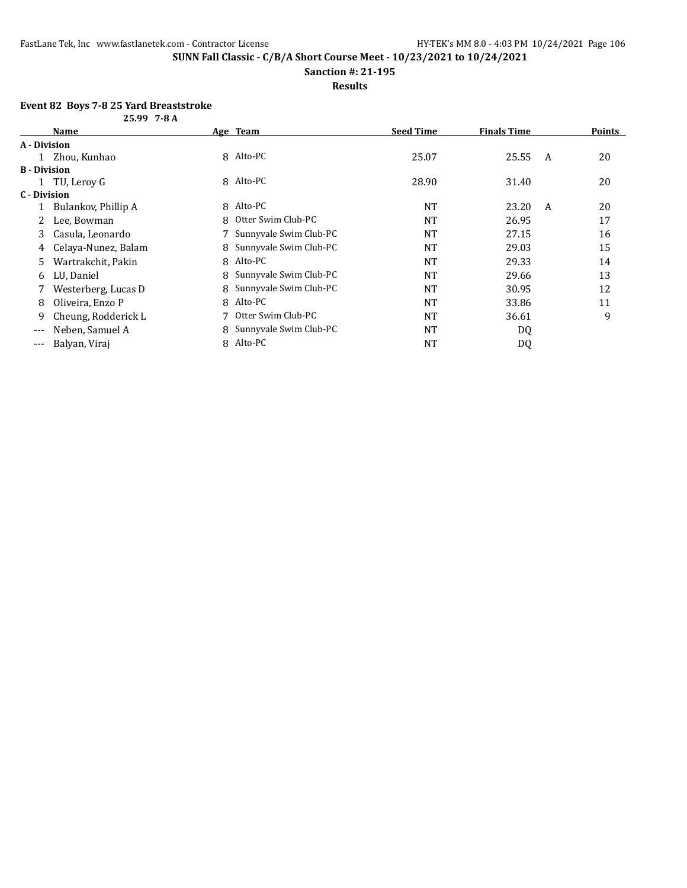**Sanction #: 21-195**

**Results**

#### **Event 82 Boys 7-8 25 Yard Breaststroke 25.99 7-8 A**

|                     | 23.77 / O A         |   |                        |                  |                    |               |
|---------------------|---------------------|---|------------------------|------------------|--------------------|---------------|
|                     | Name                |   | <u>Age Team</u>        | <b>Seed Time</b> | <b>Finals Time</b> | <b>Points</b> |
| A - Division        |                     |   |                        |                  |                    |               |
|                     | 1 Zhou, Kunhao      | 8 | Alto-PC                | 25.07            | 25.55              | 20<br>A       |
| <b>B</b> - Division |                     |   |                        |                  |                    |               |
|                     | 1 TU, Leroy G       | 8 | Alto-PC                | 28.90            | 31.40              | 20            |
| C - Division        |                     |   |                        |                  |                    |               |
|                     | Bulankov, Phillip A | 8 | Alto-PC                | <b>NT</b>        | 23.20              | 20<br>A       |
|                     | Lee, Bowman         | 8 | Otter Swim Club-PC     | <b>NT</b>        | 26.95              | 17            |
| 3                   | Casula, Leonardo    |   | Sunnyvale Swim Club-PC | <b>NT</b>        | 27.15              | 16            |
| 4                   | Celaya-Nunez, Balam | 8 | Sunnyvale Swim Club-PC | <b>NT</b>        | 29.03              | 15            |
| 5                   | Wartrakchit, Pakin  | 8 | Alto-PC                | <b>NT</b>        | 29.33              | 14            |
| 6                   | LU, Daniel          | 8 | Sunnyvale Swim Club-PC | <b>NT</b>        | 29.66              | 13            |
|                     | Westerberg, Lucas D | 8 | Sunnyvale Swim Club-PC | <b>NT</b>        | 30.95              | 12            |
| 8                   | Oliveira, Enzo P    | 8 | Alto-PC                | <b>NT</b>        | 33.86              | 11            |
| 9                   | Cheung, Rodderick L |   | Otter Swim Club-PC     | <b>NT</b>        | 36.61              | 9             |
| $---$               | Neben, Samuel A     | 8 | Sunnyvale Swim Club-PC | <b>NT</b>        | DQ                 |               |
| $---$               | Balyan, Viraj       | 8 | Alto-PC                | NT               | DQ                 |               |
|                     |                     |   |                        |                  |                    |               |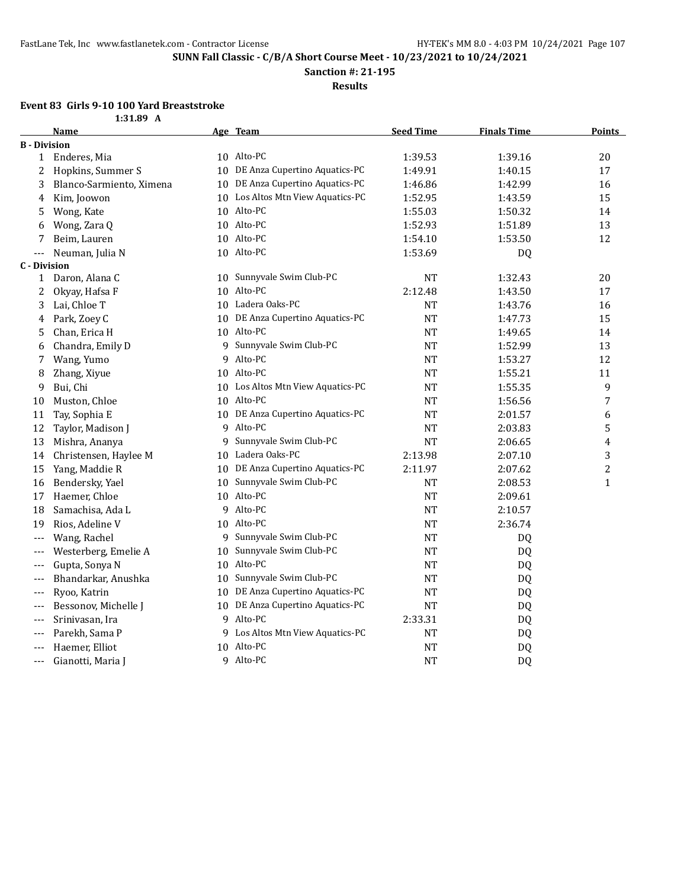**Sanction #: 21-195**

**Results**

## **Event 83 Girls 9-10 100 Yard Breaststroke**

| 1:31.89 | A |
|---------|---|
|         |   |

|                     | <b>Name</b>              |    | Age Team                          | <b>Seed Time</b> | <b>Finals Time</b> | <b>Points</b>  |
|---------------------|--------------------------|----|-----------------------------------|------------------|--------------------|----------------|
| <b>B</b> - Division |                          |    |                                   |                  |                    |                |
| $\mathbf{1}$        | Enderes, Mia             |    | 10 Alto-PC                        | 1:39.53          | 1:39.16            | 20             |
| 2                   | Hopkins, Summer S        |    | 10 DE Anza Cupertino Aquatics-PC  | 1:49.91          | 1:40.15            | 17             |
| 3                   | Blanco-Sarmiento, Ximena |    | 10 DE Anza Cupertino Aquatics-PC  | 1:46.86          | 1:42.99            | 16             |
| 4                   | Kim, Joowon              |    | 10 Los Altos Mtn View Aquatics-PC | 1:52.95          | 1:43.59            | 15             |
| 5                   | Wong, Kate               |    | 10 Alto-PC                        | 1:55.03          | 1:50.32            | 14             |
| 6                   | Wong, Zara Q             |    | 10 Alto-PC                        | 1:52.93          | 1:51.89            | 13             |
| 7                   | Beim, Lauren             |    | 10 Alto-PC                        | 1:54.10          | 1:53.50            | 12             |
| $---$               | Neuman, Julia N          |    | 10 Alto-PC                        | 1:53.69          | DQ                 |                |
| <b>C</b> - Division |                          |    |                                   |                  |                    |                |
| $\mathbf{1}$        | Daron, Alana C           |    | 10 Sunnyvale Swim Club-PC         | <b>NT</b>        | 1:32.43            | 20             |
| 2                   | Okyay, Hafsa F           |    | 10 Alto-PC                        | 2:12.48          | 1:43.50            | 17             |
| 3                   | Lai, Chloe T             |    | 10 Ladera Oaks-PC                 | NT               | 1:43.76            | 16             |
| 4                   | Park, Zoey C             |    | 10 DE Anza Cupertino Aquatics-PC  | <b>NT</b>        | 1:47.73            | 15             |
| 5                   | Chan, Erica H            |    | 10 Alto-PC                        | <b>NT</b>        | 1:49.65            | 14             |
| 6                   | Chandra, Emily D         |    | 9 Sunnyvale Swim Club-PC          | $\rm{NT}$        | 1:52.99            | 13             |
| 7                   | Wang, Yumo               |    | 9 Alto-PC                         | NT               | 1:53.27            | 12             |
| 8                   | Zhang, Xiyue             |    | 10 Alto-PC                        | <b>NT</b>        | 1:55.21            | 11             |
| 9                   | Bui, Chi                 |    | 10 Los Altos Mtn View Aquatics-PC | <b>NT</b>        | 1:55.35            | 9              |
| 10                  | Muston, Chloe            |    | 10 Alto-PC                        | NT               | 1:56.56            | $\overline{7}$ |
| 11                  | Tay, Sophia E            |    | 10 DE Anza Cupertino Aquatics-PC  | $\rm{NT}$        | 2:01.57            | 6              |
| 12                  | Taylor, Madison J        |    | 9 Alto-PC                         | NT               | 2:03.83            | 5              |
| 13                  | Mishra, Ananya           |    | 9 Sunnyvale Swim Club-PC          | <b>NT</b>        | 2:06.65            | 4              |
| 14                  | Christensen, Haylee M    |    | 10 Ladera Oaks-PC                 | 2:13.98          | 2:07.10            | 3              |
| 15                  | Yang, Maddie R           |    | 10 DE Anza Cupertino Aquatics-PC  | 2:11.97          | 2:07.62            | $\overline{c}$ |
| 16                  | Bendersky, Yael          |    | 10 Sunnyvale Swim Club-PC         | NT               | 2:08.53            | $\mathbf{1}$   |
| 17                  | Haemer, Chloe            |    | 10 Alto-PC                        | NT               | 2:09.61            |                |
| 18                  | Samachisa, Ada L         |    | 9 Alto-PC                         | <b>NT</b>        | 2:10.57            |                |
| 19                  | Rios, Adeline V          |    | 10 Alto-PC                        | <b>NT</b>        | 2:36.74            |                |
| $---$               | Wang, Rachel             | 9  | Sunnyvale Swim Club-PC            | <b>NT</b>        | DQ                 |                |
| $---$               | Westerberg, Emelie A     | 10 | Sunnyvale Swim Club-PC            | <b>NT</b>        | DQ                 |                |
| $---$               | Gupta, Sonya N           |    | 10 Alto-PC                        | <b>NT</b>        | DQ                 |                |
| $---$               | Bhandarkar, Anushka      | 10 | Sunnyvale Swim Club-PC            | $\rm{NT}$        | DQ                 |                |
| ---                 | Ryoo, Katrin             |    | 10 DE Anza Cupertino Aquatics-PC  | NT               | DQ                 |                |
| $---$               | Bessonov, Michelle J     |    | 10 DE Anza Cupertino Aquatics-PC  | <b>NT</b>        | DQ                 |                |
| $---$               | Srinivasan, Ira          |    | 9 Alto-PC                         | 2:33.31          | DQ                 |                |
| $---$               | Parekh, Sama P           |    | 9 Los Altos Mtn View Aquatics-PC  | $\rm{NT}$        | DQ                 |                |
| ---                 | Haemer, Elliot           |    | 10 Alto-PC                        | $\rm{NT}$        | <b>DQ</b>          |                |
| ---                 | Gianotti, Maria J        |    | 9 Alto-PC                         | <b>NT</b>        | DQ                 |                |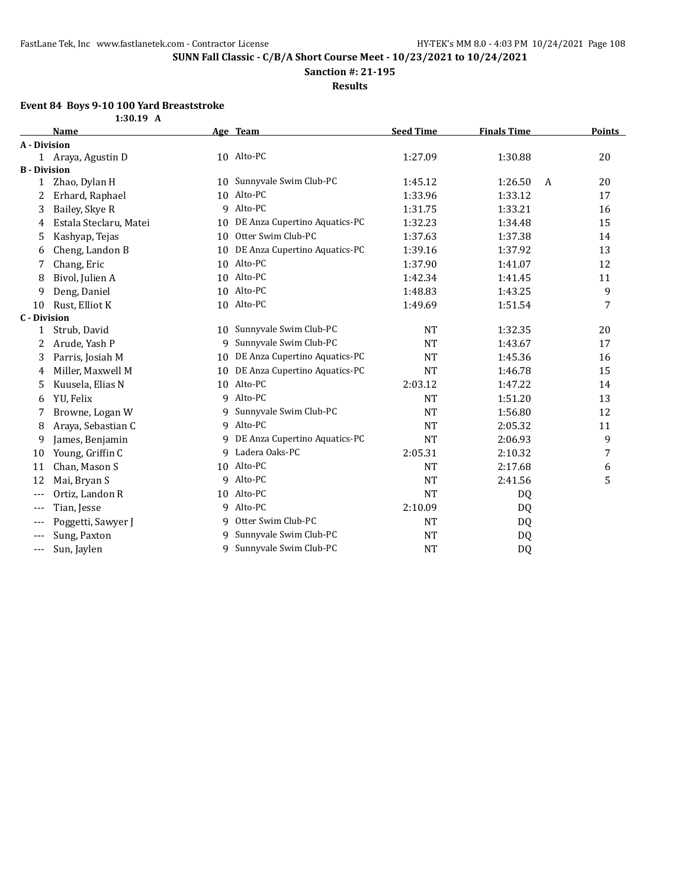**Sanction #: 21-195**

**Results**

### **Event 84 Boys 9-10 100 Yard Breaststroke**

| 1:30.19 | A |
|---------|---|
|---------|---|

|                     | <b>Name</b>            |    | Age Team                      | <b>Seed Time</b> | <b>Finals Time</b> |   | <b>Points</b> |
|---------------------|------------------------|----|-------------------------------|------------------|--------------------|---|---------------|
| A - Division        |                        |    |                               |                  |                    |   |               |
|                     | 1 Araya, Agustin D     |    | 10 Alto-PC                    | 1:27.09          | 1:30.88            |   | 20            |
| <b>B</b> - Division |                        |    |                               |                  |                    |   |               |
| 1                   | Zhao, Dylan H          | 10 | Sunnyvale Swim Club-PC        | 1:45.12          | 1:26.50            | A | 20            |
| 2                   | Erhard, Raphael        | 10 | Alto-PC                       | 1:33.96          | 1:33.12            |   | 17            |
| 3                   | Bailey, Skye R         | 9  | Alto-PC                       | 1:31.75          | 1:33.21            |   | 16            |
| 4                   | Estala Steclaru, Matei | 10 | DE Anza Cupertino Aquatics-PC | 1:32.23          | 1:34.48            |   | 15            |
| 5                   | Kashyap, Tejas         | 10 | Otter Swim Club-PC            | 1:37.63          | 1:37.38            |   | 14            |
| 6                   | Cheng, Landon B        | 10 | DE Anza Cupertino Aquatics-PC | 1:39.16          | 1:37.92            |   | 13            |
| 7                   | Chang, Eric            | 10 | Alto-PC                       | 1:37.90          | 1:41.07            |   | 12            |
| 8                   | Bivol, Julien A        | 10 | Alto-PC                       | 1:42.34          | 1:41.45            |   | 11            |
| 9                   | Deng, Daniel           | 10 | Alto-PC                       | 1:48.83          | 1:43.25            |   | 9             |
| 10                  | Rust, Elliot K         | 10 | Alto-PC                       | 1:49.69          | 1:51.54            |   | 7             |
| C - Division        |                        |    |                               |                  |                    |   |               |
| 1                   | Strub, David           | 10 | Sunnyvale Swim Club-PC        | <b>NT</b>        | 1:32.35            |   | 20            |
| 2                   | Arude, Yash P          | 9  | Sunnyvale Swim Club-PC        | <b>NT</b>        | 1:43.67            |   | 17            |
| 3                   | Parris, Josiah M       | 10 | DE Anza Cupertino Aquatics-PC | <b>NT</b>        | 1:45.36            |   | 16            |
| 4                   | Miller, Maxwell M      | 10 | DE Anza Cupertino Aquatics-PC | <b>NT</b>        | 1:46.78            |   | 15            |
| 5                   | Kuusela, Elias N       | 10 | Alto-PC                       | 2:03.12          | 1:47.22            |   | 14            |
| 6                   | YU, Felix              | q  | Alto-PC                       | <b>NT</b>        | 1:51.20            |   | 13            |
| 7                   | Browne, Logan W        | q  | Sunnyvale Swim Club-PC        | <b>NT</b>        | 1:56.80            |   | 12            |
| 8                   | Araya, Sebastian C     | 9  | Alto-PC                       | <b>NT</b>        | 2:05.32            |   | 11            |
| 9                   | James, Benjamin        | 9  | DE Anza Cupertino Aquatics-PC | <b>NT</b>        | 2:06.93            |   | 9             |
| 10                  | Young, Griffin C       | 9  | Ladera Oaks-PC                | 2:05.31          | 2:10.32            |   | 7             |
| 11                  | Chan, Mason S          | 10 | Alto-PC                       | <b>NT</b>        | 2:17.68            |   | 6             |
| 12                  | Mai, Bryan S           | 9  | Alto-PC                       | <b>NT</b>        | 2:41.56            |   | 5             |
| $---$               | Ortiz, Landon R        | 10 | Alto-PC                       | <b>NT</b>        | DQ                 |   |               |
| $---$               | Tian, Jesse            | q  | Alto-PC                       | 2:10.09          | DQ                 |   |               |
| $---$               | Poggetti, Sawyer J     | q  | Otter Swim Club-PC            | <b>NT</b>        | DQ                 |   |               |
| ---                 | Sung, Paxton           | 9  | Sunnyvale Swim Club-PC        | <b>NT</b>        | DQ                 |   |               |
| $---$               | Sun, Jaylen            | q  | Sunnyvale Swim Club-PC        | <b>NT</b>        | DQ                 |   |               |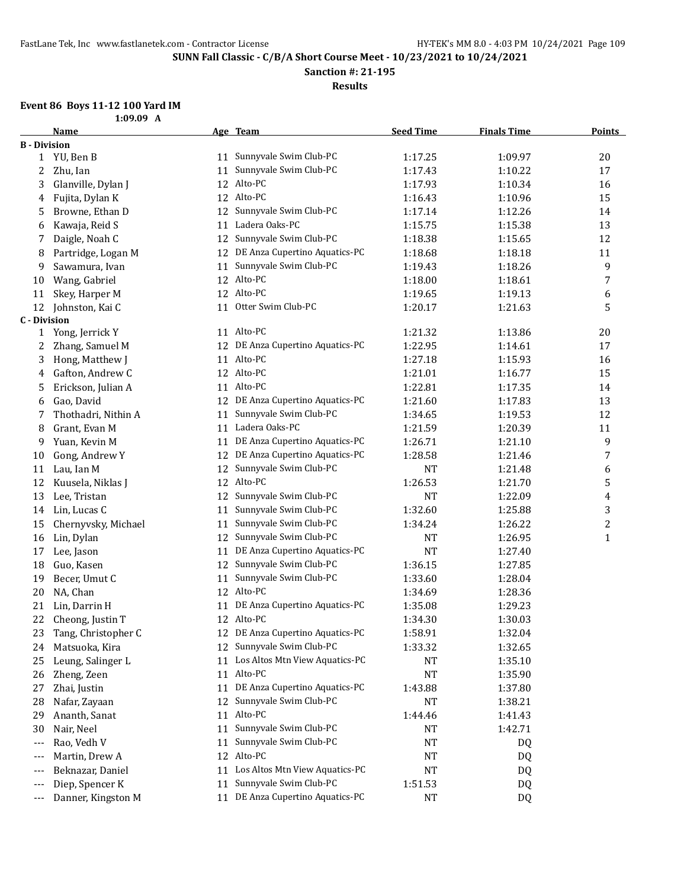**Sanction #: 21-195**

**Results**

# **Event 86 Boys 11-12 100 Yard IM**

|  |  | 1:09.09 A |  |  |
|--|--|-----------|--|--|

|                     | <b>Name</b>         |    | Age Team                          | <b>Seed Time</b> | <b>Finals Time</b> | <b>Points</b> |
|---------------------|---------------------|----|-----------------------------------|------------------|--------------------|---------------|
| <b>B</b> - Division |                     |    |                                   |                  |                    |               |
|                     | 1 YU, Ben B         |    | 11 Sunnyvale Swim Club-PC         | 1:17.25          | 1:09.97            | 20            |
| 2                   | Zhu, Ian            | 11 | Sunnyvale Swim Club-PC            | 1:17.43          | 1:10.22            | 17            |
| 3                   | Glanville, Dylan J  | 12 | Alto-PC                           | 1:17.93          | 1:10.34            | 16            |
| 4                   | Fujita, Dylan K     | 12 | Alto-PC                           | 1:16.43          | 1:10.96            | 15            |
| 5                   | Browne, Ethan D     | 12 | Sunnyvale Swim Club-PC            | 1:17.14          | 1:12.26            | 14            |
| 6                   | Kawaja, Reid S      | 11 | Ladera Oaks-PC                    | 1:15.75          | 1:15.38            | 13            |
| 7                   | Daigle, Noah C      | 12 | Sunnyvale Swim Club-PC            | 1:18.38          | 1:15.65            | 12            |
| 8                   | Partridge, Logan M  | 12 | DE Anza Cupertino Aquatics-PC     | 1:18.68          | 1:18.18            | 11            |
| 9                   | Sawamura, Ivan      | 11 | Sunnyvale Swim Club-PC            | 1:19.43          | 1:18.26            | 9             |
| 10                  | Wang, Gabriel       | 12 | Alto-PC                           | 1:18.00          | 1:18.61            | 7             |
| 11                  | Skey, Harper M      | 12 | Alto-PC                           | 1:19.65          | 1:19.13            | 6             |
| 12                  | Johnston, Kai C     | 11 | Otter Swim Club-PC                | 1:20.17          | 1:21.63            | 5             |
| <b>C</b> - Division |                     |    |                                   |                  |                    |               |
| $\mathbf{1}$        | Yong, Jerrick Y     |    | 11 Alto-PC                        | 1:21.32          | 1:13.86            | 20            |
| 2                   | Zhang, Samuel M     | 12 | DE Anza Cupertino Aquatics-PC     | 1:22.95          | 1:14.61            | 17            |
| 3                   | Hong, Matthew J     |    | 11 Alto-PC                        | 1:27.18          | 1:15.93            | 16            |
| 4                   | Gafton, Andrew C    |    | 12 Alto-PC                        | 1:21.01          | 1:16.77            | 15            |
| 5                   | Erickson, Julian A  |    | 11 Alto-PC                        | 1:22.81          | 1:17.35            | 14            |
| 6                   | Gao, David          | 12 | DE Anza Cupertino Aquatics-PC     | 1:21.60          | 1:17.83            | 13            |
| 7                   | Thothadri, Nithin A | 11 | Sunnyvale Swim Club-PC            | 1:34.65          | 1:19.53            | 12            |
| 8                   | Grant, Evan M       | 11 | Ladera Oaks-PC                    | 1:21.59          | 1:20.39            | 11            |
| 9                   | Yuan, Kevin M       | 11 | DE Anza Cupertino Aquatics-PC     | 1:26.71          | 1:21.10            | 9             |
| 10                  | Gong, Andrew Y      | 12 | DE Anza Cupertino Aquatics-PC     | 1:28.58          | 1:21.46            | 7             |
| 11                  | Lau, Ian M          | 12 | Sunnyvale Swim Club-PC            | NT               | 1:21.48            | 6             |
| 12                  | Kuusela, Niklas J   | 12 | Alto-PC                           | 1:26.53          | 1:21.70            | 5             |
| 13                  | Lee, Tristan        | 12 | Sunnyvale Swim Club-PC            | <b>NT</b>        | 1:22.09            | 4             |
| 14                  | Lin, Lucas C        | 11 | Sunnyvale Swim Club-PC            | 1:32.60          | 1:25.88            | 3             |
| 15                  | Chernyvsky, Michael | 11 | Sunnyvale Swim Club-PC            | 1:34.24          | 1:26.22            | 2             |
| 16                  | Lin, Dylan          | 12 | Sunnyvale Swim Club-PC            | NT               | 1:26.95            | $\mathbf{1}$  |
| 17                  | Lee, Jason          | 11 | DE Anza Cupertino Aquatics-PC     | <b>NT</b>        | 1:27.40            |               |
| 18                  | Guo, Kasen          | 12 | Sunnyvale Swim Club-PC            | 1:36.15          | 1:27.85            |               |
| 19                  | Becer, Umut C       | 11 | Sunnyvale Swim Club-PC            | 1:33.60          | 1:28.04            |               |
| 20                  | NA, Chan            |    | 12 Alto-PC                        | 1:34.69          | 1:28.36            |               |
| 21                  | Lin, Darrin H       | 11 | DE Anza Cupertino Aquatics-PC     | 1:35.08          | 1:29.23            |               |
| 22                  | Cheong, Justin T    |    | 12 Alto-PC                        | 1:34.30          | 1:30.03            |               |
| 23                  | Tang, Christopher C |    | 12 DE Anza Cupertino Aquatics-PC  | 1:58.91          | 1:32.04            |               |
| 24                  | Matsuoka, Kira      |    | 12 Sunnyvale Swim Club-PC         | 1:33.32          | 1:32.65            |               |
| 25                  | Leung, Salinger L   | 11 | Los Altos Mtn View Aquatics-PC    | NT               | 1:35.10            |               |
| 26                  | Zheng, Zeen         |    | 11 Alto-PC                        | NT               | 1:35.90            |               |
| 27                  | Zhai, Justin        | 11 | DE Anza Cupertino Aquatics-PC     | 1:43.88          | 1:37.80            |               |
| 28                  | Nafar, Zayaan       | 12 | Sunnyvale Swim Club-PC            | NT               | 1:38.21            |               |
| 29                  | Ananth, Sanat       |    | 11 Alto-PC                        | 1:44.46          | 1:41.43            |               |
| 30                  | Nair, Neel          | 11 | Sunnyvale Swim Club-PC            | NT               | 1:42.71            |               |
| ---                 | Rao, Vedh V         | 11 | Sunnyvale Swim Club-PC            | NT               | DQ                 |               |
| ---                 | Martin, Drew A      | 12 | Alto-PC                           | $\rm{NT}$        | DQ                 |               |
| ---                 | Beknazar, Daniel    |    | 11 Los Altos Mtn View Aquatics-PC | $\rm{NT}$        | DQ                 |               |
| ---                 | Diep, Spencer K     | 11 | Sunnyvale Swim Club-PC            | 1:51.53          | DQ                 |               |
| ---                 | Danner, Kingston M  |    | 11 DE Anza Cupertino Aquatics-PC  | NT               | DQ                 |               |
|                     |                     |    |                                   |                  |                    |               |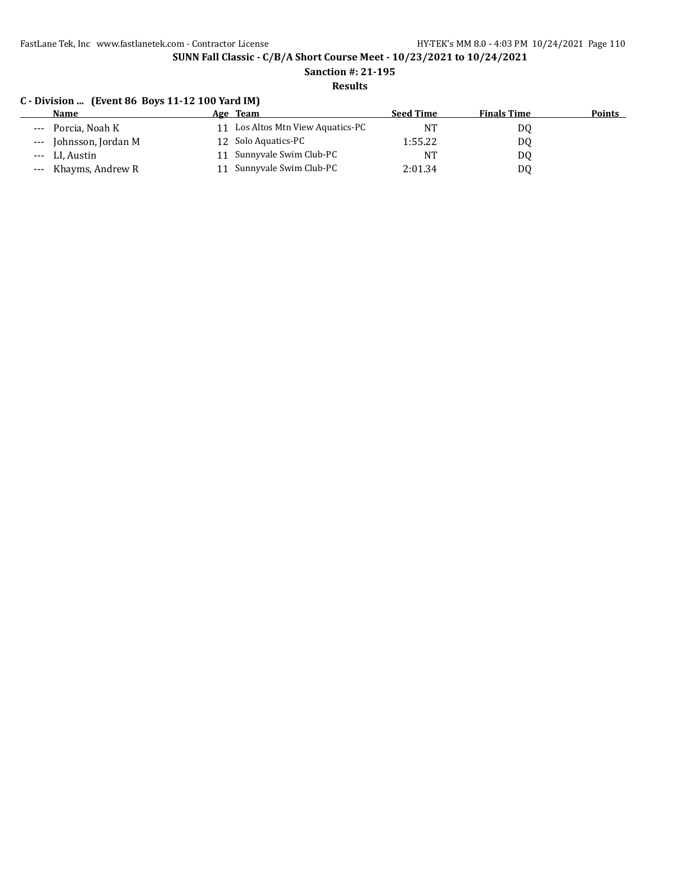FastLane Tek, Inc www.fastlanetek.com - Contractor License HY-TEK's MM 8.0 - 4:03 PM 10/24/2021 Page 110

**SUNN Fall Classic - C/B/A Short Course Meet - 10/23/2021 to 10/24/2021**

**Sanction #: 21-195**

# **Results**

## **C - Division ... (Event 86 Boys 11-12 100 Yard IM)**

| <b>Name</b>                 | Age Team                          | <b>Seed Time</b> | <b>Finals Time</b> | <b>Points</b> |
|-----------------------------|-----------------------------------|------------------|--------------------|---------------|
| --- Porcia, Noah K          | 11 Los Altos Mtn View Aquatics-PC | <b>NT</b>        | DQ                 |               |
| Johnsson, Jordan M<br>$---$ | 12 Solo Aquatics-PC               | 1:55.22          | DQ                 |               |
| LI, Austin<br>$---$         | Sunnyvale Swim Club-PC            | NT               | D0                 |               |
| Khayms, Andrew R<br>$---$   | Sunnyvale Swim Club-PC            | 2:01.34          | DQ                 |               |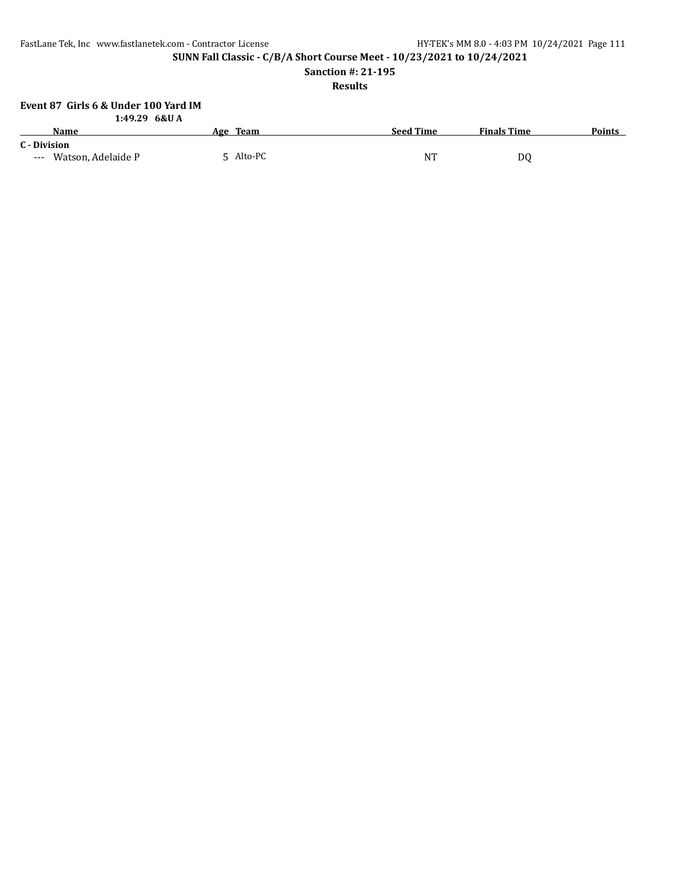FastLane Tek, Inc www.fastlanetek.com - Contractor License HY-TEK's MM 8.0 - 4:03 PM 10/24/2021 Page 111

**SUNN Fall Classic - C/B/A Short Course Meet - 10/23/2021 to 10/24/2021**

**Sanction #: 21-195**

## **Results**

#### **Event 87 Girls 6 & Under 100 Yard IM 1:49.29 6&U A**

| 1. TAJLA UWU A                            |           |                  |                    |               |
|-------------------------------------------|-----------|------------------|--------------------|---------------|
| Name                                      | Age Team  | <b>Seed Time</b> | <b>Finals Time</b> | <b>Points</b> |
| C - Division                              |           |                  |                    |               |
| Watson, Adelaide P<br>$\qquad \qquad - -$ | 5 Alto-PC | NT               | D0                 |               |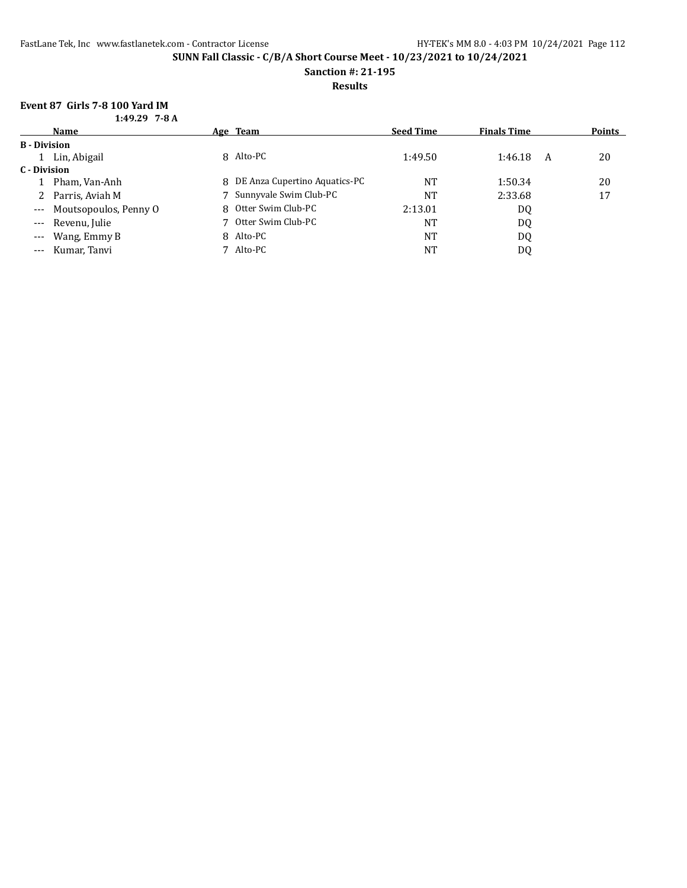**Sanction #: 21-195**

### **Results**

# **Event 87 Girls 7-8 100 Yard IM**

| $1:49.29$ 7-8 A |
|-----------------|
|                 |

|                     | Name                  |   | Age Team                      | <b>Seed Time</b> | <b>Finals Time</b> |   | <b>Points</b> |
|---------------------|-----------------------|---|-------------------------------|------------------|--------------------|---|---------------|
| <b>B</b> - Division |                       |   |                               |                  |                    |   |               |
|                     | Lin, Abigail          |   | 8 Alto-PC                     | 1:49.50          | 1:46.18            | A | 20            |
| C - Division        |                       |   |                               |                  |                    |   |               |
|                     | Pham, Van-Anh         | 8 | DE Anza Cupertino Aquatics-PC | <b>NT</b>        | 1:50.34            |   | 20            |
|                     | Parris, Aviah M       |   | 7 Sunnyvale Swim Club-PC      | NT               | 2:33.68            |   | 17            |
| $\qquad \qquad - -$ | Moutsopoulos, Penny O | 8 | Otter Swim Club-PC            | 2:13.01          | DQ                 |   |               |
| $\cdots$            | Revenu, Julie         |   | Otter Swim Club-PC            | <b>NT</b>        | DQ                 |   |               |
| $---$               | Wang, Emmy B          |   | 8 Alto-PC                     | <b>NT</b>        | DQ                 |   |               |
| $---$               | Kumar, Tanvi          |   | Alto-PC                       | <b>NT</b>        | DQ                 |   |               |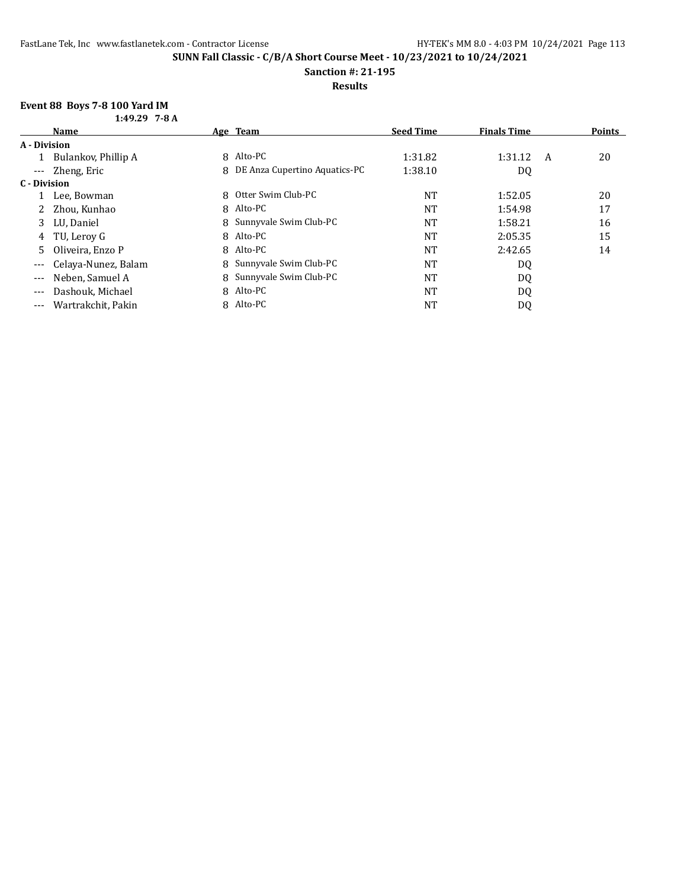**Sanction #: 21-195**

**Results**

# **Event 88 Boys 7-8 100 Yard IM**

| $1:49.29$ 7-8 A |  |
|-----------------|--|
|                 |  |

|                     | <b>Name</b>         |   | Age Team                      | <b>Seed Time</b> | <b>Finals Time</b> |   | <b>Points</b> |
|---------------------|---------------------|---|-------------------------------|------------------|--------------------|---|---------------|
| A - Division        |                     |   |                               |                  |                    |   |               |
|                     | Bulankov, Phillip A | 8 | Alto-PC                       | 1:31.82          | 1:31.12            | A | 20            |
|                     | --- Zheng, Eric     | 8 | DE Anza Cupertino Aquatics-PC | 1:38.10          | DQ                 |   |               |
| C - Division        |                     |   |                               |                  |                    |   |               |
|                     | Lee, Bowman         |   | 8 Otter Swim Club-PC          | <b>NT</b>        | 1:52.05            |   | 20            |
|                     | Zhou, Kunhao        | 8 | Alto-PC                       | <b>NT</b>        | 1:54.98            |   | 17            |
| 3                   | LU, Daniel          |   | 8 Sunnyvale Swim Club-PC      | <b>NT</b>        | 1:58.21            |   | 16            |
| 4                   | TU, Lerov G         |   | 8 Alto-PC                     | <b>NT</b>        | 2:05.35            |   | 15            |
| 5                   | Oliveira, Enzo P    |   | 8 Alto-PC                     | <b>NT</b>        | 2:42.65            |   | 14            |
| $\qquad \qquad - -$ | Celaya-Nunez, Balam |   | 8 Sunnyvale Swim Club-PC      | <b>NT</b>        | DQ                 |   |               |
| $---$               | Neben, Samuel A     |   | 8 Sunnyvale Swim Club-PC      | <b>NT</b>        | DQ                 |   |               |
| $- - -$             | Dashouk, Michael    |   | 8 Alto-PC                     | <b>NT</b>        | DQ                 |   |               |
| $---$               | Wartrakchit, Pakin  |   | 8 Alto-PC                     | NT               | DQ                 |   |               |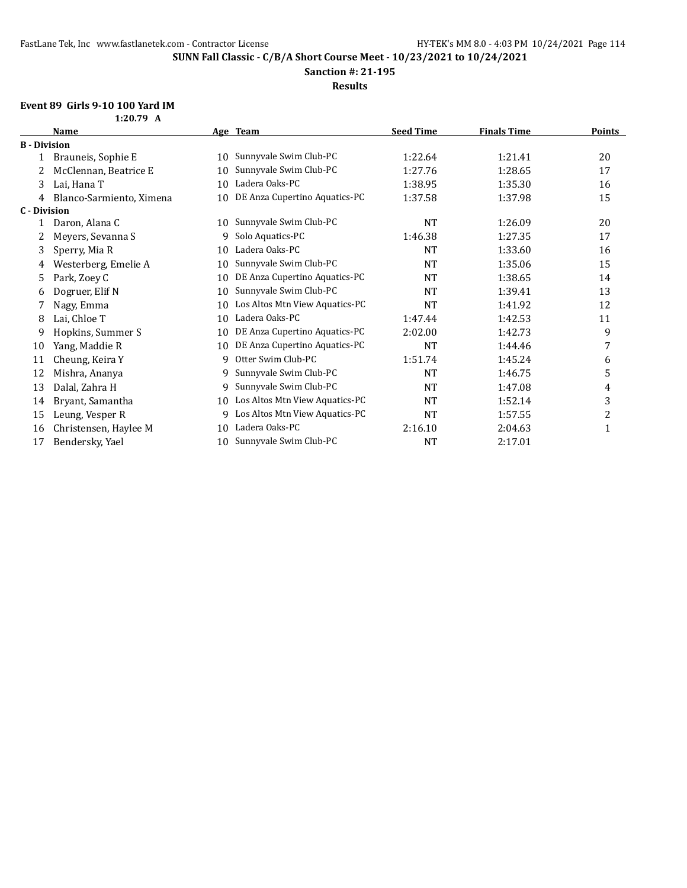**Sanction #: 21-195**

**Results**

# **Event 89 Girls 9-10 100 Yard IM**

**1:20.79 A**

|                     | Name                     |    | Age Team                       | <b>Seed Time</b> | <b>Finals Time</b> | <b>Points</b> |
|---------------------|--------------------------|----|--------------------------------|------------------|--------------------|---------------|
| <b>B</b> - Division |                          |    |                                |                  |                    |               |
|                     | Brauneis, Sophie E       | 10 | Sunnyvale Swim Club-PC         | 1:22.64          | 1:21.41            | 20            |
| 2                   | McClennan, Beatrice E    | 10 | Sunnyvale Swim Club-PC         | 1:27.76          | 1:28.65            | 17            |
| 3                   | Lai, Hana T              | 10 | Ladera Oaks-PC                 | 1:38.95          | 1:35.30            | 16            |
| 4                   | Blanco-Sarmiento, Ximena | 10 | DE Anza Cupertino Aquatics-PC  | 1:37.58          | 1:37.98            | 15            |
| <b>C</b> - Division |                          |    |                                |                  |                    |               |
|                     | Daron, Alana C           | 10 | Sunnyvale Swim Club-PC         | <b>NT</b>        | 1:26.09            | 20            |
|                     | Meyers, Sevanna S        | 9  | Solo Aquatics-PC               | 1:46.38          | 1:27.35            | 17            |
| 3                   | Sperry, Mia R            | 10 | Ladera Oaks-PC                 | <b>NT</b>        | 1:33.60            | 16            |
| 4                   | Westerberg, Emelie A     | 10 | Sunnyvale Swim Club-PC         | <b>NT</b>        | 1:35.06            | 15            |
| 5                   | Park, Zoey C             | 10 | DE Anza Cupertino Aquatics-PC  | <b>NT</b>        | 1:38.65            | 14            |
| 6                   | Dogruer, Elif N          | 10 | Sunnyvale Swim Club-PC         | <b>NT</b>        | 1:39.41            | 13            |
| 7                   | Nagy, Emma               | 10 | Los Altos Mtn View Aquatics-PC | <b>NT</b>        | 1:41.92            | 12            |
| 8                   | Lai, Chloe T             | 10 | Ladera Oaks-PC                 | 1:47.44          | 1:42.53            | 11            |
| 9                   | Hopkins, Summer S        | 10 | DE Anza Cupertino Aquatics-PC  | 2:02.00          | 1:42.73            | 9             |
| 10                  | Yang, Maddie R           | 10 | DE Anza Cupertino Aquatics-PC  | <b>NT</b>        | 1:44.46            | 7             |
| 11                  | Cheung, Keira Y          | 9  | Otter Swim Club-PC             | 1:51.74          | 1:45.24            | 6             |
| 12                  | Mishra, Ananya           | 9  | Sunnyvale Swim Club-PC         | <b>NT</b>        | 1:46.75            | 5             |
| 13                  | Dalal, Zahra H           | 9  | Sunnyvale Swim Club-PC         | <b>NT</b>        | 1:47.08            | 4             |
| 14                  | Bryant, Samantha         | 10 | Los Altos Mtn View Aquatics-PC | <b>NT</b>        | 1:52.14            | 3             |
| 15                  | Leung, Vesper R          | 9  | Los Altos Mtn View Aquatics-PC | <b>NT</b>        | 1:57.55            | 2             |
| 16                  | Christensen, Haylee M    | 10 | Ladera Oaks-PC                 | 2:16.10          | 2:04.63            | 1             |
| 17                  | Bendersky, Yael          | 10 | Sunnyvale Swim Club-PC         | <b>NT</b>        | 2:17.01            |               |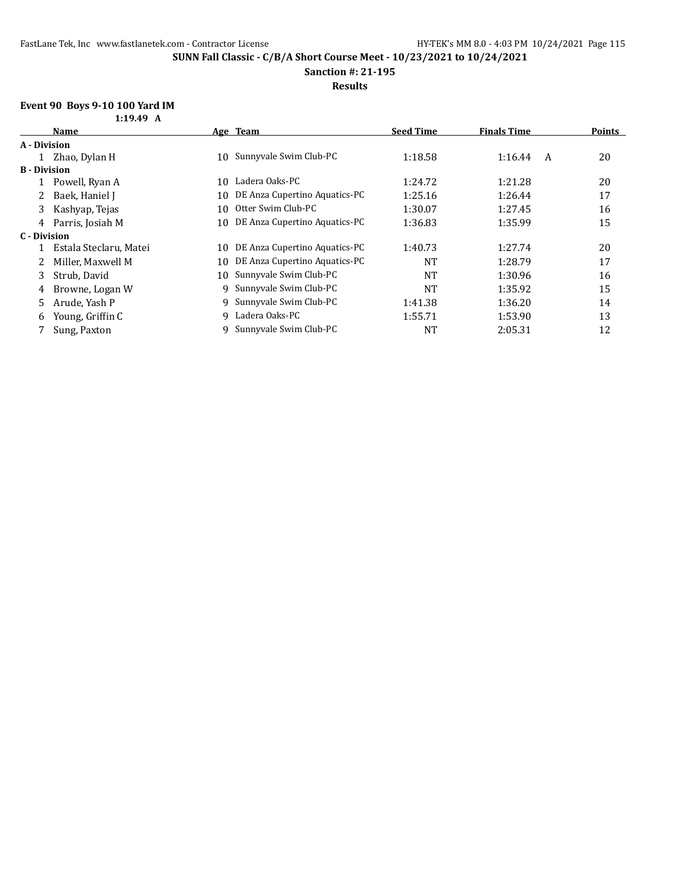### **Sanction #: 21-195**

**Results**

# **Event 90 Boys 9-10 100 Yard IM**

|                     | 1:19.49 A              |    |                               |                  |                    |        |
|---------------------|------------------------|----|-------------------------------|------------------|--------------------|--------|
|                     | Name                   |    | Age Team                      | <b>Seed Time</b> | <b>Finals Time</b> | Points |
| A - Division        |                        |    |                               |                  |                    |        |
|                     | 1 Zhao, Dylan H        | 10 | Sunnyvale Swim Club-PC        | 1:18.58          | 1:16.44<br>A       | 20     |
| <b>B</b> - Division |                        |    |                               |                  |                    |        |
|                     | Powell, Ryan A         | 10 | Ladera Oaks-PC                | 1:24.72          | 1:21.28            | 20     |
|                     | Baek, Haniel J         | 10 | DE Anza Cupertino Aquatics-PC | 1:25.16          | 1:26.44            | 17     |
| 3                   | Kashyap, Tejas         | 10 | Otter Swim Club-PC            | 1:30.07          | 1:27.45            | 16     |
| 4                   | Parris, Josiah M       | 10 | DE Anza Cupertino Aquatics-PC | 1:36.83          | 1:35.99            | 15     |
| C - Division        |                        |    |                               |                  |                    |        |
|                     | Estala Steclaru, Matei | 10 | DE Anza Cupertino Aquatics-PC | 1:40.73          | 1:27.74            | 20     |
|                     | Miller, Maxwell M      | 10 | DE Anza Cupertino Aquatics-PC | <b>NT</b>        | 1:28.79            | 17     |
| 3                   | Strub, David           | 10 | Sunnyvale Swim Club-PC        | <b>NT</b>        | 1:30.96            | 16     |
| 4                   | Browne, Logan W        | 9  | Sunnyvale Swim Club-PC        | <b>NT</b>        | 1:35.92            | 15     |
| 5.                  | Arude, Yash P          | 9  | Sunnyvale Swim Club-PC        | 1:41.38          | 1:36.20            | 14     |
| 6                   | Young, Griffin C       | 9  | Ladera Oaks-PC                | 1:55.71          | 1:53.90            | 13     |
|                     | Sung, Paxton           | 9  | Sunnyvale Swim Club-PC        | NT               | 2:05.31            | 12     |